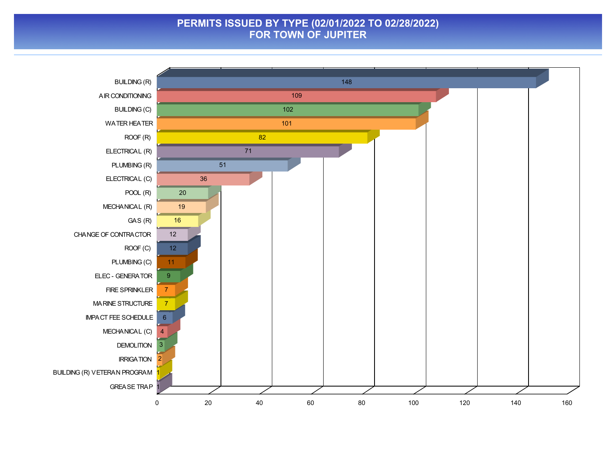## **PERMITS ISSUED BY TYPE (02/01/2022 TO 02/28/2022) FOR TOWN OF JUPITER**

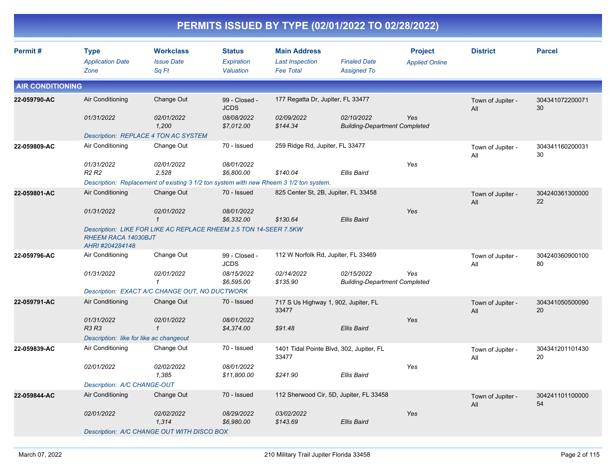| Permit#                 | <b>Type</b>                                   | <b>Workclass</b>                                                                       | <b>Status</b>                | <b>Main Address</b>                 |                                                    | <b>Project</b>        | <b>District</b>          | <b>Parcel</b>         |
|-------------------------|-----------------------------------------------|----------------------------------------------------------------------------------------|------------------------------|-------------------------------------|----------------------------------------------------|-----------------------|--------------------------|-----------------------|
|                         | <b>Application Date</b>                       | <b>Issue Date</b>                                                                      | Expiration                   | <b>Last Inspection</b>              | <b>Finaled Date</b>                                | <b>Applied Online</b> |                          |                       |
|                         | Zone                                          | Sq Ft                                                                                  | Valuation                    | <b>Fee Total</b>                    | <b>Assigned To</b>                                 |                       |                          |                       |
| <b>AIR CONDITIONING</b> |                                               |                                                                                        |                              |                                     |                                                    |                       |                          |                       |
| 22-059790-AC            | Air Conditioning                              | Change Out                                                                             | 99 - Closed -<br><b>JCDS</b> | 177 Regatta Dr, Jupiter, FL 33477   |                                                    |                       | Town of Jupiter -<br>All | 304341072200071<br>30 |
|                         | 01/31/2022                                    | 02/01/2022<br>1,200                                                                    | 08/08/2022<br>\$7,012.00     | 02/09/2022<br>\$144.34              | 02/10/2022<br><b>Building-Department Completed</b> | Yes                   |                          |                       |
|                         |                                               | Description: REPLACE 4 TON AC SYSTEM                                                   |                              |                                     |                                                    |                       |                          |                       |
| 22-059809-AC            | Air Conditioning                              | Change Out                                                                             | 70 - Issued                  | 259 Ridge Rd, Jupiter, FL 33477     |                                                    |                       | Town of Jupiter -<br>All | 304341160200031<br>30 |
|                         | 01/31/2022<br><b>R2 R2</b>                    | 02/01/2022<br>2,528                                                                    | 08/01/2022<br>\$6,800.00     | \$140.04                            | Ellis Baird                                        | Yes                   |                          |                       |
|                         |                                               | Description: Replacement of existing 3 1/2 ton system with new Rheem 3 1/2 ton system. |                              |                                     |                                                    |                       |                          |                       |
| 22-059801-AC            | Air Conditioning                              | Change Out                                                                             | 70 - Issued                  |                                     | 825 Center St, 2B, Jupiter, FL 33458               |                       | Town of Jupiter -<br>All | 304240361300000<br>22 |
|                         | 01/31/2022                                    | 02/01/2022<br>$\mathbf{1}$                                                             | 08/01/2022<br>\$6,332.00     | \$130.64                            | <b>Ellis Baird</b>                                 | Yes                   |                          |                       |
|                         | <b>RHEEM RACA 14030BJT</b><br>AHRI #204284148 | Description: LIKE FOR LIKE AC REPLACE RHEEM 2.5 TON 14-SEER 7.5KW                      |                              |                                     |                                                    |                       |                          |                       |
| 22-059796-AC            | Air Conditioning                              | Change Out                                                                             | 99 - Closed -<br><b>JCDS</b> | 112 W Norfolk Rd, Jupiter, FL 33469 |                                                    |                       | Town of Jupiter -<br>All | 304240360900100<br>80 |
|                         | 01/31/2022                                    | 02/01/2022<br>$\mathbf{1}$                                                             | 08/15/2022<br>\$6,595.00     | 02/14/2022<br>\$135.90              | 02/15/2022<br><b>Building-Department Completed</b> | Yes                   |                          |                       |
|                         |                                               | Description: EXACT A/C CHANGE OUT, NO DUCTWORK                                         |                              |                                     |                                                    |                       |                          |                       |
| 22-059791-AC            | Air Conditioning                              | Change Out                                                                             | 70 - Issued                  | 33477                               | 717 S Us Highway 1, 902, Jupiter, FL               |                       | Town of Jupiter -<br>All | 304341050500090<br>20 |
|                         | 01/31/2022<br>R3 R3                           | 02/01/2022<br>$\mathbf{1}$                                                             | 08/01/2022<br>\$4,374.00     | \$91.48                             | Ellis Baird                                        | Yes                   |                          |                       |
|                         | Description: like for like ac changeout       |                                                                                        |                              |                                     |                                                    |                       |                          |                       |
| 22-059839-AC            | Air Conditioning                              | Change Out                                                                             | 70 - Issued                  | 33477                               | 1401 Tidal Pointe Blvd, 302, Jupiter, FL           |                       | Town of Jupiter -<br>All | 304341201101430<br>20 |
|                         | 02/01/2022                                    | 02/02/2022<br>1,385                                                                    | 08/01/2022<br>\$11,800.00    | \$241.90                            | Ellis Baird                                        | Yes                   |                          |                       |
|                         | Description: A/C CHANGE-OUT                   |                                                                                        |                              |                                     |                                                    |                       |                          |                       |
| 22-059844-AC            | Air Conditioning                              | Change Out                                                                             | 70 - Issued                  |                                     | 112 Sherwood Cir, 5D, Jupiter, FL 33458            |                       | Town of Jupiter -<br>All | 304241101100000<br>54 |
|                         | 02/01/2022                                    | 02/02/2022<br>1,314                                                                    | 08/29/2022<br>\$6,980.00     | 03/02/2022<br>\$143.69              | <b>Ellis Baird</b>                                 | Yes                   |                          |                       |
|                         |                                               | Description: A/C CHANGE OUT WITH DISCO BOX                                             |                              |                                     |                                                    |                       |                          |                       |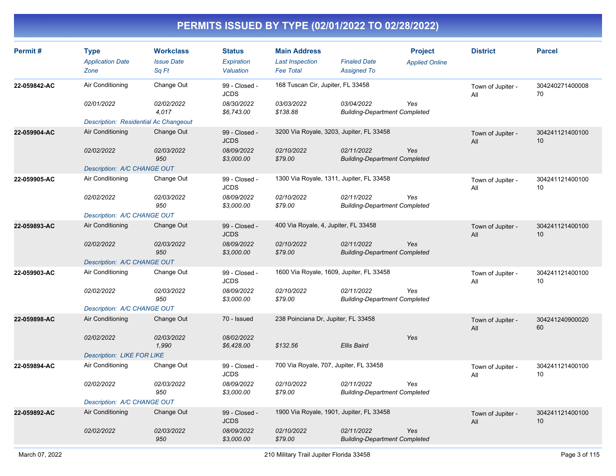| Permit#      | <b>Type</b><br><b>Application Date</b><br>Zone | <b>Workclass</b><br><b>Issue Date</b><br>Sq Ft | <b>Status</b><br>Expiration<br>Valuation | <b>Main Address</b><br><b>Last Inspection</b><br><b>Fee Total</b> | <b>Finaled Date</b><br><b>Assigned To</b>          | <b>Project</b><br><b>Applied Online</b> | <b>District</b>          | <b>Parcel</b>                      |
|--------------|------------------------------------------------|------------------------------------------------|------------------------------------------|-------------------------------------------------------------------|----------------------------------------------------|-----------------------------------------|--------------------------|------------------------------------|
| 22-059842-AC | Air Conditioning                               | Change Out                                     | 99 - Closed -<br><b>JCDS</b>             | 168 Tuscan Cir, Jupiter, FL 33458                                 |                                                    |                                         | Town of Jupiter -<br>All | 304240271400008<br>70              |
|              | 02/01/2022                                     | 02/02/2022<br>4,017                            | 08/30/2022<br>\$6,743.00                 | 03/03/2022<br>\$138.88                                            | 03/04/2022<br><b>Building-Department Completed</b> | Yes                                     |                          |                                    |
|              | Description: Residential Ac Changeout          |                                                |                                          |                                                                   |                                                    |                                         |                          |                                    |
| 22-059904-AC | Air Conditioning                               | Change Out                                     | 99 - Closed -<br><b>JCDS</b>             | 3200 Via Royale, 3203, Jupiter, FL 33458                          |                                                    |                                         | Town of Jupiter -<br>All | 304241121400100<br>10 <sup>1</sup> |
|              | 02/02/2022                                     | <i><b>02/03/2022</b></i><br>950                | 08/09/2022<br>\$3,000.00                 | 02/10/2022<br>\$79.00                                             | 02/11/2022<br><b>Building-Department Completed</b> | Yes                                     |                          |                                    |
|              | Description: A/C CHANGE OUT                    |                                                |                                          |                                                                   |                                                    |                                         |                          |                                    |
| 22-059905-AC | Air Conditioning                               | Change Out                                     | 99 - Closed -<br><b>JCDS</b>             | 1300 Via Royale, 1311, Jupiter, FL 33458                          |                                                    |                                         | Town of Jupiter -<br>All | 304241121400100<br>10              |
|              | 02/02/2022                                     | 02/03/2022<br>950                              | 08/09/2022<br>\$3,000.00                 | 02/10/2022<br>\$79.00                                             | 02/11/2022<br><b>Building-Department Completed</b> | Yes                                     |                          |                                    |
|              | Description: A/C CHANGE OUT                    |                                                |                                          |                                                                   |                                                    |                                         |                          |                                    |
| 22-059893-AC | Air Conditioning                               | Change Out                                     | 99 - Closed -<br><b>JCDS</b>             | 400 Via Royale, 4, Jupiter, FL 33458                              |                                                    |                                         | Town of Jupiter -<br>All | 304241121400100<br>10              |
|              | 02/02/2022                                     | 02/03/2022<br>950                              | 08/09/2022<br>\$3,000.00                 | 02/10/2022<br>\$79.00                                             | 02/11/2022<br><b>Building-Department Completed</b> | Yes                                     |                          |                                    |
|              | Description: A/C CHANGE OUT                    |                                                |                                          |                                                                   |                                                    |                                         |                          |                                    |
| 22-059903-AC | Air Conditioning                               | Change Out                                     | 99 - Closed -<br><b>JCDS</b>             | 1600 Via Royale, 1609, Jupiter, FL 33458                          |                                                    |                                         | Town of Jupiter -<br>All | 304241121400100<br>10              |
|              | 02/02/2022                                     | <i>02/03/2022</i><br>950                       | 08/09/2022<br>\$3,000.00                 | 02/10/2022<br>\$79.00                                             | 02/11/2022<br><b>Building-Department Completed</b> | Yes                                     |                          |                                    |
|              | Description: A/C CHANGE OUT                    |                                                |                                          |                                                                   |                                                    |                                         |                          |                                    |
| 22-059898-AC | Air Conditioning                               | Change Out                                     | 70 - Issued                              | 238 Poinciana Dr, Jupiter, FL 33458                               |                                                    |                                         | Town of Jupiter -<br>All | 304241240900020<br>60              |
|              | 02/02/2022                                     | 02/03/2022<br>1,990                            | 08/02/2022<br>\$6,428.00                 | \$132.56                                                          | <b>Ellis Baird</b>                                 | Yes                                     |                          |                                    |
|              | <b>Description: LIKE FOR LIKE</b>              |                                                |                                          |                                                                   |                                                    |                                         |                          |                                    |
| 22-059894-AC | Air Conditioning                               | Change Out                                     | 99 - Closed -<br><b>JCDS</b>             | 700 Via Royale, 707, Jupiter, FL 33458                            |                                                    |                                         | Town of Jupiter -<br>All | 304241121400100<br>10              |
|              | 02/02/2022                                     | 02/03/2022<br>950                              | 08/09/2022<br>\$3,000.00                 | 02/10/2022<br>\$79.00                                             | 02/11/2022<br><b>Building-Department Completed</b> | Yes                                     |                          |                                    |
|              | Description: A/C CHANGE OUT                    |                                                |                                          |                                                                   |                                                    |                                         |                          |                                    |
| 22-059892-AC | Air Conditioning                               | Change Out                                     | 99 - Closed -<br><b>JCDS</b>             | 1900 Via Royale, 1901, Jupiter, FL 33458                          |                                                    |                                         | Town of Jupiter -<br>All | 304241121400100<br>10 <sup>°</sup> |
|              | 02/02/2022                                     | 02/03/2022<br>950                              | 08/09/2022<br>\$3,000.00                 | 02/10/2022<br>\$79.00                                             | 02/11/2022<br><b>Building-Department Completed</b> | Yes                                     |                          |                                    |
|              |                                                |                                                |                                          |                                                                   |                                                    |                                         |                          |                                    |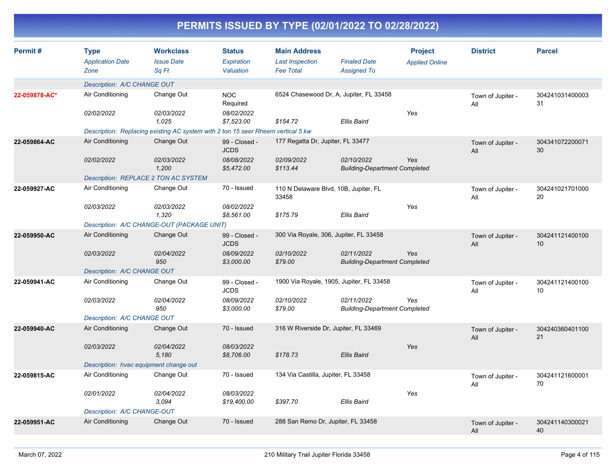| Permit#       | <b>Type</b><br><b>Application Date</b><br>Zone | <b>Workclass</b><br><b>Issue Date</b><br>Sq Ft                                   | <b>Status</b><br><b>Expiration</b><br>Valuation | <b>Main Address</b><br><b>Last Inspection</b><br><b>Fee Total</b> | <b>Finaled Date</b><br><b>Assigned To</b>          | <b>Project</b><br><b>Applied Online</b> | <b>District</b>          | <b>Parcel</b>         |
|---------------|------------------------------------------------|----------------------------------------------------------------------------------|-------------------------------------------------|-------------------------------------------------------------------|----------------------------------------------------|-----------------------------------------|--------------------------|-----------------------|
|               | Description: A/C CHANGE OUT                    |                                                                                  |                                                 |                                                                   |                                                    |                                         |                          |                       |
| 22-059878-AC* | Air Conditioning                               | Change Out                                                                       | <b>NOC</b><br>Required                          |                                                                   | 6524 Chasewood Dr, A, Jupiter, FL 33458            |                                         | Town of Jupiter -<br>All | 304241031400003<br>31 |
|               | 02/02/2022                                     | 02/03/2022<br>1,025                                                              | 08/02/2022<br>\$7,523.00                        | \$154.72                                                          | <b>Ellis Baird</b>                                 | Yes                                     |                          |                       |
|               |                                                | Description: Replacing existing AC system with 2 ton 15 seer Rheem vertical 5 kw |                                                 |                                                                   |                                                    |                                         |                          |                       |
| 22-059864-AC  | Air Conditioning                               | Change Out                                                                       | 99 - Closed -<br><b>JCDS</b>                    | 177 Regatta Dr, Jupiter, FL 33477                                 |                                                    |                                         | Town of Jupiter -<br>All | 304341072200071<br>30 |
|               | 02/02/2022                                     | 02/03/2022<br>1,200                                                              | 08/08/2022<br>\$5,472.00                        | 02/09/2022<br>\$113.44                                            | 02/10/2022<br><b>Building-Department Completed</b> | Yes                                     |                          |                       |
|               |                                                | <b>Description: REPLACE 2 TON AC SYSTEM</b>                                      |                                                 |                                                                   |                                                    |                                         |                          |                       |
| 22-059927-AC  | Air Conditioning                               | Change Out                                                                       | 70 - Issued                                     | 33458                                                             | 110 N Delaware Blvd, 10B, Jupiter, FL              |                                         | Town of Jupiter -<br>All | 304241021701000<br>20 |
|               | 02/03/2022                                     | 02/03/2022<br>1,320                                                              | 08/02/2022<br>\$8,561.00                        | \$175.79                                                          | <b>Ellis Baird</b>                                 | Yes                                     |                          |                       |
|               |                                                | Description: A/C CHANGE-OUT (PACKAGE UNIT)                                       |                                                 |                                                                   |                                                    |                                         |                          |                       |
| 22-059950-AC  | Air Conditioning                               | Change Out                                                                       | 99 - Closed -<br><b>JCDS</b>                    |                                                                   | 300 Via Royale, 306, Jupiter, FL 33458             |                                         | Town of Jupiter -<br>All | 304241121400100<br>10 |
|               | 02/03/2022                                     | 02/04/2022<br>950                                                                | 08/09/2022<br>\$3,000.00                        | 02/10/2022<br>\$79.00                                             | 02/11/2022<br><b>Building-Department Completed</b> | Yes                                     |                          |                       |
|               | Description: A/C CHANGE OUT                    |                                                                                  |                                                 |                                                                   |                                                    |                                         |                          |                       |
| 22-059941-AC  | Air Conditioning                               | Change Out                                                                       | 99 - Closed -<br><b>JCDS</b>                    |                                                                   | 1900 Via Royale, 1905, Jupiter, FL 33458           |                                         | Town of Jupiter -<br>All | 304241121400100<br>10 |
|               | 02/03/2022                                     | 02/04/2022<br>950                                                                | 08/09/2022<br>\$3,000.00                        | 02/10/2022<br>\$79.00                                             | 02/11/2022<br><b>Building-Department Completed</b> | Yes                                     |                          |                       |
|               | Description: A/C CHANGE OUT                    |                                                                                  |                                                 |                                                                   |                                                    |                                         |                          |                       |
| 22-059940-AC  | Air Conditioning                               | Change Out                                                                       | 70 - Issued                                     |                                                                   | 316 W Riverside Dr, Jupiter, FL 33469              |                                         | Town of Jupiter -<br>All | 304240360401100<br>21 |
|               | 02/03/2022                                     | 02/04/2022<br>5,180                                                              | 08/03/2022<br>\$8,706.00                        | \$178.73                                                          | Ellis Baird                                        | Yes                                     |                          |                       |
|               |                                                | Description: hvac equipment change out                                           |                                                 |                                                                   |                                                    |                                         |                          |                       |
| 22-059815-AC  | Air Conditioning                               | Change Out                                                                       | 70 - Issued                                     | 134 Via Castilla, Jupiter, FL 33458                               |                                                    |                                         | Town of Jupiter -<br>All | 304241121600001<br>70 |
|               | 02/01/2022                                     | 02/04/2022<br>3.094                                                              | 08/03/2022<br>\$19,400.00                       | \$397.70                                                          | <b>Ellis Baird</b>                                 | Yes                                     |                          |                       |
|               | Description: A/C CHANGE-OUT                    |                                                                                  |                                                 |                                                                   |                                                    |                                         |                          |                       |
| 22-059951-AC  | Air Conditioning                               | Change Out                                                                       | 70 - Issued                                     | 288 San Remo Dr, Jupiter, FL 33458                                |                                                    |                                         | Town of Jupiter -<br>All | 304241140300021<br>40 |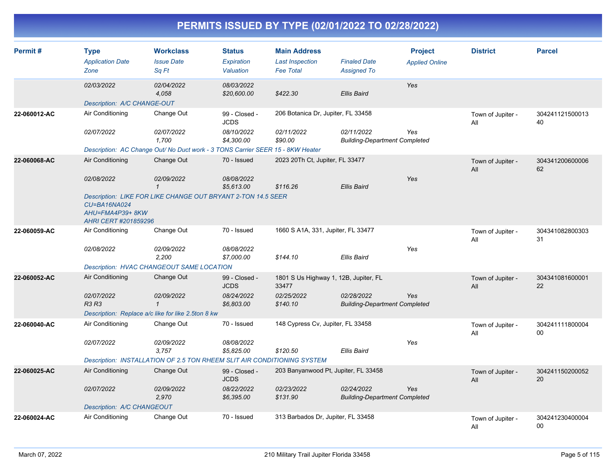| Permit#      | <b>Type</b><br><b>Application Date</b><br>Zone          | <b>Workclass</b><br><b>Issue Date</b><br>Sq Ft                                 | <b>Status</b><br>Expiration<br>Valuation | <b>Main Address</b><br><b>Last Inspection</b><br><b>Fee Total</b> | <b>Finaled Date</b><br><b>Assigned To</b>          | <b>Project</b><br><b>Applied Online</b> | <b>District</b>          | <b>Parcel</b>         |
|--------------|---------------------------------------------------------|--------------------------------------------------------------------------------|------------------------------------------|-------------------------------------------------------------------|----------------------------------------------------|-----------------------------------------|--------------------------|-----------------------|
|              | 02/03/2022                                              | 02/04/2022<br>4,058                                                            | 08/03/2022<br>\$20,600.00                | \$422.30                                                          | Ellis Baird                                        | Yes                                     |                          |                       |
|              | Description: A/C CHANGE-OUT                             |                                                                                |                                          |                                                                   |                                                    |                                         |                          |                       |
| 22-060012-AC | Air Conditioning                                        | Change Out                                                                     | 99 - Closed -<br><b>JCDS</b>             | 206 Botanica Dr, Jupiter, FL 33458                                |                                                    |                                         | Town of Jupiter -<br>All | 304241121500013<br>40 |
|              | 02/07/2022                                              | 02/07/2022<br>1,700                                                            | 08/10/2022<br>\$4,300.00                 | 02/11/2022<br>\$90.00                                             | 02/11/2022<br><b>Building-Department Completed</b> | Yes                                     |                          |                       |
|              |                                                         | Description: AC Change Out/ No Duct work - 3 TONS Carrier SEER 15 - 8KW Heater |                                          |                                                                   |                                                    |                                         |                          |                       |
| 22-060068-AC | Air Conditioning                                        | Change Out                                                                     | 70 - Issued                              | 2023 20Th Ct, Jupiter, FL 33477                                   |                                                    |                                         | Town of Jupiter -<br>All | 304341200600006<br>62 |
|              | 02/08/2022                                              | 02/09/2022<br>$\mathcal I$                                                     | 08/08/2022<br>\$5,613.00                 | \$116.26                                                          | <b>Ellis Baird</b>                                 | Yes                                     |                          |                       |
|              | CU=BA16NA024<br>AHU=FMA4P39+8KW<br>AHRI CERT #201859296 | Description: LIKE FOR LIKE CHANGE OUT BRYANT 2-TON 14.5 SEER                   |                                          |                                                                   |                                                    |                                         |                          |                       |
| 22-060059-AC | Air Conditioning                                        | Change Out                                                                     | 70 - Issued                              | 1660 S A1A, 331, Jupiter, FL 33477                                |                                                    |                                         | Town of Jupiter -<br>All | 304341082800303<br>31 |
|              | 02/08/2022                                              | <i>02/09/2022</i><br>2.200                                                     | 08/08/2022<br>\$7,000.00                 | \$144.10                                                          | Ellis Baird                                        | Yes                                     |                          |                       |
|              |                                                         | Description: HVAC CHANGEOUT SAME LOCATION                                      |                                          |                                                                   |                                                    |                                         |                          |                       |
| 22-060052-AC | Air Conditioning                                        | Change Out                                                                     | 99 - Closed -<br><b>JCDS</b>             | 1801 S Us Highway 1, 12B, Jupiter, FL<br>33477                    |                                                    |                                         | Town of Jupiter -<br>All | 304341081600001<br>22 |
|              | 02/07/2022<br><b>R3 R3</b>                              | 02/09/2022<br>$\mathbf{1}$                                                     | 08/24/2022<br>\$6,803.00                 | 02/25/2022<br>\$140.10                                            | 02/28/2022<br><b>Building-Department Completed</b> | Yes                                     |                          |                       |
|              |                                                         | Description: Replace a/c like for like 2.5ton 8 kw                             |                                          |                                                                   |                                                    |                                         |                          |                       |
| 22-060040-AC | Air Conditioning                                        | Change Out                                                                     | 70 - Issued                              | 148 Cypress Cv, Jupiter, FL 33458                                 |                                                    |                                         | Town of Jupiter -<br>All | 304241111800004<br>00 |
|              | 02/07/2022                                              | 02/09/2022<br>3,757                                                            | 08/08/2022<br>\$5,825.00                 | \$120.50                                                          | Ellis Baird                                        | Yes                                     |                          |                       |
|              |                                                         | Description: INSTALLATION OF 2.5 TON RHEEM SLIT AIR CONDITIONING SYSTEM        |                                          |                                                                   |                                                    |                                         |                          |                       |
| 22-060025-AC | Air Conditioning                                        | Change Out                                                                     | 99 - Closed -<br><b>JCDS</b>             | 203 Banyanwood Pt, Jupiter, FL 33458                              |                                                    |                                         | Town of Jupiter -<br>All | 304241150200052<br>20 |
|              | 02/07/2022                                              | 02/09/2022<br>2,970                                                            | 08/22/2022<br>\$6,395.00                 | 02/23/2022<br>\$131.90                                            | 02/24/2022<br><b>Building-Department Completed</b> | Yes                                     |                          |                       |
|              | Description: A/C CHANGEOUT                              |                                                                                |                                          |                                                                   |                                                    |                                         |                          |                       |
| 22-060024-AC | Air Conditioning                                        | Change Out                                                                     | 70 - Issued                              | 313 Barbados Dr, Jupiter, FL 33458                                |                                                    |                                         | Town of Jupiter -<br>All | 304241230400004<br>00 |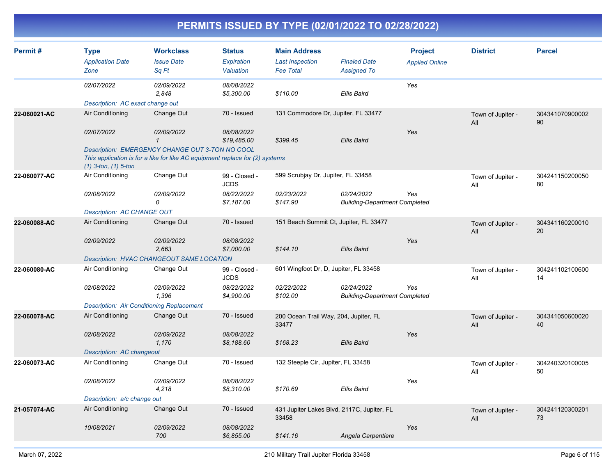| Permit#      | <b>Type</b><br><b>Application Date</b><br>Zone   | <b>Workclass</b><br><b>Issue Date</b><br>Sa Ft                                                                                  | <b>Status</b><br>Expiration<br>Valuation | <b>Main Address</b><br><b>Last Inspection</b><br><b>Fee Total</b> | <b>Finaled Date</b><br><b>Assigned To</b>          | <b>Project</b><br><b>Applied Online</b> | <b>District</b>          | <b>Parcel</b>         |
|--------------|--------------------------------------------------|---------------------------------------------------------------------------------------------------------------------------------|------------------------------------------|-------------------------------------------------------------------|----------------------------------------------------|-----------------------------------------|--------------------------|-----------------------|
|              | 02/07/2022                                       | 02/09/2022<br>2,848                                                                                                             | 08/08/2022<br>\$5,300.00                 | \$110.00                                                          | Ellis Baird                                        | Yes                                     |                          |                       |
|              | Description: AC exact change out                 |                                                                                                                                 |                                          |                                                                   |                                                    |                                         |                          |                       |
| 22-060021-AC | Air Conditioning                                 | Change Out                                                                                                                      | 70 - Issued                              | 131 Commodore Dr, Jupiter, FL 33477                               |                                                    |                                         | Town of Jupiter -<br>All | 304341070900002<br>90 |
|              | 02/07/2022                                       | 02/09/2022<br>$\mathbf{1}$                                                                                                      | 08/08/2022<br>\$19,485.00                | \$399.45                                                          | Ellis Baird                                        | Yes                                     |                          |                       |
|              | $(1)$ 3-ton, $(1)$ 5-ton                         | Description: EMERGENCY CHANGE OUT 3-TON NO COOL<br>This application is for a like for like AC equipment replace for (2) systems |                                          |                                                                   |                                                    |                                         |                          |                       |
| 22-060077-AC | Air Conditioning                                 | Change Out                                                                                                                      | 99 - Closed -<br><b>JCDS</b>             | 599 Scrubjay Dr, Jupiter, FL 33458                                |                                                    |                                         | Town of Jupiter -<br>All | 304241150200050<br>80 |
|              | 02/08/2022                                       | 02/09/2022<br>0                                                                                                                 | 08/22/2022<br>\$7,187.00                 | 02/23/2022<br>\$147.90                                            | 02/24/2022<br><b>Building-Department Completed</b> | Yes                                     |                          |                       |
|              | Description: AC CHANGE OUT                       |                                                                                                                                 |                                          |                                                                   |                                                    |                                         |                          |                       |
| 22-060088-AC | Air Conditioning                                 | Change Out                                                                                                                      | 70 - Issued                              | 151 Beach Summit Ct, Jupiter, FL 33477                            |                                                    |                                         | Town of Jupiter -<br>All | 304341160200010<br>20 |
|              | 02/09/2022                                       | 02/09/2022<br>2,663                                                                                                             | 08/08/2022<br>\$7,000.00                 | \$144.10                                                          | <b>Ellis Baird</b>                                 | Yes                                     |                          |                       |
|              |                                                  | Description: HVAC CHANGEOUT SAME LOCATION                                                                                       |                                          |                                                                   |                                                    |                                         |                          |                       |
| 22-060080-AC | Air Conditioning                                 | Change Out                                                                                                                      | 99 - Closed -<br><b>JCDS</b>             | 601 Wingfoot Dr, D, Jupiter, FL 33458                             |                                                    |                                         | Town of Jupiter -<br>All | 304241102100600<br>14 |
|              | 02/08/2022                                       | 02/09/2022<br>1,396                                                                                                             | 08/22/2022<br>\$4,900.00                 | 02/22/2022<br>\$102.00                                            | 02/24/2022<br><b>Building-Department Completed</b> | Yes                                     |                          |                       |
|              | <b>Description: Air Conditioning Replacement</b> |                                                                                                                                 |                                          |                                                                   |                                                    |                                         |                          |                       |
| 22-060078-AC | Air Conditioning                                 | Change Out                                                                                                                      | 70 - Issued                              | 200 Ocean Trail Way, 204, Jupiter, FL<br>33477                    |                                                    |                                         | Town of Jupiter -<br>All | 304341050600020<br>40 |
|              | 02/08/2022                                       | 02/09/2022<br>1,170                                                                                                             | 08/08/2022<br>\$8,188.60                 | \$168.23                                                          | <b>Ellis Baird</b>                                 | Yes                                     |                          |                       |
|              | Description: AC changeout                        |                                                                                                                                 |                                          |                                                                   |                                                    |                                         |                          |                       |
| 22-060073-AC | Air Conditioning                                 | Change Out                                                                                                                      | 70 - Issued                              | 132 Steeple Cir, Jupiter, FL 33458                                |                                                    |                                         | Town of Jupiter -<br>All | 304240320100005<br>50 |
|              | 02/08/2022                                       | 02/09/2022<br>4,218                                                                                                             | 08/08/2022<br>\$8,310.00                 | \$170.69                                                          | <b>Ellis Baird</b>                                 | Yes                                     |                          |                       |
|              | Description: a/c change out                      |                                                                                                                                 |                                          |                                                                   |                                                    |                                         |                          |                       |
| 21-057074-AC | Air Conditioning                                 | Change Out                                                                                                                      | 70 - Issued                              | 431 Jupiter Lakes Blvd, 2117C, Jupiter, FL<br>33458               |                                                    |                                         | Town of Jupiter -<br>All | 304241120300201<br>73 |
|              | 10/08/2021                                       | 02/09/2022<br>700                                                                                                               | 08/08/2022<br>\$6,855.00                 | \$141.16                                                          | Angela Carpentiere                                 | Yes                                     |                          |                       |
|              |                                                  |                                                                                                                                 |                                          |                                                                   |                                                    |                                         |                          |                       |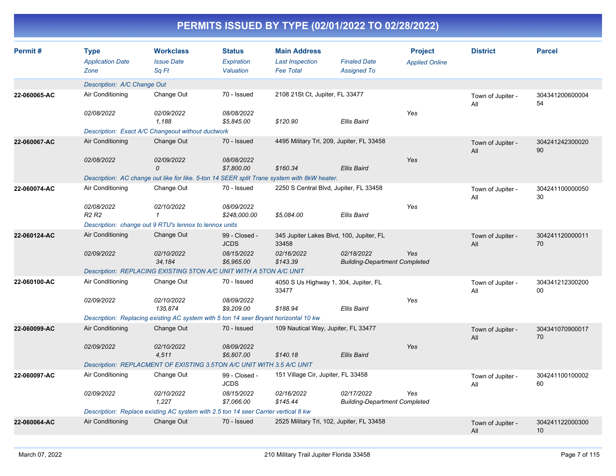| <b>Type</b><br><b>Application Date</b><br>Zone | <b>Workclass</b><br><b>Issue Date</b><br>Sq Ft | <b>Status</b><br>Expiration<br>Valuation                | <b>Main Address</b><br><b>Last Inspection</b><br><b>Fee Total</b>                                                         | <b>Finaled Date</b><br><b>Assigned To</b>                                                                                                                                                                                                                                                                                 | <b>Project</b><br><b>Applied Online</b>                                                                                                                                                                                                                                                                                                                                                                                              | <b>District</b>                                                                     | <b>Parcel</b>         |
|------------------------------------------------|------------------------------------------------|---------------------------------------------------------|---------------------------------------------------------------------------------------------------------------------------|---------------------------------------------------------------------------------------------------------------------------------------------------------------------------------------------------------------------------------------------------------------------------------------------------------------------------|--------------------------------------------------------------------------------------------------------------------------------------------------------------------------------------------------------------------------------------------------------------------------------------------------------------------------------------------------------------------------------------------------------------------------------------|-------------------------------------------------------------------------------------|-----------------------|
|                                                |                                                |                                                         |                                                                                                                           |                                                                                                                                                                                                                                                                                                                           |                                                                                                                                                                                                                                                                                                                                                                                                                                      |                                                                                     |                       |
| Air Conditioning                               | Change Out                                     | 70 - Issued                                             |                                                                                                                           |                                                                                                                                                                                                                                                                                                                           |                                                                                                                                                                                                                                                                                                                                                                                                                                      | Town of Jupiter -<br>All                                                            | 304341200600004<br>54 |
| 02/08/2022                                     | 02/09/2022<br>1.188                            | 08/08/2022<br>\$5,845.00                                | \$120.90                                                                                                                  | <b>Ellis Baird</b>                                                                                                                                                                                                                                                                                                        | Yes                                                                                                                                                                                                                                                                                                                                                                                                                                  |                                                                                     |                       |
|                                                |                                                |                                                         |                                                                                                                           |                                                                                                                                                                                                                                                                                                                           |                                                                                                                                                                                                                                                                                                                                                                                                                                      |                                                                                     |                       |
| Air Conditioning                               | Change Out                                     | 70 - Issued                                             |                                                                                                                           |                                                                                                                                                                                                                                                                                                                           |                                                                                                                                                                                                                                                                                                                                                                                                                                      | Town of Jupiter -<br>All                                                            | 304241242300020<br>90 |
| 02/08/2022                                     | 02/09/2022<br>0                                | 08/08/2022<br>\$7,800.00                                | \$160.34                                                                                                                  | <b>Ellis Baird</b>                                                                                                                                                                                                                                                                                                        | Yes                                                                                                                                                                                                                                                                                                                                                                                                                                  |                                                                                     |                       |
|                                                |                                                |                                                         |                                                                                                                           |                                                                                                                                                                                                                                                                                                                           |                                                                                                                                                                                                                                                                                                                                                                                                                                      |                                                                                     |                       |
| Air Conditioning                               | Change Out                                     | 70 - Issued                                             |                                                                                                                           |                                                                                                                                                                                                                                                                                                                           |                                                                                                                                                                                                                                                                                                                                                                                                                                      | Town of Jupiter -<br>All                                                            | 304241100000050<br>30 |
| <b>R2 R2</b>                                   | $\mathbf{1}$                                   | \$248,000.00                                            | \$5,084.00                                                                                                                | <b>Ellis Baird</b>                                                                                                                                                                                                                                                                                                        |                                                                                                                                                                                                                                                                                                                                                                                                                                      |                                                                                     |                       |
|                                                |                                                |                                                         |                                                                                                                           |                                                                                                                                                                                                                                                                                                                           |                                                                                                                                                                                                                                                                                                                                                                                                                                      |                                                                                     |                       |
|                                                |                                                | 99 - Closed -<br><b>JCDS</b>                            | 33458                                                                                                                     |                                                                                                                                                                                                                                                                                                                           |                                                                                                                                                                                                                                                                                                                                                                                                                                      | Town of Jupiter -<br>All                                                            | 304241120000011<br>70 |
| 02/09/2022                                     | 02/10/2022<br>34,184                           | 08/15/2022<br>\$6,965.00                                | 02/16/2022<br>\$143.39                                                                                                    | 02/18/2022                                                                                                                                                                                                                                                                                                                | Yes                                                                                                                                                                                                                                                                                                                                                                                                                                  |                                                                                     |                       |
|                                                |                                                |                                                         |                                                                                                                           |                                                                                                                                                                                                                                                                                                                           |                                                                                                                                                                                                                                                                                                                                                                                                                                      |                                                                                     |                       |
| Air Conditioning                               | Change Out                                     | 70 - Issued                                             | 33477                                                                                                                     |                                                                                                                                                                                                                                                                                                                           |                                                                                                                                                                                                                                                                                                                                                                                                                                      | Town of Jupiter -<br>All                                                            | 304341212300200<br>00 |
| 02/09/2022                                     | 02/10/2022<br>135.874                          | 08/09/2022<br>\$9,209.00                                | \$188.94                                                                                                                  | <b>Ellis Baird</b>                                                                                                                                                                                                                                                                                                        | Yes                                                                                                                                                                                                                                                                                                                                                                                                                                  |                                                                                     |                       |
|                                                |                                                |                                                         |                                                                                                                           |                                                                                                                                                                                                                                                                                                                           |                                                                                                                                                                                                                                                                                                                                                                                                                                      |                                                                                     |                       |
| Air Conditioning                               | Change Out                                     | 70 - Issued                                             |                                                                                                                           |                                                                                                                                                                                                                                                                                                                           |                                                                                                                                                                                                                                                                                                                                                                                                                                      | Town of Jupiter -<br>All                                                            | 304341070900017<br>70 |
| 02/09/2022                                     | 02/10/2022<br>4,511                            | 08/09/2022<br>\$6,807.00                                | \$140.18                                                                                                                  | <b>Ellis Baird</b>                                                                                                                                                                                                                                                                                                        | Yes                                                                                                                                                                                                                                                                                                                                                                                                                                  |                                                                                     |                       |
|                                                |                                                |                                                         |                                                                                                                           |                                                                                                                                                                                                                                                                                                                           |                                                                                                                                                                                                                                                                                                                                                                                                                                      |                                                                                     |                       |
| Air Conditioning                               | Change Out                                     | 99 - Closed -<br><b>JCDS</b>                            |                                                                                                                           |                                                                                                                                                                                                                                                                                                                           |                                                                                                                                                                                                                                                                                                                                                                                                                                      | Town of Jupiter -<br>All                                                            | 304241100100002<br>60 |
| 02/09/2022                                     | 02/10/2022<br>1,227                            | 08/15/2022<br>\$7,066.00                                | 02/16/2022<br>\$145.44                                                                                                    | 02/17/2022                                                                                                                                                                                                                                                                                                                | Yes                                                                                                                                                                                                                                                                                                                                                                                                                                  |                                                                                     |                       |
|                                                |                                                |                                                         |                                                                                                                           |                                                                                                                                                                                                                                                                                                                           |                                                                                                                                                                                                                                                                                                                                                                                                                                      |                                                                                     |                       |
| Air Conditioning                               | Change Out                                     | 70 - Issued                                             |                                                                                                                           |                                                                                                                                                                                                                                                                                                                           |                                                                                                                                                                                                                                                                                                                                                                                                                                      | Town of Jupiter -<br>All                                                            | 304241122000300<br>10 |
|                                                | 02/08/2022<br>Air Conditioning                 | Description: A/C Change Out<br>02/10/2022<br>Change Out | Description: Exact A/C Changeout without ductwork<br>08/09/2022<br>Description: change out 9 RTU's lennox to lennox units | Description: REPLACING EXISTING 5TON A/C UNIT WITH A 5TON A/C UNIT<br>Description: Replacing existing AC system with 5 ton 14 seer Bryant horizontal 10 kw<br>Description: REPLACMENT OF EXISTING 3.5TON A/C UNIT WITH 3.5 A/C UNIT<br>Description: Replace existing AC system with 2.5 ton 14 seer Carrier vertical 8 kw | 2108 21St Ct, Jupiter, FL 33477<br>4495 Military Trl, 209, Jupiter, FL 33458<br>Description: AC change out like for like. 5-ton 14 SEER split Trane system with 8kW heater.<br>2250 S Central Blvd, Jupiter, FL 33458<br>345 Jupiter Lakes Blvd, 100, Jupiter, FL<br>4050 S Us Highway 1, 304, Jupiter, FL<br>109 Nautical Way, Jupiter, FL 33477<br>151 Village Cir, Jupiter, FL 33458<br>2525 Military Trl, 102, Jupiter, FL 33458 | Yes<br><b>Building-Department Completed</b><br><b>Building-Department Completed</b> |                       |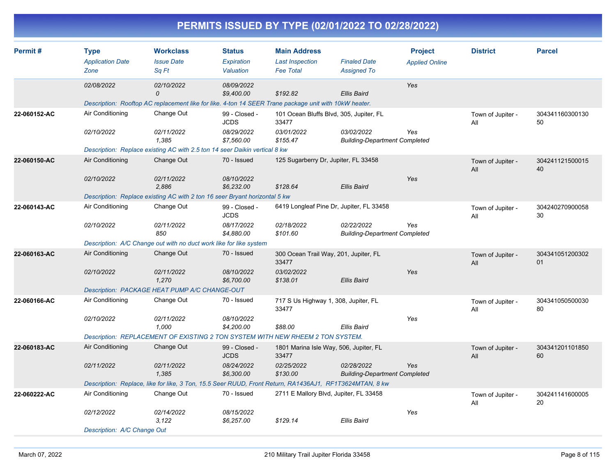| Permit#      | <b>Type</b>                 | <b>Workclass</b>                                                                                        | <b>Status</b>                | <b>Main Address</b>    |                                                    | <b>Project</b>        | <b>District</b>          | <b>Parcel</b>         |
|--------------|-----------------------------|---------------------------------------------------------------------------------------------------------|------------------------------|------------------------|----------------------------------------------------|-----------------------|--------------------------|-----------------------|
|              | <b>Application Date</b>     | <b>Issue Date</b>                                                                                       | Expiration                   | <b>Last Inspection</b> | <b>Finaled Date</b>                                | <b>Applied Online</b> |                          |                       |
|              | Zone                        | Sa Ft                                                                                                   | Valuation                    | <b>Fee Total</b>       | <b>Assigned To</b>                                 |                       |                          |                       |
|              | 02/08/2022                  | 02/10/2022<br>0                                                                                         | 08/09/2022<br>\$9,400.00     | \$192.82               | Ellis Baird                                        | Yes                   |                          |                       |
|              |                             | Description: Rooftop AC replacement like for like. 4-ton 14 SEER Trane package unit with 10kW heater.   |                              |                        |                                                    |                       |                          |                       |
| 22-060152-AC | Air Conditioning            | Change Out                                                                                              | 99 - Closed -<br><b>JCDS</b> | 33477                  | 101 Ocean Bluffs Blvd, 305, Jupiter, FL            |                       | Town of Jupiter -<br>All | 304341160300130<br>50 |
|              | 02/10/2022                  | 02/11/2022<br>1,385                                                                                     | 08/29/2022<br>\$7,560.00     | 03/01/2022<br>\$155.47 | 03/02/2022<br><b>Building-Department Completed</b> | Yes                   |                          |                       |
|              |                             | Description: Replace existing AC with 2.5 ton 14 seer Daikin vertical 8 kw                              |                              |                        |                                                    |                       |                          |                       |
| 22-060150-AC | Air Conditioning            | Change Out                                                                                              | 70 - Issued                  |                        | 125 Sugarberry Dr, Jupiter, FL 33458               |                       | Town of Jupiter -<br>All | 304241121500015<br>40 |
|              | 02/10/2022                  | 02/11/2022<br>2.886                                                                                     | 08/10/2022<br>\$6,232.00     | \$128.64               | Ellis Baird                                        | Yes                   |                          |                       |
|              |                             | Description: Replace existing AC with 2 ton 16 seer Bryant horizontal 5 kw                              |                              |                        |                                                    |                       |                          |                       |
| 22-060143-AC | Air Conditioning            | Change Out                                                                                              | 99 - Closed -<br><b>JCDS</b> |                        | 6419 Longleaf Pine Dr, Jupiter, FL 33458           |                       | Town of Jupiter -<br>All | 304240270900058<br>30 |
|              | 02/10/2022                  | 02/11/2022<br>850                                                                                       | 08/17/2022<br>\$4,880.00     | 02/18/2022<br>\$101.60 | 02/22/2022<br><b>Building-Department Completed</b> | Yes                   |                          |                       |
|              |                             | Description: A/C Change out with no duct work like for like system                                      |                              |                        |                                                    |                       |                          |                       |
| 22-060163-AC | Air Conditioning            | Change Out                                                                                              | 70 - Issued                  | 33477                  | 300 Ocean Trail Way, 201, Jupiter, FL              |                       | Town of Jupiter -<br>All | 304341051200302<br>01 |
|              | 02/10/2022                  | 02/11/2022<br>1,270                                                                                     | 08/10/2022<br>\$6,700.00     | 03/02/2022<br>\$138.01 | <b>Ellis Baird</b>                                 | Yes                   |                          |                       |
|              |                             | Description: PACKAGE HEAT PUMP A/C CHANGE-OUT                                                           |                              |                        |                                                    |                       |                          |                       |
| 22-060166-AC | Air Conditioning            | Change Out                                                                                              | 70 - Issued                  | 33477                  | 717 S Us Highway 1, 308, Jupiter, FL               |                       | Town of Jupiter -<br>All | 304341050500030<br>80 |
|              | 02/10/2022                  | 02/11/2022<br>1,000                                                                                     | 08/10/2022<br>\$4,200.00     | \$88.00                | Ellis Baird                                        | Yes                   |                          |                       |
|              |                             | Description: REPLACEMENT OF EXISTING 2 TON SYSTEM WITH NEW RHEEM 2 TON SYSTEM.                          |                              |                        |                                                    |                       |                          |                       |
| 22-060183-AC | Air Conditioning            | Change Out                                                                                              | 99 - Closed -<br><b>JCDS</b> | 33477                  | 1801 Marina Isle Way, 506, Jupiter, FL             |                       | Town of Jupiter -<br>All | 304341201101850<br>60 |
|              | 02/11/2022                  | 02/11/2022<br>1,385                                                                                     | 08/24/2022<br>\$6,300.00     | 02/25/2022<br>\$130.00 | 02/28/2022<br><b>Building-Department Completed</b> | Yes                   |                          |                       |
|              |                             | Description: Replace, like for like, 3 Ton, 15.5 Seer RUUD, Front Return, RA1436AJ1, RF1T3624MTAN, 8 kw |                              |                        |                                                    |                       |                          |                       |
| 22-060222-AC | Air Conditioning            | Change Out                                                                                              | 70 - Issued                  |                        | 2711 E Mallory Blvd, Jupiter, FL 33458             |                       | Town of Jupiter -<br>All | 304241141600005<br>20 |
|              | 02/12/2022                  | 02/14/2022<br>3,122                                                                                     | 08/15/2022<br>\$6,257.00     | \$129.14               | Ellis Baird                                        | Yes                   |                          |                       |
|              | Description: A/C Change Out |                                                                                                         |                              |                        |                                                    |                       |                          |                       |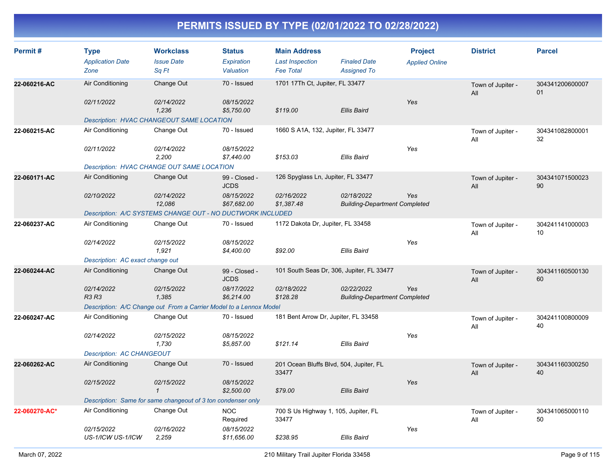| Permit#       | <b>Type</b><br><b>Application Date</b><br>Zone                     | <b>Workclass</b><br><b>Issue Date</b><br>Sa Ft                                                                               | <b>Status</b><br>Expiration<br>Valuation                  | <b>Main Address</b><br><b>Last Inspection</b><br><b>Fee Total</b>   | <b>Finaled Date</b><br><b>Assigned To</b>          | <b>Project</b><br><b>Applied Online</b> | <b>District</b>          | <b>Parcel</b>         |
|---------------|--------------------------------------------------------------------|------------------------------------------------------------------------------------------------------------------------------|-----------------------------------------------------------|---------------------------------------------------------------------|----------------------------------------------------|-----------------------------------------|--------------------------|-----------------------|
| 22-060216-AC  | Air Conditioning<br>02/11/2022                                     | Change Out<br>02/14/2022<br>1,236                                                                                            | 70 - Issued<br>08/15/2022<br>\$5,750.00                   | 1701 17Th Ct, Jupiter, FL 33477<br>\$119.00                         | Ellis Baird                                        | Yes                                     | Town of Jupiter -<br>All | 304341200600007<br>01 |
| 22-060215-AC  | Air Conditioning<br>02/11/2022                                     | Description: HVAC CHANGEOUT SAME LOCATION<br>Change Out<br>02/14/2022<br>2.200<br>Description: HVAC CHANGE OUT SAME LOCATION | 70 - Issued<br>08/15/2022<br>\$7,440.00                   | 1660 S A1A, 132, Jupiter, FL 33477<br>\$153.03                      | Ellis Baird                                        | Yes                                     | Town of Jupiter -<br>All | 304341082800001<br>32 |
| 22-060171-AC  | Air Conditioning<br>02/10/2022                                     | Change Out<br>02/14/2022<br>12,086<br>Description: A/C SYSTEMS CHANGE OUT - NO DUCTWORK INCLUDED                             | 99 - Closed -<br><b>JCDS</b><br>08/15/2022<br>\$67,682.00 | 126 Spyglass Ln, Jupiter, FL 33477<br>02/16/2022<br>\$1,387.48      | 02/18/2022<br><b>Building-Department Completed</b> | Yes                                     | Town of Jupiter -<br>All | 304341071500023<br>90 |
| 22-060237-AC  | Air Conditioning<br>02/14/2022<br>Description: AC exact change out | Change Out<br>02/15/2022<br>1,921                                                                                            | 70 - Issued<br>08/15/2022<br>\$4,400.00                   | 1172 Dakota Dr, Jupiter, FL 33458<br>\$92.00                        | <b>Ellis Baird</b>                                 | Yes                                     | Town of Jupiter -<br>All | 304241141000003<br>10 |
| 22-060244-AC  | Air Conditioning<br>02/14/2022<br><b>R3 R3</b>                     | Change Out<br>02/15/2022<br>1.385<br>Description: A/C Change out From a Carrier Model to a Lennox Model                      | 99 - Closed -<br><b>JCDS</b><br>08/17/2022<br>\$6,214.00  | 101 South Seas Dr, 306, Jupiter, FL 33477<br>02/18/2022<br>\$128.28 | 02/22/2022<br><b>Building-Department Completed</b> | Yes                                     | Town of Jupiter -<br>All | 304341160500130<br>60 |
| 22-060247-AC  | Air Conditioning<br>02/14/2022<br><b>Description: AC CHANGEOUT</b> | Change Out<br>02/15/2022<br>1,730                                                                                            | 70 - Issued<br>08/15/2022<br>\$5,857.00                   | 181 Bent Arrow Dr, Jupiter, FL 33458<br>\$121.14                    | Ellis Baird                                        | Yes                                     | Town of Jupiter -<br>All | 304241100800009<br>40 |
| 22-060262-AC  | Air Conditioning<br>02/15/2022                                     | Change Out<br>02/15/2022<br>$\mathbf{1}$<br>Description: Same for same changeout of 3 ton condenser only                     | 70 - Issued<br>08/15/2022<br>\$2,500.00                   | 201 Ocean Bluffs Blvd, 504, Jupiter, FL<br>33477<br>\$79.00         | Ellis Baird                                        | Yes                                     | Town of Jupiter -<br>All | 304341160300250<br>40 |
| 22-060270-AC* | Air Conditioning<br>02/15/2022<br>US-1/ICW US-1/ICW                | Change Out<br>02/16/2022<br>2,259                                                                                            | <b>NOC</b><br>Required<br>08/15/2022<br>\$11,656.00       | 700 S Us Highway 1, 105, Jupiter, FL<br>33477<br>\$238.95           | Ellis Baird                                        | Yes                                     | Town of Jupiter -<br>All | 304341065000110<br>50 |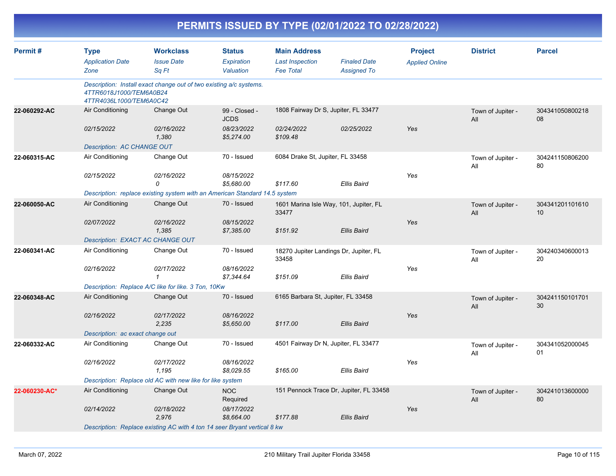|               | PERMITS ISSUED BY TYPE (02/01/2022 TO 02/28/2022)    |                                                                                               |                                          |                                                                   |                                           |                                         |                          |                       |  |  |  |  |
|---------------|------------------------------------------------------|-----------------------------------------------------------------------------------------------|------------------------------------------|-------------------------------------------------------------------|-------------------------------------------|-----------------------------------------|--------------------------|-----------------------|--|--|--|--|
| Permit#       | <b>Type</b><br><b>Application Date</b><br>Zone       | <b>Workclass</b><br><b>Issue Date</b><br>Sq Ft                                                | <b>Status</b><br>Expiration<br>Valuation | <b>Main Address</b><br><b>Last Inspection</b><br><b>Fee Total</b> | <b>Finaled Date</b><br><b>Assigned To</b> | <b>Project</b><br><b>Applied Online</b> | <b>District</b>          | <b>Parcel</b>         |  |  |  |  |
|               | 4TTR6018J1000/TEM6A0B24<br>4TTR4036L1000/TEM6A0C42   | Description: Install exact change out of two existing a/c systems.                            |                                          |                                                                   |                                           |                                         |                          |                       |  |  |  |  |
| 22-060292-AC  | Air Conditioning                                     | Change Out                                                                                    | 99 - Closed -<br><b>JCDS</b>             |                                                                   | 1808 Fairway Dr S, Jupiter, FL 33477      |                                         | Town of Jupiter -<br>All | 304341050800218<br>08 |  |  |  |  |
|               | 02/15/2022<br>Description: AC CHANGE OUT             | 02/16/2022<br>1,380                                                                           | 08/23/2022<br>\$5,274.00                 | 02/24/2022<br>\$109.48                                            | 02/25/2022                                | Yes                                     |                          |                       |  |  |  |  |
| 22-060315-AC  | Air Conditioning                                     | Change Out                                                                                    | 70 - Issued                              | 6084 Drake St, Jupiter, FL 33458                                  |                                           |                                         | Town of Jupiter -<br>All | 304241150806200<br>80 |  |  |  |  |
|               | 02/15/2022                                           | 02/16/2022<br>0<br>Description: replace existing system with an American Standard 14.5 system | 08/15/2022<br>\$5,680.00                 | \$117.60                                                          | <b>Ellis Baird</b>                        | Yes                                     |                          |                       |  |  |  |  |
| 22-060050-AC  | Air Conditioning                                     | Change Out                                                                                    | 70 - Issued                              | 33477                                                             | 1601 Marina Isle Way, 101, Jupiter, FL    |                                         | Town of Jupiter -<br>All | 304341201101610<br>10 |  |  |  |  |
|               | 02/07/2022                                           | 02/16/2022<br>1,385                                                                           | 08/15/2022<br>\$7,385.00                 | \$151.92                                                          | <b>Ellis Baird</b>                        | Yes                                     |                          |                       |  |  |  |  |
| 22-060341-AC  | Description: EXACT AC CHANGE OUT<br>Air Conditioning | Change Out                                                                                    | 70 - Issued                              | 33458                                                             | 18270 Jupiter Landings Dr, Jupiter, FL    |                                         | Town of Jupiter -<br>All | 304240340600013<br>20 |  |  |  |  |
|               | 02/16/2022                                           | 02/17/2022<br>1                                                                               | 08/16/2022<br>\$7,344.64                 | \$151.09                                                          | Ellis Baird                               | Yes                                     |                          |                       |  |  |  |  |
|               |                                                      | Description: Replace A/C like for like. 3 Ton, 10Kw                                           |                                          |                                                                   |                                           |                                         |                          |                       |  |  |  |  |
| 22-060348-AC  | Air Conditioning                                     | Change Out                                                                                    | 70 - Issued                              | 6165 Barbara St, Jupiter, FL 33458                                |                                           |                                         | Town of Jupiter -<br>All | 304241150101701<br>30 |  |  |  |  |
|               | 02/16/2022<br>Description: ac exact change out       | 02/17/2022<br>2,235                                                                           | 08/16/2022<br>\$5,650.00                 | \$117.00                                                          | <b>Ellis Baird</b>                        | Yes                                     |                          |                       |  |  |  |  |
| 22-060332-AC  | Air Conditioning                                     | Change Out                                                                                    | 70 - Issued                              |                                                                   | 4501 Fairway Dr N, Jupiter, FL 33477      |                                         | Town of Jupiter -<br>All | 304341052000045<br>01 |  |  |  |  |
|               | 02/16/2022                                           | 02/17/2022<br>1,195                                                                           | 08/16/2022<br>\$8,029.55                 | \$165.00                                                          | Ellis Baird                               | Yes                                     |                          |                       |  |  |  |  |
|               |                                                      | Description: Replace old AC with new like for like system                                     |                                          |                                                                   |                                           |                                         |                          |                       |  |  |  |  |
| 22-060230-AC* | Air Conditioning                                     | Change Out                                                                                    | <b>NOC</b><br>Required                   |                                                                   | 151 Pennock Trace Dr, Jupiter, FL 33458   |                                         | Town of Jupiter -<br>All | 304241013600000<br>80 |  |  |  |  |
|               | 02/14/2022                                           | 02/18/2022<br>2,976                                                                           | 08/17/2022<br>\$8,664.00                 | \$177.88                                                          | <b>Ellis Baird</b>                        | Yes                                     |                          |                       |  |  |  |  |
|               |                                                      | Description: Replace existing AC with 4 ton 14 seer Bryant vertical 8 kw                      |                                          |                                                                   |                                           |                                         |                          |                       |  |  |  |  |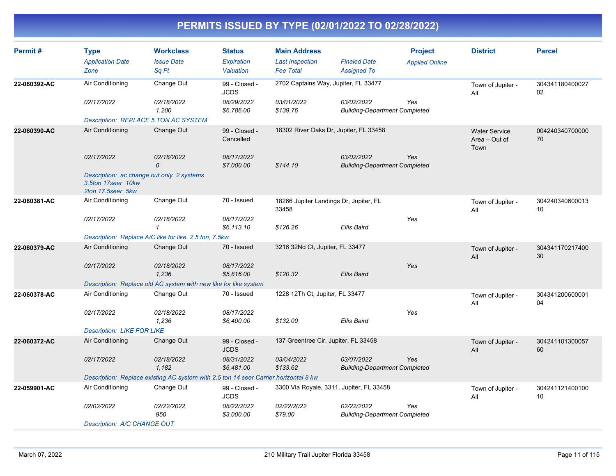| Permit#      | <b>Type</b><br><b>Application Date</b><br>Zone                                       | <b>Workclass</b><br><b>Issue Date</b><br>Sq Ft                                       | <b>Status</b><br>Expiration<br>Valuation | <b>Main Address</b><br><b>Last Inspection</b><br><b>Fee Total</b> | <b>Finaled Date</b><br><b>Assigned To</b>          | <b>Project</b><br><b>Applied Online</b> | <b>District</b>                               | <b>Parcel</b>         |
|--------------|--------------------------------------------------------------------------------------|--------------------------------------------------------------------------------------|------------------------------------------|-------------------------------------------------------------------|----------------------------------------------------|-----------------------------------------|-----------------------------------------------|-----------------------|
| 22-060392-AC | Air Conditioning                                                                     | Change Out                                                                           | 99 - Closed -<br><b>JCDS</b>             | 2702 Captains Way, Jupiter, FL 33477                              |                                                    |                                         | Town of Jupiter -<br>All                      | 304341180400027<br>02 |
|              | 02/17/2022                                                                           | 02/18/2022<br>1,200                                                                  | 08/29/2022<br>\$6,786.00                 | 03/01/2022<br>\$139.76                                            | 03/02/2022<br><b>Building-Department Completed</b> | Yes                                     |                                               |                       |
|              | <b>Description: REPLACE 5 TON AC SYSTEM</b>                                          |                                                                                      |                                          |                                                                   |                                                    |                                         |                                               |                       |
| 22-060390-AC | Air Conditioning                                                                     | Change Out                                                                           | 99 - Closed -<br>Cancelled               | 18302 River Oaks Dr, Jupiter, FL 33458                            |                                                    |                                         | <b>Water Service</b><br>Area - Out of<br>Town | 004240340700000<br>70 |
|              | 02/17/2022                                                                           | 02/18/2022<br>0                                                                      | 08/17/2022<br>\$7,000.00                 | \$144.10                                                          | 03/02/2022<br><b>Building-Department Completed</b> | Yes                                     |                                               |                       |
|              | Description: ac change out only 2 systems<br>3.5ton 17seer 10kw<br>2ton 17.5seer 5kw |                                                                                      |                                          |                                                                   |                                                    |                                         |                                               |                       |
| 22-060381-AC | Air Conditioning                                                                     | Change Out                                                                           | 70 - Issued                              | 18266 Jupiter Landings Dr, Jupiter, FL<br>33458                   |                                                    |                                         | Town of Jupiter -<br>All                      | 304240340600013<br>10 |
|              | 02/17/2022                                                                           | 02/18/2022<br>$\mathcal I$                                                           | 08/17/2022<br>\$6,113.10                 | \$126.26                                                          | Ellis Baird                                        | Yes                                     |                                               |                       |
|              |                                                                                      | Description: Replace A/C like for like. 2.5 ton, 7.5kw.                              |                                          |                                                                   |                                                    |                                         |                                               |                       |
| 22-060379-AC | Air Conditioning                                                                     | Change Out                                                                           | 70 - Issued                              | 3216 32Nd Ct, Jupiter, FL 33477                                   |                                                    |                                         | Town of Jupiter -<br>All                      | 304341170217400<br>30 |
|              | 02/17/2022                                                                           | 02/18/2022<br>1,236                                                                  | 08/17/2022<br>\$5,816.00                 | \$120.32                                                          | Ellis Baird                                        | Yes                                     |                                               |                       |
|              |                                                                                      | Description: Replace old AC system with new like for like system                     |                                          |                                                                   |                                                    |                                         |                                               |                       |
| 22-060378-AC | Air Conditioning                                                                     | Change Out                                                                           | 70 - Issued                              | 1228 12Th Ct, Jupiter, FL 33477                                   |                                                    |                                         | Town of Jupiter -<br>All                      | 304341200600001<br>04 |
|              | 02/17/2022                                                                           | 02/18/2022<br>1,236                                                                  | 08/17/2022<br>\$6,400.00                 | \$132.00                                                          | Ellis Baird                                        | Yes                                     |                                               |                       |
|              | <b>Description: LIKE FOR LIKE</b>                                                    |                                                                                      |                                          |                                                                   |                                                    |                                         |                                               |                       |
| 22-060372-AC | Air Conditioning                                                                     | Change Out                                                                           | 99 - Closed -<br><b>JCDS</b>             | 137 Greentree Cir, Jupiter, FL 33458                              |                                                    |                                         | Town of Jupiter -<br>All                      | 304241101300057<br>60 |
|              | 02/17/2022                                                                           | 02/18/2022<br>1.182                                                                  | 08/31/2022<br>\$6,481.00                 | 03/04/2022<br>\$133.62                                            | 03/07/2022<br><b>Building-Department Completed</b> | Yes                                     |                                               |                       |
|              |                                                                                      | Description: Replace existing AC system with 2.5 ton 14 seer Carrier horizontal 8 kw |                                          |                                                                   |                                                    |                                         |                                               |                       |
| 22-059901-AC | Air Conditioning                                                                     | Change Out                                                                           | 99 - Closed -<br><b>JCDS</b>             | 3300 Via Royale, 3311, Jupiter, FL 33458                          |                                                    |                                         | Town of Jupiter -<br>All                      | 304241121400100<br>10 |
|              | 02/02/2022                                                                           | 02/22/2022<br>950                                                                    | 08/22/2022<br>\$3,000.00                 | 02/22/2022<br>\$79.00                                             | 02/22/2022<br><b>Building-Department Completed</b> | Yes                                     |                                               |                       |
|              | Description: A/C CHANGE OUT                                                          |                                                                                      |                                          |                                                                   |                                                    |                                         |                                               |                       |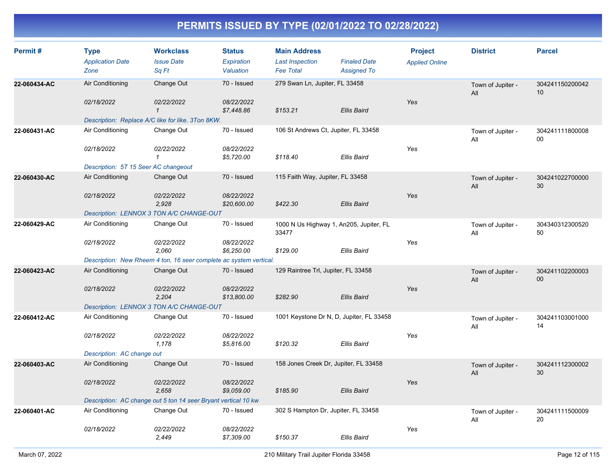| Permit#      | <b>Type</b><br><b>Application Date</b><br>Zone                         | <b>Workclass</b><br><b>Issue Date</b><br>Sq Ft                                                          | <b>Status</b><br>Expiration<br>Valuation | <b>Main Address</b><br><b>Last Inspection</b><br><b>Fee Total</b> | <b>Finaled Date</b><br><b>Assigned To</b>                      | <b>Project</b><br><b>Applied Online</b> | <b>District</b>          | <b>Parcel</b>         |
|--------------|------------------------------------------------------------------------|---------------------------------------------------------------------------------------------------------|------------------------------------------|-------------------------------------------------------------------|----------------------------------------------------------------|-----------------------------------------|--------------------------|-----------------------|
| 22-060434-AC | Air Conditioning<br>02/18/2022                                         | Change Out<br>02/22/2022<br>$\mathbf{1}$                                                                | 70 - Issued<br>08/22/2022<br>\$7,448.86  | 279 Swan Ln, Jupiter, FL 33458<br>\$153.21                        | Ellis Baird                                                    | Yes                                     | Town of Jupiter -<br>All | 304241150200042<br>10 |
| 22-060431-AC | Air Conditioning<br>02/18/2022<br>Description: 5T 15 Seer AC changeout | Description: Replace A/C like for like. 3Ton 8KW.<br>Change Out<br>02/22/2022<br>$\mathbf{1}$           | 70 - Issued<br>08/22/2022<br>\$5,720.00  | 106 St Andrews Ct, Jupiter, FL 33458<br>\$118.40                  | <b>Ellis Baird</b>                                             | Yes                                     | Town of Jupiter -<br>All | 304241111800008<br>00 |
| 22-060430-AC | Air Conditioning<br>02/18/2022                                         | Change Out<br>02/22/2022<br>2,928<br>Description: LENNOX 3 TON A/C CHANGE-OUT                           | 70 - Issued<br>08/22/2022<br>\$20,600.00 | 115 Faith Way, Jupiter, FL 33458<br>\$422.30                      | <b>Ellis Baird</b>                                             | Yes                                     | Town of Jupiter -<br>All | 304241022700000<br>30 |
| 22-060429-AC | Air Conditioning<br>02/18/2022                                         | Change Out<br>02/22/2022<br>2,060<br>Description: New Rheem 4 ton, 16 seer complete ac system vertical. | 70 - Issued<br>08/22/2022<br>\$6,250.00  | 33477<br>\$129.00                                                 | 1000 N Us Highway 1, An205, Jupiter, FL<br>Ellis Baird         | Yes                                     | Town of Jupiter -<br>All | 304340312300520<br>50 |
| 22-060423-AC | Air Conditioning<br>02/18/2022                                         | Change Out<br>02/22/2022<br>2,204<br>Description: LENNOX 3 TON A/C CHANGE-OUT                           | 70 - Issued<br>08/22/2022<br>\$13,800.00 | 129 Raintree Trl, Jupiter, FL 33458<br>\$282.90                   | <b>Ellis Baird</b>                                             | Yes                                     | Town of Jupiter -<br>All | 304241102200003<br>00 |
| 22-060412-AC | Air Conditioning<br>02/18/2022<br>Description: AC change out           | Change Out<br>02/22/2022<br>1,178                                                                       | 70 - Issued<br>08/22/2022<br>\$5,816.00  | \$120.32                                                          | 1001 Keystone Dr N, D, Jupiter, FL 33458<br><b>Ellis Baird</b> | Yes                                     | Town of Jupiter -<br>All | 304241103001000<br>14 |
| 22-060403-AC | Air Conditioning<br>02/18/2022                                         | Change Out<br>02/22/2022<br>2,658<br>Description: AC change out 5 ton 14 seer Bryant vertical 10 kw     | 70 - Issued<br>08/22/2022<br>\$9,059.00  | 158 Jones Creek Dr, Jupiter, FL 33458<br>\$185.90                 | <b>Ellis Baird</b>                                             | Yes                                     | Town of Jupiter -<br>All | 304241112300002<br>30 |
| 22-060401-AC | Air Conditioning<br>02/18/2022                                         | Change Out<br><i>02/22/2022</i><br>2,449                                                                | 70 - Issued<br>08/22/2022<br>\$7,309.00  | 302 S Hampton Dr, Jupiter, FL 33458<br>\$150.37                   | <b>Ellis Baird</b>                                             | Yes                                     | Town of Jupiter -<br>All | 304241111500009<br>20 |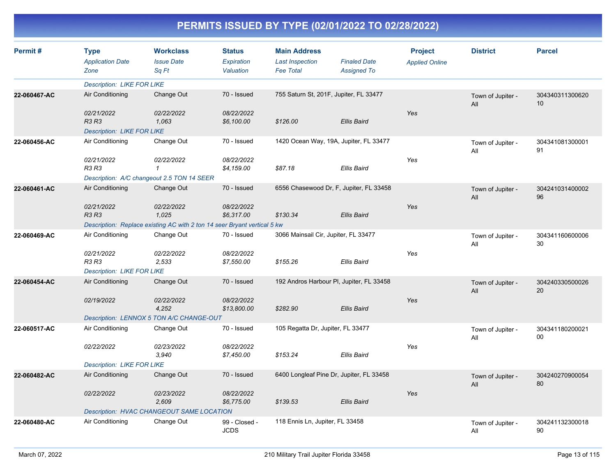| Permit#      | <b>Type</b><br><b>Application Date</b>     | <b>Workclass</b><br><b>Issue Date</b>                                    | <b>Status</b><br><b>Expiration</b> | <b>Main Address</b><br><b>Last Inspection</b> | <b>Finaled Date</b> | <b>Project</b><br><b>Applied Online</b> | <b>District</b>          | <b>Parcel</b>         |
|--------------|--------------------------------------------|--------------------------------------------------------------------------|------------------------------------|-----------------------------------------------|---------------------|-----------------------------------------|--------------------------|-----------------------|
|              | Zone                                       | Sa Ft                                                                    | Valuation                          | <b>Fee Total</b>                              | <b>Assigned To</b>  |                                         |                          |                       |
|              | <b>Description: LIKE FOR LIKE</b>          |                                                                          |                                    |                                               |                     |                                         |                          |                       |
| 22-060467-AC | Air Conditioning                           | Change Out                                                               | 70 - Issued                        | 755 Saturn St, 201F, Jupiter, FL 33477        |                     |                                         | Town of Jupiter -<br>All | 304340311300620<br>10 |
|              | 02/21/2022<br>R3 R3                        | 02/22/2022<br>1,063                                                      | 08/22/2022<br>\$6,100.00           | \$126.00                                      | Ellis Baird         | Yes                                     |                          |                       |
|              | <b>Description: LIKE FOR LIKE</b>          |                                                                          |                                    |                                               |                     |                                         |                          |                       |
| 22-060456-AC | Air Conditioning                           | Change Out                                                               | 70 - Issued                        | 1420 Ocean Way, 19A, Jupiter, FL 33477        |                     |                                         | Town of Jupiter -<br>All | 304341081300001<br>91 |
|              | 02/21/2022<br><b>R3 R3</b>                 | 02/22/2022<br>$\mathcal I$                                               | 08/22/2022<br>\$4,159.00           | \$87.18                                       | <b>Ellis Baird</b>  | Yes                                     |                          |                       |
|              | Description: A/C changeout 2.5 TON 14 SEER |                                                                          |                                    |                                               |                     |                                         |                          |                       |
| 22-060461-AC | Air Conditioning                           | Change Out                                                               | 70 - Issued                        | 6556 Chasewood Dr, F, Jupiter, FL 33458       |                     |                                         | Town of Jupiter -<br>All | 304241031400002<br>96 |
|              | 02/21/2022<br><b>R3 R3</b>                 | 02/22/2022<br>1,025                                                      | 08/22/2022<br>\$6,317.00           | \$130.34                                      | Ellis Baird         | Yes                                     |                          |                       |
|              |                                            | Description: Replace existing AC with 2 ton 14 seer Bryant vertical 5 kw |                                    |                                               |                     |                                         |                          |                       |
| 22-060469-AC | Air Conditioning                           | Change Out                                                               | 70 - Issued                        | 3066 Mainsail Cir, Jupiter, FL 33477          |                     |                                         | Town of Jupiter -<br>All | 304341160600006<br>30 |
|              | 02/21/2022<br><b>R3 R3</b>                 | 02/22/2022<br>2,533                                                      | 08/22/2022<br>\$7,550.00           | \$155.26                                      | Ellis Baird         | Yes                                     |                          |                       |
|              | <b>Description: LIKE FOR LIKE</b>          |                                                                          |                                    |                                               |                     |                                         |                          |                       |
| 22-060454-AC | Air Conditioning                           | Change Out                                                               | 70 - Issued                        | 192 Andros Harbour PI, Jupiter, FL 33458      |                     |                                         | Town of Jupiter -<br>All | 304240330500026<br>20 |
|              | 02/19/2022                                 | 02/22/2022<br>4,252                                                      | 08/22/2022<br>\$13,800.00          | \$282.90                                      | Ellis Baird         | Yes                                     |                          |                       |
|              |                                            | Description: LENNOX 5 TON A/C CHANGE-OUT                                 |                                    |                                               |                     |                                         |                          |                       |
| 22-060517-AC | Air Conditioning                           | Change Out                                                               | 70 - Issued                        | 105 Regatta Dr, Jupiter, FL 33477             |                     |                                         | Town of Jupiter -<br>All | 304341180200021<br>00 |
|              | 02/22/2022                                 | 02/23/2022<br>3,940                                                      | 08/22/2022<br>\$7,450.00           | \$153.24                                      | Ellis Baird         | Yes                                     |                          |                       |
|              | <b>Description: LIKE FOR LIKE</b>          |                                                                          |                                    |                                               |                     |                                         |                          |                       |
| 22-060482-AC | Air Conditioning                           | Change Out                                                               | 70 - Issued                        | 6400 Longleaf Pine Dr, Jupiter, FL 33458      |                     |                                         | Town of Jupiter -<br>All | 304240270900054<br>80 |
|              | 02/22/2022                                 | 02/23/2022<br>2,609                                                      | 08/22/2022<br>\$6,775.00           | \$139.53                                      | Ellis Baird         | Yes                                     |                          |                       |
|              | Description: HVAC CHANGEOUT SAME LOCATION  |                                                                          |                                    |                                               |                     |                                         |                          |                       |
| 22-060480-AC | Air Conditioning                           | Change Out                                                               | 99 - Closed -<br><b>JCDS</b>       | 118 Ennis Ln, Jupiter, FL 33458               |                     |                                         | Town of Jupiter -<br>All | 304241132300018<br>90 |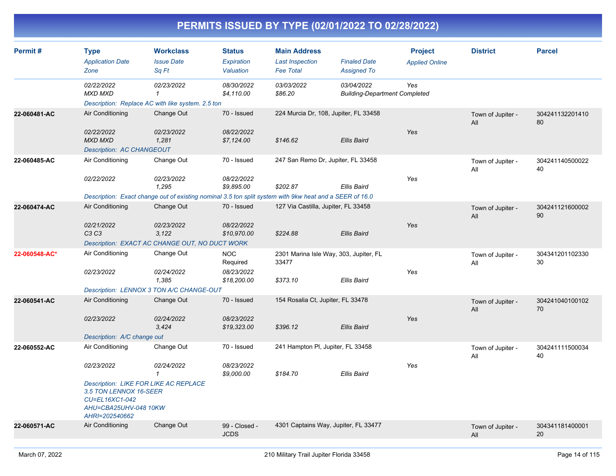| Permit#       | <b>Type</b><br><b>Application Date</b><br>Zone                                                                                                                        | <b>Workclass</b><br><b>Issue Date</b><br>Sa Ft                                                                                               | <b>Status</b><br>Expiration<br>Valuation            | <b>Main Address</b><br><b>Last Inspection</b><br><b>Fee Total</b> | <b>Finaled Date</b><br><b>Assigned To</b>          | <b>Project</b><br><b>Applied Online</b> | <b>District</b>          | <b>Parcel</b>         |
|---------------|-----------------------------------------------------------------------------------------------------------------------------------------------------------------------|----------------------------------------------------------------------------------------------------------------------------------------------|-----------------------------------------------------|-------------------------------------------------------------------|----------------------------------------------------|-----------------------------------------|--------------------------|-----------------------|
|               | 02/22/2022<br><b>MXD MXD</b>                                                                                                                                          | 02/23/2022<br>$\mathbf{1}$<br>Description: Replace AC with like system. 2.5 ton                                                              | 08/30/2022<br>\$4,110.00                            | 03/03/2022<br>\$86.20                                             | 03/04/2022<br><b>Building-Department Completed</b> | Yes                                     |                          |                       |
| 22-060481-AC  | Air Conditioning<br>02/22/2022<br><b>MXD MXD</b><br><b>Description: AC CHANGEOUT</b>                                                                                  | Change Out<br>02/23/2022<br>1,281                                                                                                            | 70 - Issued<br>08/22/2022<br>\$7,124.00             | 224 Murcia Dr, 108, Jupiter, FL 33458<br>\$146.62                 | <b>Ellis Baird</b>                                 | Yes                                     | Town of Jupiter -<br>All | 304241132201410<br>80 |
| 22-060485-AC  | Air Conditioning<br>02/22/2022                                                                                                                                        | Change Out<br>02/23/2022<br>1,295<br>Description: Exact change out of existing nominal 3.5 ton split system with 9kw heat and a SEER of 16.0 | 70 - Issued<br>08/22/2022<br>\$9,895.00             | 247 San Remo Dr, Jupiter, FL 33458<br>\$202.87                    | Ellis Baird                                        | Yes                                     | Town of Jupiter -<br>All | 304241140500022<br>40 |
| 22-060474-AC  | Air Conditioning<br>02/21/2022<br>C <sub>3</sub> C <sub>3</sub>                                                                                                       | Change Out<br>02/23/2022<br>3.122<br>Description: EXACT AC CHANGE OUT, NO DUCT WORK                                                          | 70 - Issued<br>08/22/2022<br>\$10,970.00            | 127 Via Castilla, Jupiter, FL 33458<br>\$224.88                   | <b>Ellis Baird</b>                                 | Yes                                     | Town of Jupiter -<br>All | 304241121600002<br>90 |
| 22-060548-AC* | Air Conditioning<br>02/23/2022                                                                                                                                        | Change Out<br>02/24/2022<br>1,385<br>Description: LENNOX 3 TON A/C CHANGE-OUT                                                                | <b>NOC</b><br>Required<br>08/23/2022<br>\$18,200.00 | 2301 Marina Isle Way, 303, Jupiter, FL<br>33477<br>\$373.10       | <b>Ellis Baird</b>                                 | Yes                                     | Town of Jupiter -<br>All | 304341201102330<br>30 |
| 22-060541-AC  | Air Conditioning<br>02/23/2022<br>Description: A/C change out                                                                                                         | Change Out<br>02/24/2022<br>3.424                                                                                                            | 70 - Issued<br>08/23/2022<br>\$19,323.00            | 154 Rosalia Ct, Jupiter, FL 33478<br>\$396.12                     | <b>Ellis Baird</b>                                 | Yes                                     | Town of Jupiter -<br>All | 304241040100102<br>70 |
| 22-060552-AC  | Air Conditioning<br>02/23/2022<br><b>Description: LIKE FOR LIKE AC REPLACE</b><br>3.5 TON LENNOX 16-SEER<br>CU=EL16XC1-042<br>AHU=CBA25UHV-048 10KW<br>AHRI=202540662 | Change Out<br>02/24/2022<br>$\mathcal I$                                                                                                     | 70 - Issued<br>08/23/2022<br>\$9,000.00             | 241 Hampton PI, Jupiter, FL 33458<br>\$184.70                     | Ellis Baird                                        | Yes                                     | Town of Jupiter -<br>All | 304241111500034<br>40 |
| 22-060571-AC  | Air Conditioning                                                                                                                                                      | Change Out                                                                                                                                   | 99 - Closed -<br><b>JCDS</b>                        | 4301 Captains Way, Jupiter, FL 33477                              |                                                    |                                         | Town of Jupiter -<br>All | 304341181400001<br>20 |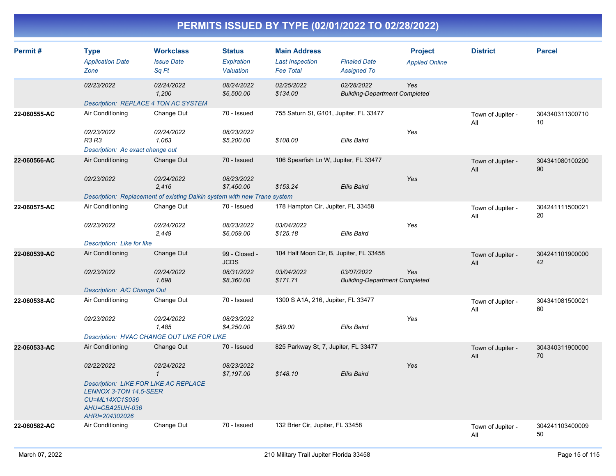| Permit#      | <b>Type</b><br><b>Application Date</b><br>Zone                                                                                | <b>Workclass</b><br><b>Issue Date</b><br>Sq Ft                           | <b>Status</b><br><b>Expiration</b><br>Valuation | <b>Main Address</b><br><b>Last Inspection</b><br><b>Fee Total</b> | <b>Finaled Date</b><br><b>Assigned To</b>          | <b>Project</b><br><b>Applied Online</b> | <b>District</b>          | <b>Parcel</b>         |
|--------------|-------------------------------------------------------------------------------------------------------------------------------|--------------------------------------------------------------------------|-------------------------------------------------|-------------------------------------------------------------------|----------------------------------------------------|-----------------------------------------|--------------------------|-----------------------|
|              | 02/23/2022                                                                                                                    | 02/24/2022<br>1,200                                                      | 08/24/2022<br>\$6,500.00                        | 02/25/2022<br>\$134.00                                            | 02/28/2022<br><b>Building-Department Completed</b> | Yes                                     |                          |                       |
|              | Description: REPLACE 4 TON AC SYSTEM                                                                                          |                                                                          |                                                 |                                                                   |                                                    |                                         |                          |                       |
| 22-060555-AC | Air Conditioning                                                                                                              | Change Out                                                               | 70 - Issued                                     | 755 Saturn St, G101, Jupiter, FL 33477                            |                                                    |                                         | Town of Jupiter -<br>All | 304340311300710<br>10 |
|              | 02/23/2022                                                                                                                    | 02/24/2022                                                               | 08/23/2022                                      |                                                                   |                                                    | Yes                                     |                          |                       |
|              | <b>R3 R3</b>                                                                                                                  | 1.063                                                                    | \$5,200.00                                      | \$108.00                                                          | <b>Ellis Baird</b>                                 |                                         |                          |                       |
|              | Description: Ac exact change out                                                                                              |                                                                          |                                                 |                                                                   |                                                    |                                         |                          |                       |
| 22-060566-AC | Air Conditioning                                                                                                              | Change Out                                                               | 70 - Issued                                     | 106 Spearfish Ln W, Jupiter, FL 33477                             |                                                    |                                         | Town of Jupiter -<br>All | 304341080100200<br>90 |
|              | 02/23/2022                                                                                                                    | 02/24/2022<br>2,416                                                      | 08/23/2022<br>\$7,450.00                        | \$153.24                                                          | Ellis Baird                                        | Yes                                     |                          |                       |
|              |                                                                                                                               | Description: Replacement of existing Daikin system with new Trane system |                                                 |                                                                   |                                                    |                                         |                          |                       |
| 22-060575-AC | Air Conditioning                                                                                                              | Change Out                                                               | 70 - Issued                                     | 178 Hampton Cir, Jupiter, FL 33458                                |                                                    |                                         | Town of Jupiter -<br>All | 304241111500021<br>20 |
|              | 02/23/2022                                                                                                                    | 02/24/2022<br>2,449                                                      | 08/23/2022<br>\$6,059.00                        | 03/04/2022<br>\$125.18                                            | Ellis Baird                                        | Yes                                     |                          |                       |
|              | Description: Like for like                                                                                                    |                                                                          |                                                 |                                                                   |                                                    |                                         |                          |                       |
| 22-060539-AC | Air Conditioning                                                                                                              | Change Out                                                               | 99 - Closed -<br><b>JCDS</b>                    | 104 Half Moon Cir, B, Jupiter, FL 33458                           |                                                    |                                         | Town of Jupiter -<br>All | 304241101900000<br>42 |
|              | 02/23/2022                                                                                                                    | 02/24/2022<br>1.698                                                      | 08/31/2022<br>\$8,360.00                        | 03/04/2022<br>\$171.71                                            | 03/07/2022<br><b>Building-Department Completed</b> | Yes                                     |                          |                       |
|              | Description: A/C Change Out                                                                                                   |                                                                          |                                                 |                                                                   |                                                    |                                         |                          |                       |
| 22-060538-AC | Air Conditioning                                                                                                              | Change Out                                                               | 70 - Issued                                     | 1300 S A1A, 216, Jupiter, FL 33477                                |                                                    |                                         | Town of Jupiter -<br>All | 304341081500021<br>60 |
|              | 02/23/2022                                                                                                                    | 02/24/2022<br>1,485                                                      | 08/23/2022<br>\$4,250.00                        | \$89.00                                                           | <b>Ellis Baird</b>                                 | Yes                                     |                          |                       |
|              |                                                                                                                               | Description: HVAC CHANGE OUT LIKE FOR LIKE                               |                                                 |                                                                   |                                                    |                                         |                          |                       |
| 22-060533-AC | Air Conditioning                                                                                                              | Change Out                                                               | 70 - Issued                                     | 825 Parkway St, 7, Jupiter, FL 33477                              |                                                    |                                         | Town of Jupiter -<br>All | 304340311900000<br>70 |
|              | 02/22/2022                                                                                                                    | 02/24/2022<br>$\mathbf{1}$                                               | 08/23/2022<br>\$7,197.00                        | \$148.10                                                          | <b>Ellis Baird</b>                                 | Yes                                     |                          |                       |
|              | Description: LIKE FOR LIKE AC REPLACE<br><b>LENNOX 3-TON 14.5-SEER</b><br>CU=ML14XC1S036<br>AHU=CBA25UH-036<br>AHRI=204302026 |                                                                          |                                                 |                                                                   |                                                    |                                         |                          |                       |
| 22-060582-AC | Air Conditioning                                                                                                              | Change Out                                                               | 70 - Issued                                     | 132 Brier Cir, Jupiter, FL 33458                                  |                                                    |                                         | Town of Jupiter -<br>All | 304241103400009<br>50 |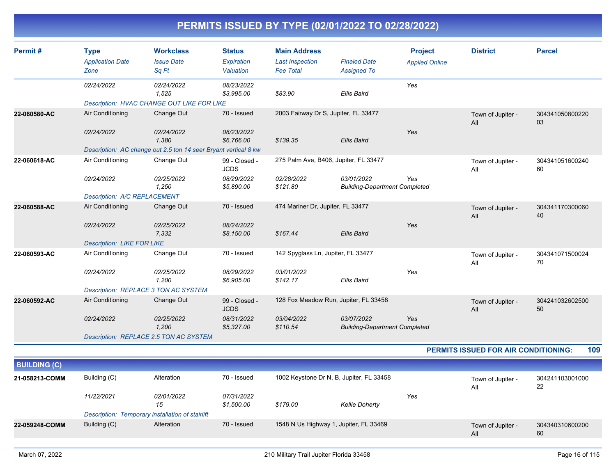| <b>Application Date</b><br>Zone | <b>Issue Date</b><br>Sq Ft | <b>Status</b><br>Expiration<br>Valuation                          | <b>Main Address</b><br><b>Last Inspection</b><br><b>Fee Total</b>                                                                                                                               | <b>Finaled Date</b><br><b>Assigned To</b> | <b>Project</b><br><b>Applied Online</b>                                                                                                                                                           | <b>District</b>                                                              | <b>Parcel</b>                               |
|---------------------------------|----------------------------|-------------------------------------------------------------------|-------------------------------------------------------------------------------------------------------------------------------------------------------------------------------------------------|-------------------------------------------|---------------------------------------------------------------------------------------------------------------------------------------------------------------------------------------------------|------------------------------------------------------------------------------|---------------------------------------------|
| 02/24/2022                      | 02/24/2022<br>1,525        | 08/23/2022<br>\$3,995.00                                          | \$83.90                                                                                                                                                                                         | Ellis Baird                               | Yes                                                                                                                                                                                               |                                                                              |                                             |
|                                 |                            |                                                                   |                                                                                                                                                                                                 |                                           |                                                                                                                                                                                                   |                                                                              |                                             |
| Air Conditioning                | Change Out                 | 70 - Issued                                                       |                                                                                                                                                                                                 |                                           |                                                                                                                                                                                                   | Town of Jupiter -<br>All                                                     | 304341050800220<br>03                       |
| 02/24/2022                      | 02/24/2022<br>1.380        | 08/23/2022<br>\$6,766.00                                          | \$139.35                                                                                                                                                                                        | <b>Ellis Baird</b>                        | Yes                                                                                                                                                                                               |                                                                              |                                             |
|                                 |                            |                                                                   |                                                                                                                                                                                                 |                                           |                                                                                                                                                                                                   |                                                                              |                                             |
| Air Conditioning                | Change Out                 | 99 - Closed -<br><b>JCDS</b>                                      |                                                                                                                                                                                                 |                                           |                                                                                                                                                                                                   | Town of Jupiter -<br>All                                                     | 304341051600240<br>60                       |
| 02/24/2022                      | 02/25/2022<br>1,250        | 08/29/2022<br>\$5,890.00                                          | 02/28/2022<br>\$121.80                                                                                                                                                                          | 03/01/2022                                | Yes                                                                                                                                                                                               |                                                                              |                                             |
|                                 |                            |                                                                   |                                                                                                                                                                                                 |                                           |                                                                                                                                                                                                   |                                                                              |                                             |
| Air Conditioning                | Change Out                 | 70 - Issued                                                       |                                                                                                                                                                                                 |                                           |                                                                                                                                                                                                   | Town of Jupiter -<br>All                                                     | 304341170300060<br>40                       |
| 02/24/2022                      | 02/25/2022<br>7,332        | 08/24/2022<br>\$8,150.00                                          | \$167.44                                                                                                                                                                                        | <b>Ellis Baird</b>                        | Yes                                                                                                                                                                                               |                                                                              |                                             |
|                                 |                            |                                                                   |                                                                                                                                                                                                 |                                           |                                                                                                                                                                                                   |                                                                              |                                             |
| Air Conditioning                | Change Out                 | 70 - Issued                                                       |                                                                                                                                                                                                 |                                           |                                                                                                                                                                                                   | Town of Jupiter -<br>All                                                     | 304341071500024<br>70                       |
| 02/24/2022                      | 02/25/2022<br>1,200        | 08/29/2022<br>\$6,905.00                                          | 03/01/2022<br>\$142.17                                                                                                                                                                          | <b>Ellis Baird</b>                        | Yes                                                                                                                                                                                               |                                                                              |                                             |
|                                 |                            |                                                                   |                                                                                                                                                                                                 |                                           |                                                                                                                                                                                                   |                                                                              |                                             |
| Air Conditioning                | Change Out                 | 99 - Closed -<br><b>JCDS</b>                                      |                                                                                                                                                                                                 |                                           |                                                                                                                                                                                                   | Town of Jupiter -<br>All                                                     | 304241032602500<br>50                       |
| 02/24/2022                      | 02/25/2022<br>1,200        | 08/31/2022<br>\$5,327.00                                          | 03/04/2022<br>\$110.54                                                                                                                                                                          | 03/07/2022                                | Yes                                                                                                                                                                                               |                                                                              |                                             |
|                                 |                            |                                                                   |                                                                                                                                                                                                 |                                           |                                                                                                                                                                                                   |                                                                              |                                             |
|                                 |                            | Description: A/C REPLACEMENT<br><b>Description: LIKE FOR LIKE</b> | Description: HVAC CHANGE OUT LIKE FOR LIKE<br>Description: AC change out 2.5 ton 14 seer Bryant vertical 8 kw<br>Description: REPLACE 3 TON AC SYSTEM<br>Description: REPLACE 2.5 TON AC SYSTEM |                                           | 2003 Fairway Dr S, Jupiter, FL 33477<br>275 Palm Ave, B406, Jupiter, FL 33477<br>474 Mariner Dr, Jupiter, FL 33477<br>142 Spyglass Ln, Jupiter, FL 33477<br>128 Fox Meadow Run, Jupiter, FL 33458 | <b>Building-Department Completed</b><br><b>Building-Department Completed</b> | <b>PERMITS ISSUED FOR AIR CONDITIONING:</b> |

| <b>BUILDING (C)</b> |              |                                                  |                          |          |                                          |     |                          |                       |
|---------------------|--------------|--------------------------------------------------|--------------------------|----------|------------------------------------------|-----|--------------------------|-----------------------|
| 21-058213-COMM      | Building (C) | Alteration                                       | 70 - Issued              |          | 1002 Keystone Dr N, B, Jupiter, FL 33458 |     | Town of Jupiter -<br>All | 304241103001000<br>22 |
|                     | 11/22/2021   | <i>02/01/2022</i><br>15                          | 07/31/2022<br>\$1.500.00 | \$179.00 | <b>Kellie Doherty</b>                    | Yes |                          |                       |
|                     |              | Description: Temporary installation of stairlift |                          |          |                                          |     |                          |                       |
| 22-059248-COMM      | Building (C) | Alteration                                       | 70 - Issued              |          | 1548 N Us Highway 1, Jupiter, FL 33469   |     | Town of Jupiter -<br>All | 304340310600200<br>60 |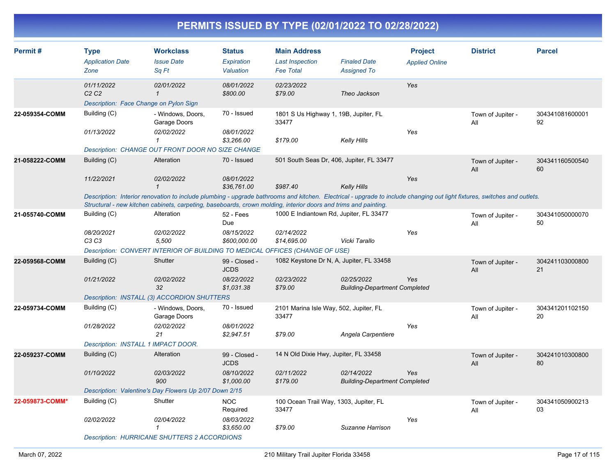| Permit#         | <b>Type</b><br><b>Application Date</b><br>Zone                                        | <b>Workclass</b><br><b>Issue Date</b><br>Sq Ft                                                                                                                                                                                                                                              | <b>Status</b><br>Expiration<br>Valuation | <b>Main Address</b><br><b>Last Inspection</b><br><b>Fee Total</b> | <b>Finaled Date</b><br><b>Assigned To</b>          | <b>Project</b><br><b>Applied Online</b> | <b>District</b>          | <b>Parcel</b>         |
|-----------------|---------------------------------------------------------------------------------------|---------------------------------------------------------------------------------------------------------------------------------------------------------------------------------------------------------------------------------------------------------------------------------------------|------------------------------------------|-------------------------------------------------------------------|----------------------------------------------------|-----------------------------------------|--------------------------|-----------------------|
|                 | 01/11/2022<br>C <sub>2</sub> C <sub>2</sub><br>Description: Face Change on Pylon Sign | 02/01/2022<br>$\mathcal I$                                                                                                                                                                                                                                                                  | 08/01/2022<br>\$800.00                   | 02/23/2022<br>\$79.00                                             | Theo Jackson                                       | Yes                                     |                          |                       |
| 22-059354-COMM  | Building (C)                                                                          | - Windows, Doors,<br>Garage Doors                                                                                                                                                                                                                                                           | 70 - Issued                              | 1801 S Us Highway 1, 19B, Jupiter, FL<br>33477                    |                                                    |                                         | Town of Jupiter -<br>All | 304341081600001<br>92 |
|                 | 01/13/2022                                                                            | 02/02/2022<br>$\mathbf{1}$                                                                                                                                                                                                                                                                  | 08/01/2022<br>\$3,266.00                 | \$179.00                                                          | <b>Kelly Hills</b>                                 | Yes                                     |                          |                       |
|                 |                                                                                       | Description: CHANGE OUT FRONT DOOR NO SIZE CHANGE                                                                                                                                                                                                                                           |                                          |                                                                   |                                                    |                                         |                          |                       |
| 21-058222-COMM  | Building (C)                                                                          | Alteration                                                                                                                                                                                                                                                                                  | 70 - Issued                              | 501 South Seas Dr, 406, Jupiter, FL 33477                         |                                                    |                                         | Town of Jupiter -<br>All | 304341160500540<br>60 |
|                 | 11/22/2021                                                                            | 02/02/2022<br>$\mathbf{1}$                                                                                                                                                                                                                                                                  | 08/01/2022<br>\$36,761.00                | \$987.40                                                          | <b>Kelly Hills</b>                                 | Yes                                     |                          |                       |
|                 |                                                                                       | Description: Interior renovation to include plumbing - upgrade bathrooms and kitchen. Electrical - upgrade to include changing out light fixtures, switches and outlets.<br>Structural - new kitchen cabinets, carpeting, baseboards, crown molding, interior doors and trims and painting. |                                          |                                                                   |                                                    |                                         |                          |                       |
| 21-055740-COMM  | Building (C)                                                                          | Alteration                                                                                                                                                                                                                                                                                  | 52 - Fees<br>Due                         | 1000 E Indiantown Rd, Jupiter, FL 33477                           |                                                    |                                         | Town of Jupiter -<br>All | 304341050000070<br>50 |
|                 | 08/20/2021<br>C3 C3                                                                   | 02/02/2022<br>5,500                                                                                                                                                                                                                                                                         | 08/15/2022<br>\$600,000.00               | 02/14/2022<br>\$14,695.00                                         | Vicki Tarallo                                      | Yes                                     |                          |                       |
|                 |                                                                                       | Description: CONVERT INTERIOR OF BUILDING TO MEDICAL OFFICES (CHANGE OF USE)                                                                                                                                                                                                                |                                          |                                                                   |                                                    |                                         |                          |                       |
| 22-059568-COMM  | Building (C)                                                                          | <b>Shutter</b>                                                                                                                                                                                                                                                                              | 99 - Closed -<br><b>JCDS</b>             | 1082 Keystone Dr N, A, Jupiter, FL 33458                          |                                                    |                                         | Town of Jupiter -<br>All | 304241103000800<br>21 |
|                 | 01/21/2022                                                                            | 02/02/2022<br>32                                                                                                                                                                                                                                                                            | 08/22/2022<br>\$1,031.38                 | 02/23/2022<br>\$79.00                                             | 02/25/2022<br><b>Building-Department Completed</b> | Yes                                     |                          |                       |
|                 |                                                                                       | Description: INSTALL (3) ACCORDION SHUTTERS                                                                                                                                                                                                                                                 |                                          |                                                                   |                                                    |                                         |                          |                       |
| 22-059734-COMM  | Building (C)                                                                          | - Windows, Doors,<br>Garage Doors                                                                                                                                                                                                                                                           | 70 - Issued                              | 2101 Marina Isle Way, 502, Jupiter, FL<br>33477                   |                                                    |                                         | Town of Jupiter -<br>All | 304341201102150<br>20 |
|                 | 01/28/2022                                                                            | 02/02/2022<br>21                                                                                                                                                                                                                                                                            | 08/01/2022<br>\$2,947.51                 | \$79.00                                                           | Angela Carpentiere                                 | Yes                                     |                          |                       |
|                 | Description: INSTALL 1 IMPACT DOOR.                                                   |                                                                                                                                                                                                                                                                                             |                                          |                                                                   |                                                    |                                         |                          |                       |
| 22-059237-COMM  | Building (C)                                                                          | Alteration                                                                                                                                                                                                                                                                                  | 99 - Closed -<br><b>JCDS</b>             | 14 N Old Dixie Hwy, Jupiter, FL 33458                             |                                                    |                                         | Town of Jupiter -<br>All | 304241010300800<br>80 |
|                 | 01/10/2022                                                                            | 02/03/2022<br>900                                                                                                                                                                                                                                                                           | 08/10/2022<br>\$1,000.00                 | 02/11/2022<br>\$179.00                                            | 02/14/2022<br><b>Building-Department Completed</b> | Yes                                     |                          |                       |
|                 |                                                                                       | Description: Valentine's Day Flowers Up 2/07 Down 2/15                                                                                                                                                                                                                                      |                                          |                                                                   |                                                    |                                         |                          |                       |
| 22-059873-COMM* | Building (C)                                                                          | Shutter                                                                                                                                                                                                                                                                                     | <b>NOC</b><br>Required                   | 100 Ocean Trail Way, 1303, Jupiter, FL<br>33477                   |                                                    |                                         | Town of Jupiter -<br>All | 304341050900213<br>03 |
|                 | 02/02/2022                                                                            | 02/04/2022<br>$\mathcal I$                                                                                                                                                                                                                                                                  | 08/03/2022<br>\$3,650.00                 | \$79.00                                                           | Suzanne Harrison                                   | Yes                                     |                          |                       |
|                 |                                                                                       | Description: HURRICANE SHUTTERS 2 ACCORDIONS                                                                                                                                                                                                                                                |                                          |                                                                   |                                                    |                                         |                          |                       |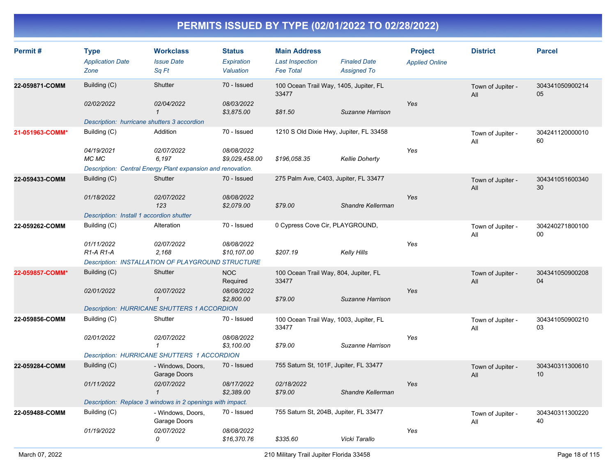| Permit#         | <b>Type</b><br><b>Application Date</b><br>Zone | <b>Workclass</b><br><b>Issue Date</b><br>Sq Ft              | <b>Status</b><br>Expiration<br>Valuation | <b>Main Address</b><br><b>Last Inspection</b><br><b>Fee Total</b> | <b>Finaled Date</b><br><b>Assigned To</b> | <b>Project</b><br><b>Applied Online</b> | <b>District</b>          | <b>Parcel</b>             |
|-----------------|------------------------------------------------|-------------------------------------------------------------|------------------------------------------|-------------------------------------------------------------------|-------------------------------------------|-----------------------------------------|--------------------------|---------------------------|
| 22-059871-COMM  | Building (C)                                   | Shutter                                                     | 70 - Issued                              | 100 Ocean Trail Way, 1405, Jupiter, FL<br>33477                   |                                           |                                         | Town of Jupiter -<br>All | 304341050900214<br>05     |
|                 | 02/02/2022                                     | 02/04/2022<br>$\mathcal{I}$                                 | 08/03/2022<br>\$3,875.00                 | \$81.50                                                           | Suzanne Harrison                          | Yes                                     |                          |                           |
|                 | Description: hurricane shutters 3 accordion    |                                                             |                                          |                                                                   |                                           |                                         |                          |                           |
| 21-051963-COMM* | Building (C)                                   | Addition                                                    | 70 - Issued                              | 1210 S Old Dixie Hwy, Jupiter, FL 33458                           |                                           |                                         | Town of Jupiter -<br>All | 304241120000010<br>60     |
|                 | 04/19/2021<br>MC MC                            | 02/07/2022<br>6,197                                         | 08/08/2022<br>\$9,029,458.00             | \$196,058.35                                                      | <b>Kellie Doherty</b>                     | Yes                                     |                          |                           |
|                 |                                                | Description: Central Energy Plant expansion and renovation. |                                          |                                                                   |                                           |                                         |                          |                           |
| 22-059433-COMM  | Building (C)                                   | <b>Shutter</b>                                              | 70 - Issued                              | 275 Palm Ave, C403, Jupiter, FL 33477                             |                                           |                                         | Town of Jupiter -<br>All | 304341051600340<br>30     |
|                 | 01/18/2022                                     | 02/07/2022<br>123                                           | 08/08/2022<br>\$2,079.00                 | \$79.00                                                           | Shandre Kellerman                         | Yes                                     |                          |                           |
|                 | Description: Install 1 accordion shutter       |                                                             |                                          |                                                                   |                                           |                                         |                          |                           |
| 22-059262-COMM  | Building (C)                                   | Alteration                                                  | 70 - Issued                              | 0 Cypress Cove Cir, PLAYGROUND,                                   |                                           |                                         | Town of Jupiter -<br>All | 304240271800100<br>$00\,$ |
|                 | 01/11/2022<br>R1-A R1-A                        | 02/07/2022<br>2,168                                         | 08/08/2022<br>\$10,107.00                | \$207.19                                                          | Kelly Hills                               | Yes                                     |                          |                           |
|                 |                                                | Description: INSTALLATION OF PLAYGROUND STRUCTURE           |                                          |                                                                   |                                           |                                         |                          |                           |
| 22-059857-COMM* | Building (C)                                   | Shutter                                                     | <b>NOC</b><br>Required                   | 100 Ocean Trail Way, 804, Jupiter, FL<br>33477                    |                                           |                                         | Town of Jupiter -<br>All | 304341050900208<br>04     |
|                 | 02/01/2022                                     | 02/07/2022<br>$\mathcal{I}$                                 | 08/08/2022<br>\$2,800.00                 | \$79.00                                                           | Suzanne Harrison                          | Yes                                     |                          |                           |
|                 |                                                | <b>Description: HURRICANE SHUTTERS 1 ACCORDION</b>          |                                          |                                                                   |                                           |                                         |                          |                           |
| 22-059856-COMM  | Building (C)                                   | Shutter                                                     | 70 - Issued                              | 100 Ocean Trail Way, 1003, Jupiter, FL<br>33477                   |                                           |                                         | Town of Jupiter -<br>All | 304341050900210<br>03     |
|                 | 02/01/2022                                     | 02/07/2022<br>$\mathbf{1}$                                  | 08/08/2022<br>\$3,100.00                 | \$79.00                                                           | Suzanne Harrison                          | Yes                                     |                          |                           |
|                 |                                                | <b>Description: HURRICANE SHUTTERS 1 ACCORDION</b>          |                                          |                                                                   |                                           |                                         |                          |                           |
| 22-059284-COMM  | Building (C)                                   | - Windows, Doors,<br>Garage Doors                           | 70 - Issued                              | 755 Saturn St, 101F, Jupiter, FL 33477                            |                                           |                                         | Town of Jupiter -<br>All | 304340311300610<br>10     |
|                 | 01/11/2022                                     | 02/07/2022<br>$\mathbf{1}$                                  | 08/17/2022<br>\$2,389.00                 | 02/18/2022<br>\$79.00                                             | Shandre Kellerman                         | Yes                                     |                          |                           |
|                 |                                                | Description: Replace 3 windows in 2 openings with impact.   |                                          |                                                                   |                                           |                                         |                          |                           |
| 22-059488-COMM  | Building (C)                                   | - Windows, Doors,<br>Garage Doors                           | 70 - Issued                              | 755 Saturn St, 204B, Jupiter, FL 33477                            |                                           |                                         | Town of Jupiter -<br>All | 304340311300220<br>40     |
|                 | 01/19/2022                                     | 02/07/2022<br>0                                             | 08/08/2022<br>\$16,370.76                | \$335.60                                                          | Vicki Tarallo                             | Yes                                     |                          |                           |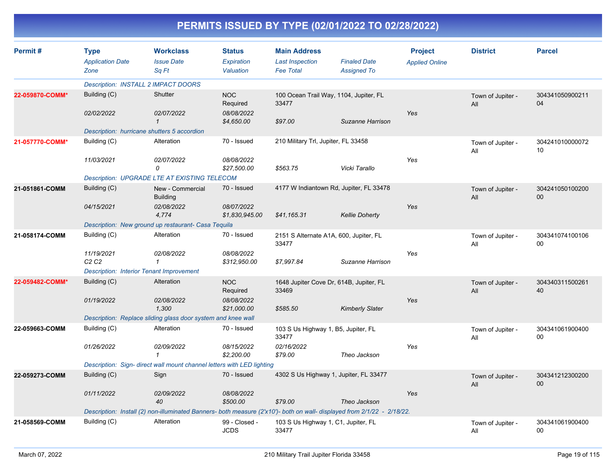| Permit#         | <b>Type</b><br><b>Application Date</b><br>Zone  | <b>Workclass</b><br><b>Issue Date</b><br>Sa Ft                                                                          | <b>Status</b><br>Expiration<br>Valuation | <b>Main Address</b><br><b>Last Inspection</b><br><b>Fee Total</b> | <b>Finaled Date</b><br><b>Assigned To</b> | <b>Project</b><br><b>Applied Online</b> | <b>District</b>          | <b>Parcel</b>         |
|-----------------|-------------------------------------------------|-------------------------------------------------------------------------------------------------------------------------|------------------------------------------|-------------------------------------------------------------------|-------------------------------------------|-----------------------------------------|--------------------------|-----------------------|
|                 | <b>Description: INSTALL 2 IMPACT DOORS</b>      |                                                                                                                         |                                          |                                                                   |                                           |                                         |                          |                       |
| 22-059870-COMM* | Building (C)                                    | Shutter                                                                                                                 | <b>NOC</b><br>Required                   | 100 Ocean Trail Way, 1104, Jupiter, FL<br>33477                   |                                           |                                         | Town of Jupiter -<br>All | 304341050900211<br>04 |
|                 | 02/02/2022                                      | 02/07/2022<br>$\mathbf{1}$                                                                                              | 08/08/2022<br>\$4,650.00                 | \$97.00                                                           | Suzanne Harrison                          | Yes                                     |                          |                       |
|                 |                                                 | Description: hurricane shutters 5 accordion                                                                             |                                          |                                                                   |                                           |                                         |                          |                       |
| 21-057770-COMM* | Building (C)                                    | Alteration                                                                                                              | 70 - Issued                              | 210 Military Trl, Jupiter, FL 33458                               |                                           |                                         | Town of Jupiter -<br>All | 304241010000072<br>10 |
|                 | 11/03/2021                                      | 02/07/2022<br>0                                                                                                         | 08/08/2022<br>\$27,500.00                | \$563.75                                                          | Vicki Tarallo                             | Yes                                     |                          |                       |
|                 |                                                 | <b>Description: UPGRADE LTE AT EXISTING TELECOM</b>                                                                     |                                          |                                                                   |                                           |                                         |                          |                       |
| 21-051861-COMM  | Building (C)                                    | New - Commercial<br><b>Building</b>                                                                                     | 70 - Issued                              | 4177 W Indiantown Rd, Jupiter, FL 33478                           |                                           |                                         | Town of Jupiter -<br>All | 304241050100200<br>00 |
|                 | 04/15/2021                                      | 02/08/2022<br>4,774                                                                                                     | 08/07/2022<br>\$1,830,945.00             | \$41,165.31                                                       | <b>Kellie Doherty</b>                     | Yes                                     |                          |                       |
|                 |                                                 | Description: New ground up restaurant- Casa Tequila                                                                     |                                          |                                                                   |                                           |                                         |                          |                       |
| 21-058174-COMM  | Building (C)                                    | Alteration                                                                                                              | 70 - Issued                              | 2151 S Alternate A1A, 600, Jupiter, FL<br>33477                   |                                           |                                         | Town of Jupiter -<br>All | 304341074100106<br>00 |
|                 | 11/19/2021<br>C2C2                              | 02/08/2022<br>$\mathbf 1$                                                                                               | 08/08/2022<br>\$312,950.00               | \$7,997.84                                                        | Suzanne Harrison                          | Yes                                     |                          |                       |
|                 | <b>Description: Interior Tenant Improvement</b> |                                                                                                                         |                                          |                                                                   |                                           |                                         |                          |                       |
| 22-059482-COMM* | Building (C)                                    | Alteration                                                                                                              | <b>NOC</b><br>Required                   | 1648 Jupiter Cove Dr, 614B, Jupiter, FL<br>33469                  |                                           |                                         | Town of Jupiter -<br>All | 304340311500261<br>40 |
|                 | 01/19/2022                                      | 02/08/2022<br>1,300                                                                                                     | 08/08/2022<br>\$21,000.00                | \$585.50                                                          | <b>Kimberly Slater</b>                    | Yes                                     |                          |                       |
|                 |                                                 | Description: Replace sliding glass door system and knee wall                                                            |                                          |                                                                   |                                           |                                         |                          |                       |
| 22-059663-COMM  | Building (C)                                    | Alteration                                                                                                              | 70 - Issued                              | 103 S Us Highway 1, B5, Jupiter, FL<br>33477                      |                                           |                                         | Town of Jupiter -<br>All | 304341061900400<br>00 |
|                 | 01/26/2022                                      | 02/09/2022<br>$\overline{1}$                                                                                            | 08/15/2022<br>\$2,200.00                 | 02/16/2022<br>\$79.00                                             | Theo Jackson                              | Yes                                     |                          |                       |
|                 |                                                 | Description: Sign- direct wall mount channel letters with LED lighting                                                  |                                          |                                                                   |                                           |                                         |                          |                       |
| 22-059273-COMM  | Building (C)                                    | Sign                                                                                                                    | 70 - Issued                              | 4302 S Us Highway 1, Jupiter, FL 33477                            |                                           |                                         | Town of Jupiter -<br>All | 304341212300200<br>00 |
|                 | 01/11/2022                                      | 02/09/2022<br>40                                                                                                        | 08/08/2022<br>\$500.00                   | \$79.00                                                           | Theo Jackson                              | Yes                                     |                          |                       |
|                 |                                                 | Description: Install (2) non-illuminated Banners- both measure (2'x10')- both on wall- displayed from 2/1/22 - 2/18/22. |                                          |                                                                   |                                           |                                         |                          |                       |
| 21-058569-COMM  | Building (C)                                    | Alteration                                                                                                              | 99 - Closed -<br><b>JCDS</b>             | 103 S Us Highway 1, C1, Jupiter, FL<br>33477                      |                                           |                                         | Town of Jupiter -<br>All | 304341061900400<br>00 |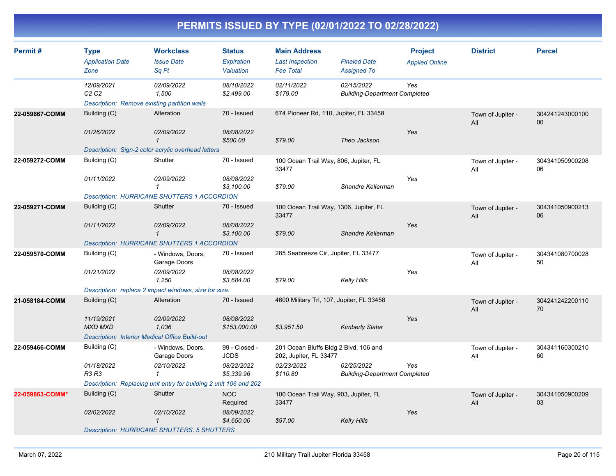| Permit#         | <b>Type</b><br><b>Application Date</b>      | <b>Workclass</b><br><b>Issue Date</b>                               | <b>Status</b><br>Expiration  | <b>Main Address</b><br><b>Last Inspection</b>                   | <b>Finaled Date</b>                                | <b>Project</b><br><b>Applied Online</b> | <b>District</b>          | <b>Parcel</b>             |
|-----------------|---------------------------------------------|---------------------------------------------------------------------|------------------------------|-----------------------------------------------------------------|----------------------------------------------------|-----------------------------------------|--------------------------|---------------------------|
|                 | Zone                                        | Sq Ft                                                               | Valuation                    | <b>Fee Total</b>                                                | <b>Assigned To</b>                                 |                                         |                          |                           |
|                 | 12/09/2021<br>C <sub>2</sub> C <sub>2</sub> | 02/09/2022<br>1,500<br>Description: Remove existing partition walls | 08/10/2022<br>\$2,499.00     | 02/11/2022<br>\$179.00                                          | 02/15/2022<br><b>Building-Department Completed</b> | Yes                                     |                          |                           |
| 22-059667-COMM  | Building (C)                                | Alteration                                                          | 70 - Issued                  | 674 Pioneer Rd, 110, Jupiter, FL 33458                          |                                                    |                                         | Town of Jupiter -<br>All | 304241243000100<br>$00\,$ |
|                 | 01/26/2022                                  | 02/09/2022<br>$\mathbf{1}$                                          | 08/08/2022<br>\$500.00       | \$79.00                                                         | Theo Jackson                                       | Yes                                     |                          |                           |
|                 |                                             | Description: Sign-2 color acrylic overhead letters                  |                              |                                                                 |                                                    |                                         |                          |                           |
| 22-059272-COMM  | Building (C)                                | Shutter                                                             | 70 - Issued                  | 100 Ocean Trail Way, 806, Jupiter, FL<br>33477                  |                                                    |                                         | Town of Jupiter -<br>All | 304341050900208<br>06     |
|                 | 01/11/2022                                  | 02/09/2022<br>1                                                     | 08/08/2022<br>\$3,100.00     | \$79.00                                                         | Shandre Kellerman                                  | Yes                                     |                          |                           |
|                 |                                             | <b>Description: HURRICANE SHUTTERS 1 ACCORDION</b>                  |                              |                                                                 |                                                    |                                         |                          |                           |
| 22-059271-COMM  | Building (C)                                | Shutter                                                             | 70 - Issued                  | 100 Ocean Trail Way, 1306, Jupiter, FL<br>33477                 |                                                    |                                         | Town of Jupiter -<br>All | 304341050900213<br>06     |
|                 | 01/11/2022                                  | 02/09/2022<br>$\mathbf{1}$                                          | 08/08/2022<br>\$3,100.00     | \$79.00                                                         | Shandre Kellerman                                  | Yes                                     |                          |                           |
|                 |                                             | <b>Description: HURRICANE SHUTTERS 1 ACCORDION</b>                  |                              |                                                                 |                                                    |                                         |                          |                           |
| 22-059570-COMM  | Building (C)                                | - Windows, Doors,<br>Garage Doors                                   | 70 - Issued                  | 285 Seabreeze Cir, Jupiter, FL 33477                            |                                                    |                                         | Town of Jupiter -<br>All | 304341080700028<br>50     |
|                 | 01/21/2022                                  | 02/09/2022<br>1,250                                                 | 08/08/2022<br>\$3.684.00     | \$79.00                                                         | <b>Kelly Hills</b>                                 | Yes                                     |                          |                           |
|                 |                                             | Description: replace 2 impact windows, size for size.               |                              |                                                                 |                                                    |                                         |                          |                           |
| 21-058184-COMM  | Building (C)                                | <b>Alteration</b>                                                   | 70 - Issued                  | 4600 Military Trl, 107, Jupiter, FL 33458                       |                                                    |                                         | Town of Jupiter -<br>All | 304241242200110<br>70     |
|                 | 11/19/2021<br><b>MXD MXD</b>                | 02/09/2022<br>1,036                                                 | 08/08/2022<br>\$153,000.00   | \$3,951.50                                                      | <b>Kimberly Slater</b>                             | Yes                                     |                          |                           |
|                 |                                             | <b>Description: Interior Medical Office Build-out</b>               |                              |                                                                 |                                                    |                                         |                          |                           |
| 22-059466-COMM  | Building (C)                                | - Windows, Doors,<br>Garage Doors                                   | 99 - Closed -<br><b>JCDS</b> | 201 Ocean Bluffs Bldg 2 Blvd, 106 and<br>202, Jupiter, FL 33477 |                                                    |                                         | Town of Jupiter -<br>All | 304341160300210<br>60     |
|                 | 01/18/2022<br>R3 R3                         | 02/10/2022<br>$\mathbf 1$                                           | 08/22/2022<br>\$5,339.96     | 02/23/2022<br>\$110.80                                          | 02/25/2022<br><b>Building-Department Completed</b> | Yes                                     |                          |                           |
|                 |                                             | Description: Replacing unit entry for building 2 unit 106 and 202   |                              |                                                                 |                                                    |                                         |                          |                           |
| 22-059863-COMM* | Building (C)                                | Shutter                                                             | <b>NOC</b><br>Required       | 100 Ocean Trail Way, 903, Jupiter, FL<br>33477                  |                                                    |                                         | Town of Jupiter -<br>All | 304341050900209<br>03     |
|                 | 02/02/2022                                  | 02/10/2022<br>$\mathbf{1}$                                          | 08/09/2022<br>\$4,650.00     | \$97.00                                                         | Kelly Hills                                        | Yes                                     |                          |                           |
|                 |                                             | <b>Description: HURRICANE SHUTTERS. 5 SHUTTERS</b>                  |                              |                                                                 |                                                    |                                         |                          |                           |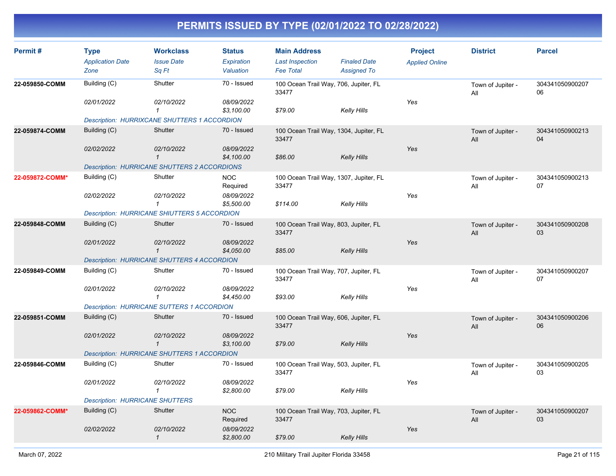| Permit#         | <b>Type</b><br><b>Application Date</b><br>Zone | <b>Workclass</b><br><b>Issue Date</b><br>Sq Ft      | <b>Status</b><br>Expiration<br>Valuation | <b>Main Address</b><br><b>Last Inspection</b><br><b>Fee Total</b> | <b>Finaled Date</b><br><b>Assigned To</b> | <b>Project</b><br><b>Applied Online</b> | <b>District</b>          | <b>Parcel</b>         |
|-----------------|------------------------------------------------|-----------------------------------------------------|------------------------------------------|-------------------------------------------------------------------|-------------------------------------------|-----------------------------------------|--------------------------|-----------------------|
| 22-059850-COMM  | Building (C)                                   | Shutter                                             | 70 - Issued                              | 100 Ocean Trail Way, 706, Jupiter, FL<br>33477                    |                                           |                                         | Town of Jupiter -<br>All | 304341050900207<br>06 |
|                 | 02/01/2022                                     | 02/10/2022<br>$\mathbf{1}$                          | 08/09/2022<br>\$3,100.00                 | \$79.00                                                           | <b>Kelly Hills</b>                        | Yes                                     |                          |                       |
|                 |                                                | <b>Description: HURRIXCANE SHUTTERS 1 ACCORDION</b> |                                          |                                                                   |                                           |                                         |                          |                       |
| 22-059874-COMM  | Building (C)                                   | Shutter                                             | 70 - Issued                              | 100 Ocean Trail Way, 1304, Jupiter, FL<br>33477                   |                                           |                                         | Town of Jupiter -<br>All | 304341050900213<br>04 |
|                 | 02/02/2022                                     | 02/10/2022<br>$\mathbf{1}$                          | 08/09/2022<br>\$4,100.00                 | \$86.00                                                           | <b>Kelly Hills</b>                        | Yes                                     |                          |                       |
|                 |                                                | <b>Description: HURRICANE SHUTTERS 2 ACCORDIONS</b> |                                          |                                                                   |                                           |                                         |                          |                       |
| 22-059872-COMM* | Building (C)                                   | Shutter                                             | <b>NOC</b><br>Required                   | 100 Ocean Trail Way, 1307, Jupiter, FL<br>33477                   |                                           |                                         | Town of Jupiter -<br>All | 304341050900213<br>07 |
|                 | 02/02/2022                                     | 02/10/2022<br>$\mathcal I$                          | 08/09/2022<br>\$5,500.00                 | \$114.00                                                          | <b>Kelly Hills</b>                        | Yes                                     |                          |                       |
|                 |                                                | <b>Description: HURRICANE SHIUTTERS 5 ACCORDION</b> |                                          |                                                                   |                                           |                                         |                          |                       |
| 22-059848-COMM  | Building (C)                                   | Shutter                                             | 70 - Issued                              | 100 Ocean Trail Way, 803, Jupiter, FL<br>33477                    |                                           |                                         | Town of Jupiter -<br>All | 304341050900208<br>03 |
|                 | 02/01/2022                                     | 02/10/2022<br>$\mathbf{1}$                          | 08/09/2022<br>\$4,050.00                 | \$85.00                                                           | <b>Kelly Hills</b>                        | Yes                                     |                          |                       |
|                 |                                                | <b>Description: HURRICANE SHUTTERS 4 ACCORDION</b>  |                                          |                                                                   |                                           |                                         |                          |                       |
| 22-059849-COMM  | Building (C)                                   | Shutter                                             | 70 - Issued                              | 100 Ocean Trail Way, 707, Jupiter, FL<br>33477                    |                                           |                                         | Town of Jupiter -<br>All | 304341050900207<br>07 |
|                 | 02/01/2022                                     | 02/10/2022<br>$\mathbf{1}$                          | 08/09/2022<br>\$4,450.00                 | \$93.00                                                           | Kelly Hills                               | Yes                                     |                          |                       |
|                 |                                                | <b>Description: HURRICANE SUTTERS 1 ACCORDION</b>   |                                          |                                                                   |                                           |                                         |                          |                       |
| 22-059851-COMM  | Building (C)                                   | Shutter                                             | 70 - Issued                              | 100 Ocean Trail Way, 606, Jupiter, FL<br>33477                    |                                           |                                         | Town of Jupiter -<br>All | 304341050900206<br>06 |
|                 | 02/01/2022                                     | 02/10/2022<br>$\mathcal I$                          | 08/09/2022<br>\$3,100.00                 | \$79.00                                                           | <b>Kelly Hills</b>                        | Yes                                     |                          |                       |
|                 |                                                | <b>Description: HURRICANE SHUTTERS 1 ACCORDION</b>  |                                          |                                                                   |                                           |                                         |                          |                       |
| 22-059846-COMM  | Building (C)                                   | Shutter                                             | 70 - Issued                              | 100 Ocean Trail Way, 503, Jupiter, FL<br>33477                    |                                           |                                         | Town of Jupiter -<br>All | 304341050900205<br>03 |
|                 | 02/01/2022                                     | 02/10/2022<br>$\mathcal I$                          | 08/09/2022<br>\$2,800.00                 | \$79.00                                                           | Kelly Hills                               | Yes                                     |                          |                       |
|                 | <b>Description: HURRICANE SHUTTERS</b>         |                                                     |                                          |                                                                   |                                           |                                         |                          |                       |
| 22-059862-COMM* | Building (C)                                   | Shutter                                             | <b>NOC</b><br>Required                   | 100 Ocean Trail Way, 703, Jupiter, FL<br>33477                    |                                           |                                         | Town of Jupiter -<br>All | 304341050900207<br>03 |
|                 | 02/02/2022                                     | 02/10/2022<br>$\mathbf{1}$                          | 08/09/2022<br>\$2,800.00                 | \$79.00                                                           | <b>Kelly Hills</b>                        | Yes                                     |                          |                       |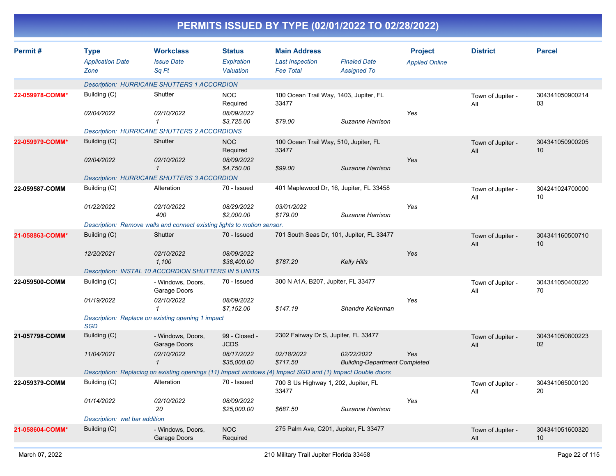|                 |                                                |                                                                                                            |                                          |                                                                   | PERMITS ISSUED BY TYPE (02/01/2022 TO 02/28/2022)  |                                         |                          |                       |
|-----------------|------------------------------------------------|------------------------------------------------------------------------------------------------------------|------------------------------------------|-------------------------------------------------------------------|----------------------------------------------------|-----------------------------------------|--------------------------|-----------------------|
| Permit#         | <b>Type</b><br><b>Application Date</b><br>Zone | <b>Workclass</b><br><b>Issue Date</b><br>Sq Ft                                                             | <b>Status</b><br>Expiration<br>Valuation | <b>Main Address</b><br><b>Last Inspection</b><br><b>Fee Total</b> | <b>Finaled Date</b><br><b>Assigned To</b>          | <b>Project</b><br><b>Applied Online</b> | <b>District</b>          | <b>Parcel</b>         |
|                 |                                                | <b>Description: HURRICANE SHUTTERS 1 ACCORDION</b>                                                         |                                          |                                                                   |                                                    |                                         |                          |                       |
| 22-059978-COMM* | Building (C)                                   | Shutter                                                                                                    | <b>NOC</b><br>Required                   | 100 Ocean Trail Way, 1403, Jupiter, FL<br>33477                   |                                                    |                                         | Town of Jupiter -<br>All | 304341050900214<br>03 |
|                 | 02/04/2022                                     | 02/10/2022<br>$\mathbf{1}$                                                                                 | 08/09/2022<br>\$3,725.00                 | \$79.00                                                           | Suzanne Harrison                                   | Yes                                     |                          |                       |
|                 |                                                | <b>Description: HURRICANE SHUTTERS 2 ACCORDIONS</b>                                                        |                                          |                                                                   |                                                    |                                         |                          |                       |
| 22-059979-COMM* | Building (C)                                   | Shutter                                                                                                    | <b>NOC</b><br>Required                   | 100 Ocean Trail Way, 510, Jupiter, FL<br>33477                    |                                                    |                                         | Town of Jupiter -<br>All | 304341050900205<br>10 |
|                 | 02/04/2022                                     | 02/10/2022<br>$\mathcal{I}$                                                                                | 08/09/2022<br>\$4,750.00                 | \$99.00                                                           | Suzanne Harrison                                   | Yes                                     |                          |                       |
|                 |                                                | <b>Description: HURRICANE SHUTTERS 3 ACCORDION</b>                                                         |                                          |                                                                   |                                                    |                                         |                          |                       |
| 22-059587-COMM  | Building (C)                                   | Alteration                                                                                                 | 70 - Issued                              | 401 Maplewood Dr, 16, Jupiter, FL 33458                           |                                                    |                                         | Town of Jupiter -<br>All | 304241024700000<br>10 |
|                 | 01/22/2022                                     | 02/10/2022<br>400                                                                                          | 08/29/2022<br>\$2,000.00                 | 03/01/2022<br>\$179.00                                            | Suzanne Harrison                                   | Yes                                     |                          |                       |
|                 |                                                | Description: Remove walls and connect existing lights to motion sensor.                                    |                                          |                                                                   |                                                    |                                         |                          |                       |
| 21-058863-COMM* | Building (C)                                   | Shutter                                                                                                    | 70 - Issued                              |                                                                   | 701 South Seas Dr, 101, Jupiter, FL 33477          |                                         | Town of Jupiter -<br>All | 304341160500710<br>10 |
|                 | 12/20/2021                                     | 02/10/2022<br>1,100                                                                                        | 08/09/2022<br>\$38,400.00                | \$787.20                                                          | <b>Kelly Hills</b>                                 | Yes                                     |                          |                       |
|                 |                                                | Description: INSTAL 10 ACCORDION SHUTTERS IN 5 UNITS                                                       |                                          |                                                                   |                                                    |                                         |                          |                       |
| 22-059500-COMM  | Building (C)                                   | - Windows, Doors,<br>Garage Doors                                                                          | 70 - Issued                              | 300 N A1A, B207, Jupiter, FL 33477                                |                                                    |                                         | Town of Jupiter -<br>All | 304341050400220<br>70 |
|                 | 01/19/2022                                     | 02/10/2022<br>$\mathbf{1}$                                                                                 | 08/09/2022<br>\$7,152.00                 | \$147.19                                                          | Shandre Kellerman                                  | Yes                                     |                          |                       |
|                 | <b>SGD</b>                                     | Description: Replace on existing opening 1 impact                                                          |                                          |                                                                   |                                                    |                                         |                          |                       |
| 21-057798-COMM  | Building (C)                                   | - Windows, Doors,<br>Garage Doors                                                                          | 99 - Closed -<br><b>JCDS</b>             | 2302 Fairway Dr S, Jupiter, FL 33477                              |                                                    |                                         | Town of Jupiter -<br>All | 304341050800223<br>02 |
|                 | 11/04/2021                                     | 02/10/2022<br>$\mathbf{1}$                                                                                 | 08/17/2022<br>\$35,000.00                | 02/18/2022<br>\$717.50                                            | 02/22/2022<br><b>Building-Department Completed</b> | Yes                                     |                          |                       |
|                 |                                                | Description: Replacing on existing openings (11) Impact windows (4) Impact SGD and (1) Impact Double doors |                                          |                                                                   |                                                    |                                         |                          |                       |
| 22-059379-COMM  | Building (C)                                   | Alteration                                                                                                 | 70 - Issued                              | 700 S Us Highway 1, 202, Jupiter, FL<br>33477                     |                                                    |                                         | Town of Jupiter -<br>All | 304341065000120<br>20 |
|                 | 01/14/2022                                     | 02/10/2022<br>20                                                                                           | 08/09/2022<br>\$25,000.00                | \$687.50                                                          | Suzanne Harrison                                   | Yes                                     |                          |                       |
|                 | Description: wet bar addition                  |                                                                                                            |                                          |                                                                   |                                                    |                                         |                          |                       |
| 21-058604-COMM* | Building (C)                                   | - Windows, Doors,<br>Garage Doors                                                                          | <b>NOC</b><br>Required                   | 275 Palm Ave, C201, Jupiter, FL 33477                             |                                                    |                                         | Town of Jupiter -<br>All | 304341051600320<br>10 |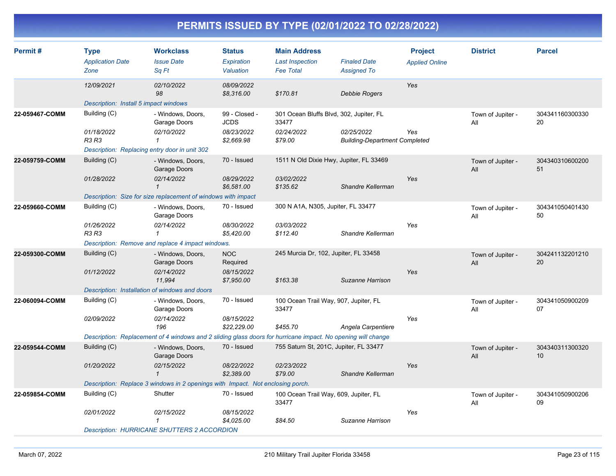| Permit#        | <b>Type</b><br><b>Application Date</b><br>Zone | <b>Workclass</b><br><b>Issue Date</b><br>Sq Ft                                                               | <b>Status</b><br>Expiration<br>Valuation | <b>Main Address</b><br><b>Last Inspection</b><br><b>Fee Total</b> | <b>Finaled Date</b><br><b>Assigned To</b>          | <b>Project</b><br><b>Applied Online</b> | <b>District</b>          | <b>Parcel</b>         |
|----------------|------------------------------------------------|--------------------------------------------------------------------------------------------------------------|------------------------------------------|-------------------------------------------------------------------|----------------------------------------------------|-----------------------------------------|--------------------------|-----------------------|
|                | 12/09/2021                                     | 02/10/2022<br>98                                                                                             | 08/09/2022<br>\$8,316.00                 | \$170.81                                                          | <b>Debbie Rogers</b>                               | Yes                                     |                          |                       |
|                | Description: Install 5 impact windows          |                                                                                                              |                                          |                                                                   |                                                    |                                         |                          |                       |
| 22-059467-COMM | Building (C)                                   | - Windows, Doors,<br>Garage Doors                                                                            | 99 - Closed -<br><b>JCDS</b>             | 301 Ocean Bluffs Blvd, 302, Jupiter, FL<br>33477                  |                                                    |                                         | Town of Jupiter -<br>All | 304341160300330<br>20 |
|                | 01/18/2022<br>R3 R3                            | 02/10/2022<br>$\mathbf{1}$                                                                                   | 08/23/2022<br>\$2,669.98                 | 02/24/2022<br>\$79.00                                             | 02/25/2022<br><b>Building-Department Completed</b> | Yes                                     |                          |                       |
|                | Description: Replacing entry door in unit 302  |                                                                                                              |                                          |                                                                   |                                                    |                                         |                          |                       |
| 22-059759-COMM | Building (C)                                   | - Windows, Doors,<br>Garage Doors                                                                            | 70 - Issued                              | 1511 N Old Dixie Hwy, Jupiter, FL 33469                           |                                                    |                                         | Town of Jupiter -<br>All | 304340310600200<br>51 |
|                | 01/28/2022                                     | 02/14/2022<br>$\mathbf 1$                                                                                    | 08/29/2022<br>\$6,581.00                 | 03/02/2022<br>\$135.62                                            | Shandre Kellerman                                  | Yes                                     |                          |                       |
|                |                                                | Description: Size for size replacement of windows with impact                                                |                                          |                                                                   |                                                    |                                         |                          |                       |
| 22-059660-COMM | Building (C)                                   | - Windows, Doors,<br>Garage Doors                                                                            | 70 - Issued                              | 300 N A1A, N305, Jupiter, FL 33477                                |                                                    |                                         | Town of Jupiter -<br>All | 304341050401430<br>50 |
|                | 01/26/2022<br>R3 R3                            | 02/14/2022<br>$\mathbf{1}$                                                                                   | 08/30/2022<br>\$5,420.00                 | 03/03/2022<br>\$112.40                                            | Shandre Kellerman                                  | Yes                                     |                          |                       |
|                |                                                | Description: Remove and replace 4 impact windows.                                                            |                                          |                                                                   |                                                    |                                         |                          |                       |
| 22-059300-COMM | Building (C)                                   | - Windows, Doors,<br>Garage Doors                                                                            | <b>NOC</b><br>Required                   | 245 Murcia Dr, 102, Jupiter, FL 33458                             |                                                    |                                         | Town of Jupiter -<br>All | 304241132201210<br>20 |
|                | 01/12/2022                                     | 02/14/2022<br>11,994                                                                                         | 08/15/2022<br>\$7,950.00                 | \$163.38                                                          | Suzanne Harrison                                   | Yes                                     |                          |                       |
|                | Description: Installation of windows and doors |                                                                                                              |                                          |                                                                   |                                                    |                                         |                          |                       |
| 22-060094-COMM | Building (C)                                   | - Windows, Doors,<br>Garage Doors                                                                            | 70 - Issued                              | 100 Ocean Trail Way, 907, Jupiter, FL<br>33477                    |                                                    |                                         | Town of Jupiter -<br>All | 304341050900209<br>07 |
|                | 02/09/2022                                     | 02/14/2022<br>196                                                                                            | 08/15/2022<br>\$22,229.00                | \$455.70                                                          | Angela Carpentiere                                 | Yes                                     |                          |                       |
|                |                                                | Description: Replacement of 4 windows and 2 sliding glass doors for hurricane impact. No opening will change |                                          |                                                                   |                                                    |                                         |                          |                       |
| 22-059544-COMM | Building (C)                                   | - Windows, Doors,<br>Garage Doors                                                                            | 70 - Issued                              | 755 Saturn St, 201C, Jupiter, FL 33477                            |                                                    |                                         | Town of Jupiter -<br>All | 304340311300320<br>10 |
|                | 01/20/2022                                     | 02/15/2022<br>$\mathbf{1}$                                                                                   | 08/22/2022<br>\$2,389.00                 | 02/23/2022<br>\$79.00                                             | Shandre Kellerman                                  | Yes                                     |                          |                       |
|                |                                                | Description: Replace 3 windows in 2 openings with Impact. Not enclosing porch.                               |                                          |                                                                   |                                                    |                                         |                          |                       |
| 22-059854-COMM | Building (C)                                   | Shutter                                                                                                      | 70 - Issued                              | 100 Ocean Trail Way, 609, Jupiter, FL<br>33477                    |                                                    |                                         | Town of Jupiter -<br>All | 304341050900206<br>09 |
|                | 02/01/2022                                     | 02/15/2022<br>$\mathcal I$                                                                                   | 08/15/2022<br>\$4,025.00                 | \$84.50                                                           | Suzanne Harrison                                   | Yes                                     |                          |                       |
|                |                                                | <b>Description: HURRICANE SHUTTERS 2 ACCORDION</b>                                                           |                                          |                                                                   |                                                    |                                         |                          |                       |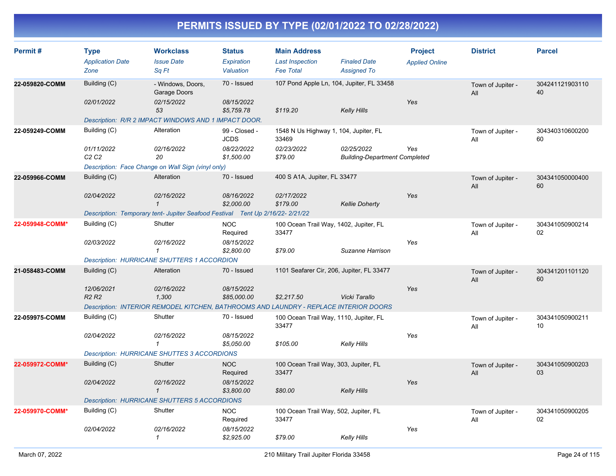| Permit#         | <b>Type</b><br><b>Application Date</b><br>Zone | <b>Workclass</b><br><b>Issue Date</b><br>Sq Ft                                        | <b>Status</b><br>Expiration<br>Valuation | <b>Main Address</b><br><b>Last Inspection</b><br><b>Fee Total</b> | <b>Finaled Date</b><br><b>Assigned To</b>          | <b>Project</b><br><b>Applied Online</b> | <b>District</b>          | <b>Parcel</b>         |
|-----------------|------------------------------------------------|---------------------------------------------------------------------------------------|------------------------------------------|-------------------------------------------------------------------|----------------------------------------------------|-----------------------------------------|--------------------------|-----------------------|
| 22-059820-COMM  | Building (C)                                   | - Windows, Doors,<br>Garage Doors                                                     | 70 - Issued                              | 107 Pond Apple Ln, 104, Jupiter, FL 33458                         |                                                    |                                         | Town of Jupiter -<br>All | 304241121903110<br>40 |
|                 | 02/01/2022                                     | 02/15/2022<br>53                                                                      | 08/15/2022<br>\$5,759.78                 | \$119.20                                                          | <b>Kelly Hills</b>                                 | Yes                                     |                          |                       |
|                 |                                                | Description: R/R 2 IMPACT WINDOWS AND 1 IMPACT DOOR.                                  |                                          |                                                                   |                                                    |                                         |                          |                       |
| 22-059249-COMM  | Building (C)                                   | Alteration                                                                            | 99 - Closed -<br><b>JCDS</b>             | 1548 N Us Highway 1, 104, Jupiter, FL<br>33469                    |                                                    |                                         | Town of Jupiter -<br>All | 304340310600200<br>60 |
|                 | 01/11/2022<br>C <sub>2</sub> C <sub>2</sub>    | 02/16/2022<br>20                                                                      | 08/22/2022<br>\$1,500.00                 | 02/23/2022<br>\$79.00                                             | 02/25/2022<br><b>Building-Department Completed</b> | Yes                                     |                          |                       |
|                 |                                                | Description: Face Change on Wall Sign (vinyl only)                                    |                                          |                                                                   |                                                    |                                         |                          |                       |
| 22-059966-COMM  | Building (C)                                   | Alteration                                                                            | 70 - Issued                              | 400 S A1A, Jupiter, FL 33477                                      |                                                    |                                         | Town of Jupiter -<br>All | 304341050000400<br>60 |
|                 | 02/04/2022                                     | 02/16/2022<br>$\mathcal I$                                                            | 08/16/2022<br>\$2,000.00                 | 02/17/2022<br>\$179.00                                            | <b>Kellie Doherty</b>                              | Yes                                     |                          |                       |
|                 |                                                | Description: Temporary tent- Jupiter Seafood Festival Tent Up 2/16/22- 2/21/22        |                                          |                                                                   |                                                    |                                         |                          |                       |
| 22-059948-COMM* | Building (C)                                   | Shutter                                                                               | <b>NOC</b><br>Required                   | 100 Ocean Trail Way, 1402, Jupiter, FL<br>33477                   |                                                    |                                         | Town of Jupiter -<br>All | 304341050900214<br>02 |
|                 | 02/03/2022                                     | 02/16/2022<br>$\mathbf{1}$                                                            | 08/15/2022<br>\$2,800.00                 | \$79.00                                                           | Suzanne Harrison                                   | Yes                                     |                          |                       |
|                 |                                                | <b>Description: HURRICANE SHUTTERS 1 ACCORDION</b>                                    |                                          |                                                                   |                                                    |                                         |                          |                       |
| 21-058483-COMM  | Building (C)                                   | Alteration                                                                            | 70 - Issued                              | 1101 Seafarer Cir, 206, Jupiter, FL 33477                         |                                                    |                                         | Town of Jupiter -<br>All | 304341201101120<br>60 |
|                 | 12/06/2021<br><b>R2 R2</b>                     | 02/16/2022<br>1,300                                                                   | 08/15/2022<br>\$85,000.00                | \$2,217.50                                                        | Vicki Tarallo                                      | Yes                                     |                          |                       |
|                 |                                                | Description: INTERIOR REMODEL KITCHEN, BATHROOMS AND LAUNDRY - REPLACE INTERIOR DOORS |                                          |                                                                   |                                                    |                                         |                          |                       |
| 22-059975-COMM  | Building (C)                                   | Shutter                                                                               | 70 - Issued                              | 100 Ocean Trail Way, 1110, Jupiter, FL<br>33477                   |                                                    |                                         | Town of Jupiter -<br>Αll | 304341050900211<br>10 |
|                 | 02/04/2022                                     | 02/16/2022<br>1                                                                       | 08/15/2022<br>\$5,050.00                 | \$105.00                                                          | Kelly Hills                                        | Yes                                     |                          |                       |
|                 |                                                | <b>Description: HURRICANE SHUTTES 3 ACCORDIONS</b>                                    |                                          |                                                                   |                                                    |                                         |                          |                       |
| 22-059972-COMM* | Building (C)                                   | Shutter                                                                               | <b>NOC</b><br>Required                   | 100 Ocean Trail Way, 303, Jupiter, FL<br>33477                    |                                                    |                                         | Town of Jupiter -<br>All | 304341050900203<br>03 |
|                 | 02/04/2022                                     | 02/16/2022<br>$\mathbf{1}$                                                            | 08/15/2022<br>\$3,800.00                 | \$80.00                                                           | <b>Kelly Hills</b>                                 | Yes                                     |                          |                       |
|                 |                                                | <b>Description: HURRICANE SHUTTERS 5 ACCORDIONS</b>                                   |                                          |                                                                   |                                                    |                                         |                          |                       |
| 22-059970-COMM* | Building (C)                                   | Shutter                                                                               | <b>NOC</b><br>Required                   | 100 Ocean Trail Way, 502, Jupiter, FL<br>33477                    |                                                    |                                         | Town of Jupiter -<br>All | 304341050900205<br>02 |
|                 | 02/04/2022                                     | 02/16/2022<br>$\mathcal I$                                                            | 08/15/2022<br>\$2,925.00                 | \$79.00                                                           | <b>Kelly Hills</b>                                 | Yes                                     |                          |                       |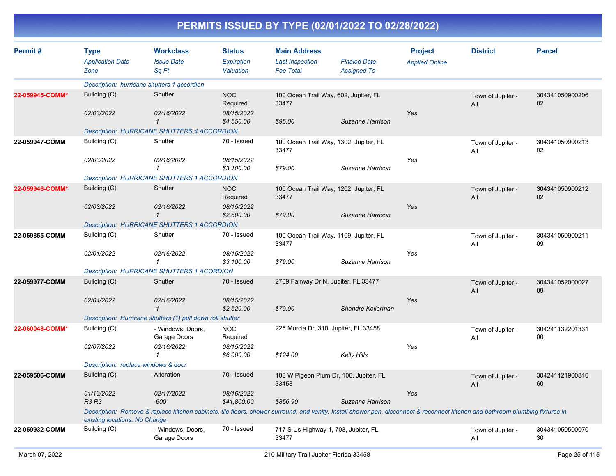| Permit#         | <b>Type</b>                         | <b>Workclass</b>                                                                                                                                                               | <b>Status</b>             | <b>Main Address</b>                             |                     | <b>Project</b>        | <b>District</b>          | <b>Parcel</b>         |
|-----------------|-------------------------------------|--------------------------------------------------------------------------------------------------------------------------------------------------------------------------------|---------------------------|-------------------------------------------------|---------------------|-----------------------|--------------------------|-----------------------|
|                 | <b>Application Date</b>             | <b>Issue Date</b>                                                                                                                                                              | Expiration                | <b>Last Inspection</b>                          | <b>Finaled Date</b> | <b>Applied Online</b> |                          |                       |
|                 | Zone                                | Sa Ft                                                                                                                                                                          | Valuation                 | <b>Fee Total</b>                                | <b>Assigned To</b>  |                       |                          |                       |
|                 |                                     | Description: hurricane shutters 1 accordion                                                                                                                                    |                           |                                                 |                     |                       |                          |                       |
| 22-059945-COMM* | Building (C)                        | Shutter                                                                                                                                                                        | <b>NOC</b><br>Required    | 100 Ocean Trail Way, 602, Jupiter, FL<br>33477  |                     |                       | Town of Jupiter -<br>All | 304341050900206<br>02 |
|                 | 02/03/2022                          | 02/16/2022<br>$\mathbf{1}$                                                                                                                                                     | 08/15/2022<br>\$4,550.00  | \$95.00                                         | Suzanne Harrison    | Yes                   |                          |                       |
|                 |                                     | <b>Description: HURRICANE SHUTTERS 4 ACCORDION</b>                                                                                                                             |                           |                                                 |                     |                       |                          |                       |
| 22-059947-COMM  | Building (C)                        | Shutter                                                                                                                                                                        | 70 - Issued               | 100 Ocean Trail Way, 1302, Jupiter, FL<br>33477 |                     |                       | Town of Jupiter -<br>All | 304341050900213<br>02 |
|                 | 02/03/2022                          | 02/16/2022<br>$\mathbf{1}$                                                                                                                                                     | 08/15/2022<br>\$3,100.00  | \$79.00                                         | Suzanne Harrison    | Yes                   |                          |                       |
|                 |                                     | <b>Description: HURRICANE SHUTTERS 1 ACCORDION</b>                                                                                                                             |                           |                                                 |                     |                       |                          |                       |
| 22-059946-COMM* | Building (C)                        | Shutter                                                                                                                                                                        | <b>NOC</b><br>Required    | 100 Ocean Trail Way, 1202, Jupiter, FL<br>33477 |                     |                       | Town of Jupiter -<br>All | 304341050900212<br>02 |
|                 | 02/03/2022                          | 02/16/2022<br>$\mathcal{I}$                                                                                                                                                    | 08/15/2022<br>\$2,800.00  | \$79.00                                         | Suzanne Harrison    | Yes                   |                          |                       |
|                 |                                     | <b>Description: HURRICANE SHUTTERS 1 ACCORDION</b>                                                                                                                             |                           |                                                 |                     |                       |                          |                       |
| 22-059855-COMM  | Building (C)                        | Shutter                                                                                                                                                                        | 70 - Issued               | 100 Ocean Trail Way, 1109, Jupiter, FL<br>33477 |                     |                       | Town of Jupiter -<br>All | 304341050900211<br>09 |
|                 | 02/01/2022                          | 02/16/2022<br>$\mathbf{1}$                                                                                                                                                     | 08/15/2022<br>\$3,100.00  | \$79.00                                         | Suzanne Harrison    | Yes                   |                          |                       |
|                 |                                     | <b>Description: HURRICANE SHUTTERS 1 ACORDION</b>                                                                                                                              |                           |                                                 |                     |                       |                          |                       |
| 22-059977-COMM  | Building (C)                        | Shutter                                                                                                                                                                        | 70 - Issued               | 2709 Fairway Dr N, Jupiter, FL 33477            |                     |                       | Town of Jupiter -<br>All | 304341052000027<br>09 |
|                 | 02/04/2022                          | 02/16/2022<br>$\overline{1}$                                                                                                                                                   | 08/15/2022<br>\$2,520.00  | \$79.00                                         | Shandre Kellerman   | Yes                   |                          |                       |
|                 |                                     | Description: Hurricane shutters (1) pull down roll shutter                                                                                                                     |                           |                                                 |                     |                       |                          |                       |
| 22-060048-COMM* | Building (C)                        | - Windows, Doors,<br>Garage Doors                                                                                                                                              | <b>NOC</b><br>Required    | 225 Murcia Dr, 310, Jupiter, FL 33458           |                     |                       | Town of Jupiter -<br>All | 304241132201331<br>00 |
|                 | 02/07/2022                          | 02/16/2022<br>$\mathbf{1}$                                                                                                                                                     | 08/15/2022<br>\$6,000.00  | \$124.00                                        | <b>Kelly Hills</b>  | Yes                   |                          |                       |
|                 | Description: replace windows & door |                                                                                                                                                                                |                           |                                                 |                     |                       |                          |                       |
| 22-059506-COMM  | Building (C)                        | Alteration                                                                                                                                                                     | 70 - Issued               | 108 W Pigeon Plum Dr, 106, Jupiter, FL<br>33458 |                     |                       | Town of Jupiter -<br>All | 304241121900810<br>60 |
|                 | 01/19/2022<br><b>R3 R3</b>          | 02/17/2022<br>600                                                                                                                                                              | 08/16/2022<br>\$41,800.00 | \$856.90                                        | Suzanne Harrison    | Yes                   |                          |                       |
|                 | existing locations. No Change       | Description: Remove & replace kitchen cabinets, tile floors, shower surround, and vanity. Install shower pan, disconnect & reconnect kitchen and bathroom plumbing fixtures in |                           |                                                 |                     |                       |                          |                       |
| 22-059932-COMM  | Building (C)                        | - Windows, Doors,<br>Garage Doors                                                                                                                                              | 70 - Issued               | 717 S Us Highway 1, 703, Jupiter, FL<br>33477   |                     |                       | Town of Jupiter -<br>All | 304341050500070<br>30 |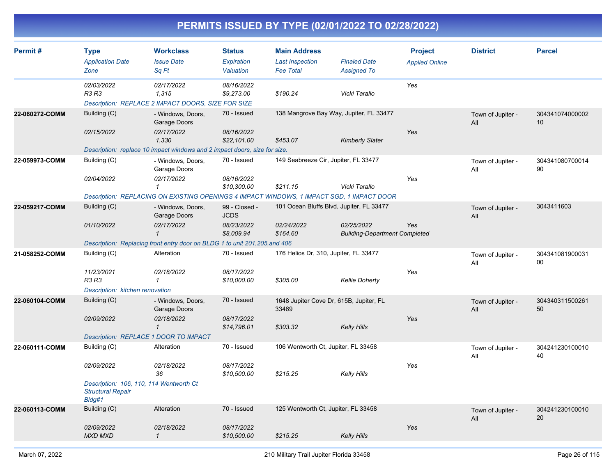| Permit#        | <b>Type</b><br><b>Application Date</b><br>Zone                                | <b>Workclass</b><br><b>Issue Date</b><br>Sq Ft                                            | <b>Status</b><br>Expiration<br>Valuation | <b>Main Address</b><br><b>Last Inspection</b><br><b>Fee Total</b> | <b>Finaled Date</b><br><b>Assigned To</b>          | <b>Project</b><br><b>Applied Online</b> | <b>District</b>          | <b>Parcel</b>         |
|----------------|-------------------------------------------------------------------------------|-------------------------------------------------------------------------------------------|------------------------------------------|-------------------------------------------------------------------|----------------------------------------------------|-----------------------------------------|--------------------------|-----------------------|
|                | 02/03/2022<br><b>R3 R3</b>                                                    | 02/17/2022<br>1,315<br>Description: REPLACE 2 IMPACT DOORS, SIZE FOR SIZE                 | 08/16/2022<br>\$9,273.00                 | \$190.24                                                          | Vicki Tarallo                                      | Yes                                     |                          |                       |
| 22-060272-COMM | Building (C)<br>02/15/2022                                                    | - Windows, Doors,<br>Garage Doors<br>02/17/2022                                           | 70 - Issued<br>08/16/2022                | 138 Mangrove Bay Way, Jupiter, FL 33477                           |                                                    | Yes                                     | Town of Jupiter -<br>All | 304341074000002<br>10 |
|                |                                                                               | 1,330                                                                                     | \$22,101.00                              | \$453.07                                                          | <b>Kimberly Slater</b>                             |                                         |                          |                       |
|                |                                                                               | Description: replace 10 impact windows and 2 impact doors, size for size.                 |                                          |                                                                   |                                                    |                                         |                          |                       |
| 22-059973-COMM | Building (C)                                                                  | - Windows, Doors,<br>Garage Doors                                                         | 70 - Issued                              | 149 Seabreeze Cir, Jupiter, FL 33477                              |                                                    |                                         | Town of Jupiter -<br>All | 304341080700014<br>90 |
|                | 02/04/2022                                                                    | 02/17/2022<br>$\mathcal I$                                                                | 08/16/2022<br>\$10,300.00                | \$211.15                                                          | Vicki Tarallo                                      | Yes                                     |                          |                       |
|                |                                                                               | Description: REPLACING ON EXISTING OPENINGS 4 IMPACT WINDOWS, 1 IMPACT SGD, 1 IMPACT DOOR |                                          |                                                                   |                                                    |                                         |                          |                       |
| 22-059217-COMM | Building (C)                                                                  | - Windows, Doors,<br>Garage Doors                                                         | 99 - Closed -<br><b>JCDS</b>             | 101 Ocean Bluffs Blvd, Jupiter, FL 33477                          |                                                    |                                         | Town of Jupiter -<br>All | 3043411603            |
|                | 01/10/2022                                                                    | 02/17/2022<br>$\mathbf{1}$                                                                | 08/23/2022<br>\$8,009.94                 | 02/24/2022<br>\$164.60                                            | 02/25/2022<br><b>Building-Department Completed</b> | Yes                                     |                          |                       |
|                |                                                                               | Description: Replacing front entry door on BLDG 1 to unit 201, 205, and 406               |                                          |                                                                   |                                                    |                                         |                          |                       |
| 21-058252-COMM | Building (C)                                                                  | Alteration                                                                                | 70 - Issued                              | 176 Helios Dr, 310, Jupiter, FL 33477                             |                                                    |                                         | Town of Jupiter -<br>All | 304341081900031<br>00 |
|                | 11/23/2021<br>R3 R3                                                           | 02/18/2022<br>$\mathbf{1}$                                                                | 08/17/2022<br>\$10,000.00                | \$305.00                                                          | <b>Kellie Doherty</b>                              | Yes                                     |                          |                       |
|                | Description: kitchen renovation                                               |                                                                                           |                                          |                                                                   |                                                    |                                         |                          |                       |
| 22-060104-COMM | Building (C)                                                                  | - Windows, Doors,<br>Garage Doors                                                         | 70 - Issued                              | 1648 Jupiter Cove Dr, 615B, Jupiter, FL<br>33469                  |                                                    |                                         | Town of Jupiter -<br>All | 304340311500261<br>50 |
|                | 02/09/2022                                                                    | 02/18/2022<br>$\mathcal{I}$                                                               | 08/17/2022<br>\$14,796.01                | \$303.32                                                          | <b>Kelly Hills</b>                                 | Yes                                     |                          |                       |
|                | Description: REPLACE 1 DOOR TO IMPACT                                         |                                                                                           |                                          |                                                                   |                                                    |                                         |                          |                       |
| 22-060111-COMM | Building (C)                                                                  | Alteration                                                                                | 70 - Issued                              | 106 Wentworth Ct, Jupiter, FL 33458                               |                                                    |                                         | Town of Jupiter -<br>All | 304241230100010<br>40 |
|                | 02/09/2022                                                                    | 02/18/2022<br>36                                                                          | 08/17/2022<br>\$10,500.00                | \$215.25                                                          | <b>Kelly Hills</b>                                 | Yes                                     |                          |                       |
|                | Description: 106, 110, 114 Wentworth Ct<br><b>Structural Repair</b><br>Bldg#1 |                                                                                           |                                          |                                                                   |                                                    |                                         |                          |                       |
| 22-060113-COMM | Building (C)                                                                  | Alteration                                                                                | 70 - Issued                              | 125 Wentworth Ct, Jupiter, FL 33458                               |                                                    |                                         | Town of Jupiter -<br>All | 304241230100010<br>20 |
|                | 02/09/2022<br><b>MXD MXD</b>                                                  | 02/18/2022<br>$\mathbf{1}$                                                                | 08/17/2022<br>\$10,500.00                | \$215.25                                                          | <b>Kelly Hills</b>                                 | Yes                                     |                          |                       |
|                |                                                                               |                                                                                           |                                          |                                                                   |                                                    |                                         |                          |                       |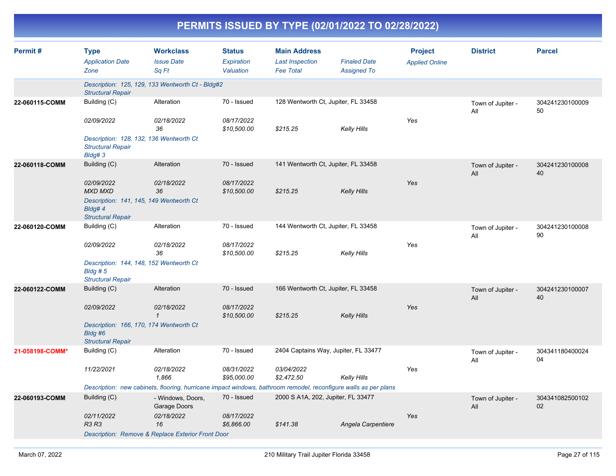| Permit#         | <b>Type</b><br><b>Application Date</b><br>Zone                                    | <b>Workclass</b><br><b>Issue Date</b><br>Sq Ft                                                                  | <b>Status</b><br><b>Expiration</b><br>Valuation | <b>Main Address</b><br><b>Last Inspection</b><br><b>Fee Total</b> | <b>Finaled Date</b><br><b>Assigned To</b> | <b>Project</b><br><b>Applied Online</b> | <b>District</b>          | <b>Parcel</b>         |
|-----------------|-----------------------------------------------------------------------------------|-----------------------------------------------------------------------------------------------------------------|-------------------------------------------------|-------------------------------------------------------------------|-------------------------------------------|-----------------------------------------|--------------------------|-----------------------|
|                 | <b>Structural Repair</b>                                                          | Description: 125, 129, 133 Wentworth Ct - Bldg#2                                                                |                                                 |                                                                   |                                           |                                         |                          |                       |
| 22-060115-COMM  | Building (C)                                                                      | Alteration                                                                                                      | 70 - Issued                                     | 128 Wentworth Ct, Jupiter, FL 33458                               |                                           |                                         | Town of Jupiter -<br>All | 304241230100009<br>50 |
|                 | 02/09/2022                                                                        | 02/18/2022<br>36                                                                                                | 08/17/2022<br>\$10,500.00                       | \$215.25                                                          | Kelly Hills                               | Yes                                     |                          |                       |
|                 | Description: 128, 132, 136 Wentworth Ct<br><b>Structural Repair</b><br>Bldg#3     |                                                                                                                 |                                                 |                                                                   |                                           |                                         |                          |                       |
| 22-060118-COMM  | Building (C)                                                                      | Alteration                                                                                                      | 70 - Issued                                     | 141 Wentworth Ct, Jupiter, FL 33458                               |                                           |                                         | Town of Jupiter -<br>All | 304241230100008<br>40 |
|                 | 02/09/2022<br><b>MXD MXD</b>                                                      | 02/18/2022<br>36                                                                                                | 08/17/2022<br>\$10,500.00                       | \$215.25                                                          | Kelly Hills                               | Yes                                     |                          |                       |
|                 | Description: 141, 145, 149 Wentworth Ct<br>Bldg#4<br><b>Structural Repair</b>     |                                                                                                                 |                                                 |                                                                   |                                           |                                         |                          |                       |
| 22-060120-COMM  | Building (C)                                                                      | Alteration                                                                                                      | 70 - Issued                                     | 144 Wentworth Ct, Jupiter, FL 33458                               |                                           |                                         | Town of Jupiter -<br>All | 304241230100008<br>90 |
|                 | 02/09/2022                                                                        | 02/18/2022<br>36                                                                                                | 08/17/2022<br>\$10,500.00                       | \$215.25                                                          | Kelly Hills                               | Yes                                     |                          |                       |
|                 | Description: 144, 148, 152 Wentworth Ct<br>$B$ ldg #5<br><b>Structural Repair</b> |                                                                                                                 |                                                 |                                                                   |                                           |                                         |                          |                       |
| 22-060122-COMM  | Building (C)                                                                      | Alteration                                                                                                      | 70 - Issued                                     | 166 Wentworth Ct, Jupiter, FL 33458                               |                                           |                                         | Town of Jupiter -<br>All | 304241230100007<br>40 |
|                 | 02/09/2022                                                                        | 02/18/2022<br>$\mathbf{1}$                                                                                      | 08/17/2022<br>\$10,500.00                       | \$215.25                                                          | <b>Kelly Hills</b>                        | Yes                                     |                          |                       |
|                 | Description: 166, 170, 174 Wentworth Ct<br>Bldg #6<br><b>Structural Repair</b>    |                                                                                                                 |                                                 |                                                                   |                                           |                                         |                          |                       |
| 21-058198-COMM* | Building (C)                                                                      | Alteration                                                                                                      | 70 - Issued                                     | 2404 Captains Way, Jupiter, FL 33477                              |                                           |                                         | Town of Jupiter -<br>All | 304341180400024<br>04 |
|                 | 11/22/2021                                                                        | 02/18/2022<br>1,866                                                                                             | 08/31/2022<br>\$95,000.00                       | 03/04/2022<br>\$2,472.50                                          | Kelly Hills                               | Yes                                     |                          |                       |
|                 |                                                                                   | Description: new cabinets, flooring, hurricane impact windows, bathroom remodel, reconfigure walls as per plans |                                                 |                                                                   |                                           |                                         |                          |                       |
| 22-060193-COMM  | Building (C)                                                                      | - Windows, Doors,<br>Garage Doors                                                                               | 70 - Issued                                     | 2000 S A1A, 202, Jupiter, FL 33477                                |                                           |                                         | Town of Jupiter -<br>All | 304341082500102<br>02 |
|                 | 02/11/2022<br><b>R3 R3</b>                                                        | 02/18/2022<br>16                                                                                                | 08/17/2022<br>\$6,866.00                        | \$141.38                                                          | Angela Carpentiere                        | Yes                                     |                          |                       |
|                 |                                                                                   | Description: Remove & Replace Exterior Front Door                                                               |                                                 |                                                                   |                                           |                                         |                          |                       |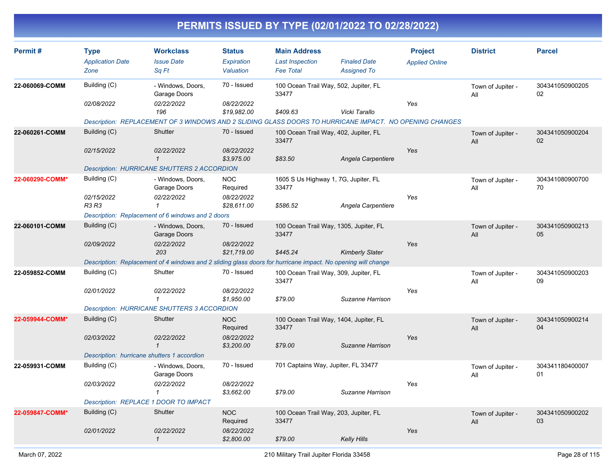| Permit#         | <b>Type</b><br><b>Application Date</b>      | <b>Workclass</b><br><b>Issue Date</b>                                                                        | <b>Status</b><br><b>Expiration</b> | <b>Main Address</b><br><b>Last Inspection</b>   | <b>Finaled Date</b>    | <b>Project</b><br><b>Applied Online</b> | <b>District</b>          | <b>Parcel</b>         |
|-----------------|---------------------------------------------|--------------------------------------------------------------------------------------------------------------|------------------------------------|-------------------------------------------------|------------------------|-----------------------------------------|--------------------------|-----------------------|
|                 | Zone                                        | Sa Ft                                                                                                        | Valuation                          | <b>Fee Total</b>                                | <b>Assigned To</b>     |                                         |                          |                       |
| 22-060069-COMM  | Building (C)                                | - Windows, Doors,<br>Garage Doors                                                                            | 70 - Issued                        | 100 Ocean Trail Way, 502, Jupiter, FL<br>33477  |                        |                                         | Town of Jupiter -<br>All | 304341050900205<br>02 |
|                 | 02/08/2022                                  | 02/22/2022<br>196                                                                                            | 08/22/2022<br>\$19,982.00          | \$409.63                                        | Vicki Tarallo          | Yes                                     |                          |                       |
|                 |                                             | Description: REPLACEMENT OF 3 WINDOWS AND 2 SLIDING GLASS DOORS TO HURRICANE IMPACT. NO OPENING CHANGES      |                                    |                                                 |                        |                                         |                          |                       |
| 22-060261-COMM  | Building (C)                                | Shutter                                                                                                      | 70 - Issued                        | 100 Ocean Trail Way, 402, Jupiter, FL<br>33477  |                        |                                         | Town of Jupiter -<br>All | 304341050900204<br>02 |
|                 | 02/15/2022                                  | 02/22/2022<br>$\mathbf{1}$                                                                                   | 08/22/2022<br>\$3,975.00           | \$83.50                                         | Angela Carpentiere     | Yes                                     |                          |                       |
|                 |                                             | <b>Description: HURRICANE SHUTTERS 2 ACCORDION</b>                                                           |                                    |                                                 |                        |                                         |                          |                       |
| 22-060290-COMM* | Building (C)                                | - Windows, Doors,<br>Garage Doors                                                                            | <b>NOC</b><br>Required             | 1605 S Us Highway 1, 7G, Jupiter, FL<br>33477   |                        |                                         | Town of Jupiter -<br>All | 304341080900700<br>70 |
|                 | 02/15/2022<br><b>R3 R3</b>                  | 02/22/2022<br>$\mathbf{1}$                                                                                   | 08/22/2022<br>\$28,611.00          | \$586.52                                        | Angela Carpentiere     | Yes                                     |                          |                       |
|                 |                                             | Description: Replacement of 6 windows and 2 doors                                                            |                                    |                                                 |                        |                                         |                          |                       |
| 22-060101-COMM  | Building (C)                                | - Windows, Doors,<br>Garage Doors                                                                            | 70 - Issued                        | 100 Ocean Trail Way, 1305, Jupiter, FL<br>33477 |                        |                                         | Town of Jupiter -<br>All | 304341050900213<br>05 |
|                 | 02/09/2022                                  | 02/22/2022<br>203                                                                                            | 08/22/2022<br>\$21,719.00          | \$445.24                                        | <b>Kimberly Slater</b> | Yes                                     |                          |                       |
|                 |                                             | Description: Replacement of 4 windows and 2 sliding glass doors for hurricane impact. No opening will change |                                    |                                                 |                        |                                         |                          |                       |
| 22-059852-COMM  | Building (C)                                | Shutter                                                                                                      | 70 - Issued                        | 100 Ocean Trail Way, 309, Jupiter, FL<br>33477  |                        |                                         | Town of Jupiter -<br>All | 304341050900203<br>09 |
|                 | 02/01/2022                                  | 02/22/2022<br>$\mathbf{1}$                                                                                   | 08/22/2022<br>\$1,950.00           | \$79.00                                         | Suzanne Harrison       | Yes                                     |                          |                       |
|                 |                                             | <b>Description: HURRICANE SHUTTERS 3 ACCORDION</b>                                                           |                                    |                                                 |                        |                                         |                          |                       |
| 22-059944-COMM* | Building (C)                                | Shutter                                                                                                      | <b>NOC</b><br>Required             | 100 Ocean Trail Way, 1404, Jupiter, FL<br>33477 |                        |                                         | Town of Jupiter -<br>All | 304341050900214<br>04 |
|                 | 02/03/2022                                  | 02/22/2022<br>$\mathbf{1}$                                                                                   | 08/22/2022<br>\$3,200.00           | \$79.00                                         | Suzanne Harrison       | Yes                                     |                          |                       |
|                 | Description: hurricane shutters 1 accordion |                                                                                                              |                                    |                                                 |                        |                                         |                          |                       |
| 22-059931-COMM  | Building (C)                                | - Windows, Doors,<br>Garage Doors                                                                            | 70 - Issued                        | 701 Captains Way, Jupiter, FL 33477             |                        |                                         | Town of Jupiter -<br>All | 304341180400007<br>01 |
|                 | 02/03/2022                                  | 02/22/2022<br>$\mathcal I$                                                                                   | 08/22/2022<br>\$3,662.00           | \$79.00                                         | Suzanne Harrison       | Yes                                     |                          |                       |
|                 |                                             | Description: REPLACE 1 DOOR TO IMPACT                                                                        |                                    |                                                 |                        |                                         |                          |                       |
| 22-059847-COMM* | Building (C)                                | Shutter                                                                                                      | <b>NOC</b><br>Required             | 100 Ocean Trail Way, 203, Jupiter, FL<br>33477  |                        |                                         | Town of Jupiter -<br>All | 304341050900202<br>03 |
|                 | 02/01/2022                                  | 02/22/2022<br>$\mathcal I$                                                                                   | 08/22/2022<br>\$2,800.00           | \$79.00                                         | <b>Kelly Hills</b>     | Yes                                     |                          |                       |
|                 |                                             |                                                                                                              |                                    |                                                 |                        |                                         |                          |                       |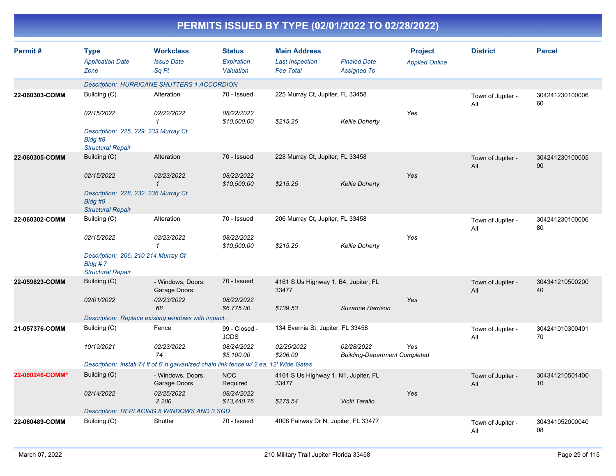| Permit#         | <b>Type</b><br><b>Application Date</b><br>Zone                                | <b>Workclass</b><br><b>Issue Date</b><br>Sq Ft                                         | <b>Status</b><br><b>Expiration</b><br>Valuation | <b>Main Address</b><br><b>Last Inspection</b><br><b>Fee Total</b> | <b>Finaled Date</b><br><b>Assigned To</b>          | <b>Project</b><br><b>Applied Online</b> | <b>District</b>          | <b>Parcel</b>         |
|-----------------|-------------------------------------------------------------------------------|----------------------------------------------------------------------------------------|-------------------------------------------------|-------------------------------------------------------------------|----------------------------------------------------|-----------------------------------------|--------------------------|-----------------------|
|                 |                                                                               | <b>Description: HURRICANE SHUTTERS 1 ACCORDION</b>                                     |                                                 |                                                                   |                                                    |                                         |                          |                       |
| 22-060303-COMM  | Building (C)                                                                  | Alteration                                                                             | 70 - Issued                                     | 225 Murray Ct, Jupiter, FL 33458                                  |                                                    |                                         | Town of Jupiter -<br>All | 304241230100006<br>60 |
|                 | 02/15/2022                                                                    | 02/22/2022<br>$\mathbf{1}$                                                             | 08/22/2022<br>\$10,500.00                       | \$215.25                                                          | <b>Kellie Doherty</b>                              | Yes                                     |                          |                       |
|                 | Description: 225, 229, 233 Murray Ct<br>Bldg #8<br><b>Structural Repair</b>   |                                                                                        |                                                 |                                                                   |                                                    |                                         |                          |                       |
| 22-060305-COMM  | Building (C)                                                                  | Alteration                                                                             | 70 - Issued                                     | 228 Murray Ct, Jupiter, FL 33458                                  |                                                    |                                         | Town of Jupiter -<br>All | 304241230100005<br>90 |
|                 | 02/15/2022                                                                    | 02/23/2022<br>$\mathbf{1}$                                                             | 08/22/2022<br>\$10,500.00                       | \$215.25                                                          | <b>Kellie Doherty</b>                              | Yes                                     |                          |                       |
|                 | Description: 228, 232, 236 Murray Ct<br>Bldg #9<br><b>Structural Repair</b>   |                                                                                        |                                                 |                                                                   |                                                    |                                         |                          |                       |
| 22-060302-COMM  | Building (C)                                                                  | Alteration                                                                             | 70 - Issued                                     | 206 Murray Ct, Jupiter, FL 33458                                  |                                                    |                                         | Town of Jupiter -<br>All | 304241230100006<br>80 |
|                 | 02/15/2022                                                                    | 02/23/2022<br>$\mathbf{\overline{1}}$                                                  | 08/22/2022<br>\$10,500.00                       | \$215.25                                                          | <b>Kellie Doherty</b>                              | Yes                                     |                          |                       |
|                 | Description: 206, 210 214 Murray Ct<br>$B$ ldg #7<br><b>Structural Repair</b> |                                                                                        |                                                 |                                                                   |                                                    |                                         |                          |                       |
| 22-059823-COMM  | Building (C)                                                                  | - Windows, Doors,<br>Garage Doors                                                      | 70 - Issued                                     | 4161 S Us Highway 1, B4, Jupiter, FL<br>33477                     |                                                    |                                         | Town of Jupiter -<br>All | 304341210500200<br>40 |
|                 | 02/01/2022                                                                    | 02/23/2022<br>68                                                                       | 08/22/2022<br>\$6,775.00                        | \$139.53                                                          | Suzanne Harrison                                   | Yes                                     |                          |                       |
|                 |                                                                               | Description: Replace existing windows with impact.                                     |                                                 |                                                                   |                                                    |                                         |                          |                       |
| 21-057376-COMM  | Building (C)                                                                  | Fence                                                                                  | 99 - Closed -<br><b>JCDS</b>                    | 134 Evernia St, Jupiter, FL 33458                                 |                                                    |                                         | Town of Jupiter -<br>All | 304241010300401<br>70 |
|                 | 10/19/2021                                                                    | 02/23/2022<br>74                                                                       | 08/24/2022<br>\$5,100.00                        | 02/25/2022<br>\$206.00                                            | 02/28/2022<br><b>Building-Department Completed</b> | Yes                                     |                          |                       |
|                 |                                                                               | Description: install 74 If of 6' h galvanized chain link fence w/ 2 ea. 12' Wide Gates |                                                 |                                                                   |                                                    |                                         |                          |                       |
| 22-060246-COMM* | Building (C)                                                                  | - Windows, Doors,<br>Garage Doors                                                      | <b>NOC</b><br>Required                          | 4161 S Us Highway 1, N1, Jupiter, FL<br>33477                     |                                                    |                                         | Town of Jupiter -<br>All | 304341210501400<br>10 |
|                 | 02/14/2022                                                                    | 02/25/2022<br>2,200                                                                    | 08/24/2022<br>\$13,440.76                       | \$275.54                                                          | Vicki Tarallo                                      | Yes                                     |                          |                       |
|                 |                                                                               | Description: REPLACING 8 WINDOWS AND 3 SGD                                             |                                                 |                                                                   |                                                    |                                         |                          |                       |
| 22-060489-COMM  | Building (C)                                                                  | Shutter                                                                                | 70 - Issued                                     | 4008 Fairway Dr N, Jupiter, FL 33477                              |                                                    |                                         | Town of Jupiter -<br>All | 304341052000040<br>08 |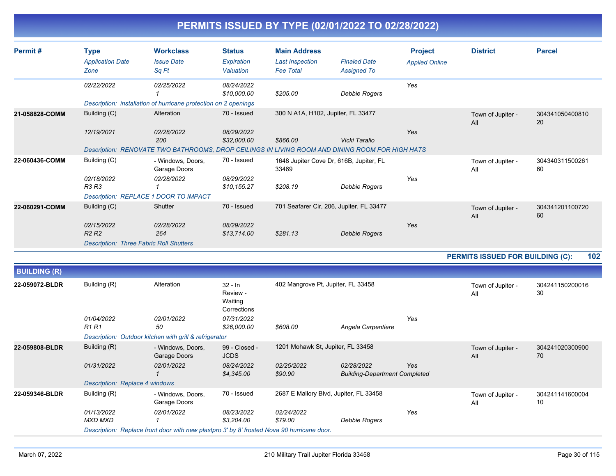| Permit#             | <b>Type</b><br><b>Application Date</b><br>Zone | <b>Workclass</b><br><b>Issue Date</b><br>Sq Ft                                                  | <b>Status</b><br>Expiration<br>Valuation        | <b>Main Address</b><br><b>Last Inspection</b><br><b>Fee Total</b> | <b>Finaled Date</b><br><b>Assigned To</b> | <b>Project</b><br><b>Applied Online</b> | <b>District</b>                         | <b>Parcel</b>         |
|---------------------|------------------------------------------------|-------------------------------------------------------------------------------------------------|-------------------------------------------------|-------------------------------------------------------------------|-------------------------------------------|-----------------------------------------|-----------------------------------------|-----------------------|
|                     | 02/22/2022                                     | 02/25/2022                                                                                      | 08/24/2022<br>\$10,000.00                       | \$205.00                                                          | <b>Debbie Rogers</b>                      | Yes                                     |                                         |                       |
|                     |                                                | Description: installation of hurricane protection on 2 openings                                 |                                                 |                                                                   |                                           |                                         |                                         |                       |
| 21-058828-COMM      | Building (C)                                   | Alteration                                                                                      | 70 - Issued                                     | 300 N A1A, H102, Jupiter, FL 33477                                |                                           |                                         | Town of Jupiter -<br>All                | 304341050400810<br>20 |
|                     | 12/19/2021                                     | 02/28/2022<br>200                                                                               | 08/29/2022<br>\$32,000.00                       | \$866.00                                                          | Vicki Tarallo                             | Yes                                     |                                         |                       |
|                     |                                                | Description: RENOVATE TWO BATHROOMS, DROP CEILINGS IN LIVING ROOM AND DINING ROOM FOR HIGH HATS |                                                 |                                                                   |                                           |                                         |                                         |                       |
| 22-060436-COMM      | Building (C)                                   | - Windows, Doors,<br>Garage Doors                                                               | 70 - Issued                                     | 33469                                                             | 1648 Jupiter Cove Dr, 616B, Jupiter, FL   |                                         | Town of Jupiter -<br>All                | 304340311500261<br>60 |
|                     | 02/18/2022<br><b>R3 R3</b>                     | 02/28/2022<br>1                                                                                 | 08/29/2022<br>\$10,155.27                       | \$208.19                                                          | <b>Debbie Rogers</b>                      | Yes                                     |                                         |                       |
|                     |                                                | Description: REPLACE 1 DOOR TO IMPACT                                                           |                                                 |                                                                   |                                           |                                         |                                         |                       |
| 22-060291-COMM      | Building (C)                                   | Shutter                                                                                         | 70 - Issued                                     |                                                                   | 701 Seafarer Cir, 206, Jupiter, FL 33477  |                                         | Town of Jupiter -<br>All                | 304341201100720<br>60 |
|                     | 02/15/2022<br>R <sub>2</sub> R <sub>2</sub>    | 02/28/2022<br>264                                                                               | 08/29/2022<br>\$13,714.00                       | \$281.13                                                          | <b>Debbie Rogers</b>                      | Yes                                     |                                         |                       |
|                     | <b>Description: Three Fabric Roll Shutters</b> |                                                                                                 |                                                 |                                                                   |                                           |                                         |                                         |                       |
|                     |                                                |                                                                                                 |                                                 |                                                                   |                                           |                                         | <b>PERMITS ISSUED FOR BUILDING (C):</b> | 102                   |
| <b>BUILDING (R)</b> |                                                |                                                                                                 |                                                 |                                                                   |                                           |                                         |                                         |                       |
| 22-059072-BLDR      | Building (R)                                   | Alteration                                                                                      | $32 - ln$<br>Review -<br>Waiting<br>Corrections | 402 Mangrove Pt, Jupiter, FL 33458                                |                                           |                                         | Town of Jupiter -<br>All                | 304241150200016<br>30 |

|                | 01/04/2022<br>R1 R1            | 02/01/2022<br>50                                                                           | 07/31/2022<br>\$26,000.00    | \$608.00                               | Angela Carpentiere                                 | Yes |                          |                       |
|----------------|--------------------------------|--------------------------------------------------------------------------------------------|------------------------------|----------------------------------------|----------------------------------------------------|-----|--------------------------|-----------------------|
|                |                                | Description: Outdoor kitchen with grill & refrigerator                                     |                              |                                        |                                                    |     |                          |                       |
| 22-059808-BLDR | Building (R)                   | - Windows, Doors,<br>Garage Doors                                                          | 99 - Closed -<br><b>JCDS</b> | 1201 Mohawk St, Jupiter, FL 33458      |                                                    |     | Town of Jupiter -<br>All | 304241020300900<br>70 |
|                | 01/31/2022                     | 02/01/2022                                                                                 | 08/24/2022<br>\$4,345.00     | 02/25/2022<br>\$90.90                  | 02/28/2022<br><b>Building-Department Completed</b> | Yes |                          |                       |
|                | Description: Replace 4 windows |                                                                                            |                              |                                        |                                                    |     |                          |                       |
| 22-059346-BLDR | Building (R)                   | - Windows, Doors.<br>Garage Doors                                                          | 70 - Issued                  | 2687 E Mallory Blvd, Jupiter, FL 33458 |                                                    |     | Town of Jupiter -<br>All | 304241141600004<br>10 |
|                | 01/13/2022<br>MXD MXD          | <i>02/01/2022</i>                                                                          | 08/23/2022<br>\$3.204.00     | <i>02/24/2022</i><br>\$79.00           | Debbie Rogers                                      | Yes |                          |                       |
|                |                                | Description: Replace front door with new plastpro 3' by 8' frosted Nova 90 hurricane door. |                              |                                        |                                                    |     |                          |                       |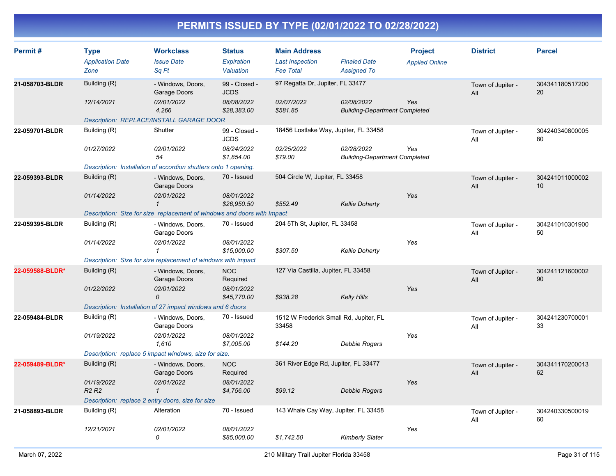| Permit#         | <b>Type</b><br><b>Application Date</b><br>Zone    | <b>Workclass</b><br><b>Issue Date</b><br>Sq Ft                          | <b>Status</b><br>Expiration<br>Valuation | <b>Main Address</b><br><b>Last Inspection</b><br><b>Fee Total</b> | <b>Finaled Date</b><br><b>Assigned To</b>          | <b>Project</b><br><b>Applied Online</b> | <b>District</b>          | <b>Parcel</b>                      |
|-----------------|---------------------------------------------------|-------------------------------------------------------------------------|------------------------------------------|-------------------------------------------------------------------|----------------------------------------------------|-----------------------------------------|--------------------------|------------------------------------|
| 21-058703-BLDR  | Building (R)                                      | - Windows, Doors,<br>Garage Doors                                       | 99 - Closed -<br><b>JCDS</b>             | 97 Regatta Dr, Jupiter, FL 33477                                  |                                                    |                                         | Town of Jupiter -<br>All | 304341180517200<br>20              |
|                 | 12/14/2021                                        | 02/01/2022<br>4,266                                                     | 08/08/2022<br>\$28,383.00                | 02/07/2022<br>\$581.85                                            | 02/08/2022<br><b>Building-Department Completed</b> | Yes                                     |                          |                                    |
|                 |                                                   | Description: REPLACE/INSTALL GARAGE DOOR                                |                                          |                                                                   |                                                    |                                         |                          |                                    |
| 22-059701-BLDR  | Building (R)                                      | Shutter                                                                 | 99 - Closed -<br><b>JCDS</b>             | 18456 Lostlake Way, Jupiter, FL 33458                             |                                                    |                                         | Town of Jupiter -<br>All | 304240340800005<br>80              |
|                 | 01/27/2022                                        | 02/01/2022<br>54                                                        | 08/24/2022<br>\$1,854.00                 | 02/25/2022<br>\$79.00                                             | 02/28/2022<br><b>Building-Department Completed</b> | Yes                                     |                          |                                    |
|                 |                                                   | Description: Installation of accordion shutters onto 1 opening.         |                                          |                                                                   |                                                    |                                         |                          |                                    |
| 22-059393-BLDR  | Building (R)                                      | - Windows, Doors,<br>Garage Doors                                       | 70 - Issued                              | 504 Circle W, Jupiter, FL 33458                                   |                                                    |                                         | Town of Jupiter -<br>All | 304241011000002<br>10 <sup>1</sup> |
|                 | 01/14/2022                                        | 02/01/2022<br>$\mathbf{1}$                                              | 08/01/2022<br>\$26,950.50                | \$552.49                                                          | <b>Kellie Doherty</b>                              | Yes                                     |                          |                                    |
|                 |                                                   | Description: Size for size replacement of windows and doors with Impact |                                          |                                                                   |                                                    |                                         |                          |                                    |
| 22-059395-BLDR  | Building (R)                                      | - Windows, Doors,<br>Garage Doors                                       | 70 - Issued                              | 204 5Th St, Jupiter, FL 33458                                     |                                                    |                                         | Town of Jupiter -<br>ΑIΙ | 304241010301900<br>50              |
|                 | 01/14/2022                                        | 02/01/2022<br>$\mathbf{1}$                                              | 08/01/2022<br>\$15,000.00                | \$307.50                                                          | <b>Kellie Doherty</b>                              | Yes                                     |                          |                                    |
|                 |                                                   | Description: Size for size replacement of windows with impact           |                                          |                                                                   |                                                    |                                         |                          |                                    |
| 22-059588-BLDR* | Building (R)                                      | - Windows, Doors,<br>Garage Doors                                       | <b>NOC</b><br>Required                   | 127 Via Castilla, Jupiter, FL 33458                               |                                                    |                                         | Town of Jupiter -<br>All | 304241121600002<br>90              |
|                 | 01/22/2022                                        | 02/01/2022<br>0                                                         | 08/01/2022<br>\$45,770.00                | \$938.28                                                          | <b>Kelly Hills</b>                                 | Yes                                     |                          |                                    |
|                 |                                                   | Description: Installation of 27 impact windows and 6 doors              |                                          |                                                                   |                                                    |                                         |                          |                                    |
| 22-059484-BLDR  | Building (R)                                      | - Windows, Doors,<br>Garage Doors                                       | 70 - Issued                              | 1512 W Frederick Small Rd, Jupiter, FL<br>33458                   |                                                    |                                         | Town of Jupiter -<br>All | 304241230700001<br>33              |
|                 | 01/19/2022                                        | 02/01/2022<br>1,610                                                     | 08/01/2022<br>\$7,005.00                 | \$144.20                                                          | <b>Debbie Rogers</b>                               | Yes                                     |                          |                                    |
|                 |                                                   | Description: replace 5 impact windows, size for size.                   |                                          |                                                                   |                                                    |                                         |                          |                                    |
| 22-059489-BLDR* | Building (R)                                      | - Windows, Doors,<br>Garage Doors                                       | <b>NOC</b><br>Required                   | 361 River Edge Rd, Jupiter, FL 33477                              |                                                    |                                         | Town of Jupiter -<br>All | 304341170200013<br>62              |
|                 | 01/19/2022<br>R <sub>2</sub> R <sub>2</sub>       | 02/01/2022<br>$\mathbf{1}$                                              | 08/01/2022<br>\$4,756.00                 | \$99.12                                                           | Debbie Rogers                                      | Yes                                     |                          |                                    |
|                 | Description: replace 2 entry doors, size for size |                                                                         |                                          |                                                                   |                                                    |                                         |                          |                                    |
| 21-058893-BLDR  | Building (R)                                      | Alteration                                                              | 70 - Issued                              | 143 Whale Cay Way, Jupiter, FL 33458                              |                                                    |                                         | Town of Jupiter -<br>All | 304240330500019<br>60              |
|                 | 12/21/2021                                        | 02/01/2022<br>0                                                         | 08/01/2022<br>\$85,000.00                | \$1,742.50                                                        | <b>Kimberly Slater</b>                             | Yes                                     |                          |                                    |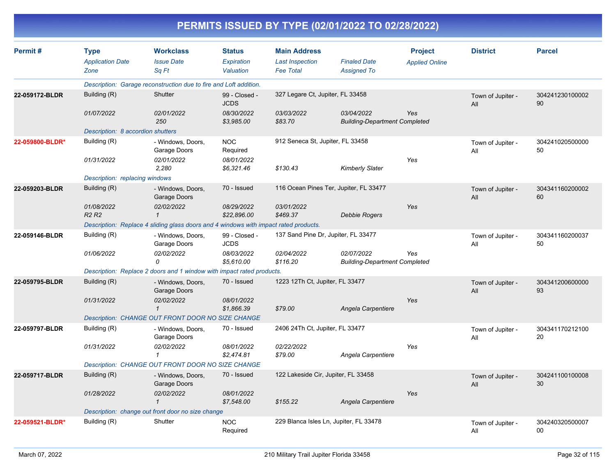| PERMITS ISSUED BY TYPE (02/01/2022 TO 02/28/2022) |  |
|---------------------------------------------------|--|
|---------------------------------------------------|--|

| Permit#         |                                        | <b>Workclass</b>                                                                     | <b>Status</b>                | <b>Main Address</b>                    |                                                    | <b>Project</b>        | <b>District</b>          | <b>Parcel</b>         |
|-----------------|----------------------------------------|--------------------------------------------------------------------------------------|------------------------------|----------------------------------------|----------------------------------------------------|-----------------------|--------------------------|-----------------------|
|                 | <b>Type</b><br><b>Application Date</b> | <b>Issue Date</b>                                                                    | Expiration                   | <b>Last Inspection</b>                 | <b>Finaled Date</b>                                |                       |                          |                       |
|                 | Zone                                   | Sa Ft                                                                                | Valuation                    | <b>Fee Total</b>                       | <b>Assigned To</b>                                 | <b>Applied Online</b> |                          |                       |
|                 |                                        | Description: Garage reconstruction due to fire and Loft addition.                    |                              |                                        |                                                    |                       |                          |                       |
| 22-059172-BLDR  | Building (R)                           | Shutter                                                                              | 99 - Closed -<br><b>JCDS</b> | 327 Legare Ct, Jupiter, FL 33458       |                                                    |                       | Town of Jupiter -<br>All | 304241230100002<br>90 |
|                 | 01/07/2022                             | 02/01/2022<br>250                                                                    | 08/30/2022<br>\$3,985.00     | 03/03/2022<br>\$83.70                  | 03/04/2022<br><b>Building-Department Completed</b> | Yes                   |                          |                       |
|                 | Description: 8 accordion shutters      |                                                                                      |                              |                                        |                                                    |                       |                          |                       |
| 22-059800-BLDR* | Building (R)                           | - Windows, Doors,<br>Garage Doors                                                    | <b>NOC</b><br>Required       | 912 Seneca St, Jupiter, FL 33458       |                                                    |                       | Town of Jupiter -<br>All | 304241020500000<br>50 |
|                 | 01/31/2022                             | 02/01/2022<br>2.280                                                                  | 08/01/2022<br>\$6.321.46     | \$130.43                               | <b>Kimberly Slater</b>                             | Yes                   |                          |                       |
|                 | Description: replacing windows         |                                                                                      |                              |                                        |                                                    |                       |                          |                       |
| 22-059203-BLDR  | Building (R)                           | - Windows, Doors,<br>Garage Doors                                                    | 70 - Issued                  | 116 Ocean Pines Ter, Jupiter, FL 33477 |                                                    |                       | Town of Jupiter -<br>All | 304341160200002<br>60 |
|                 | 01/08/2022<br><b>R2 R2</b>             | 02/02/2022<br>$\mathbf{1}$                                                           | 08/29/2022<br>\$22,896.00    | 03/01/2022<br>\$469.37                 | <b>Debbie Rogers</b>                               | Yes                   |                          |                       |
|                 |                                        | Description: Replace 4 sliding glass doors and 4 windows with impact rated products. |                              |                                        |                                                    |                       |                          |                       |
| 22-059146-BLDR  | Building (R)                           | - Windows, Doors,<br>Garage Doors                                                    | 99 - Closed -<br><b>JCDS</b> | 137 Sand Pine Dr, Jupiter, FL 33477    |                                                    |                       | Town of Jupiter -<br>All | 304341160200037<br>50 |
|                 | 01/06/2022                             | 02/02/2022<br>0                                                                      | 08/03/2022<br>\$5,610.00     | 02/04/2022<br>\$116.20                 | 02/07/2022<br><b>Building-Department Completed</b> | Yes                   |                          |                       |
|                 |                                        | Description: Replace 2 doors and 1 window with impact rated products.                |                              |                                        |                                                    |                       |                          |                       |
| 22-059795-BLDR  | Building (R)                           | - Windows, Doors.<br>Garage Doors                                                    | 70 - Issued                  | 1223 12Th Ct, Jupiter, FL 33477        |                                                    |                       | Town of Jupiter -<br>All | 304341200600000<br>93 |
|                 | 01/31/2022                             | 02/02/2022<br>$\mathbf{1}$                                                           | 08/01/2022<br>\$1.866.39     | \$79.00                                | Angela Carpentiere                                 | Yes                   |                          |                       |
|                 |                                        | Description: CHANGE OUT FRONT DOOR NO SIZE CHANGE                                    |                              |                                        |                                                    |                       |                          |                       |
| 22-059797-BLDR  | Building (R)                           | - Windows, Doors,<br>Garage Doors                                                    | 70 - Issued                  | 2406 24Th Ct, Jupiter, FL 33477        |                                                    |                       | Town of Jupiter -<br>All | 304341170212100<br>20 |
|                 | 01/31/2022                             | 02/02/2022<br>$\mathbf{1}$                                                           | 08/01/2022<br>\$2,474.81     | 02/22/2022<br>\$79.00                  | Angela Carpentiere                                 | Yes                   |                          |                       |
|                 |                                        | Description: CHANGE OUT FRONT DOOR NO SIZE CHANGE                                    |                              |                                        |                                                    |                       |                          |                       |
| 22-059717-BLDR  | Building (R)                           | - Windows, Doors,<br>Garage Doors                                                    | 70 - Issued                  | 122 Lakeside Cir, Jupiter, FL 33458    |                                                    |                       | Town of Jupiter -<br>All | 304241100100008<br>30 |
|                 | 01/28/2022                             | 02/02/2022<br>$\mathcal I$                                                           | 08/01/2022<br>\$7,548.00     | \$155.22                               | Angela Carpentiere                                 | Yes                   |                          |                       |
|                 |                                        | Description: change out front door no size change                                    |                              |                                        |                                                    |                       |                          |                       |
| 22-059521-BLDR* | Building (R)                           | Shutter                                                                              | <b>NOC</b><br>Required       | 229 Blanca Isles Ln, Jupiter, FL 33478 |                                                    |                       | Town of Jupiter -<br>All | 304240320500007<br>00 |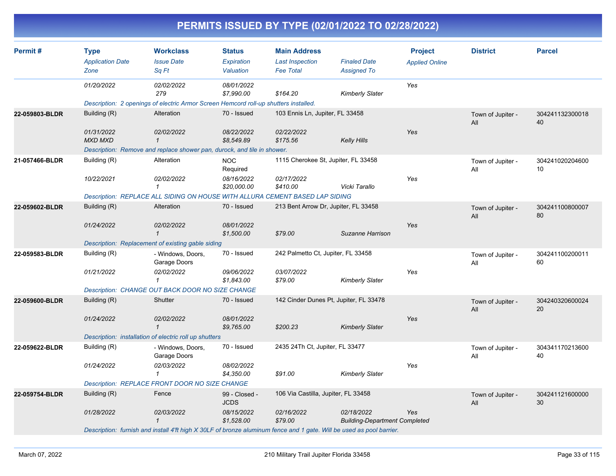| Permit#        | <b>Type</b>                                                                                                          | <b>Workclass</b>                                                                     | <b>Status</b>                | <b>Main Address</b>                 |                                                    | <b>Project</b>        | <b>District</b>          | <b>Parcel</b>         |  |  |
|----------------|----------------------------------------------------------------------------------------------------------------------|--------------------------------------------------------------------------------------|------------------------------|-------------------------------------|----------------------------------------------------|-----------------------|--------------------------|-----------------------|--|--|
|                | <b>Application Date</b>                                                                                              | <b>Issue Date</b>                                                                    | <b>Expiration</b>            | <b>Last Inspection</b>              | <b>Finaled Date</b>                                | <b>Applied Online</b> |                          |                       |  |  |
|                | Zone                                                                                                                 | Sq Ft                                                                                | Valuation                    | <b>Fee Total</b>                    | <b>Assigned To</b>                                 |                       |                          |                       |  |  |
|                | 01/20/2022                                                                                                           | 02/02/2022<br>279                                                                    | 08/01/2022<br>\$7,990.00     | \$164.20                            | <b>Kimberly Slater</b>                             | Yes                   |                          |                       |  |  |
|                |                                                                                                                      | Description: 2 openings of electric Armor Screen Hemcord roll-up shutters installed. |                              |                                     |                                                    |                       |                          |                       |  |  |
| 22-059803-BLDR | Building (R)                                                                                                         | Alteration                                                                           | 70 - Issued                  | 103 Ennis Ln, Jupiter, FL 33458     |                                                    |                       | Town of Jupiter -<br>All | 304241132300018<br>40 |  |  |
|                | 01/31/2022<br><b>MXD MXD</b>                                                                                         | 02/02/2022<br>$\mathbf{1}$                                                           | 08/22/2022<br>\$8,549.89     | 02/22/2022<br>\$175.56              | <b>Kelly Hills</b>                                 | Yes                   |                          |                       |  |  |
|                |                                                                                                                      | Description: Remove and replace shower pan, durock, and tile in shower.              |                              |                                     |                                                    |                       |                          |                       |  |  |
| 21-057466-BLDR | Building (R)                                                                                                         | Alteration                                                                           | <b>NOC</b><br>Required       |                                     | 1115 Cherokee St, Jupiter, FL 33458                |                       | Town of Jupiter -<br>All | 304241020204600<br>10 |  |  |
|                | 10/22/2021                                                                                                           | 02/02/2022<br>1                                                                      | 08/16/2022<br>\$20,000.00    | 02/17/2022<br>\$410.00              | Vicki Tarallo                                      | Yes                   |                          |                       |  |  |
|                |                                                                                                                      | Description: REPLACE ALL SIDING ON HOUSE WITH ALLURA CEMENT BASED LAP SIDING         |                              |                                     |                                                    |                       |                          |                       |  |  |
| 22-059602-BLDR | Building (R)                                                                                                         | Alteration                                                                           | 70 - Issued                  |                                     | 213 Bent Arrow Dr, Jupiter, FL 33458               |                       | Town of Jupiter -<br>All | 304241100800007<br>80 |  |  |
|                | 01/24/2022                                                                                                           | 02/02/2022<br>$\mathbf{1}$                                                           | 08/01/2022<br>\$1,500.00     | \$79.00                             | Suzanne Harrison                                   | Yes                   |                          |                       |  |  |
|                |                                                                                                                      | Description: Replacement of existing gable siding                                    |                              |                                     |                                                    |                       |                          |                       |  |  |
| 22-059583-BLDR | Building (R)                                                                                                         | - Windows, Doors,<br>Garage Doors                                                    | 70 - Issued                  | 242 Palmetto Ct, Jupiter, FL 33458  |                                                    |                       | Town of Jupiter -<br>All | 304241100200011<br>60 |  |  |
|                | 01/21/2022                                                                                                           | 02/02/2022<br>$\mathbf{1}$                                                           | 09/06/2022<br>\$1,843.00     | 03/07/2022<br>\$79.00               | <b>Kimberly Slater</b>                             | Yes                   |                          |                       |  |  |
|                |                                                                                                                      | Description: CHANGE OUT BACK DOOR NO SIZE CHANGE                                     |                              |                                     |                                                    |                       |                          |                       |  |  |
| 22-059600-BLDR | Building (R)                                                                                                         | Shutter                                                                              | 70 - Issued                  |                                     | 142 Cinder Dunes Pt, Jupiter, FL 33478             |                       | Town of Jupiter -<br>All | 304240320600024<br>20 |  |  |
|                | 01/24/2022                                                                                                           | 02/02/2022<br>$\mathcal I$                                                           | 08/01/2022<br>\$9,765.00     | \$200.23                            | <b>Kimberly Slater</b>                             | Yes                   |                          |                       |  |  |
|                |                                                                                                                      | Description: installation of electric roll up shutters                               |                              |                                     |                                                    |                       |                          |                       |  |  |
| 22-059622-BLDR | Building (R)                                                                                                         | - Windows, Doors,<br>Garage Doors                                                    | 70 - Issued                  | 2435 24Th Ct, Jupiter, FL 33477     |                                                    |                       | Town of Jupiter -<br>All | 304341170213600<br>40 |  |  |
|                | 01/24/2022                                                                                                           | 02/03/2022<br>1                                                                      | 08/02/2022<br>\$4,350.00     | \$91.00                             | <b>Kimberly Slater</b>                             | Yes                   |                          |                       |  |  |
|                |                                                                                                                      | Description: REPLACE FRONT DOOR NO SIZE CHANGE                                       |                              |                                     |                                                    |                       |                          |                       |  |  |
| 22-059754-BLDR | Building (R)                                                                                                         | Fence                                                                                | 99 - Closed -<br><b>JCDS</b> | 106 Via Castilla, Jupiter, FL 33458 |                                                    |                       | Town of Jupiter -<br>All | 304241121600000<br>30 |  |  |
|                | 01/28/2022                                                                                                           | 02/03/2022<br>$\mathbf{1}$                                                           | 08/15/2022<br>\$1,528.00     | 02/16/2022<br>\$79.00               | 02/18/2022<br><b>Building-Department Completed</b> | Yes                   |                          |                       |  |  |
|                | Description: furnish and install 4'ft high X 30LF of bronze aluminum fence and 1 gate. Will be used as pool barrier. |                                                                                      |                              |                                     |                                                    |                       |                          |                       |  |  |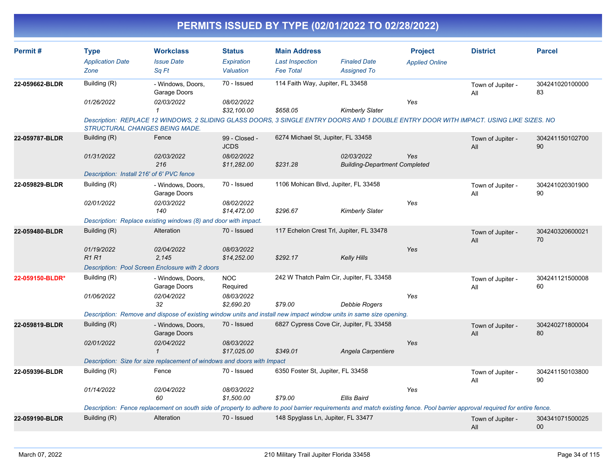| Permit#         | <b>Type</b>                               | <b>Workclass</b>                                                                                                                                                                | <b>Status</b>                | <b>Main Address</b>                  |                                                    | <b>Project</b>        | <b>District</b>          | <b>Parcel</b>         |  |  |  |
|-----------------|-------------------------------------------|---------------------------------------------------------------------------------------------------------------------------------------------------------------------------------|------------------------------|--------------------------------------|----------------------------------------------------|-----------------------|--------------------------|-----------------------|--|--|--|
|                 | <b>Application Date</b>                   | <b>Issue Date</b>                                                                                                                                                               | <b>Expiration</b>            | <b>Last Inspection</b>               | <b>Finaled Date</b>                                | <b>Applied Online</b> |                          |                       |  |  |  |
|                 | Zone                                      | Sq Ft                                                                                                                                                                           | Valuation                    | <b>Fee Total</b>                     | <b>Assigned To</b>                                 |                       |                          |                       |  |  |  |
| 22-059662-BLDR  | Building (R)                              | - Windows, Doors,<br>Garage Doors                                                                                                                                               | 70 - Issued                  | 114 Faith Way, Jupiter, FL 33458     |                                                    |                       | Town of Jupiter -<br>All | 304241020100000<br>83 |  |  |  |
|                 | 01/26/2022                                | 02/03/2022                                                                                                                                                                      | 08/02/2022                   |                                      |                                                    | Yes                   |                          |                       |  |  |  |
|                 |                                           |                                                                                                                                                                                 | \$32,100.00                  | \$658.05                             | <b>Kimberly Slater</b>                             |                       |                          |                       |  |  |  |
|                 |                                           | Description: REPLACE 12 WINDOWS, 2 SLIDING GLASS DOORS, 3 SINGLE ENTRY DOORS AND 1 DOUBLE ENTRY DOOR WITH IMPACT. USING LIKE SIZES. NO<br><b>STRUCTURAL CHANGES BEING MADE.</b> |                              |                                      |                                                    |                       |                          |                       |  |  |  |
| 22-059787-BLDR  | Building (R)                              | Fence                                                                                                                                                                           | 99 - Closed -<br><b>JCDS</b> | 6274 Michael St, Jupiter, FL 33458   |                                                    |                       | Town of Jupiter -<br>All | 304241150102700<br>90 |  |  |  |
|                 | 01/31/2022                                | 02/03/2022<br>216                                                                                                                                                               | 08/02/2022<br>\$11,282.00    | \$231.28                             | 02/03/2022<br><b>Building-Department Completed</b> | Yes                   |                          |                       |  |  |  |
|                 | Description: Install 216' of 6' PVC fence |                                                                                                                                                                                 |                              |                                      |                                                    |                       |                          |                       |  |  |  |
| 22-059829-BLDR  | Building (R)                              | - Windows, Doors,<br>Garage Doors                                                                                                                                               | 70 - Issued                  | 1106 Mohican Blvd, Jupiter, FL 33458 |                                                    |                       | Town of Jupiter -<br>All | 304241020301900<br>90 |  |  |  |
|                 | 02/01/2022                                | 02/03/2022<br>140                                                                                                                                                               | 08/02/2022<br>\$14,472.00    | \$296.67                             | <b>Kimberly Slater</b>                             | Yes                   |                          |                       |  |  |  |
|                 |                                           | Description: Replace existing windows (8) and door with impact.                                                                                                                 |                              |                                      |                                                    |                       |                          |                       |  |  |  |
| 22-059480-BLDR  | Building (R)                              | Alteration                                                                                                                                                                      | 70 - Issued                  |                                      | 117 Echelon Crest Trl, Jupiter, FL 33478           |                       | Town of Jupiter -<br>All | 304240320600021<br>70 |  |  |  |
|                 | 01/19/2022                                | 02/04/2022                                                                                                                                                                      | 08/03/2022                   |                                      |                                                    | Yes                   |                          |                       |  |  |  |
|                 | <b>R1R1</b>                               | 2.145                                                                                                                                                                           | \$14,252.00                  | \$292.17                             | Kelly Hills                                        |                       |                          |                       |  |  |  |
|                 |                                           | Description: Pool Screen Enclosure with 2 doors                                                                                                                                 |                              |                                      |                                                    |                       |                          |                       |  |  |  |
| 22-059150-BLDR* | Building (R)                              | - Windows, Doors,<br>Garage Doors                                                                                                                                               | <b>NOC</b><br>Required       |                                      | 242 W Thatch Palm Cir, Jupiter, FL 33458           |                       | Town of Jupiter -<br>All | 304241121500008<br>60 |  |  |  |
|                 | 01/06/2022                                | 02/04/2022<br>32                                                                                                                                                                | 08/03/2022<br>\$2,690.20     | \$79.00                              | <b>Debbie Rogers</b>                               | Yes                   |                          |                       |  |  |  |
|                 |                                           | Description: Remove and dispose of existing window units and install new impact window units in same size opening.                                                              |                              |                                      |                                                    |                       |                          |                       |  |  |  |
| 22-059819-BLDR  | Building (R)                              | - Windows, Doors,<br>Garage Doors                                                                                                                                               | 70 - Issued                  |                                      | 6827 Cypress Cove Cir, Jupiter, FL 33458           |                       | Town of Jupiter -<br>All | 304240271800004<br>80 |  |  |  |
|                 | 02/01/2022                                | 02/04/2022<br>$\mathbf{1}$                                                                                                                                                      | 08/03/2022<br>\$17,025.00    | \$349.01                             | Angela Carpentiere                                 | Yes                   |                          |                       |  |  |  |
|                 |                                           | Description: Size for size replacement of windows and doors with Impact                                                                                                         |                              |                                      |                                                    |                       |                          |                       |  |  |  |
| 22-059396-BLDR  | Building (R)                              | Fence                                                                                                                                                                           | 70 - Issued                  | 6350 Foster St, Jupiter, FL 33458    |                                                    |                       | Town of Jupiter -<br>All | 304241150103800<br>90 |  |  |  |
|                 | 01/14/2022                                | 02/04/2022                                                                                                                                                                      | 08/03/2022                   |                                      |                                                    | Yes                   |                          |                       |  |  |  |
|                 |                                           | 60                                                                                                                                                                              | \$1,500.00                   | \$79.00                              | <b>Ellis Baird</b>                                 |                       |                          |                       |  |  |  |
|                 |                                           | Description: Fence replacement on south side of property to adhere to pool barrier requirements and match existing fence. Pool barrier approval required for entire fence.      |                              |                                      |                                                    |                       |                          |                       |  |  |  |
| 22-059190-BLDR  | Building (R)                              | Alteration                                                                                                                                                                      | 70 - Issued                  | 148 Spyglass Ln, Jupiter, FL 33477   |                                                    |                       | Town of Jupiter -<br>All | 304341071500025<br>00 |  |  |  |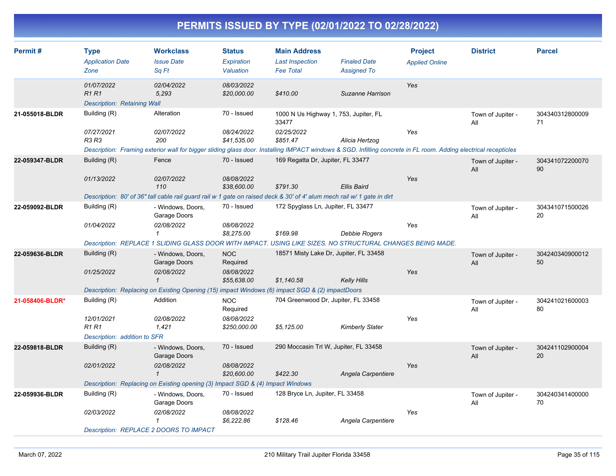| Permit#         | <b>Type</b><br><b>Application Date</b><br>Zone                                                             | <b>Workclass</b><br><b>Issue Date</b><br>Sq Ft                                                                                                                  | <b>Status</b><br>Expiration<br>Valuation | <b>Main Address</b><br><b>Last Inspection</b><br><b>Fee Total</b> | <b>Finaled Date</b><br><b>Assigned To</b> | <b>Project</b><br><b>Applied Online</b> | <b>District</b>          | <b>Parcel</b>         |  |  |
|-----------------|------------------------------------------------------------------------------------------------------------|-----------------------------------------------------------------------------------------------------------------------------------------------------------------|------------------------------------------|-------------------------------------------------------------------|-------------------------------------------|-----------------------------------------|--------------------------|-----------------------|--|--|
|                 | 01/07/2022                                                                                                 | 02/04/2022                                                                                                                                                      | 08/03/2022                               |                                                                   |                                           | Yes                                     |                          |                       |  |  |
|                 | <b>R1R1</b><br><b>Description: Retaining Wall</b>                                                          | 5,293                                                                                                                                                           | \$20,000.00                              | \$410.00                                                          | Suzanne Harrison                          |                                         |                          |                       |  |  |
| 21-055018-BLDR  | Building (R)                                                                                               | Alteration                                                                                                                                                      | 70 - Issued                              | 1000 N Us Highway 1, 753, Jupiter, FL<br>33477                    |                                           |                                         | Town of Jupiter -<br>All | 304340312800009<br>71 |  |  |
|                 | 07/27/2021<br>R3 R3                                                                                        | 02/07/2022<br>200                                                                                                                                               | 08/24/2022<br>\$41.535.00                | 02/25/2022<br>\$851.47                                            | Alicia Hertzog                            | Yes                                     |                          |                       |  |  |
|                 |                                                                                                            | Description: Framing exterior wall for bigger sliding glass door. Installing IMPACT windows & SGD. Infilling concrete in FL room. Adding electrical recepticles |                                          |                                                                   |                                           |                                         |                          |                       |  |  |
| 22-059347-BLDR  | Building (R)                                                                                               | Fence                                                                                                                                                           | 70 - Issued                              | 169 Regatta Dr, Jupiter, FL 33477                                 |                                           |                                         | Town of Jupiter -<br>All | 304341072200070<br>90 |  |  |
|                 | 01/13/2022                                                                                                 | 02/07/2022<br>110                                                                                                                                               | 08/08/2022<br>\$38,600.00                | \$791.30                                                          | <b>Ellis Baird</b>                        | Yes                                     |                          |                       |  |  |
|                 |                                                                                                            | Description: 80' of 36" tall cable rail guard rail w 1 gate on raised deck & 30' of 4' alum mech rail w/ 1 gate in dirt                                         |                                          |                                                                   |                                           |                                         |                          |                       |  |  |
| 22-059092-BLDR  | Building (R)                                                                                               | - Windows, Doors,<br>Garage Doors                                                                                                                               | 70 - Issued                              | 172 Spyglass Ln, Jupiter, FL 33477                                |                                           |                                         | Town of Jupiter -<br>All | 304341071500026<br>20 |  |  |
|                 | 01/04/2022                                                                                                 | 02/08/2022<br>$\mathbf{1}$                                                                                                                                      | 08/08/2022<br>\$8,275.00                 | \$169.98                                                          | <b>Debbie Rogers</b>                      | Yes                                     |                          |                       |  |  |
|                 | Description: REPLACE 1 SLIDING GLASS DOOR WITH IMPACT. USING LIKE SIZES. NO STRUCTURAL CHANGES BEING MADE. |                                                                                                                                                                 |                                          |                                                                   |                                           |                                         |                          |                       |  |  |
| 22-059636-BLDR  | Building (R)                                                                                               | - Windows, Doors,<br>Garage Doors                                                                                                                               | <b>NOC</b><br>Required                   | 18571 Misty Lake Dr, Jupiter, FL 33458                            |                                           |                                         | Town of Jupiter -<br>All | 304240340900012<br>50 |  |  |
|                 | 01/25/2022                                                                                                 | 02/08/2022<br>$\mathbf{1}$                                                                                                                                      | 08/08/2022<br>\$55,638.00                | \$1,140.58                                                        | <b>Kelly Hills</b>                        | Yes                                     |                          |                       |  |  |
|                 | Description: Replacing on Existing Opening (15) impact Windows (6) impact SGD & (2) impactDoors            |                                                                                                                                                                 |                                          |                                                                   |                                           |                                         |                          |                       |  |  |
| 21-058406-BLDR* | Building (R)                                                                                               | Addition                                                                                                                                                        | <b>NOC</b><br>Required                   | 704 Greenwood Dr, Jupiter, FL 33458                               |                                           |                                         | Town of Jupiter -<br>All | 304241021600003<br>80 |  |  |
|                 | 12/01/2021<br><b>R1 R1</b>                                                                                 | 02/08/2022<br>1,421                                                                                                                                             | 08/08/2022<br>\$250,000.00               | \$5,125.00                                                        | <b>Kimberly Slater</b>                    | Yes                                     |                          |                       |  |  |
|                 | Description: addition to SFR                                                                               |                                                                                                                                                                 |                                          |                                                                   |                                           |                                         |                          |                       |  |  |
| 22-059818-BLDR  | Building (R)                                                                                               | - Windows, Doors,<br>Garage Doors                                                                                                                               | 70 - Issued                              | 290 Moccasin Trl W, Jupiter, FL 33458                             |                                           |                                         | Town of Jupiter -<br>All | 304241102900004<br>20 |  |  |
|                 | 02/01/2022                                                                                                 | 02/08/2022<br>$\mathbf{1}$                                                                                                                                      | 08/08/2022<br>\$20,600.00                | \$422.30                                                          | Angela Carpentiere                        | Yes                                     |                          |                       |  |  |
|                 |                                                                                                            | Description: Replacing on Existing opening (3) Impact SGD & (4) Impact Windows                                                                                  |                                          |                                                                   |                                           |                                         |                          |                       |  |  |
| 22-059936-BLDR  | Building (R)                                                                                               | - Windows, Doors,<br>Garage Doors                                                                                                                               | 70 - Issued                              | 128 Bryce Ln, Jupiter, FL 33458                                   |                                           |                                         | Town of Jupiter -<br>All | 304240341400000<br>70 |  |  |
|                 | 02/03/2022                                                                                                 | 02/08/2022<br>1                                                                                                                                                 | 08/08/2022<br>\$6,222.86                 | \$128.46                                                          | Angela Carpentiere                        | Yes                                     |                          |                       |  |  |
|                 |                                                                                                            | Description: REPLACE 2 DOORS TO IMPACT                                                                                                                          |                                          |                                                                   |                                           |                                         |                          |                       |  |  |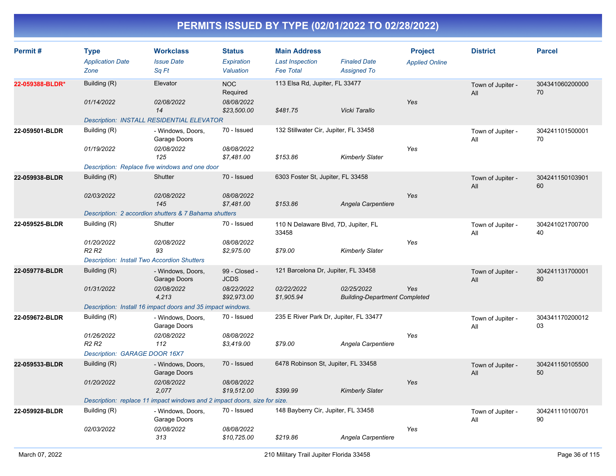| Permit#         | <b>Type</b><br><b>Application Date</b>             | <b>Workclass</b><br><b>Issue Date</b>                                     | <b>Status</b><br>Expiration  | <b>Main Address</b><br><b>Last Inspection</b> | <b>Finaled Date</b>                                | <b>Project</b>        | <b>District</b>          | <b>Parcel</b>         |
|-----------------|----------------------------------------------------|---------------------------------------------------------------------------|------------------------------|-----------------------------------------------|----------------------------------------------------|-----------------------|--------------------------|-----------------------|
|                 | Zone                                               | Sq Ft                                                                     | Valuation                    | <b>Fee Total</b>                              | <b>Assigned To</b>                                 | <b>Applied Online</b> |                          |                       |
| 22-059388-BLDR* | Building (R)                                       | Elevator                                                                  | <b>NOC</b><br>Required       | 113 Elsa Rd, Jupiter, FL 33477                |                                                    |                       | Town of Jupiter -<br>All | 304341060200000<br>70 |
|                 | 01/14/2022                                         | 02/08/2022<br>14                                                          | 08/08/2022<br>\$23,500.00    | \$481.75                                      | Vicki Tarallo                                      | Yes                   |                          |                       |
|                 | Description: INSTALL RESIDENTIAL ELEVATOR          |                                                                           |                              |                                               |                                                    |                       |                          |                       |
| 22-059501-BLDR  | Building (R)                                       | - Windows, Doors,<br>Garage Doors                                         | 70 - Issued                  | 132 Stillwater Cir, Jupiter, FL 33458         |                                                    |                       | Town of Jupiter -<br>All | 304241101500001<br>70 |
|                 | 01/19/2022                                         | 02/08/2022<br>125                                                         | 08/08/2022<br>\$7,481.00     | \$153.86                                      | <b>Kimberly Slater</b>                             | Yes                   |                          |                       |
|                 |                                                    | Description: Replace five windows and one door                            |                              |                                               |                                                    |                       |                          |                       |
| 22-059938-BLDR  | Building (R)                                       | Shutter                                                                   | 70 - Issued                  | 6303 Foster St, Jupiter, FL 33458             |                                                    |                       | Town of Jupiter -<br>All | 304241150103901<br>60 |
|                 | 02/03/2022                                         | 02/08/2022<br>145                                                         | 08/08/2022<br>\$7,481.00     | \$153.86                                      | Angela Carpentiere                                 | Yes                   |                          |                       |
|                 |                                                    | Description: 2 accordion shutters & 7 Bahama shutters                     |                              |                                               |                                                    |                       |                          |                       |
| 22-059525-BLDR  | Building (R)                                       | Shutter                                                                   | 70 - Issued                  | 110 N Delaware Blvd, 7D, Jupiter, FL<br>33458 |                                                    |                       | Town of Jupiter -<br>All | 304241021700700<br>40 |
|                 | 01/20/2022<br>R <sub>2</sub> R <sub>2</sub>        | 02/08/2022<br>93                                                          | 08/08/2022<br>\$2,975.00     | \$79.00                                       | <b>Kimberly Slater</b>                             | Yes                   |                          |                       |
|                 | <b>Description: Install Two Accordion Shutters</b> |                                                                           |                              |                                               |                                                    |                       |                          |                       |
| 22-059778-BLDR  | Building (R)                                       | - Windows, Doors,<br>Garage Doors                                         | 99 - Closed -<br><b>JCDS</b> | 121 Barcelona Dr, Jupiter, FL 33458           |                                                    |                       | Town of Jupiter -<br>All | 304241131700001<br>80 |
|                 | 01/31/2022                                         | 02/08/2022<br>4,213                                                       | 08/22/2022<br>\$92,973.00    | 02/22/2022<br>\$1,905.94                      | 02/25/2022<br><b>Building-Department Completed</b> | Yes                   |                          |                       |
|                 |                                                    | Description: Install 16 impact doors and 35 impact windows.               |                              |                                               |                                                    |                       |                          |                       |
| 22-059672-BLDR  | Building (R)                                       | - Windows, Doors,<br>Garage Doors                                         | 70 - Issued                  | 235 E River Park Dr, Jupiter, FL 33477        |                                                    |                       | Town of Jupiter -<br>All | 304341170200012<br>03 |
|                 | 01/26/2022<br>R <sub>2</sub> R <sub>2</sub>        | 02/08/2022<br>112                                                         | 08/08/2022<br>\$3,419.00     | \$79.00                                       | Angela Carpentiere                                 | Yes                   |                          |                       |
|                 | Description: GARAGE DOOR 16X7                      |                                                                           |                              |                                               |                                                    |                       |                          |                       |
| 22-059533-BLDR  | Building (R)                                       | - Windows, Doors,<br>Garage Doors                                         | 70 - Issued                  | 6478 Robinson St, Jupiter, FL 33458           |                                                    |                       | Town of Jupiter -<br>All | 304241150105500<br>50 |
|                 | 01/20/2022                                         | 02/08/2022<br>2,077                                                       | 08/08/2022<br>\$19,512.00    | \$399.99                                      | <b>Kimberly Slater</b>                             | Yes                   |                          |                       |
|                 |                                                    | Description: replace 11 impact windows and 2 impact doors, size for size. |                              |                                               |                                                    |                       |                          |                       |
| 22-059928-BLDR  | Building (R)                                       | - Windows, Doors,<br>Garage Doors                                         | 70 - Issued                  | 148 Bayberry Cir, Jupiter, FL 33458           |                                                    |                       | Town of Jupiter -<br>All | 304241110100701<br>90 |
|                 | 02/03/2022                                         | 02/08/2022<br>313                                                         | 08/08/2022<br>\$10,725.00    | \$219.86                                      | Angela Carpentiere                                 | Yes                   |                          |                       |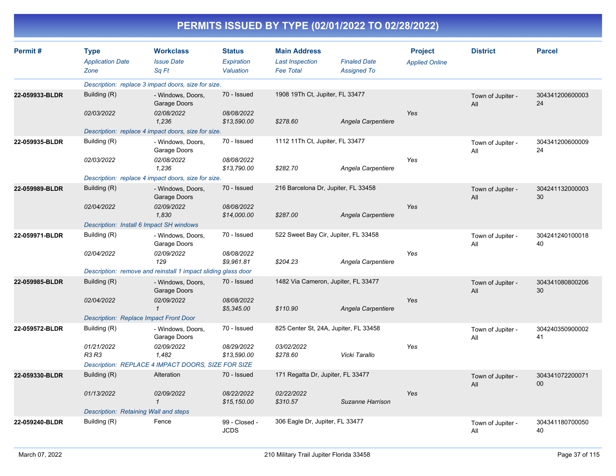| Permit#        | <b>Workclass</b><br><b>Status</b><br><b>Main Address</b><br><b>Project</b><br><b>Type</b> |                                                               |                              |                                      | <b>District</b>                       | <b>Parcel</b>         |                          |                       |
|----------------|-------------------------------------------------------------------------------------------|---------------------------------------------------------------|------------------------------|--------------------------------------|---------------------------------------|-----------------------|--------------------------|-----------------------|
|                | <b>Application Date</b>                                                                   | <b>Issue Date</b>                                             | Expiration                   | <b>Last Inspection</b>               | <b>Finaled Date</b>                   | <b>Applied Online</b> |                          |                       |
|                | Zone                                                                                      | Sq Ft                                                         | Valuation                    | <b>Fee Total</b>                     | <b>Assigned To</b>                    |                       |                          |                       |
|                |                                                                                           | Description: replace 3 impact doors, size for size.           |                              |                                      |                                       |                       |                          |                       |
| 22-059933-BLDR | Building (R)                                                                              | - Windows, Doors,<br>Garage Doors                             | 70 - Issued                  | 1908 19Th Ct, Jupiter, FL 33477      |                                       |                       | Town of Jupiter -<br>All | 304341200600003<br>24 |
|                | 02/03/2022                                                                                | 02/08/2022<br>1,236                                           | 08/08/2022<br>\$13,590.00    | \$278.60                             | Angela Carpentiere                    | Yes                   |                          |                       |
|                |                                                                                           | Description: replace 4 impact doors, size for size.           |                              |                                      |                                       |                       |                          |                       |
| 22-059935-BLDR | Building (R)                                                                              | - Windows, Doors,<br>Garage Doors                             | 70 - Issued                  | 1112 11Th Ct, Jupiter, FL 33477      |                                       |                       | Town of Jupiter -<br>All | 304341200600009<br>24 |
|                | 02/03/2022                                                                                | 02/08/2022<br>1,236                                           | 08/08/2022<br>\$13,790.00    | \$282.70                             | Angela Carpentiere                    | Yes                   |                          |                       |
|                |                                                                                           | Description: replace 4 impact doors, size for size.           |                              |                                      |                                       |                       |                          |                       |
| 22-059989-BLDR | Building (R)                                                                              | - Windows, Doors,<br>Garage Doors                             | 70 - Issued                  | 216 Barcelona Dr, Jupiter, FL 33458  |                                       |                       | Town of Jupiter -<br>All | 304241132000003<br>30 |
|                | 02/04/2022                                                                                | 02/09/2022<br>1,830                                           | 08/08/2022<br>\$14,000.00    | \$287.00                             | Angela Carpentiere                    | Yes                   |                          |                       |
|                |                                                                                           | Description: Install 6 Impact SH windows                      |                              |                                      |                                       |                       |                          |                       |
| 22-059971-BLDR | Building (R)                                                                              | - Windows, Doors,<br>Garage Doors                             | 70 - Issued                  | 522 Sweet Bay Cir, Jupiter, FL 33458 |                                       |                       | Town of Jupiter -<br>All | 304241240100018<br>40 |
|                | 02/04/2022                                                                                | <i>02/09/2022</i><br>129                                      | 08/08/2022<br>\$9,961.81     | \$204.23                             | Angela Carpentiere                    | Yes                   |                          |                       |
|                |                                                                                           | Description: remove and reinstall 1 impact sliding glass door |                              |                                      |                                       |                       |                          |                       |
| 22-059985-BLDR | Building (R)                                                                              | - Windows, Doors,<br>Garage Doors                             | 70 - Issued                  | 1482 Via Cameron, Jupiter, FL 33477  |                                       |                       | Town of Jupiter -<br>All | 304341080800206<br>30 |
|                | 02/04/2022                                                                                | 02/09/2022<br>$\mathbf{1}$                                    | 08/08/2022<br>\$5,345.00     | \$110.90                             | Angela Carpentiere                    | Yes                   |                          |                       |
|                | <b>Description: Replace Impact Front Door</b>                                             |                                                               |                              |                                      |                                       |                       |                          |                       |
| 22-059572-BLDR | Building (R)                                                                              | - Windows, Doors,<br>Garage Doors                             | 70 - Issued                  |                                      | 825 Center St, 24A, Jupiter, FL 33458 |                       | Town of Jupiter -<br>All | 304240350900002<br>41 |
|                | 01/21/2022<br><b>R3 R3</b>                                                                | 02/09/2022<br>1,482                                           | 08/29/2022<br>\$13,590.00    | 03/02/2022<br>\$278.60               | Vicki Tarallo                         | Yes                   |                          |                       |
|                |                                                                                           | Description: REPLACE 4 IMPACT DOORS, SIZE FOR SIZE            |                              |                                      |                                       |                       |                          |                       |
| 22-059330-BLDR | Building (R)                                                                              | Alteration                                                    | 70 - Issued                  | 171 Regatta Dr, Jupiter, FL 33477    |                                       |                       | Town of Jupiter -<br>All | 304341072200071<br>00 |
|                | 01/13/2022                                                                                | 02/09/2022<br>$\mathbf{1}$                                    | 08/22/2022<br>\$15,150.00    | 02/22/2022<br>\$310.57               | Suzanne Harrison                      | Yes                   |                          |                       |
|                | Description: Retaining Wall and steps                                                     |                                                               |                              |                                      |                                       |                       |                          |                       |
| 22-059240-BLDR | Building (R)                                                                              | Fence                                                         | 99 - Closed -<br><b>JCDS</b> | 306 Eagle Dr, Jupiter, FL 33477      |                                       |                       | Town of Jupiter -<br>All | 304341180700050<br>40 |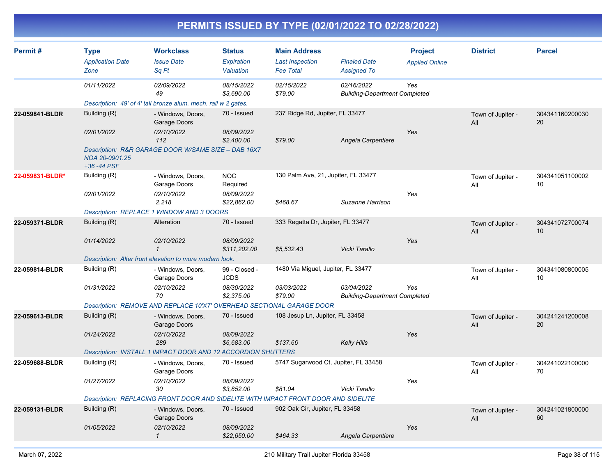| Permit#         | <b>Type</b><br><b>Application Date</b><br>Zone | <b>Workclass</b><br><b>Issue Date</b><br>Sa Ft                                     | <b>Status</b><br>Expiration<br>Valuation | <b>Main Address</b><br><b>Last Inspection</b><br><b>Fee Total</b> | <b>Finaled Date</b><br><b>Assigned To</b>          | <b>Project</b><br><b>Applied Online</b> | <b>District</b>          | <b>Parcel</b>         |
|-----------------|------------------------------------------------|------------------------------------------------------------------------------------|------------------------------------------|-------------------------------------------------------------------|----------------------------------------------------|-----------------------------------------|--------------------------|-----------------------|
|                 | 01/11/2022                                     | 02/09/2022<br>49                                                                   | 08/15/2022<br>\$3,690.00                 | 02/15/2022<br>\$79.00                                             | 02/16/2022<br><b>Building-Department Completed</b> | Yes                                     |                          |                       |
|                 |                                                | Description: 49' of 4' tall bronze alum. mech. rail w 2 gates.                     |                                          |                                                                   |                                                    |                                         |                          |                       |
| 22-059841-BLDR  | Building (R)                                   | - Windows, Doors,<br>Garage Doors                                                  | 70 - Issued                              | 237 Ridge Rd, Jupiter, FL 33477                                   |                                                    |                                         | Town of Jupiter -<br>All | 304341160200030<br>20 |
|                 | 02/01/2022                                     | 02/10/2022<br>112                                                                  | 08/09/2022<br>\$2,400.00                 | \$79.00                                                           | Angela Carpentiere                                 | Yes                                     |                          |                       |
|                 | NOA 20-0901.25<br>$+36 - 44$ PSF               | Description: R&R GARAGE DOOR W/SAME SIZE - DAB 16X7                                |                                          |                                                                   |                                                    |                                         |                          |                       |
| 22-059831-BLDR* | Building (R)                                   | - Windows, Doors,<br>Garage Doors                                                  | <b>NOC</b><br>Required                   | 130 Palm Ave, 21, Jupiter, FL 33477                               |                                                    |                                         | Town of Jupiter -<br>All | 304341051100002<br>10 |
|                 | 02/01/2022                                     | 02/10/2022<br>2,218                                                                | 08/09/2022<br>\$22,862.00                | \$468.67                                                          | Suzanne Harrison                                   | Yes                                     |                          |                       |
|                 |                                                | Description: REPLACE 1 WINDOW AND 3 DOORS                                          |                                          |                                                                   |                                                    |                                         |                          |                       |
| 22-059371-BLDR  | Building (R)                                   | Alteration                                                                         | 70 - Issued                              | 333 Regatta Dr, Jupiter, FL 33477                                 |                                                    |                                         | Town of Jupiter -<br>All | 304341072700074<br>10 |
|                 | 01/14/2022                                     | 02/10/2022<br>$\mathbf{1}$                                                         | 08/09/2022<br>\$311,202.00               | \$5,532.43                                                        | Vicki Tarallo                                      | Yes                                     |                          |                       |
|                 |                                                | Description: Alter front elevation to more modern look.                            |                                          |                                                                   |                                                    |                                         |                          |                       |
| 22-059814-BLDR  | Building (R)                                   | - Windows, Doors,<br>Garage Doors                                                  | 99 - Closed -<br><b>JCDS</b>             | 1480 Via Miguel, Jupiter, FL 33477                                |                                                    |                                         | Town of Jupiter -<br>All | 304341080800005<br>10 |
|                 | 01/31/2022                                     | 02/10/2022<br>70                                                                   | 08/30/2022<br>\$2,375.00                 | 03/03/2022<br>\$79.00                                             | 03/04/2022<br><b>Building-Department Completed</b> | Yes                                     |                          |                       |
|                 |                                                | Description: REMOVE AND REPLACE 10'X7' OVERHEAD SECTIONAL GARAGE DOOR              |                                          |                                                                   |                                                    |                                         |                          |                       |
| 22-059613-BLDR  | Building (R)                                   | - Windows, Doors,<br>Garage Doors                                                  | 70 - Issued                              | 108 Jesup Ln, Jupiter, FL 33458                                   |                                                    |                                         | Town of Jupiter -<br>All | 304241241200008<br>20 |
|                 | 01/24/2022                                     | 02/10/2022<br>289                                                                  | 08/09/2022<br>\$6,683.00                 | \$137.66                                                          | Kelly Hills                                        | Yes                                     |                          |                       |
|                 |                                                | Description: INSTALL 1 IMPACT DOOR AND 12 ACCORDION SHUTTERS                       |                                          |                                                                   |                                                    |                                         |                          |                       |
| 22-059688-BLDR  | Building (R)                                   | - Windows, Doors,<br>Garage Doors                                                  | 70 - Issued                              | 5747 Sugarwood Ct, Jupiter, FL 33458                              |                                                    |                                         | Town of Jupiter -<br>All | 304241022100000<br>70 |
|                 | 01/27/2022                                     | 02/10/2022<br>30                                                                   | 08/09/2022<br>\$3,852.00                 | \$81.04                                                           | Vicki Tarallo                                      | Yes                                     |                          |                       |
|                 |                                                | Description: REPLACING FRONT DOOR AND SIDELITE WITH IMPACT FRONT DOOR AND SIDELITE |                                          |                                                                   |                                                    |                                         |                          |                       |
| 22-059131-BLDR  | Building (R)                                   | - Windows, Doors,<br>Garage Doors                                                  | 70 - Issued                              | 902 Oak Cir, Jupiter, FL 33458                                    |                                                    |                                         | Town of Jupiter -<br>All | 304241021800000<br>60 |
|                 | 01/05/2022                                     | 02/10/2022<br>$\mathbf{1}$                                                         | 08/09/2022<br>\$22,650.00                | \$464.33                                                          | Angela Carpentiere                                 | Yes                                     |                          |                       |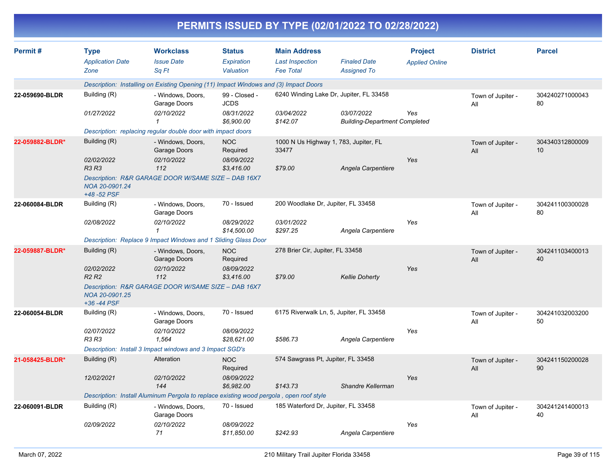|                 |                                                |                                                                                         |                                          |                                                                   | PERMITS ISSUED BY TYPE (02/01/2022 TO 02/28/2022)  |                                         |                          |                       |
|-----------------|------------------------------------------------|-----------------------------------------------------------------------------------------|------------------------------------------|-------------------------------------------------------------------|----------------------------------------------------|-----------------------------------------|--------------------------|-----------------------|
| Permit#         | <b>Type</b><br><b>Application Date</b><br>Zone | <b>Workclass</b><br><b>Issue Date</b><br>Sq Ft                                          | <b>Status</b><br>Expiration<br>Valuation | <b>Main Address</b><br><b>Last Inspection</b><br><b>Fee Total</b> | <b>Finaled Date</b><br><b>Assigned To</b>          | <b>Project</b><br><b>Applied Online</b> | <b>District</b>          | <b>Parcel</b>         |
|                 |                                                | Description: Installing on Existing Opening (11) Impact Windows and (3) Impact Doors    |                                          |                                                                   |                                                    |                                         |                          |                       |
| 22-059690-BLDR  | Building (R)                                   | - Windows, Doors,<br>Garage Doors                                                       | 99 - Closed -<br><b>JCDS</b>             | 6240 Winding Lake Dr, Jupiter, FL 33458                           |                                                    |                                         | Town of Jupiter -<br>All | 304240271000043<br>80 |
|                 | 01/27/2022                                     | 02/10/2022<br>1                                                                         | 08/31/2022<br>\$6,900.00                 | 03/04/2022<br>\$142.07                                            | 03/07/2022<br><b>Building-Department Completed</b> | Yes                                     |                          |                       |
|                 |                                                | Description: replacing regular double door with impact doors                            |                                          |                                                                   |                                                    |                                         |                          |                       |
| 22-059882-BLDR* | Building (R)                                   | - Windows, Doors,<br>Garage Doors                                                       | <b>NOC</b><br>Required                   | 33477                                                             | 1000 N Us Highway 1, 783, Jupiter, FL              |                                         | Town of Jupiter -<br>All | 304340312800009<br>10 |
|                 | 02/02/2022<br><b>R3 R3</b>                     | 02/10/2022<br>112                                                                       | 08/09/2022<br>\$3,416.00                 | \$79.00                                                           | Angela Carpentiere                                 | Yes                                     |                          |                       |
|                 | NOA 20-0901.24<br>+48 -52 PSF                  | Description: R&R GARAGE DOOR W/SAME SIZE - DAB 16X7                                     |                                          |                                                                   |                                                    |                                         |                          |                       |
| 22-060084-BLDR  | Building (R)                                   | - Windows, Doors,<br>Garage Doors                                                       | 70 - Issued                              | 200 Woodlake Dr, Jupiter, FL 33458                                |                                                    |                                         | Town of Jupiter -<br>All | 304241100300028<br>80 |
|                 | 02/08/2022                                     | 02/10/2022<br>1                                                                         | 08/29/2022<br>\$14,500.00                | 03/01/2022<br>\$297.25                                            | Angela Carpentiere                                 | Yes                                     |                          |                       |
|                 |                                                | Description: Replace 9 Impact Windows and 1 Sliding Glass Door                          |                                          |                                                                   |                                                    |                                         |                          |                       |
| 22-059887-BLDR* | Building (R)                                   | - Windows, Doors,<br>Garage Doors                                                       | <b>NOC</b><br>Required                   | 278 Brier Cir, Jupiter, FL 33458                                  |                                                    |                                         | Town of Jupiter -<br>All | 304241103400013<br>40 |
|                 | 02/02/2022<br><b>R2 R2</b>                     | 02/10/2022<br>112                                                                       | 08/09/2022<br>\$3,416.00                 | \$79.00                                                           | <b>Kellie Doherty</b>                              | Yes                                     |                          |                       |
|                 | NOA 20-0901.25<br>+36 -44 PSF                  | Description: R&R GARAGE DOOR W/SAME SIZE - DAB 16X7                                     |                                          |                                                                   |                                                    |                                         |                          |                       |
| 22-060054-BLDR  | Building (R)                                   | - Windows, Doors,<br>Garage Doors                                                       | 70 - Issued                              |                                                                   | 6175 Riverwalk Ln, 5, Jupiter, FL 33458            |                                         | Town of Jupiter -<br>All | 304241032003200<br>50 |
|                 | 02/07/2022<br><b>R3 R3</b>                     | 02/10/2022<br>1,564                                                                     | 08/09/2022<br>\$28,621.00                | \$586.73                                                          | Angela Carpentiere                                 | Yes                                     |                          |                       |
|                 |                                                | Description: Install 3 Impact windows and 3 Impact SGD's                                |                                          |                                                                   |                                                    |                                         |                          |                       |
| 21-058425-BLDR* | Building (R)                                   | Alteration                                                                              | <b>NOC</b><br>Required                   | 574 Sawgrass Pt, Jupiter, FL 33458                                |                                                    |                                         | Town of Jupiter -<br>All | 304241150200028<br>90 |
|                 | 12/02/2021                                     | 02/10/2022<br>144                                                                       | 08/09/2022<br>\$6,982.00                 | \$143.73                                                          | Shandre Kellerman                                  | Yes                                     |                          |                       |
|                 |                                                | Description: Install Aluminum Pergola to replace existing wood pergola, open roof style |                                          |                                                                   |                                                    |                                         |                          |                       |
| 22-060091-BLDR  | Building (R)                                   | - Windows, Doors,<br>Garage Doors                                                       | 70 - Issued                              | 185 Waterford Dr, Jupiter, FL 33458                               |                                                    |                                         | Town of Jupiter -<br>All | 304241241400013<br>40 |
|                 | 02/09/2022                                     | 02/10/2022<br>71                                                                        | 08/09/2022<br>\$11,850.00                | \$242.93                                                          | Angela Carpentiere                                 | Yes                                     |                          |                       |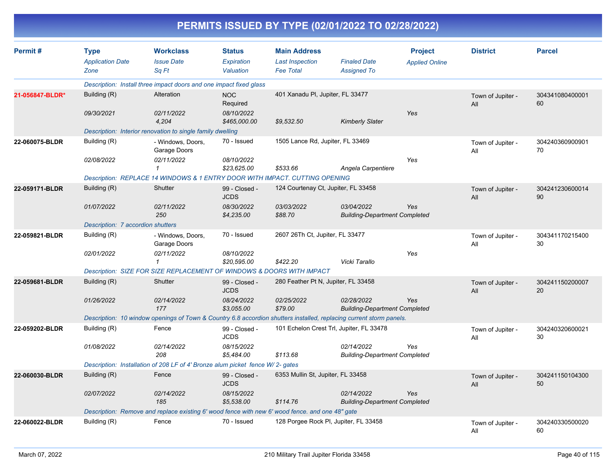|                 |                                                |                                                                                                                     |                                          |                                                                   | PERMITS ISSUED BY TYPE (02/01/2022 TO 02/28/2022)  |                                         |                          |                       |
|-----------------|------------------------------------------------|---------------------------------------------------------------------------------------------------------------------|------------------------------------------|-------------------------------------------------------------------|----------------------------------------------------|-----------------------------------------|--------------------------|-----------------------|
| Permit#         | <b>Type</b><br><b>Application Date</b><br>Zone | <b>Workclass</b><br><b>Issue Date</b><br>Sq Ft                                                                      | <b>Status</b><br>Expiration<br>Valuation | <b>Main Address</b><br><b>Last Inspection</b><br><b>Fee Total</b> | <b>Finaled Date</b><br><b>Assigned To</b>          | <b>Project</b><br><b>Applied Online</b> | <b>District</b>          | <b>Parcel</b>         |
|                 |                                                | Description: Install three impact doors and one impact fixed glass                                                  |                                          |                                                                   |                                                    |                                         |                          |                       |
| 21-056847-BLDR* | Building (R)                                   | Alteration                                                                                                          | NOC<br>Required                          | 401 Xanadu PI, Jupiter, FL 33477                                  |                                                    |                                         | Town of Jupiter -<br>All | 304341080400001<br>60 |
|                 | 09/30/2021                                     | 02/11/2022<br>4,204                                                                                                 | 08/10/2022<br>\$465,000.00               | \$9,532.50                                                        | <b>Kimberly Slater</b>                             | Yes                                     |                          |                       |
|                 |                                                | Description: Interior renovation to single family dwelling                                                          |                                          |                                                                   |                                                    |                                         |                          |                       |
| 22-060075-BLDR  | Building (R)                                   | - Windows, Doors,<br>Garage Doors                                                                                   | 70 - Issued                              | 1505 Lance Rd, Jupiter, FL 33469                                  |                                                    |                                         | Town of Jupiter -<br>All | 304240360900901<br>70 |
|                 | 02/08/2022                                     | 02/11/2022                                                                                                          | 08/10/2022<br>\$23,625.00                | \$533.66                                                          | Angela Carpentiere                                 | Yes                                     |                          |                       |
|                 |                                                | Description: REPLACE 14 WINDOWS & 1 ENTRY DOOR WITH IMPACT. CUTTING OPENING                                         |                                          |                                                                   |                                                    |                                         |                          |                       |
| 22-059171-BLDR  | Building (R)                                   | Shutter                                                                                                             | 99 - Closed -<br><b>JCDS</b>             | 124 Courtenay Ct, Jupiter, FL 33458                               |                                                    |                                         | Town of Jupiter -<br>All | 304241230600014<br>90 |
|                 | 01/07/2022                                     | 02/11/2022<br>250                                                                                                   | 08/30/2022<br>\$4,235.00                 | 03/03/2022<br>\$88.70                                             | 03/04/2022<br><b>Building-Department Completed</b> | Yes                                     |                          |                       |
|                 | Description: 7 accordion shutters              |                                                                                                                     |                                          |                                                                   |                                                    |                                         |                          |                       |
| 22-059821-BLDR  | Building (R)                                   | - Windows, Doors,<br>Garage Doors                                                                                   | 70 - Issued                              | 2607 26Th Ct, Jupiter, FL 33477                                   |                                                    |                                         | Town of Jupiter -<br>All | 304341170215400<br>30 |
|                 | 02/01/2022                                     | 02/11/2022<br>-1                                                                                                    | 08/10/2022<br>\$20,595.00                | \$422.20                                                          | Vicki Tarallo                                      | Yes                                     |                          |                       |
|                 |                                                | Description: SIZE FOR SIZE REPLACEMENT OF WINDOWS & DOORS WITH IMPACT                                               |                                          |                                                                   |                                                    |                                         |                          |                       |
| 22-059681-BLDR  | Building (R)                                   | Shutter                                                                                                             | 99 - Closed -<br><b>JCDS</b>             | 280 Feather Pt N, Jupiter, FL 33458                               |                                                    |                                         | Town of Jupiter -<br>All | 304241150200007<br>20 |
|                 | 01/26/2022                                     | 02/14/2022<br>177                                                                                                   | 08/24/2022<br>\$3,055.00                 | 02/25/2022<br>\$79.00                                             | 02/28/2022<br><b>Building-Department Completed</b> | Yes                                     |                          |                       |
|                 |                                                | Description: 10 window openings of Town & Country 6.8 accordion shutters installed, replacing current storm panels. |                                          |                                                                   |                                                    |                                         |                          |                       |
| 22-059202-BLDR  | Building (R)                                   | Fence                                                                                                               | 99 - Closed -<br><b>JCDS</b>             |                                                                   | 101 Echelon Crest Trl, Jupiter, FL 33478           |                                         | Town of Jupiter -<br>All | 304240320600021<br>30 |
|                 | 01/08/2022                                     | 02/14/2022<br>208                                                                                                   | 08/15/2022<br>\$5,484.00                 | \$113.68                                                          | 02/14/2022<br><b>Building-Department Completed</b> | Yes                                     |                          |                       |
|                 |                                                | Description: Installation of 208 LF of 4' Bronze alum picket fence W/2- gates                                       |                                          |                                                                   |                                                    |                                         |                          |                       |
| 22-060030-BLDR  | Building (R)                                   | Fence                                                                                                               | 99 - Closed -<br><b>JCDS</b>             | 6353 Mullin St, Jupiter, FL 33458                                 |                                                    |                                         | Town of Jupiter -<br>All | 304241150104300<br>50 |
|                 | 02/07/2022                                     | 02/14/2022<br>185                                                                                                   | 08/15/2022<br>\$5,538.00                 | \$114.76                                                          | 02/14/2022<br><b>Building-Department Completed</b> | Yes                                     |                          |                       |
|                 |                                                | Description: Remove and replace existing 6' wood fence with new 6' wood fence. and one 48" gate                     |                                          |                                                                   |                                                    |                                         |                          |                       |
| 22-060022-BLDR  | Building (R)                                   | Fence                                                                                                               | 70 - Issued                              |                                                                   | 128 Porgee Rock PI, Jupiter, FL 33458              |                                         | Town of Jupiter -<br>All | 304240330500020<br>60 |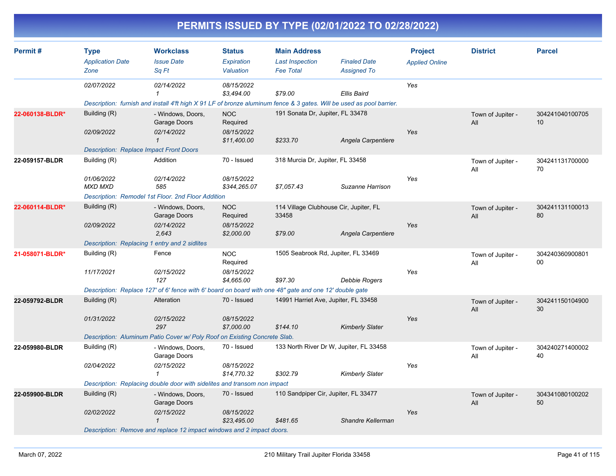|                 |                                                |                                                                                                                                             |                                                     |                                                                   | PERMITS ISSUED BY TYPE (02/01/2022 TO 02/28/2022)                 |                                         |                          |                       |
|-----------------|------------------------------------------------|---------------------------------------------------------------------------------------------------------------------------------------------|-----------------------------------------------------|-------------------------------------------------------------------|-------------------------------------------------------------------|-----------------------------------------|--------------------------|-----------------------|
| Permit #        | <b>Type</b><br><b>Application Date</b><br>Zone | <b>Workclass</b><br><b>Issue Date</b><br>Sq Ft                                                                                              | <b>Status</b><br>Expiration<br>Valuation            | <b>Main Address</b><br><b>Last Inspection</b><br><b>Fee Total</b> | <b>Finaled Date</b><br><b>Assigned To</b>                         | <b>Project</b><br><b>Applied Online</b> | <b>District</b>          | <b>Parcel</b>         |
|                 | 02/07/2022                                     | 02/14/2022<br>Description: furnish and install 4'ft high X 91 LF of bronze aluminum fence & 3 gates. Will be used as pool barrier.          | 08/15/2022<br>\$3,494.00                            | \$79.00                                                           | Ellis Baird                                                       | Yes                                     |                          |                       |
| 22-060138-BLDR* | Building (R)<br>02/09/2022                     | - Windows, Doors,<br>Garage Doors<br>02/14/2022<br><b>Description: Replace Impact Front Doors</b>                                           | <b>NOC</b><br>Required<br>08/15/2022<br>\$11,400.00 | 191 Sonata Dr, Jupiter, FL 33478<br>\$233.70                      | Angela Carpentiere                                                | Yes                                     | Town of Jupiter -<br>All | 304241040100705<br>10 |
| 22-059157-BLDR  | Building (R)<br>01/06/2022<br><b>MXD MXD</b>   | Addition<br>02/14/2022<br>585<br>Description: Remodel 1st Floor. 2nd Floor Addition                                                         | 70 - Issued<br>08/15/2022<br>\$344,265.07           | 318 Murcia Dr, Jupiter, FL 33458<br>\$7,057.43                    | Suzanne Harrison                                                  | Yes                                     | Town of Jupiter -<br>All | 304241131700000<br>70 |
| 22-060114-BLDR* | Building (R)<br>02/09/2022                     | - Windows, Doors,<br>Garage Doors<br>02/14/2022<br>2,643<br>Description: Replacing 1 entry and 2 sidlites                                   | <b>NOC</b><br>Required<br>08/15/2022<br>\$2,000.00  | 114 Village Clubhouse Cir, Jupiter, FL<br>33458<br>\$79.00        | Angela Carpentiere                                                | Yes                                     | Town of Jupiter -<br>All | 304241131100013<br>80 |
| 21-058071-BLDR* | Building (R)<br>11/17/2021                     | Fence<br>02/15/2022<br>127<br>Description: Replace 127' of 6' fence with 6' board on board with one 48" gate and one 12' double gate        | <b>NOC</b><br>Required<br>08/15/2022<br>\$4,665.00  | 1505 Seabrook Rd, Jupiter, FL 33469<br>\$97.30                    | Debbie Rogers                                                     | Yes                                     | Town of Jupiter -<br>All | 304240360900801<br>00 |
| 22-059792-BLDR  | Building (R)<br>01/31/2022                     | Alteration<br>02/15/2022<br>297<br>Description: Aluminum Patio Cover w/ Poly Roof on Existing Concrete Slab.                                | 70 - Issued<br>08/15/2022<br>\$7,000.00             | 14991 Harriet Ave, Jupiter, FL 33458<br>\$144.10                  | <b>Kimberly Slater</b>                                            | Yes                                     | Town of Jupiter -<br>All | 304241150104900<br>30 |
| 22-059980-BLDR  | Building (R)<br>02/04/2022                     | - Windows, Doors,<br>Garage Doors<br>02/15/2022<br>$\mathcal I$<br>Description: Replacing double door with sidelites and transom non impact | 70 - Issued<br>08/15/2022<br>\$14,770.32            | \$302.79                                                          | 133 North River Dr W, Jupiter, FL 33458<br><b>Kimberly Slater</b> | Yes                                     | Town of Jupiter -<br>All | 304240271400002<br>40 |
| 22-059900-BLDR  | Building (R)<br>02/02/2022                     | - Windows, Doors,<br>Garage Doors<br>02/15/2022<br>$\mathcal I$<br>Description: Remove and replace 12 impact windows and 2 impact doors.    | 70 - Issued<br>08/15/2022<br>\$23,495.00            | 110 Sandpiper Cir, Jupiter, FL 33477<br>\$481.65                  | Shandre Kellerman                                                 | Yes                                     | Town of Jupiter -<br>All | 304341080100202<br>50 |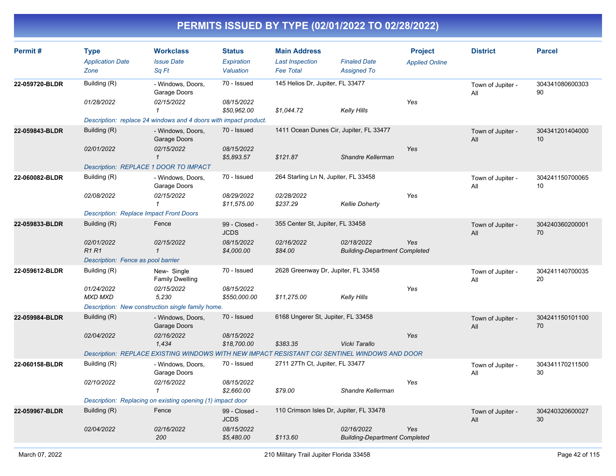| Permit#        | <b>Type</b><br><b>Application Date</b><br>Zone | <b>Workclass</b><br><b>Issue Date</b><br>Sq Ft                                                | <b>Status</b><br><b>Expiration</b><br>Valuation | <b>Main Address</b><br><b>Last Inspection</b><br><b>Fee Total</b> | <b>Finaled Date</b><br><b>Assigned To</b>          | <b>Project</b><br><b>Applied Online</b> | <b>District</b>          | <b>Parcel</b>         |
|----------------|------------------------------------------------|-----------------------------------------------------------------------------------------------|-------------------------------------------------|-------------------------------------------------------------------|----------------------------------------------------|-----------------------------------------|--------------------------|-----------------------|
| 22-059720-BLDR | Building (R)                                   | - Windows, Doors,<br>Garage Doors                                                             | 70 - Issued                                     | 145 Helios Dr, Jupiter, FL 33477                                  |                                                    |                                         | Town of Jupiter -<br>All | 304341080600303<br>90 |
|                | 01/28/2022                                     | 02/15/2022<br>$\mathbf{1}$                                                                    | 08/15/2022<br>\$50,962.00                       | \$1,044.72                                                        | Kelly Hills                                        | Yes                                     |                          |                       |
|                |                                                | Description: replace 24 windows and 4 doors with impact product.                              |                                                 |                                                                   |                                                    |                                         |                          |                       |
| 22-059843-BLDR | Building (R)                                   | - Windows, Doors,<br>Garage Doors                                                             | 70 - Issued                                     | 1411 Ocean Dunes Cir, Jupiter, FL 33477                           |                                                    |                                         | Town of Jupiter -<br>All | 304341201404000<br>10 |
|                | 02/01/2022                                     | 02/15/2022<br>$\mathbf{1}$                                                                    | 08/15/2022<br>\$5,893.57                        | \$121.87                                                          | Shandre Kellerman                                  | Yes                                     |                          |                       |
|                | Description: REPLACE 1 DOOR TO IMPACT          |                                                                                               |                                                 |                                                                   |                                                    |                                         |                          |                       |
| 22-060082-BLDR | Building (R)                                   | - Windows, Doors,<br>Garage Doors                                                             | 70 - Issued                                     | 264 Starling Ln N, Jupiter, FL 33458                              |                                                    |                                         | Town of Jupiter -<br>All | 304241150700065<br>10 |
|                | 02/08/2022                                     | 02/15/2022<br>$\mathbf{1}$                                                                    | 08/29/2022<br>\$11,575.00                       | 02/28/2022<br>\$237.29                                            | <b>Kellie Doherty</b>                              | Yes                                     |                          |                       |
|                | <b>Description: Replace Impact Front Doors</b> |                                                                                               |                                                 |                                                                   |                                                    |                                         |                          |                       |
| 22-059833-BLDR | Building (R)                                   | Fence                                                                                         | 99 - Closed -<br><b>JCDS</b>                    | 355 Center St, Jupiter, FL 33458                                  |                                                    |                                         | Town of Jupiter -<br>All | 304240360200001<br>70 |
|                | 02/01/2022<br><b>R1R1</b>                      | 02/15/2022<br>$\mathbf{1}$                                                                    | 08/15/2022<br>\$4,000.00                        | 02/16/2022<br>\$84.00                                             | 02/18/2022<br><b>Building-Department Completed</b> | Yes                                     |                          |                       |
|                | Description: Fence as pool barrier             |                                                                                               |                                                 |                                                                   |                                                    |                                         |                          |                       |
| 22-059612-BLDR | Building (R)                                   | New-Single<br><b>Family Dwelling</b>                                                          | 70 - Issued                                     | 2628 Greenway Dr, Jupiter, FL 33458                               |                                                    |                                         | Town of Jupiter -<br>All | 304241140700035<br>20 |
|                | 01/24/2022<br><b>MXD MXD</b>                   | 02/15/2022<br>5,230                                                                           | 08/15/2022<br>\$550,000.00                      | \$11,275.00                                                       | <b>Kelly Hills</b>                                 | Yes                                     |                          |                       |
|                |                                                | Description: New construction single family home.                                             |                                                 |                                                                   |                                                    |                                         |                          |                       |
| 22-059984-BLDR | Building (R)                                   | - Windows, Doors,<br>Garage Doors                                                             | 70 - Issued                                     | 6168 Ungerer St, Jupiter, FL 33458                                |                                                    |                                         | Town of Jupiter -<br>All | 304241150101100<br>70 |
|                | 02/04/2022                                     | 02/16/2022<br>1,434                                                                           | 08/15/2022<br>\$18,700.00                       | \$383.35                                                          | Vicki Tarallo                                      | Yes                                     |                          |                       |
|                |                                                | Description: REPLACE EXISTING WINDOWS WITH NEW IMPACT RESISTANT CGI SENTINEL WINDOWS AND DOOR |                                                 |                                                                   |                                                    |                                         |                          |                       |
| 22-060158-BLDR | Building (R)                                   | - Windows, Doors,<br>Garage Doors                                                             | 70 - Issued                                     | 2711 27Th Ct, Jupiter, FL 33477                                   |                                                    |                                         | Town of Jupiter -<br>All | 304341170211500<br>30 |
|                | 02/10/2022                                     | 02/16/2022<br>$\mathbf{1}$                                                                    | 08/15/2022<br>\$2,660.00                        | \$79.00                                                           | Shandre Kellerman                                  | Yes                                     |                          |                       |
|                |                                                | Description: Replacing on existing opening (1) impact door                                    |                                                 |                                                                   |                                                    |                                         |                          |                       |
| 22-059967-BLDR | Building (R)                                   | Fence                                                                                         | 99 - Closed -<br><b>JCDS</b>                    | 110 Crimson Isles Dr, Jupiter, FL 33478                           |                                                    |                                         | Town of Jupiter -<br>All | 304240320600027<br>30 |
|                | 02/04/2022                                     | 02/16/2022<br>200                                                                             | 08/15/2022<br>\$5,480.00                        | \$113.60                                                          | 02/16/2022<br><b>Building-Department Completed</b> | Yes                                     |                          |                       |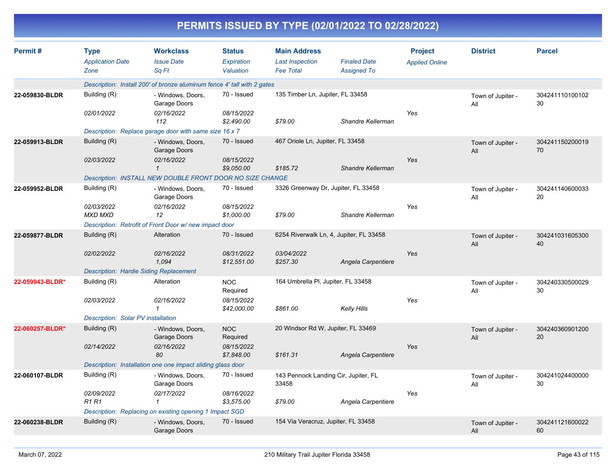|                 | PERMITS ISSUED BY TYPE (02/01/2022 TO 02/28/2022) |                                                                         |                                          |                                                                   |                                           |                                         |                          |                       |  |  |  |
|-----------------|---------------------------------------------------|-------------------------------------------------------------------------|------------------------------------------|-------------------------------------------------------------------|-------------------------------------------|-----------------------------------------|--------------------------|-----------------------|--|--|--|
| Permit#         | <b>Type</b><br><b>Application Date</b><br>Zone    | <b>Workclass</b><br><b>Issue Date</b><br>Sq Ft                          | <b>Status</b><br>Expiration<br>Valuation | <b>Main Address</b><br><b>Last Inspection</b><br><b>Fee Total</b> | <b>Finaled Date</b><br><b>Assigned To</b> | <b>Project</b><br><b>Applied Online</b> | <b>District</b>          | <b>Parcel</b>         |  |  |  |
|                 |                                                   | Description: Install 200' of bronze aluminum fence 4' tall with 2 gates |                                          |                                                                   |                                           |                                         |                          |                       |  |  |  |
| 22-059830-BLDR  | Building (R)                                      | - Windows, Doors,<br>Garage Doors                                       | 70 - Issued                              | 135 Timber Ln, Jupiter, FL 33458                                  |                                           |                                         | Town of Jupiter -<br>All | 304241110100102<br>30 |  |  |  |
|                 | 02/01/2022                                        | 02/16/2022<br>112                                                       | 08/15/2022<br>\$2,490.00                 | \$79.00                                                           | Shandre Kellerman                         | Yes                                     |                          |                       |  |  |  |
|                 |                                                   | Description: Replace garage door with same size 16 x 7                  |                                          |                                                                   |                                           |                                         |                          |                       |  |  |  |
| 22-059913-BLDR  | Building (R)                                      | - Windows, Doors,<br>Garage Doors                                       | 70 - Issued                              | 467 Oriole Ln, Jupiter, FL 33458                                  |                                           |                                         | Town of Jupiter -<br>All | 304241150200019<br>70 |  |  |  |
|                 | 02/03/2022                                        | 02/16/2022<br>$\mathcal I$                                              | 08/15/2022<br>\$9,050.00                 | \$185.72                                                          | Shandre Kellerman                         | Yes                                     |                          |                       |  |  |  |
|                 |                                                   | Description: INSTALL NEW DOUBLE FRONT DOOR NO SIZE CHANGE               |                                          |                                                                   |                                           |                                         |                          |                       |  |  |  |
| 22-059952-BLDR  | Building (R)                                      | - Windows, Doors,<br>Garage Doors                                       | 70 - Issued                              | 3326 Greenway Dr, Jupiter, FL 33458                               |                                           |                                         | Town of Jupiter -<br>All | 304241140600033<br>20 |  |  |  |
|                 | 02/03/2022<br>MXD MXD                             | 02/16/2022<br>12                                                        | 08/15/2022<br>\$1,000.00                 | \$79.00                                                           | Shandre Kellerman                         | Yes                                     |                          |                       |  |  |  |
|                 |                                                   | Description: Retrofit of Front Door w/new impact door                   |                                          |                                                                   |                                           |                                         |                          |                       |  |  |  |
| 22-059877-BLDR  | Building (R)                                      | Alteration                                                              | 70 - Issued                              | 6254 Riverwalk Ln, 4, Jupiter, FL 33458                           |                                           |                                         | Town of Jupiter -<br>All | 304241031605300<br>40 |  |  |  |
|                 | 02/02/2022                                        | 02/16/2022<br>1,094                                                     | 08/31/2022<br>\$12,551.00                | 03/04/2022<br>\$257.30                                            | Angela Carpentiere                        | Yes                                     |                          |                       |  |  |  |
|                 | <b>Description: Hardie Siding Replacement</b>     |                                                                         |                                          |                                                                   |                                           |                                         |                          |                       |  |  |  |
| 22-059943-BLDR* | Building (R)                                      | Alteration                                                              | <b>NOC</b><br>Required                   |                                                                   | 164 Umbrella PI, Jupiter, FL 33458        |                                         | Town of Jupiter -<br>All | 304240330500029<br>30 |  |  |  |
|                 | 02/03/2022                                        | 02/16/2022<br>$\mathbf{1}$                                              | 08/15/2022<br>\$42,000.00                | \$861.00                                                          | <b>Kelly Hills</b>                        | Yes                                     |                          |                       |  |  |  |
|                 | Description: Solar PV installation                |                                                                         |                                          |                                                                   |                                           |                                         |                          |                       |  |  |  |
| 22-060257-BLDR* | Building (R)                                      | - Windows, Doors,<br>Garage Doors                                       | <b>NOC</b><br>Required                   | 20 Windsor Rd W, Jupiter, FL 33469                                |                                           |                                         | Town of Jupiter -<br>All | 304240360901200<br>20 |  |  |  |
|                 | 02/14/2022                                        | 02/16/2022<br>80                                                        | 08/15/2022<br>\$7,848.00                 | \$161.31                                                          | Angela Carpentiere                        | Yes                                     |                          |                       |  |  |  |
|                 |                                                   | Description: Installation one one impact sliding glass door             |                                          |                                                                   |                                           |                                         |                          |                       |  |  |  |
| 22-060107-BLDR  | Building (R)                                      | - Windows, Doors,<br>Garage Doors                                       | 70 - Issued                              | 143 Pennock Landing Cir, Jupiter, FL<br>33458                     |                                           |                                         | Town of Jupiter -<br>All | 304241024400000<br>30 |  |  |  |
|                 | 02/09/2022<br><b>R1 R1</b>                        | 02/17/2022<br>$\mathcal I$                                              | 08/16/2022<br>\$3,575.00                 | \$79.00                                                           | Angela Carpentiere                        | Yes                                     |                          |                       |  |  |  |
|                 |                                                   | Description: Replacing on existing opening 1 Impact SGD                 |                                          |                                                                   |                                           |                                         |                          |                       |  |  |  |
| 22-060238-BLDR  | Building (R)                                      | - Windows, Doors,<br>Garage Doors                                       | 70 - Issued                              | 154 Via Veracruz, Jupiter, FL 33458                               |                                           |                                         | Town of Jupiter -<br>All | 304241121600022<br>60 |  |  |  |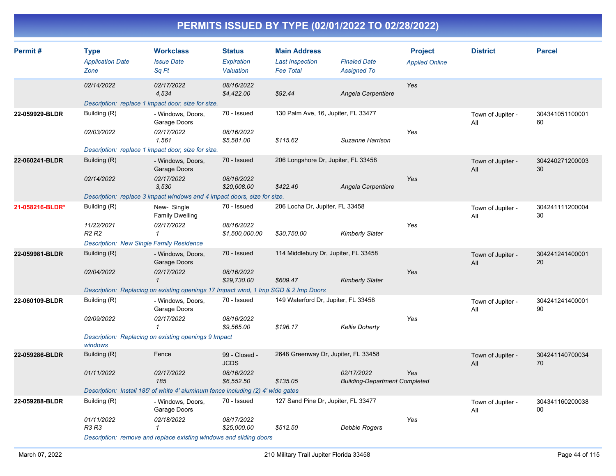| Permit#         | <b>Type</b><br><b>Application Date</b><br>Zone  | <b>Workclass</b><br><b>Issue Date</b><br>Sq Ft                                      | <b>Status</b><br>Expiration<br>Valuation | <b>Main Address</b><br><b>Last Inspection</b><br><b>Fee Total</b> | <b>Finaled Date</b><br><b>Assigned To</b>          | <b>Project</b><br><b>Applied Online</b> | <b>District</b>          | <b>Parcel</b>         |
|-----------------|-------------------------------------------------|-------------------------------------------------------------------------------------|------------------------------------------|-------------------------------------------------------------------|----------------------------------------------------|-----------------------------------------|--------------------------|-----------------------|
|                 | 02/14/2022                                      | 02/17/2022<br>4,534                                                                 | 08/16/2022<br>\$4,422.00                 | \$92.44                                                           | Angela Carpentiere                                 | Yes                                     |                          |                       |
|                 |                                                 | Description: replace 1 impact door, size for size.                                  |                                          |                                                                   |                                                    |                                         |                          |                       |
| 22-059929-BLDR  | Building (R)                                    | - Windows, Doors,<br>Garage Doors                                                   | 70 - Issued                              | 130 Palm Ave, 16, Jupiter, FL 33477                               |                                                    |                                         | Town of Jupiter -<br>All | 304341051100001<br>60 |
|                 | 02/03/2022                                      | 02/17/2022<br>1,561                                                                 | 08/16/2022<br>\$5,581.00                 | \$115.62                                                          | Suzanne Harrison                                   | Yes                                     |                          |                       |
|                 |                                                 | Description: replace 1 impact door, size for size.                                  |                                          |                                                                   |                                                    |                                         |                          |                       |
| 22-060241-BLDR  | Building (R)                                    | - Windows, Doors,<br>Garage Doors                                                   | 70 - Issued                              | 206 Longshore Dr, Jupiter, FL 33458                               |                                                    |                                         | Town of Jupiter -<br>All | 304240271200003<br>30 |
|                 | 02/14/2022                                      | 02/17/2022<br>3,530                                                                 | 08/16/2022<br>\$20,608.00                | \$422.46                                                          | Angela Carpentiere                                 | Yes                                     |                          |                       |
|                 |                                                 | Description: replace 3 impact windows and 4 impact doors, size for size.            |                                          |                                                                   |                                                    |                                         |                          |                       |
| 21-058216-BLDR* | Building (R)                                    | New-Single<br><b>Family Dwelling</b>                                                | 70 - Issued                              | 206 Locha Dr, Jupiter, FL 33458                                   |                                                    |                                         | Town of Jupiter -<br>All | 304241111200004<br>30 |
|                 | 11/22/2021<br>R <sub>2</sub> R <sub>2</sub>     | 02/17/2022<br>$\mathcal I$                                                          | 08/16/2022<br>\$1,500,000.00             | \$30,750.00                                                       | <b>Kimberly Slater</b>                             | Yes                                     |                          |                       |
|                 | <b>Description: New Single Family Residence</b> |                                                                                     |                                          |                                                                   |                                                    |                                         |                          |                       |
| 22-059981-BLDR  | Building (R)                                    | - Windows, Doors,<br>Garage Doors                                                   | 70 - Issued                              | 114 Middlebury Dr, Jupiter, FL 33458                              |                                                    |                                         | Town of Jupiter -<br>All | 304241241400001<br>20 |
|                 | 02/04/2022                                      | 02/17/2022<br>$\mathbf{1}$                                                          | 08/16/2022<br>\$29,730.00                | \$609.47                                                          | <b>Kimberly Slater</b>                             | Yes                                     |                          |                       |
|                 |                                                 | Description: Replacing on existing openings 17 Impact wind, 1 Imp SGD & 2 Imp Doors |                                          |                                                                   |                                                    |                                         |                          |                       |
| 22-060109-BLDR  | Building (R)                                    | - Windows, Doors,<br>Garage Doors                                                   | 70 - Issued                              | 149 Waterford Dr, Jupiter, FL 33458                               |                                                    |                                         | Town of Jupiter -<br>All | 304241241400001<br>90 |
|                 | 02/09/2022                                      | 02/17/2022<br>$\mathcal I$                                                          | 08/16/2022<br>\$9,565.00                 | \$196.17                                                          | <b>Kellie Doherty</b>                              | Yes                                     |                          |                       |
|                 | windows                                         | Description: Replacing on existing openings 9 Impact                                |                                          |                                                                   |                                                    |                                         |                          |                       |
| 22-059286-BLDR  | Building (R)                                    | Fence                                                                               | 99 - Closed -<br><b>JCDS</b>             | 2648 Greenway Dr, Jupiter, FL 33458                               |                                                    |                                         | Town of Jupiter -<br>All | 304241140700034<br>70 |
|                 | 01/11/2022                                      | 02/17/2022<br>185                                                                   | 08/16/2022<br>\$6,552.50                 | \$135.05                                                          | 02/17/2022<br><b>Building-Department Completed</b> | Yes                                     |                          |                       |
|                 |                                                 | Description: Install 185' of white 4' aluminum fence including (2) 4' wide gates    |                                          |                                                                   |                                                    |                                         |                          |                       |
| 22-059288-BLDR  | Building (R)                                    | - Windows, Doors,<br>Garage Doors                                                   | 70 - Issued                              | 127 Sand Pine Dr, Jupiter, FL 33477                               |                                                    |                                         | Town of Jupiter -<br>All | 304341160200038<br>00 |
|                 | 01/11/2022<br><b>R3 R3</b>                      | 02/18/2022<br>1                                                                     | 08/17/2022<br>\$25,000.00                | \$512.50                                                          | Debbie Rogers                                      | Yes                                     |                          |                       |
|                 |                                                 | Description: remove and replace existing windows and sliding doors                  |                                          |                                                                   |                                                    |                                         |                          |                       |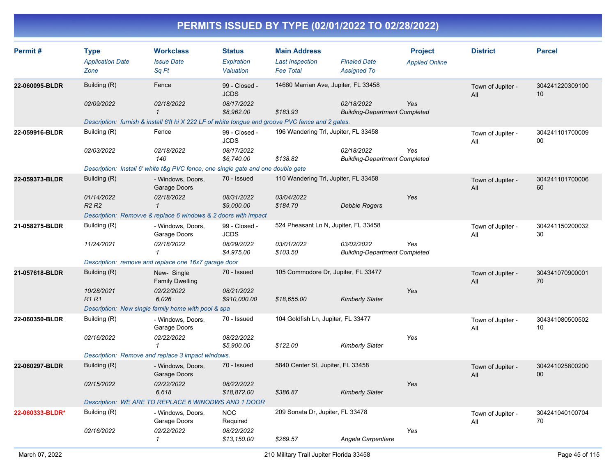| Permit#         | <b>Type</b><br><b>Application Date</b>      | <b>Workclass</b><br><b>Issue Date</b>                                                             | <b>Status</b><br><b>Expiration</b> | <b>Main Address</b><br><b>Last Inspection</b> | <b>Finaled Date</b>                                | <b>Project</b><br><b>Applied Online</b> | <b>District</b>          | <b>Parcel</b>         |
|-----------------|---------------------------------------------|---------------------------------------------------------------------------------------------------|------------------------------------|-----------------------------------------------|----------------------------------------------------|-----------------------------------------|--------------------------|-----------------------|
|                 | Zone                                        | Sq Ft                                                                                             | Valuation                          | <b>Fee Total</b>                              | <b>Assigned To</b>                                 |                                         |                          |                       |
| 22-060095-BLDR  | Building (R)                                | Fence                                                                                             | 99 - Closed -<br><b>JCDS</b>       | 14660 Marrian Ave, Jupiter, FL 33458          |                                                    |                                         | Town of Jupiter -<br>All | 304241220309100<br>10 |
|                 | 02/09/2022                                  | 02/18/2022<br>$\mathbf{1}$                                                                        | 08/17/2022<br>\$8,962.00           | \$183.93                                      | 02/18/2022<br><b>Building-Department Completed</b> | Yes                                     |                          |                       |
|                 |                                             | Description: furnish & install 6'ft hi X 222 LF of white tongue and groove PVC fence and 2 gates. |                                    |                                               |                                                    |                                         |                          |                       |
| 22-059916-BLDR  | Building (R)                                | Fence                                                                                             | 99 - Closed -<br><b>JCDS</b>       | 196 Wandering Trl, Jupiter, FL 33458          |                                                    |                                         | Town of Jupiter -<br>All | 304241101700009<br>00 |
|                 | 02/03/2022                                  | 02/18/2022<br>140                                                                                 | 08/17/2022<br>\$6,740.00           | \$138.82                                      | 02/18/2022<br><b>Building-Department Completed</b> | Yes                                     |                          |                       |
|                 |                                             | Description: Install 6' white t&g PVC fence, one single gate and one double gate                  |                                    |                                               |                                                    |                                         |                          |                       |
| 22-059373-BLDR  | Building (R)                                | - Windows, Doors,<br>Garage Doors                                                                 | 70 - Issued                        | 110 Wandering Trl, Jupiter, FL 33458          |                                                    |                                         | Town of Jupiter -<br>All | 304241101700006<br>60 |
|                 | 01/14/2022<br>R <sub>2</sub> R <sub>2</sub> | 02/18/2022<br>$\mathbf{1}$                                                                        | 08/31/2022<br>\$9,000.00           | 03/04/2022<br>\$184.70                        | Debbie Rogers                                      | Yes                                     |                          |                       |
|                 |                                             | Description: Removve & replace 6 windows & 2 doors with impact                                    |                                    |                                               |                                                    |                                         |                          |                       |
| 21-058275-BLDR  | Building (R)                                | - Windows, Doors,<br>Garage Doors                                                                 | 99 - Closed -<br><b>JCDS</b>       | 524 Pheasant Ln N, Jupiter, FL 33458          |                                                    |                                         | Town of Jupiter -<br>All | 304241150200032<br>30 |
|                 | 11/24/2021                                  | 02/18/2022<br>$\mathbf{1}$                                                                        | 08/29/2022<br>\$4,975.00           | 03/01/2022<br>\$103.50                        | 03/02/2022<br><b>Building-Department Completed</b> | Yes                                     |                          |                       |
|                 |                                             | Description: remove and replace one 16x7 garage door                                              |                                    |                                               |                                                    |                                         |                          |                       |
| 21-057618-BLDR  | Building (R)                                | New-Single<br><b>Family Dwelling</b>                                                              | 70 - Issued                        | 105 Commodore Dr, Jupiter, FL 33477           |                                                    |                                         | Town of Jupiter -<br>All | 304341070900001<br>70 |
|                 | 10/28/2021<br><b>R1 R1</b>                  | 02/22/2022<br>6,026                                                                               | 08/21/2022<br>\$910,000.00         | \$18,655.00                                   | <b>Kimberly Slater</b>                             | Yes                                     |                          |                       |
|                 |                                             | Description: New single family home with pool & spa                                               |                                    |                                               |                                                    |                                         |                          |                       |
| 22-060350-BLDR  | Building (R)                                | - Windows, Doors,<br>Garage Doors                                                                 | 70 - Issued                        | 104 Goldfish Ln, Jupiter, FL 33477            |                                                    |                                         | Town of Jupiter -<br>All | 304341080500502<br>10 |
|                 | 02/16/2022                                  | 02/22/2022<br>$\mathbf{1}$                                                                        | 08/22/2022<br>\$5,900.00           | \$122.00                                      | <b>Kimberly Slater</b>                             | Yes                                     |                          |                       |
|                 |                                             | Description: Remove and replace 3 impact windows.                                                 |                                    |                                               |                                                    |                                         |                          |                       |
| 22-060297-BLDR  | Building (R)                                | - Windows, Doors,<br>Garage Doors                                                                 | 70 - Issued                        | 5840 Center St, Jupiter, FL 33458             |                                                    |                                         | Town of Jupiter -<br>All | 304241025800200<br>00 |
|                 | 02/15/2022                                  | 02/22/2022<br>6,618                                                                               | 08/22/2022<br>\$18,872.00          | \$386.87                                      | <b>Kimberly Slater</b>                             | Yes                                     |                          |                       |
|                 |                                             | Description: WE ARE TO REPLACE 6 WINODWS AND 1 DOOR                                               |                                    |                                               |                                                    |                                         |                          |                       |
| 22-060333-BLDR* | Building (R)                                | - Windows, Doors,<br>Garage Doors                                                                 | <b>NOC</b><br>Required             | 209 Sonata Dr, Jupiter, FL 33478              |                                                    |                                         | Town of Jupiter -<br>All | 304241040100704<br>70 |
|                 | 02/16/2022                                  | 02/22/2022<br>$\mathcal I$                                                                        | 08/22/2022<br>\$13,150.00          | \$269.57                                      | Angela Carpentiere                                 | Yes                                     |                          |                       |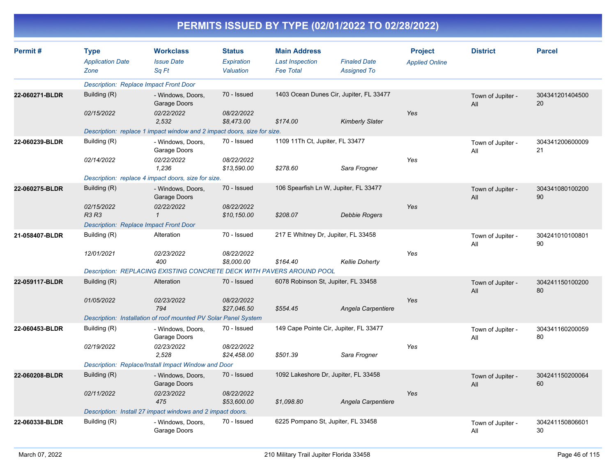|                |                                                |                                                                         |                                          |                                                                   | PERMITS ISSUED BY TYPE (02/01/2022 TO 02/28/2022) |                                         |                          |                       |
|----------------|------------------------------------------------|-------------------------------------------------------------------------|------------------------------------------|-------------------------------------------------------------------|---------------------------------------------------|-----------------------------------------|--------------------------|-----------------------|
| Permit#        | <b>Type</b><br><b>Application Date</b><br>Zone | <b>Workclass</b><br><b>Issue Date</b><br>Sq Ft                          | <b>Status</b><br>Expiration<br>Valuation | <b>Main Address</b><br><b>Last Inspection</b><br><b>Fee Total</b> | <b>Finaled Date</b><br><b>Assigned To</b>         | <b>Project</b><br><b>Applied Online</b> | <b>District</b>          | <b>Parcel</b>         |
|                |                                                | <b>Description: Replace Impact Front Door</b>                           |                                          |                                                                   |                                                   |                                         |                          |                       |
| 22-060271-BLDR | Building (R)                                   | - Windows, Doors,<br>Garage Doors                                       | 70 - Issued                              |                                                                   | 1403 Ocean Dunes Cir, Jupiter, FL 33477           |                                         | Town of Jupiter -<br>All | 304341201404500<br>20 |
|                | 02/15/2022                                     | 02/22/2022<br>2,532                                                     | 08/22/2022<br>\$8,473.00                 | \$174.00                                                          | <b>Kimberly Slater</b>                            | Yes                                     |                          |                       |
|                |                                                | Description: replace 1 impact window and 2 impact doors, size for size. |                                          |                                                                   |                                                   |                                         |                          |                       |
| 22-060239-BLDR | Building (R)                                   | - Windows, Doors,<br>Garage Doors                                       | 70 - Issued                              | 1109 11Th Ct, Jupiter, FL 33477                                   |                                                   |                                         | Town of Jupiter -<br>All | 304341200600009<br>21 |
|                | 02/14/2022                                     | 02/22/2022<br>1,236                                                     | 08/22/2022<br>\$13,590.00                | \$278.60                                                          | Sara Frogner                                      | Yes                                     |                          |                       |
|                |                                                | Description: replace 4 impact doors, size for size.                     |                                          |                                                                   |                                                   |                                         |                          |                       |
| 22-060275-BLDR | Building (R)                                   | - Windows, Doors,<br>Garage Doors                                       | 70 - Issued                              |                                                                   | 106 Spearfish Ln W, Jupiter, FL 33477             |                                         | Town of Jupiter -<br>All | 304341080100200<br>90 |
|                | 02/15/2022<br><b>R3 R3</b>                     | 02/22/2022                                                              | 08/22/2022<br>\$10,150.00                | \$208.07                                                          | <b>Debbie Rogers</b>                              | Yes                                     |                          |                       |
|                |                                                | <b>Description: Replace Impact Front Door</b>                           |                                          |                                                                   |                                                   |                                         |                          |                       |
| 21-058407-BLDR | Building (R)                                   | Alteration                                                              | 70 - Issued                              | 217 E Whitney Dr, Jupiter, FL 33458                               |                                                   |                                         | Town of Jupiter -<br>All | 304241010100801<br>90 |
|                | 12/01/2021                                     | 02/23/2022<br>400                                                       | 08/22/2022<br>\$8,000.00                 | \$164.40                                                          | <b>Kellie Doherty</b>                             | Yes                                     |                          |                       |
|                |                                                | Description: REPLACING EXISTING CONCRETE DECK WITH PAVERS AROUND POOL   |                                          |                                                                   |                                                   |                                         |                          |                       |
| 22-059117-BLDR | Building (R)                                   | Alteration                                                              | 70 - Issued                              | 6078 Robinson St, Jupiter, FL 33458                               |                                                   |                                         | Town of Jupiter -<br>All | 304241150100200<br>80 |
|                | 01/05/2022                                     | 02/23/2022<br>794                                                       | 08/22/2022<br>\$27,046.50                | \$554.45                                                          | Angela Carpentiere                                | Yes                                     |                          |                       |
|                |                                                | Description: Installation of roof mounted PV Solar Panel System         |                                          |                                                                   |                                                   |                                         |                          |                       |
| 22-060453-BLDR | Building (R)                                   | - Windows, Doors,<br>Garage Doors                                       | 70 - Issued                              |                                                                   | 149 Cape Pointe Cir, Jupiter, FL 33477            |                                         | Town of Jupiter -<br>All | 304341160200059<br>80 |
|                | 02/19/2022                                     | 02/23/2022<br>2,528                                                     | 08/22/2022<br>\$24,458.00                | \$501.39                                                          | Sara Frogner                                      | Yes                                     |                          |                       |
|                |                                                | Description: Replace/Install Impact Window and Door                     |                                          |                                                                   |                                                   |                                         |                          |                       |
| 22-060208-BLDR | Building (R)                                   | - Windows, Doors,<br>Garage Doors                                       | 70 - Issued                              |                                                                   | 1092 Lakeshore Dr, Jupiter, FL 33458              |                                         | Town of Jupiter -<br>All | 304241150200064<br>60 |
|                | 02/11/2022                                     | 02/23/2022<br>475                                                       | 08/22/2022<br>\$53,600.00                | \$1,098.80                                                        | Angela Carpentiere                                | Yes                                     |                          |                       |
|                |                                                | Description: Install 27 impact windows and 2 impact doors.              |                                          |                                                                   |                                                   |                                         |                          |                       |
| 22-060338-BLDR | Building (R)                                   | - Windows, Doors,<br>Garage Doors                                       | 70 - Issued                              | 6225 Pompano St, Jupiter, FL 33458                                |                                                   |                                         | Town of Jupiter -<br>ail | 304241150806601<br>30 |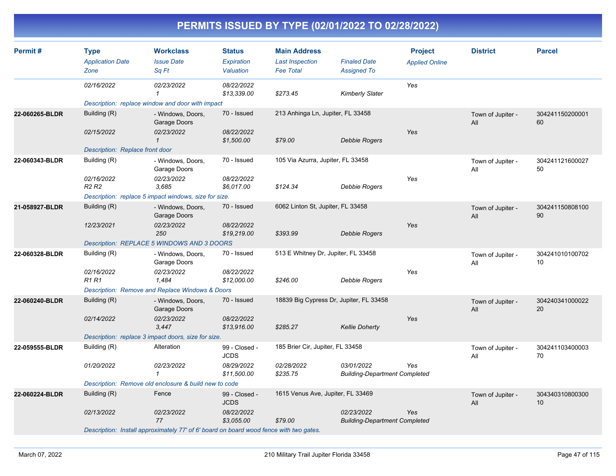| Permit#        | <b>Type</b><br><b>Application Date</b><br>Zone | <b>Workclass</b><br><b>Issue Date</b><br>Sq Ft                                         | <b>Status</b><br>Expiration<br>Valuation | <b>Main Address</b><br><b>Last Inspection</b><br><b>Fee Total</b> | <b>Finaled Date</b><br><b>Assigned To</b>          | <b>Project</b><br><b>Applied Online</b> | <b>District</b>          | <b>Parcel</b>         |
|----------------|------------------------------------------------|----------------------------------------------------------------------------------------|------------------------------------------|-------------------------------------------------------------------|----------------------------------------------------|-----------------------------------------|--------------------------|-----------------------|
|                | 02/16/2022                                     | 02/23/2022<br>$\mathbf{1}$                                                             | 08/22/2022<br>\$13,339.00                | \$273.45                                                          | <b>Kimberly Slater</b>                             | Yes                                     |                          |                       |
|                |                                                | Description: replace window and door with impact                                       |                                          |                                                                   |                                                    |                                         |                          |                       |
| 22-060265-BLDR | Building (R)                                   | - Windows, Doors,<br>Garage Doors                                                      | 70 - Issued                              | 213 Anhinga Ln, Jupiter, FL 33458                                 |                                                    |                                         | Town of Jupiter -<br>All | 304241150200001<br>60 |
|                | 02/15/2022                                     | 02/23/2022<br>$\mathbf{1}$                                                             | 08/22/2022<br>\$1,500.00                 | \$79.00                                                           | Debbie Rogers                                      | Yes                                     |                          |                       |
|                | Description: Replace front door                |                                                                                        |                                          |                                                                   |                                                    |                                         |                          |                       |
| 22-060343-BLDR | Building (R)                                   | - Windows, Doors,<br>Garage Doors                                                      | 70 - Issued                              | 105 Via Azurra, Jupiter, FL 33458                                 |                                                    |                                         | Town of Jupiter -<br>All | 304241121600027<br>50 |
|                | 02/16/2022<br>R <sub>2</sub> R <sub>2</sub>    | 02/23/2022<br>3,685                                                                    | 08/22/2022<br>\$6,017.00                 | \$124.34                                                          | Debbie Rogers                                      | Yes                                     |                          |                       |
|                |                                                | Description: replace 5 impact windows, size for size.                                  |                                          |                                                                   |                                                    |                                         |                          |                       |
| 21-058927-BLDR | Building (R)                                   | - Windows, Doors,<br>Garage Doors                                                      | 70 - Issued                              | 6062 Linton St, Jupiter, FL 33458                                 |                                                    |                                         | Town of Jupiter -<br>All | 304241150808100<br>90 |
|                | 12/23/2021                                     | 02/23/2022<br>250                                                                      | 08/22/2022<br>\$19,219.00                | \$393.99                                                          | Debbie Rogers                                      | Yes                                     |                          |                       |
|                |                                                | Description: REPLACE 5 WINDOWS AND 3 DOORS                                             |                                          |                                                                   |                                                    |                                         |                          |                       |
| 22-060328-BLDR | Building (R)                                   | - Windows, Doors,<br>Garage Doors                                                      | 70 - Issued                              | 513 E Whitney Dr, Jupiter, FL 33458                               |                                                    |                                         | Town of Jupiter -<br>All | 304241010100702<br>10 |
|                | 02/16/2022<br><b>R1 R1</b>                     | 02/23/2022<br>1.484                                                                    | 08/22/2022<br>\$12,000.00                | \$246.00                                                          | Debbie Rogers                                      | Yes                                     |                          |                       |
|                |                                                | Description: Remove and Replace Windows & Doors                                        |                                          |                                                                   |                                                    |                                         |                          |                       |
| 22-060240-BLDR | Building (R)                                   | - Windows, Doors,<br>Garage Doors                                                      | 70 - Issued                              | 18839 Big Cypress Dr, Jupiter, FL 33458                           |                                                    |                                         | Town of Jupiter -<br>All | 304240341000022<br>20 |
|                | 02/14/2022                                     | 02/23/2022<br>3,447                                                                    | 08/22/2022<br>\$13,916.00                | \$285.27                                                          | <b>Kellie Doherty</b>                              | Yes                                     |                          |                       |
|                |                                                | Description: replace 3 impact doors, size for size.                                    |                                          |                                                                   |                                                    |                                         |                          |                       |
| 22-059555-BLDR | Building (R)                                   | Alteration                                                                             | 99 - Closed -<br><b>JCDS</b>             | 185 Brier Cir, Jupiter, FL 33458                                  |                                                    |                                         | Town of Jupiter -<br>All | 304241103400003<br>70 |
|                | 01/20/2022                                     | 02/23/2022<br>$\mathcal I$                                                             | 08/29/2022<br>\$11,500.00                | 02/28/2022<br>\$235.75                                            | 03/01/2022<br><b>Building-Department Completed</b> | Yes                                     |                          |                       |
|                |                                                | Description: Remove old enclosure & build new to code                                  |                                          |                                                                   |                                                    |                                         |                          |                       |
| 22-060224-BLDR | Building (R)                                   | Fence                                                                                  | 99 - Closed -<br><b>JCDS</b>             | 1615 Venus Ave, Jupiter, FL 33469                                 |                                                    |                                         | Town of Jupiter -<br>All | 304340310800300<br>10 |
|                | 02/13/2022                                     | 02/23/2022<br>77                                                                       | 08/22/2022<br>\$3,055.00                 | \$79.00                                                           | 02/23/2022<br><b>Building-Department Completed</b> | Yes                                     |                          |                       |
|                |                                                | Description: Install approximately 77' of 6' board on board wood fence with two gates. |                                          |                                                                   |                                                    |                                         |                          |                       |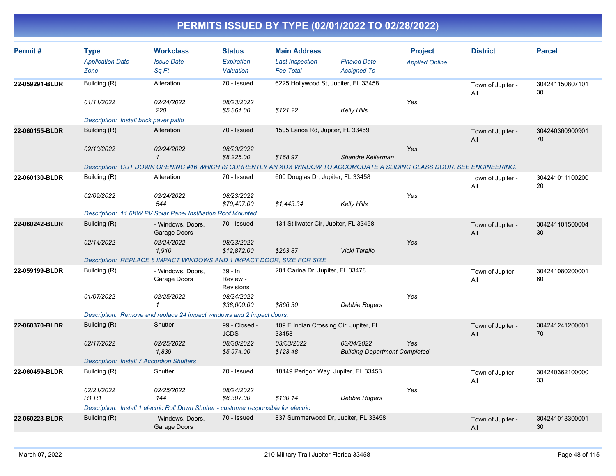| Permit#        | <b>Type</b><br><b>Application Date</b><br>Zone   | <b>Workclass</b><br><b>Issue Date</b><br>Sq Ft                                                                          | <b>Status</b><br>Expiration<br>Valuation  | <b>Main Address</b><br><b>Last Inspection</b><br><b>Fee Total</b> | <b>Finaled Date</b><br><b>Assigned To</b>          | <b>Project</b><br><b>Applied Online</b> | <b>District</b>          | <b>Parcel</b>         |
|----------------|--------------------------------------------------|-------------------------------------------------------------------------------------------------------------------------|-------------------------------------------|-------------------------------------------------------------------|----------------------------------------------------|-----------------------------------------|--------------------------|-----------------------|
| 22-059291-BLDR | Building (R)                                     | Alteration                                                                                                              | 70 - Issued                               |                                                                   | 6225 Hollywood St, Jupiter, FL 33458               |                                         | Town of Jupiter -<br>All | 304241150807101<br>30 |
|                | 01/11/2022                                       | 02/24/2022<br>220                                                                                                       | 08/23/2022<br>\$5,861.00                  | \$121.22                                                          | <b>Kelly Hills</b>                                 | Yes                                     |                          |                       |
|                | Description: Install brick paver patio           |                                                                                                                         |                                           |                                                                   |                                                    |                                         |                          |                       |
| 22-060155-BLDR | Building (R)                                     | Alteration                                                                                                              | 70 - Issued                               | 1505 Lance Rd, Jupiter, FL 33469                                  |                                                    |                                         | Town of Jupiter -<br>All | 304240360900901<br>70 |
|                | 02/10/2022                                       | 02/24/2022<br>$\mathbf{1}$                                                                                              | 08/23/2022<br>\$8,225.00                  | \$168.97                                                          | Shandre Kellerman                                  | Yes                                     |                          |                       |
|                |                                                  | Description: CUT DOWN OPENING #16 WHICH IS CURRENTLY AN XOX WINDOW TO ACCOMODATE A SLIDING GLASS DOOR. SEE ENGINEERING. |                                           |                                                                   |                                                    |                                         |                          |                       |
| 22-060130-BLDR | Building (R)                                     | Alteration                                                                                                              | 70 - Issued                               | 600 Douglas Dr, Jupiter, FL 33458                                 |                                                    |                                         | Town of Jupiter -<br>All | 304241011100200<br>20 |
|                | 02/09/2022                                       | 02/24/2022<br>544                                                                                                       | 08/23/2022<br>\$70,407.00                 | \$1,443.34                                                        | Kelly Hills                                        | Yes                                     |                          |                       |
|                |                                                  | Description: 11.6KW PV Solar Panel Instillation Roof Mounted                                                            |                                           |                                                                   |                                                    |                                         |                          |                       |
| 22-060242-BLDR | Building (R)                                     | - Windows, Doors.<br>Garage Doors                                                                                       | 70 - Issued                               | 131 Stillwater Cir, Jupiter, FL 33458                             |                                                    |                                         | Town of Jupiter -<br>All | 304241101500004<br>30 |
|                | 02/14/2022                                       | 02/24/2022<br>1,910                                                                                                     | 08/23/2022<br>\$12,872.00                 | \$263.87                                                          | Vicki Tarallo                                      | Yes                                     |                          |                       |
|                |                                                  | Description: REPLACE 8 IMPACT WINDOWS AND 1 IMPACT DOOR, SIZE FOR SIZE                                                  |                                           |                                                                   |                                                    |                                         |                          |                       |
| 22-059199-BLDR | Building (R)                                     | - Windows, Doors,<br>Garage Doors                                                                                       | $39 - In$<br>Review -<br><b>Revisions</b> | 201 Carina Dr, Jupiter, FL 33478                                  |                                                    |                                         | Town of Jupiter -<br>All | 304241080200001<br>60 |
|                | 01/07/2022                                       | 02/25/2022<br>$\mathbf{1}$                                                                                              | 08/24/2022<br>\$38,600.00                 | \$866.30                                                          | <b>Debbie Rogers</b>                               | Yes                                     |                          |                       |
|                |                                                  | Description: Remove and replace 24 impact windows and 2 impact doors.                                                   |                                           |                                                                   |                                                    |                                         |                          |                       |
| 22-060370-BLDR | Building (R)                                     | Shutter                                                                                                                 | 99 - Closed -<br><b>JCDS</b>              | 33458                                                             | 109 E Indian Crossing Cir, Jupiter, FL             |                                         | Town of Jupiter -<br>All | 304241241200001<br>70 |
|                | 02/17/2022                                       | 02/25/2022<br>1.839                                                                                                     | 08/30/2022<br>\$5,974.00                  | 03/03/2022<br>\$123.48                                            | 03/04/2022<br><b>Building-Department Completed</b> | Yes                                     |                          |                       |
|                | <b>Description: Install 7 Accordion Shutters</b> |                                                                                                                         |                                           |                                                                   |                                                    |                                         |                          |                       |
| 22-060459-BLDR | Building (R)                                     | Shutter                                                                                                                 | 70 - Issued                               |                                                                   | 18149 Perigon Way, Jupiter, FL 33458               |                                         | Town of Jupiter -<br>All | 304240362100000<br>33 |
|                | 02/21/2022<br><b>R1 R1</b>                       | 02/25/2022<br>144                                                                                                       | 08/24/2022<br>\$6,307.00                  | \$130.14                                                          | Debbie Rogers                                      | Yes                                     |                          |                       |
|                |                                                  | Description: Install 1 electric Roll Down Shutter - customer responsible for electric                                   |                                           |                                                                   |                                                    |                                         |                          |                       |
| 22-060223-BLDR | Building (R)                                     | - Windows, Doors,<br>Garage Doors                                                                                       | 70 - Issued                               |                                                                   | 837 Summerwood Dr, Jupiter, FL 33458               |                                         | Town of Jupiter -<br>All | 304241013300001<br>30 |
|                |                                                  |                                                                                                                         |                                           |                                                                   |                                                    |                                         |                          |                       |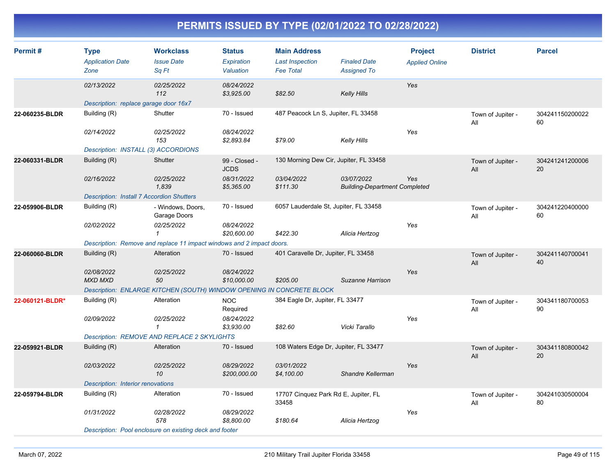| Permit#         | <b>Type</b><br><b>Application Date</b><br>Zone   | <b>Workclass</b><br><b>Issue Date</b><br>Sq Ft                        | <b>Status</b><br>Expiration<br>Valuation | <b>Main Address</b><br><b>Last Inspection</b><br><b>Fee Total</b> | <b>Finaled Date</b><br><b>Assigned To</b>          | <b>Project</b><br><b>Applied Online</b> | <b>District</b>          | <b>Parcel</b>         |
|-----------------|--------------------------------------------------|-----------------------------------------------------------------------|------------------------------------------|-------------------------------------------------------------------|----------------------------------------------------|-----------------------------------------|--------------------------|-----------------------|
|                 | 02/13/2022                                       | 02/25/2022<br>112                                                     | 08/24/2022<br>\$3,925.00                 | \$82.50                                                           | <b>Kelly Hills</b>                                 | Yes                                     |                          |                       |
|                 | Description: replace garage door 16x7            |                                                                       |                                          |                                                                   |                                                    |                                         |                          |                       |
| 22-060235-BLDR  | Building (R)                                     | Shutter                                                               | 70 - Issued                              | 487 Peacock Ln S, Jupiter, FL 33458                               |                                                    |                                         | Town of Jupiter -<br>All | 304241150200022<br>60 |
|                 | 02/14/2022                                       | 02/25/2022<br>153                                                     | 08/24/2022<br>\$2,893.84                 | \$79.00                                                           | <b>Kelly Hills</b>                                 | Yes                                     |                          |                       |
|                 | Description: INSTALL (3) ACCORDIONS              |                                                                       |                                          |                                                                   |                                                    |                                         |                          |                       |
| 22-060331-BLDR  | Building (R)                                     | Shutter                                                               | 99 - Closed -<br><b>JCDS</b>             | 130 Morning Dew Cir, Jupiter, FL 33458                            |                                                    |                                         | Town of Jupiter -<br>All | 304241241200006<br>20 |
|                 | 02/16/2022                                       | 02/25/2022<br>1,839                                                   | 08/31/2022<br>\$5,365.00                 | 03/04/2022<br>\$111.30                                            | 03/07/2022<br><b>Building-Department Completed</b> | Yes                                     |                          |                       |
|                 | <b>Description: Install 7 Accordion Shutters</b> |                                                                       |                                          |                                                                   |                                                    |                                         |                          |                       |
| 22-059906-BLDR  | Building (R)                                     | - Windows, Doors,<br>Garage Doors                                     | 70 - Issued                              | 6057 Lauderdale St, Jupiter, FL 33458                             |                                                    |                                         | Town of Jupiter -<br>All | 304241220400000<br>60 |
|                 | 02/02/2022                                       | 02/25/2022<br>$\mathbf{1}$                                            | 08/24/2022<br>\$20,600.00                | \$422.30                                                          | Alicia Hertzog                                     | Yes                                     |                          |                       |
|                 |                                                  | Description: Remove and replace 11 impact windows and 2 impact doors. |                                          |                                                                   |                                                    |                                         |                          |                       |
| 22-060060-BLDR  | Building (R)                                     | Alteration                                                            | 70 - Issued                              | 401 Caravelle Dr, Jupiter, FL 33458                               |                                                    |                                         | Town of Jupiter -<br>All | 304241140700041<br>40 |
|                 | 02/08/2022<br><b>MXD MXD</b>                     | 02/25/2022<br>50                                                      | 08/24/2022<br>\$10,000.00                | \$205.00                                                          | Suzanne Harrison                                   | Yes                                     |                          |                       |
|                 |                                                  | Description: ENLARGE KITCHEN (SOUTH) WINDOW OPENING IN CONCRETE BLOCK |                                          |                                                                   |                                                    |                                         |                          |                       |
| 22-060121-BLDR* | Building (R)                                     | Alteration                                                            | <b>NOC</b><br>Required                   | 384 Eagle Dr, Jupiter, FL 33477                                   |                                                    |                                         | Town of Jupiter -<br>All | 304341180700053<br>90 |
|                 | 02/09/2022                                       | 02/25/2022<br>$\mathbf{1}$                                            | 08/24/2022<br>\$3,930.00                 | \$82.60                                                           | Vicki Tarallo                                      | Yes                                     |                          |                       |
|                 |                                                  | <b>Description: REMOVE AND REPLACE 2 SKYLIGHTS</b>                    |                                          |                                                                   |                                                    |                                         |                          |                       |
| 22-059921-BLDR  | Building (R)                                     | Alteration                                                            | 70 - Issued                              | 108 Waters Edge Dr, Jupiter, FL 33477                             |                                                    |                                         | Town of Jupiter -<br>All | 304341180800042<br>20 |
|                 | 02/03/2022                                       | 02/25/2022<br>10                                                      | 08/29/2022<br>\$200,000.00               | 03/01/2022<br>\$4,100.00                                          | Shandre Kellerman                                  | Yes                                     |                          |                       |
|                 | Description: Interior renovations                |                                                                       |                                          |                                                                   |                                                    |                                         |                          |                       |
| 22-059794-BLDR  | Building (R)                                     | Alteration                                                            | 70 - Issued                              | 17707 Cinquez Park Rd E, Jupiter, FL<br>33458                     |                                                    |                                         | Town of Jupiter -<br>All | 304241030500004<br>80 |
|                 | 01/31/2022                                       | 02/28/2022<br>578                                                     | 08/29/2022<br>\$8.800.00                 | \$180.64                                                          | Alicia Hertzog                                     | Yes                                     |                          |                       |
|                 |                                                  | Description: Pool enclosure on existing deck and footer               |                                          |                                                                   |                                                    |                                         |                          |                       |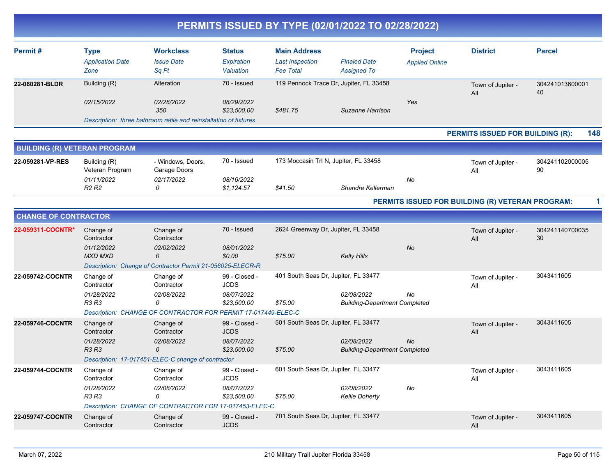| Permit#                             | <b>Type</b><br><b>Application Date</b><br>Zone | <b>Workclass</b><br><b>Issue Date</b><br>Sq Ft                           | <b>Status</b><br><b>Expiration</b><br>Valuation | <b>Main Address</b><br><b>Last Inspection</b><br><b>Fee Total</b> | <b>Finaled Date</b><br><b>Assigned To</b>          | <b>Project</b><br><b>Applied Online</b> | <b>District</b>                                  | <b>Parcel</b>         |
|-------------------------------------|------------------------------------------------|--------------------------------------------------------------------------|-------------------------------------------------|-------------------------------------------------------------------|----------------------------------------------------|-----------------------------------------|--------------------------------------------------|-----------------------|
| 22-060281-BLDR                      | Building (R)<br>02/15/2022                     | Alteration<br>02/28/2022                                                 | 70 - Issued<br>08/29/2022                       |                                                                   | 119 Pennock Trace Dr, Jupiter, FL 33458            | Yes                                     | Town of Jupiter -<br>All                         | 304241013600001<br>40 |
|                                     |                                                | 350<br>Description: three bathroom retile and reinstallation of fixtures | \$23,500.00                                     | \$481.75                                                          | Suzanne Harrison                                   |                                         |                                                  |                       |
|                                     |                                                |                                                                          |                                                 |                                                                   |                                                    |                                         | PERMITS ISSUED FOR BUILDING (R):                 | 148                   |
| <b>BUILDING (R) VETERAN PROGRAM</b> |                                                |                                                                          |                                                 |                                                                   |                                                    |                                         |                                                  |                       |
| 22-059281-VP-RES                    | Building (R)<br>Veteran Program                | - Windows, Doors,<br>Garage Doors                                        | 70 - Issued                                     | 173 Moccasin Trl N, Jupiter, FL 33458                             |                                                    |                                         | Town of Jupiter -<br>All                         | 304241102000005<br>90 |
|                                     | 01/11/2022<br>R <sub>2</sub> R <sub>2</sub>    | 02/17/2022<br>0                                                          | 08/16/2022<br>\$1,124.57                        | \$41.50                                                           | Shandre Kellerman                                  | No                                      |                                                  |                       |
|                                     |                                                |                                                                          |                                                 |                                                                   |                                                    |                                         | PERMITS ISSUED FOR BUILDING (R) VETERAN PROGRAM: |                       |
| <b>CHANGE OF CONTRACTOR</b>         |                                                |                                                                          |                                                 |                                                                   |                                                    |                                         |                                                  |                       |
| 22-059311-COCNTR*                   | Change of<br>Contractor                        | Change of<br>Contractor                                                  | 70 - Issued                                     | 2624 Greenway Dr, Jupiter, FL 33458                               |                                                    |                                         | Town of Jupiter -<br>All                         | 304241140700035<br>30 |
|                                     | 01/12/2022<br><b>MXD MXD</b>                   | 02/02/2022<br>$\mathcal{O}$                                              | 08/01/2022<br>\$0.00                            | \$75.00                                                           | <b>Kelly Hills</b>                                 | <b>No</b>                               |                                                  |                       |
| 22-059742-COCNTR                    | Change of                                      | Description: Change of Contractor Permit 21-056025-ELECR-R<br>Change of  | 99 - Closed -                                   | 401 South Seas Dr, Jupiter, FL 33477                              |                                                    |                                         | Town of Jupiter -                                | 3043411605            |
|                                     | Contractor                                     | Contractor                                                               | <b>JCDS</b>                                     |                                                                   |                                                    |                                         | All                                              |                       |
|                                     | 01/28/2022<br>R3 R3                            | 02/08/2022<br>0                                                          | 08/07/2022<br>\$23,500.00                       | \$75.00                                                           | 02/08/2022<br><b>Building-Department Completed</b> | No                                      |                                                  |                       |
|                                     |                                                | Description: CHANGE OF CONTRACTOR FOR PERMIT 17-017449-ELEC-C            |                                                 |                                                                   |                                                    |                                         |                                                  |                       |
| 22-059746-COCNTR                    | Change of<br>Contractor                        | Change of<br>Contractor                                                  | 99 - Closed -<br><b>JCDS</b>                    | 501 South Seas Dr, Jupiter, FL 33477                              |                                                    |                                         | Town of Jupiter -<br>All                         | 3043411605            |
|                                     | 01/28/2022<br><b>R3 R3</b>                     | 02/08/2022<br>$\mathcal{O}$                                              | 08/07/2022<br>\$23,500.00                       | \$75.00                                                           | 02/08/2022<br><b>Building-Department Completed</b> | <b>No</b>                               |                                                  |                       |
|                                     |                                                | Description: 17-017451-ELEC-C change of contractor                       |                                                 |                                                                   |                                                    |                                         |                                                  |                       |
| 22-059744-COCNTR                    | Change of<br>Contractor                        | Change of<br>Contractor                                                  | 99 - Closed -<br><b>JCDS</b>                    | 601 South Seas Dr, Jupiter, FL 33477                              |                                                    |                                         | Town of Jupiter -<br>All                         | 3043411605            |
|                                     | 01/28/2022<br>R3 R3                            | 02/08/2022<br>0                                                          | 08/07/2022<br>\$23,500.00                       | \$75.00                                                           | 02/08/2022<br><b>Kellie Doherty</b>                | No                                      |                                                  |                       |
|                                     |                                                | Description: CHANGE OF CONTRACTOR FOR 17-017453-ELEC-C                   |                                                 |                                                                   |                                                    |                                         |                                                  |                       |
| 22-059747-COCNTR                    | Change of<br>Contractor                        | Change of<br>Contractor                                                  | 99 - Closed -<br><b>JCDS</b>                    | 701 South Seas Dr, Jupiter, FL 33477                              |                                                    |                                         | Town of Jupiter -<br>All                         | 3043411605            |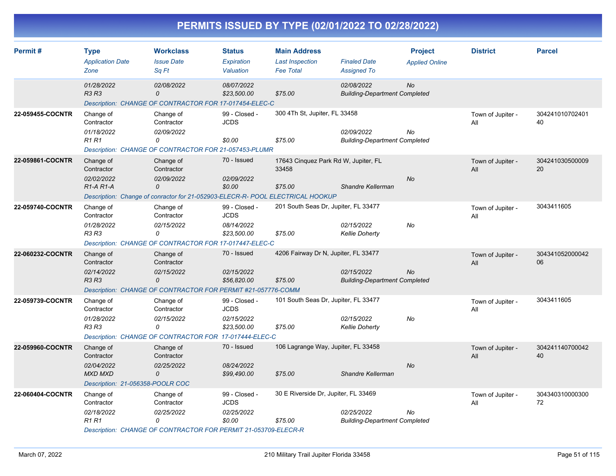| Permit#          | <b>Type</b><br><b>Application Date</b><br>Zone                                              | <b>Workclass</b><br><b>Issue Date</b><br>Sa Ft                                                                                      | <b>Status</b><br>Expiration<br>Valuation                  | <b>Main Address</b><br><b>Last Inspection</b><br><b>Fee Total</b> | <b>Finaled Date</b><br><b>Assigned To</b>          | <b>Project</b><br><b>Applied Online</b> | <b>District</b>          | <b>Parcel</b>         |
|------------------|---------------------------------------------------------------------------------------------|-------------------------------------------------------------------------------------------------------------------------------------|-----------------------------------------------------------|-------------------------------------------------------------------|----------------------------------------------------|-----------------------------------------|--------------------------|-----------------------|
|                  | 01/28/2022<br><b>R3 R3</b>                                                                  | 02/08/2022<br>0<br>Description: CHANGE OF CONTRACTOR FOR 17-017454-ELEC-C                                                           | 08/07/2022<br>\$23,500.00                                 | \$75.00                                                           | 02/08/2022<br><b>Building-Department Completed</b> | <b>No</b>                               |                          |                       |
| 22-059455-COCNTR | Change of<br>Contractor<br>01/18/2022<br><b>R1R1</b>                                        | Change of<br>Contractor<br>02/09/2022<br>0<br>Description: CHANGE OF CONTRACTOR FOR 21-057453-PLUMR                                 | 99 - Closed -<br><b>JCDS</b><br>\$0.00                    | 300 4Th St, Jupiter, FL 33458<br>\$75.00                          | 02/09/2022<br><b>Building-Department Completed</b> | No                                      | Town of Jupiter -<br>All | 304241010702401<br>40 |
| 22-059861-COCNTR | Change of<br>Contractor<br>02/02/2022<br>R <sub>1</sub> -A <sub>R1</sub> -A                 | Change of<br>Contractor<br>02/09/2022<br>$\Omega$<br>Description: Change of conractor for 21-052903-ELECR-R- POOL ELECTRICAL HOOKUP | 70 - Issued<br>02/09/2022<br>\$0.00                       | 17643 Cinquez Park Rd W, Jupiter, FL<br>33458<br>\$75.00          | Shandre Kellerman                                  | No                                      | Town of Jupiter -<br>All | 304241030500009<br>20 |
| 22-059740-COCNTR | Change of<br>Contractor<br>01/28/2022<br>R3 R3                                              | Change of<br>Contractor<br>02/15/2022<br>0<br>Description: CHANGE OF CONTRACTOR FOR 17-017447-ELEC-C                                | 99 - Closed -<br><b>JCDS</b><br>08/14/2022<br>\$23,500.00 | 201 South Seas Dr, Jupiter, FL 33477<br>\$75.00                   | 02/15/2022<br><b>Kellie Doherty</b>                | No                                      | Town of Jupiter -<br>All | 3043411605            |
| 22-060232-COCNTR | Change of<br>Contractor<br>02/14/2022<br><b>R3 R3</b>                                       | Change of<br>Contractor<br>02/15/2022<br>0<br>Description: CHANGE OF CONTRACTOR FOR PERMIT #21-057776-COMM                          | 70 - Issued<br>02/15/2022<br>\$56,820.00                  | 4206 Fairway Dr N, Jupiter, FL 33477<br>\$75.00                   | 02/15/2022<br><b>Building-Department Completed</b> | <b>No</b>                               | Town of Jupiter -<br>All | 304341052000042<br>06 |
| 22-059739-COCNTR | Change of<br>Contractor<br>01/28/2022<br><b>R3 R3</b>                                       | Change of<br>Contractor<br>02/15/2022<br>0<br>Description: CHANGE OF CONTRACTOR FOR 17-017444-ELEC-C                                | 99 - Closed -<br><b>JCDS</b><br>02/15/2022<br>\$23,500.00 | 101 South Seas Dr, Jupiter, FL 33477<br>\$75.00                   | 02/15/2022<br><b>Kellie Doherty</b>                | No                                      | Town of Jupiter -<br>All | 3043411605            |
| 22-059960-COCNTR | Change of<br>Contractor<br>02/04/2022<br><b>MXD MXD</b><br>Description: 21-056358-POOLR COC | Change of<br>Contractor<br>02/25/2022<br>0                                                                                          | 70 - Issued<br>08/24/2022<br>\$99,490.00                  | 106 Lagrange Way, Jupiter, FL 33458<br>\$75.00                    | Shandre Kellerman                                  | <b>No</b>                               | Town of Jupiter -<br>All | 304241140700042<br>40 |
| 22-060404-COCNTR | Change of<br>Contractor<br>02/18/2022<br><b>R1R1</b>                                        | Change of<br>Contractor<br>02/25/2022<br>0<br>Description: CHANGE OF CONTRACTOR FOR PERMIT 21-053709-ELECR-R                        | 99 - Closed -<br><b>JCDS</b><br>02/25/2022<br>\$0.00      | 30 E Riverside Dr, Jupiter, FL 33469<br>\$75.00                   | 02/25/2022<br><b>Building-Department Completed</b> | No                                      | Town of Jupiter -<br>All | 304340310000300<br>72 |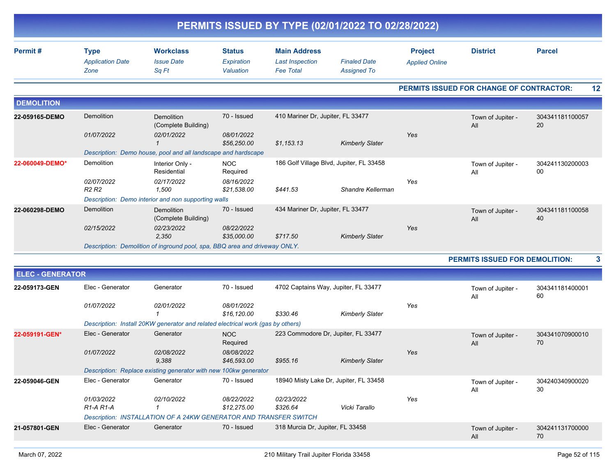|                         |                                                |                                                                                 |                                          |                                                                   | PERMITS ISSUED BY TYPE (02/01/2022 TO 02/28/2022) |                                         |                                          |                       |
|-------------------------|------------------------------------------------|---------------------------------------------------------------------------------|------------------------------------------|-------------------------------------------------------------------|---------------------------------------------------|-----------------------------------------|------------------------------------------|-----------------------|
| Permit#                 | <b>Type</b><br><b>Application Date</b><br>Zone | <b>Workclass</b><br><b>Issue Date</b><br>Sq Ft                                  | <b>Status</b><br>Expiration<br>Valuation | <b>Main Address</b><br><b>Last Inspection</b><br><b>Fee Total</b> | <b>Finaled Date</b><br><b>Assigned To</b>         | <b>Project</b><br><b>Applied Online</b> | <b>District</b>                          | <b>Parcel</b>         |
|                         |                                                |                                                                                 |                                          |                                                                   |                                                   |                                         | PERMITS ISSUED FOR CHANGE OF CONTRACTOR: | 12                    |
| <b>DEMOLITION</b>       |                                                |                                                                                 |                                          |                                                                   |                                                   |                                         |                                          |                       |
| 22-059165-DEMO          | Demolition                                     | Demolition<br>(Complete Building)                                               | 70 - Issued                              | 410 Mariner Dr, Jupiter, FL 33477                                 |                                                   |                                         | Town of Jupiter -<br>All                 | 304341181100057<br>20 |
|                         | 01/07/2022                                     | 02/01/2022<br>1                                                                 | 08/01/2022<br>\$56,250.00                | \$1,153.13                                                        | <b>Kimberly Slater</b>                            | Yes                                     |                                          |                       |
|                         |                                                | Description: Demo house, pool and all landscape and hardscape                   |                                          |                                                                   |                                                   |                                         |                                          |                       |
| 22-060049-DEMO*         | Demolition                                     | Interior Only -<br>Residential                                                  | <b>NOC</b><br>Required                   |                                                                   | 186 Golf Village Blvd, Jupiter, FL 33458          |                                         | Town of Jupiter -<br>All                 | 304241130200003<br>00 |
|                         | 02/07/2022<br>R <sub>2</sub> R <sub>2</sub>    | 02/17/2022<br>1,500                                                             | 08/16/2022<br>\$21.538.00                | \$441.53                                                          | Shandre Kellerman                                 | Yes                                     |                                          |                       |
|                         |                                                | Description: Demo interior and non supporting walls                             |                                          |                                                                   |                                                   |                                         |                                          |                       |
| 22-060298-DEMO          | Demolition                                     | <b>Demolition</b><br>(Complete Building)                                        | 70 - Issued                              | 434 Mariner Dr, Jupiter, FL 33477                                 |                                                   |                                         | Town of Jupiter -<br>All                 | 304341181100058<br>40 |
|                         | 02/15/2022                                     | 02/23/2022<br>2,350                                                             | 08/22/2022<br>\$35,000.00                | \$717.50                                                          | <b>Kimberly Slater</b>                            | Yes                                     |                                          |                       |
|                         |                                                | Description: Demolition of inground pool, spa, BBQ area and driveway ONLY.      |                                          |                                                                   |                                                   |                                         |                                          |                       |
|                         |                                                |                                                                                 |                                          |                                                                   |                                                   |                                         | PERMITS ISSUED FOR DEMOLITION:           | 3                     |
| <b>ELEC - GENERATOR</b> |                                                |                                                                                 |                                          |                                                                   |                                                   |                                         |                                          |                       |
| 22-059173-GEN           | Elec - Generator                               | Generator                                                                       | 70 - Issued                              | 4702 Captains Way, Jupiter, FL 33477                              |                                                   |                                         | Town of Jupiter -<br>All                 | 304341181400001<br>60 |
|                         | 01/07/2022                                     | 02/01/2022<br>-1                                                                | 08/01/2022<br>\$16,120.00                | \$330.46                                                          | <b>Kimberly Slater</b>                            | Yes                                     |                                          |                       |
|                         |                                                | Description: Install 20KW generator and related electrical work (gas by others) |                                          |                                                                   |                                                   |                                         |                                          |                       |
| 22-059191-GEN*          | Elec - Generator                               | Generator                                                                       | <b>NOC</b><br>Required                   | 223 Commodore Dr, Jupiter, FL 33477                               |                                                   |                                         | Town of Jupiter -<br>All                 | 304341070900010<br>70 |
|                         | 01/07/2022                                     | 02/08/2022<br>9,388                                                             | 08/08/2022<br>\$46,593.00                | \$955.16                                                          | <b>Kimberly Slater</b>                            | Yes                                     |                                          |                       |
|                         |                                                | Description: Replace existing generator with new 100kw generator                |                                          |                                                                   |                                                   |                                         |                                          |                       |
| 22-059046-GEN           | Elec - Generator                               | Generator                                                                       | 70 - Issued                              |                                                                   | 18940 Misty Lake Dr, Jupiter, FL 33458            |                                         | Town of Jupiter -<br>All                 | 304240340900020<br>30 |
|                         | 01/03/2022<br>R1-A R1-A                        | 02/10/2022<br>-1                                                                | 08/22/2022<br>\$12,275.00                | 02/23/2022<br>\$326.64                                            | Vicki Tarallo                                     | Yes                                     |                                          |                       |
|                         |                                                | Description: INSTALLATION OF A 24KW GENERATOR AND TRANSFER SWITCH               |                                          |                                                                   |                                                   |                                         |                                          |                       |
| 21-057801-GEN           | Elec - Generator                               | Generator                                                                       | 70 - Issued                              | 318 Murcia Dr, Jupiter, FL 33458                                  |                                                   |                                         | Town of Jupiter -<br>All                 | 304241131700000<br>70 |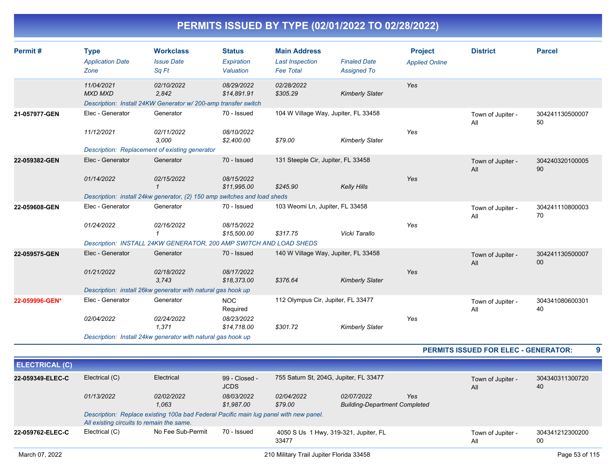| Permit#               | <b>Type</b>                               | <b>Workclass</b>                                                                      | <b>Status</b>                | <b>Main Address</b>                |                                        | <b>Project</b>        | <b>District</b>                             | <b>Parcel</b>             |
|-----------------------|-------------------------------------------|---------------------------------------------------------------------------------------|------------------------------|------------------------------------|----------------------------------------|-----------------------|---------------------------------------------|---------------------------|
|                       | <b>Application Date</b>                   | <b>Issue Date</b>                                                                     | Expiration                   | <b>Last Inspection</b>             | <b>Finaled Date</b>                    | <b>Applied Online</b> |                                             |                           |
|                       | Zone                                      | Sa Ft                                                                                 | Valuation                    | <b>Fee Total</b>                   | <b>Assigned To</b>                     |                       |                                             |                           |
|                       | 11/04/2021                                | 02/10/2022                                                                            | 08/29/2022                   | 02/28/2022                         |                                        | Yes                   |                                             |                           |
|                       | <b>MXD MXD</b>                            | 2,842                                                                                 | \$14,891.91                  | \$305.29                           | <b>Kimberly Slater</b>                 |                       |                                             |                           |
|                       |                                           | Description: Install 24KW Generator w/ 200-amp transfer switch                        |                              |                                    |                                        |                       |                                             |                           |
| 21-057977-GEN         | Elec - Generator                          | Generator                                                                             | 70 - Issued                  |                                    | 104 W Village Way, Jupiter, FL 33458   |                       | Town of Jupiter -<br>All                    | 304241130500007<br>50     |
|                       | 11/12/2021                                | 02/11/2022                                                                            | 08/10/2022                   |                                    |                                        | Yes                   |                                             |                           |
|                       |                                           | 3,000                                                                                 | \$2,400.00                   | \$79.00                            | <b>Kimberly Slater</b>                 |                       |                                             |                           |
|                       |                                           | Description: Replacement of existing generator                                        |                              |                                    |                                        |                       |                                             |                           |
| 22-059382-GEN         | Elec - Generator                          | Generator                                                                             | 70 - Issued                  | 131 Steeple Cir, Jupiter, FL 33458 |                                        |                       | Town of Jupiter -<br>All                    | 304240320100005<br>90     |
|                       | 01/14/2022                                | 02/15/2022                                                                            | 08/15/2022                   |                                    |                                        | Yes                   |                                             |                           |
|                       |                                           | $\mathbf{1}$                                                                          | \$11,995.00                  | \$245.90                           | <b>Kelly Hills</b>                     |                       |                                             |                           |
|                       |                                           | Description: install 24kw generator, (2) 150 amp switches and load sheds              |                              |                                    |                                        |                       |                                             |                           |
| 22-059608-GEN         | Elec - Generator                          | Generator                                                                             | 70 - Issued                  | 103 Weomi Ln, Jupiter, FL 33458    |                                        |                       | Town of Jupiter -<br>All                    | 304241110800003<br>70     |
|                       |                                           |                                                                                       |                              |                                    |                                        |                       |                                             |                           |
|                       | 01/24/2022                                | 02/16/2022<br>$\mathbf{1}$                                                            | 08/15/2022<br>\$15,500.00    | \$317.75                           | Vicki Tarallo                          | Yes                   |                                             |                           |
|                       |                                           | Description: INSTALL 24KW GENERATOR, 200 AMP SWITCH AND LOAD SHEDS                    |                              |                                    |                                        |                       |                                             |                           |
|                       |                                           |                                                                                       |                              |                                    |                                        |                       |                                             |                           |
| 22-059575-GEN         | Elec - Generator                          | Generator                                                                             | 70 - Issued                  |                                    | 140 W Village Way, Jupiter, FL 33458   |                       | Town of Jupiter -<br>All                    | 304241130500007<br>$00\,$ |
|                       | 01/21/2022                                | 02/18/2022                                                                            | 08/17/2022                   |                                    |                                        | Yes                   |                                             |                           |
|                       |                                           | 3,743                                                                                 | \$18,373.00                  | \$376.64                           | <b>Kimberly Slater</b>                 |                       |                                             |                           |
|                       |                                           | Description: install 26kw generator with natural gas hook up                          |                              |                                    |                                        |                       |                                             |                           |
| 22-059996-GEN*        | Elec - Generator                          | Generator                                                                             | <b>NOC</b><br>Required       | 112 Olympus Cir, Jupiter, FL 33477 |                                        |                       | Town of Jupiter -<br>All                    | 304341080600301<br>40     |
|                       | 02/04/2022                                | 02/24/2022                                                                            | 08/23/2022                   |                                    |                                        | Yes                   |                                             |                           |
|                       |                                           | 1,371                                                                                 | \$14,718.00                  | \$301.72                           | <b>Kimberly Slater</b>                 |                       |                                             |                           |
|                       |                                           | Description: Install 24kw generator with natural gas hook up                          |                              |                                    |                                        |                       |                                             |                           |
|                       |                                           |                                                                                       |                              |                                    |                                        |                       | <b>PERMITS ISSUED FOR ELEC - GENERATOR:</b> | 9                         |
| <b>ELECTRICAL (C)</b> |                                           |                                                                                       |                              |                                    |                                        |                       |                                             |                           |
|                       |                                           |                                                                                       |                              |                                    |                                        |                       |                                             |                           |
| 22-059349-ELEC-C      | Electrical (C)                            | Electrical                                                                            | 99 - Closed -<br><b>JCDS</b> |                                    | 755 Saturn St, 204G, Jupiter, FL 33477 |                       | Town of Jupiter -<br>All                    | 304340311300720<br>40     |
|                       | 01/13/2022                                | 02/02/2022                                                                            | 08/03/2022                   | 02/04/2022                         | 02/07/2022                             | Yes                   |                                             |                           |
|                       |                                           | 1,063                                                                                 | \$1,987.00                   | \$79.00                            | <b>Building-Department Completed</b>   |                       |                                             |                           |
|                       | All existing circuits to remain the same. | Description: Replace existing 100a bad Federal Pacific main lug panel with new panel. |                              |                                    |                                        |                       |                                             |                           |
| 22-059762-ELEC-C      | Electrical (C)                            | No Fee Sub-Permit                                                                     | 70 - Issued                  |                                    | 4050 S Us 1 Hwy, 319-321, Jupiter, FL  |                       | Town of Jupiter -                           | 304341212300200           |
|                       |                                           |                                                                                       |                              | 33477                              |                                        |                       | All                                         | $00\,$                    |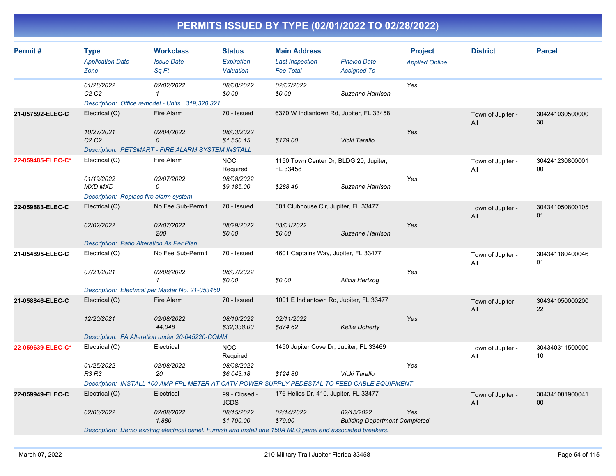| Permit#           | <b>Type</b><br><b>Application Date</b><br>Zone                         | <b>Workclass</b><br><b>Issue Date</b><br>Sq Ft                                                               | <b>Status</b><br><b>Expiration</b><br>Valuation | <b>Main Address</b><br><b>Last Inspection</b><br><b>Fee Total</b> | <b>Finaled Date</b><br><b>Assigned To</b>          | <b>Project</b><br><b>Applied Online</b> | <b>District</b>          | <b>Parcel</b>             |
|-------------------|------------------------------------------------------------------------|--------------------------------------------------------------------------------------------------------------|-------------------------------------------------|-------------------------------------------------------------------|----------------------------------------------------|-----------------------------------------|--------------------------|---------------------------|
|                   | 01/28/2022<br>C2C2                                                     | 02/02/2022<br>$\mathcal I$<br>Description: Office remodel - Units 319,320,321                                | 08/08/2022<br>\$0.00                            | 02/07/2022<br>\$0.00                                              | Suzanne Harrison                                   | Yes                                     |                          |                           |
| 21-057592-ELEC-C  | Electrical (C)                                                         | Fire Alarm                                                                                                   | 70 - Issued                                     | 6370 W Indiantown Rd, Jupiter, FL 33458                           |                                                    |                                         | Town of Jupiter -<br>All | 304241030500000<br>30     |
|                   | 10/27/2021<br>C <sub>2</sub> C <sub>2</sub>                            | 02/04/2022<br>0<br>Description: PETSMART - FIRE ALARM SYSTEM INSTALL                                         | 08/03/2022<br>\$1,550.15                        | \$179.00                                                          | Vicki Tarallo                                      | Yes                                     |                          |                           |
| 22-059485-ELEC-C* | Electrical (C)                                                         | Fire Alarm                                                                                                   | <b>NOC</b><br>Required                          | 1150 Town Center Dr, BLDG 20, Jupiter,<br>FL 33458                |                                                    |                                         | Town of Jupiter -<br>All | 304241230800001<br>$00\,$ |
|                   | 01/19/2022<br><b>MXD MXD</b><br>Description: Replace fire alarm system | 02/07/2022<br>0                                                                                              | 08/08/2022<br>\$9,185.00                        | \$288.46                                                          | Suzanne Harrison                                   | Yes                                     |                          |                           |
| 22-059883-ELEC-C  | Electrical (C)                                                         | No Fee Sub-Permit                                                                                            | 70 - Issued                                     | 501 Clubhouse Cir, Jupiter, FL 33477                              |                                                    |                                         | Town of Jupiter -<br>All | 304341050800105<br>01     |
|                   | 02/02/2022                                                             | 02/07/2022<br>200                                                                                            | 08/29/2022<br>\$0.00                            | 03/01/2022<br>\$0.00                                              | Suzanne Harrison                                   | Yes                                     |                          |                           |
|                   | Description: Patio Alteration As Per Plan                              |                                                                                                              |                                                 |                                                                   |                                                    |                                         |                          |                           |
| 21-054895-ELEC-C  | Electrical (C)<br>07/21/2021                                           | No Fee Sub-Permit<br>02/08/2022                                                                              | 70 - Issued<br>08/07/2022                       | 4601 Captains Way, Jupiter, FL 33477                              |                                                    | Yes                                     | Town of Jupiter -<br>All | 304341180400046<br>01     |
|                   |                                                                        | Description: Electrical per Master No. 21-053460                                                             | \$0.00                                          | \$0.00                                                            | Alicia Hertzog                                     |                                         |                          |                           |
| 21-058846-ELEC-C  | Electrical (C)                                                         | Fire Alarm                                                                                                   | 70 - Issued                                     | 1001 E Indiantown Rd, Jupiter, FL 33477                           |                                                    |                                         | Town of Jupiter -<br>All | 304341050000200<br>22     |
|                   | 12/20/2021                                                             | 02/08/2022<br>44,048                                                                                         | 08/10/2022<br>\$32,338.00                       | 02/11/2022<br>\$874.62                                            | <b>Kellie Doherty</b>                              | Yes                                     |                          |                           |
|                   |                                                                        | Description: FA Alteration under 20-045220-COMM                                                              |                                                 |                                                                   |                                                    |                                         |                          |                           |
| 22-059639-ELEC-C* | Electrical (C)                                                         | Electrical                                                                                                   | <b>NOC</b><br>Required                          | 1450 Jupiter Cove Dr, Jupiter, FL 33469                           |                                                    |                                         | Town of Jupiter -<br>All | 304340311500000<br>10     |
|                   | 01/25/2022<br><b>R3 R3</b>                                             | 02/08/2022<br>20                                                                                             | 08/08/2022<br>\$6,043.18                        | \$124.86                                                          | Vicki Tarallo                                      | Yes                                     |                          |                           |
|                   |                                                                        | Description: INSTALL 100 AMP FPL METER AT CATV POWER SUPPLY PEDESTAL TO FEED CABLE EQUIPMENT                 |                                                 |                                                                   |                                                    |                                         |                          |                           |
| 22-059949-ELEC-C  | Electrical (C)                                                         | Electrical                                                                                                   | 99 - Closed -<br><b>JCDS</b>                    | 176 Helios Dr, 410, Jupiter, FL 33477                             |                                                    |                                         | Town of Jupiter -<br>All | 304341081900041<br>$00\,$ |
|                   | 02/03/2022                                                             | 02/08/2022<br>1,880                                                                                          | 08/15/2022<br>\$1,700.00                        | 02/14/2022<br>\$79.00                                             | 02/15/2022<br><b>Building-Department Completed</b> | Yes                                     |                          |                           |
|                   |                                                                        | Description: Demo existing electrical panel. Furnish and install one 150A MLO panel and associated breakers. |                                                 |                                                                   |                                                    |                                         |                          |                           |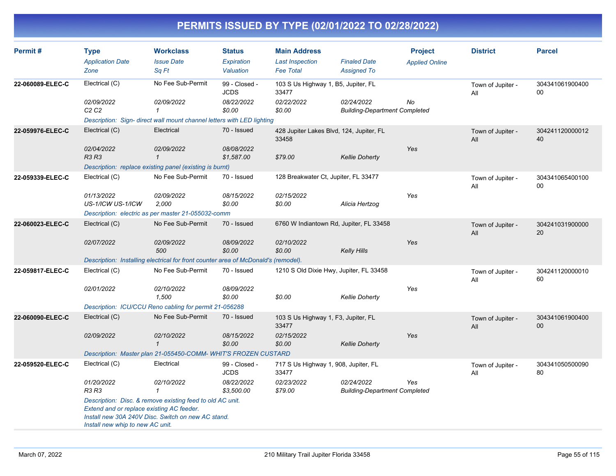| Permit#          | <b>Type</b><br><b>Application Date</b><br>Zone                                | <b>Workclass</b><br><b>Issue Date</b><br>Sa Ft                                                                  | <b>Status</b><br>Expiration<br>Valuation | <b>Main Address</b><br><b>Last Inspection</b><br><b>Fee Total</b> | <b>Finaled Date</b><br><b>Assigned To</b>          | <b>Project</b><br><b>Applied Online</b> | <b>District</b>          | <b>Parcel</b>             |
|------------------|-------------------------------------------------------------------------------|-----------------------------------------------------------------------------------------------------------------|------------------------------------------|-------------------------------------------------------------------|----------------------------------------------------|-----------------------------------------|--------------------------|---------------------------|
| 22-060089-ELEC-C | Electrical (C)                                                                | No Fee Sub-Permit                                                                                               | 99 - Closed -<br><b>JCDS</b>             | 103 S Us Highway 1, B5, Jupiter, FL<br>33477                      |                                                    |                                         | Town of Jupiter -<br>All | 304341061900400<br>00     |
|                  | 02/09/2022<br>C <sub>2</sub> C <sub>2</sub>                                   | 02/09/2022<br>$\mathbf{1}$                                                                                      | 08/22/2022<br>\$0.00                     | 02/22/2022<br>\$0.00                                              | 02/24/2022<br><b>Building-Department Completed</b> | No                                      |                          |                           |
|                  |                                                                               | Description: Sign- direct wall mount channel letters with LED lighting                                          |                                          |                                                                   |                                                    |                                         |                          |                           |
| 22-059976-ELEC-C | Electrical (C)                                                                | Electrical                                                                                                      | 70 - Issued                              | 428 Jupiter Lakes Blvd, 124, Jupiter, FL<br>33458                 |                                                    |                                         | Town of Jupiter -<br>All | 304241120000012<br>40     |
|                  | 02/04/2022<br><b>R3 R3</b>                                                    | 02/09/2022<br>$\mathcal{I}$                                                                                     | 08/08/2022<br>\$1,587.00                 | \$79.00                                                           | <b>Kellie Doherty</b>                              | Yes                                     |                          |                           |
|                  |                                                                               | Description: replace existing panel (existing is burnt)                                                         |                                          |                                                                   |                                                    |                                         |                          |                           |
| 22-059339-ELEC-C | Electrical (C)                                                                | No Fee Sub-Permit                                                                                               | 70 - Issued                              | 128 Breakwater Ct, Jupiter, FL 33477                              |                                                    |                                         | Town of Jupiter -<br>All | 304341065400100<br>$00\,$ |
|                  | 01/13/2022<br>US-1/ICW US-1/ICW                                               | 02/09/2022<br>2,000                                                                                             | 08/15/2022<br>\$0.00                     | 02/15/2022<br>\$0.00                                              | Alicia Hertzog                                     | Yes                                     |                          |                           |
|                  |                                                                               | Description: electric as per master 21-055032-comm                                                              |                                          |                                                                   |                                                    |                                         |                          |                           |
| 22-060023-ELEC-C | Electrical (C)                                                                | No Fee Sub-Permit                                                                                               | 70 - Issued                              | 6760 W Indiantown Rd, Jupiter, FL 33458                           |                                                    |                                         | Town of Jupiter -<br>All | 304241031900000<br>20     |
|                  | 02/07/2022                                                                    | 02/09/2022<br>500                                                                                               | <i>08/09/2022</i><br>\$0.00              | 02/10/2022<br>\$0.00                                              | <b>Kelly Hills</b>                                 | Yes                                     |                          |                           |
|                  |                                                                               | Description: Installing electrical for front counter area of McDonald's (remodel).                              |                                          |                                                                   |                                                    |                                         |                          |                           |
| 22-059817-ELEC-C | Electrical (C)                                                                | No Fee Sub-Permit                                                                                               | 70 - Issued                              | 1210 S Old Dixie Hwy, Jupiter, FL 33458                           |                                                    |                                         | Town of Jupiter -<br>All | 304241120000010<br>60     |
|                  | 02/01/2022                                                                    | 02/10/2022<br>1,500                                                                                             | 08/09/2022<br>\$0.00                     | \$0.00                                                            | <b>Kellie Doherty</b>                              | Yes                                     |                          |                           |
|                  |                                                                               | Description: ICU/CCU Reno cabling for permit 21-056288                                                          |                                          |                                                                   |                                                    |                                         |                          |                           |
| 22-060090-ELEC-C | Electrical (C)                                                                | No Fee Sub-Permit                                                                                               | 70 - Issued                              | 103 S Us Highway 1, F3, Jupiter, FL<br>33477                      |                                                    |                                         | Town of Jupiter -<br>All | 304341061900400<br>00     |
|                  | 02/09/2022                                                                    | 02/10/2022<br>$\mathbf{1}$                                                                                      | 08/15/2022<br>\$0.00                     | 02/15/2022<br>\$0.00                                              | <b>Kellie Doherty</b>                              | Yes                                     |                          |                           |
|                  |                                                                               | Description: Master plan 21-055450-COMM-WHIT'S FROZEN CUSTARD                                                   |                                          |                                                                   |                                                    |                                         |                          |                           |
| 22-059520-ELEC-C | Electrical (C)                                                                | Electrical                                                                                                      | 99 - Closed -<br><b>JCDS</b>             | 717 S Us Highway 1, 908, Jupiter, FL<br>33477                     |                                                    |                                         | Town of Jupiter -<br>All | 304341050500090<br>80     |
|                  | 01/20/2022<br>R3 R3                                                           | 02/10/2022<br>$\mathbf{1}$                                                                                      | 08/22/2022<br>\$3,500.00                 | 02/23/2022<br>\$79.00                                             | 02/24/2022<br><b>Building-Department Completed</b> | Yes                                     |                          |                           |
|                  | Extend and or replace existing AC feeder.<br>Install new whip to new AC unit. | Description: Disc. & remove existing feed to old AC unit.<br>Install new 30A 240V Disc. Switch on new AC stand. |                                          |                                                                   |                                                    |                                         |                          |                           |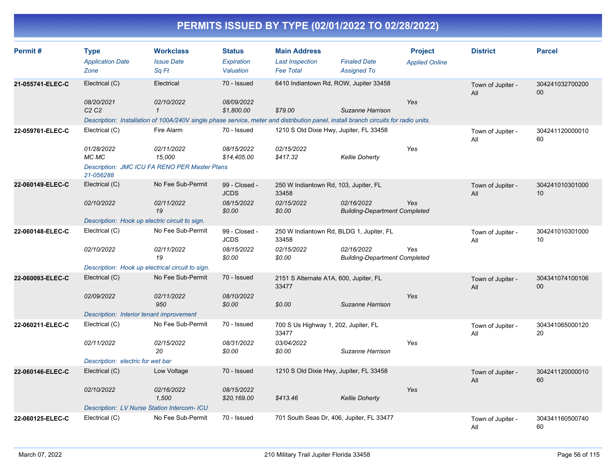| Permit#          | <b>Type</b><br><b>Application Date</b><br>Zone   | <b>Workclass</b><br><b>Issue Date</b><br>Sq Ft                                                                                      | <b>Status</b><br>Expiration<br>Valuation | <b>Main Address</b><br><b>Last Inspection</b><br><b>Fee Total</b> | <b>Finaled Date</b><br><b>Assigned To</b>          | <b>Project</b><br><b>Applied Online</b> | <b>District</b>          | <b>Parcel</b>             |
|------------------|--------------------------------------------------|-------------------------------------------------------------------------------------------------------------------------------------|------------------------------------------|-------------------------------------------------------------------|----------------------------------------------------|-----------------------------------------|--------------------------|---------------------------|
| 21-055741-ELEC-C | Electrical (C)<br>08/20/2021                     | Electrical<br>02/10/2022                                                                                                            | 70 - Issued<br>08/09/2022                | 6410 Indiantown Rd, ROW, Jupiter 33458                            |                                                    | Yes                                     | Town of Jupiter -<br>All | 304241032700200<br>$00\,$ |
|                  | C2C2                                             | $\mathbf{1}$                                                                                                                        | \$1,800.00                               | \$79.00                                                           | Suzanne Harrison                                   |                                         |                          |                           |
|                  |                                                  | Description: Installation of 100A/240V single phase service, meter and distribution panel, install branch circuits for radio units. |                                          |                                                                   |                                                    |                                         |                          |                           |
| 22-059761-ELEC-C | Electrical (C)                                   | Fire Alarm                                                                                                                          | 70 - Issued                              | 1210 S Old Dixie Hwy, Jupiter, FL 33458                           |                                                    |                                         | Town of Jupiter -<br>All | 304241120000010<br>60     |
|                  | 01/28/2022<br>MC MC                              | 02/11/2022<br>15,000                                                                                                                | 08/15/2022<br>\$14,405.00                | 02/15/2022<br>\$417.32                                            | <b>Kellie Doherty</b>                              | Yes                                     |                          |                           |
|                  | 21-056288                                        | Description: JMC ICU FA RENO PER Master Plans                                                                                       |                                          |                                                                   |                                                    |                                         |                          |                           |
| 22-060149-ELEC-C | Electrical (C)                                   | No Fee Sub-Permit                                                                                                                   | 99 - Closed -<br><b>JCDS</b>             | 250 W Indiantown Rd, 103, Jupiter, FL<br>33458                    |                                                    |                                         | Town of Jupiter -<br>All | 304241010301000<br>10     |
|                  | 02/10/2022                                       | 02/11/2022<br>19                                                                                                                    | 08/15/2022<br>\$0.00                     | 02/15/2022<br>\$0.00                                              | 02/16/2022<br><b>Building-Department Completed</b> | Yes                                     |                          |                           |
|                  | Description: Hook up electric circuit to sign.   |                                                                                                                                     |                                          |                                                                   |                                                    |                                         |                          |                           |
| 22-060148-ELEC-C | Electrical (C)                                   | No Fee Sub-Permit                                                                                                                   | 99 - Closed -<br><b>JCDS</b>             | 250 W Indiantown Rd, BLDG 1, Jupiter, FL<br>33458                 |                                                    |                                         | Town of Jupiter -<br>All | 304241010301000<br>10     |
|                  | 02/10/2022                                       | 02/11/2022<br>19                                                                                                                    | 08/15/2022<br>\$0.00                     | 02/15/2022<br>\$0.00                                              | 02/16/2022<br><b>Building-Department Completed</b> | Yes                                     |                          |                           |
|                  | Description: Hook up electrical circuit to sign. |                                                                                                                                     |                                          |                                                                   |                                                    |                                         |                          |                           |
| 22-060093-ELEC-C | Electrical (C)                                   | No Fee Sub-Permit                                                                                                                   | 70 - Issued                              | 2151 S Alternate A1A, 600, Jupiter, FL<br>33477                   |                                                    |                                         | Town of Jupiter -<br>All | 304341074100106<br>$00\,$ |
|                  | 02/09/2022                                       | 02/11/2022<br>950                                                                                                                   | 08/10/2022<br>\$0.00                     | \$0.00                                                            | Suzanne Harrison                                   | Yes                                     |                          |                           |
|                  | Description: Interior tenant improvement         |                                                                                                                                     |                                          |                                                                   |                                                    |                                         |                          |                           |
| 22-060211-ELEC-C | Electrical (C)                                   | No Fee Sub-Permit                                                                                                                   | 70 - Issued                              | 700 S Us Highway 1, 202, Jupiter, FL<br>33477                     |                                                    |                                         | Town of Jupiter -<br>All | 304341065000120<br>20     |
|                  | 02/11/2022                                       | 02/15/2022<br>20                                                                                                                    | 08/31/2022<br>\$0.00                     | 03/04/2022<br>\$0.00                                              | Suzanne Harrison                                   | Yes                                     |                          |                           |
|                  | Description: electric for wet bar                |                                                                                                                                     |                                          |                                                                   |                                                    |                                         |                          |                           |
| 22-060146-ELEC-C | Electrical (C)                                   | Low Voltage                                                                                                                         | 70 - Issued                              | 1210 S Old Dixie Hwy, Jupiter, FL 33458                           |                                                    |                                         | Town of Jupiter -<br>All | 304241120000010<br>60     |
|                  | 02/10/2022                                       | 02/16/2022<br>1,500                                                                                                                 | 08/15/2022<br>\$20,169.00                | \$413.46                                                          | <b>Kellie Doherty</b>                              | Yes                                     |                          |                           |
|                  | Description: LV Nurse Station Intercom- ICU      |                                                                                                                                     |                                          |                                                                   |                                                    |                                         |                          |                           |
| 22-060125-ELEC-C | Electrical (C)                                   | No Fee Sub-Permit                                                                                                                   | 70 - Issued                              | 701 South Seas Dr. 406, Jupiter, FL 33477                         |                                                    |                                         | Town of Jupiter -<br>All | 304341160500740<br>60     |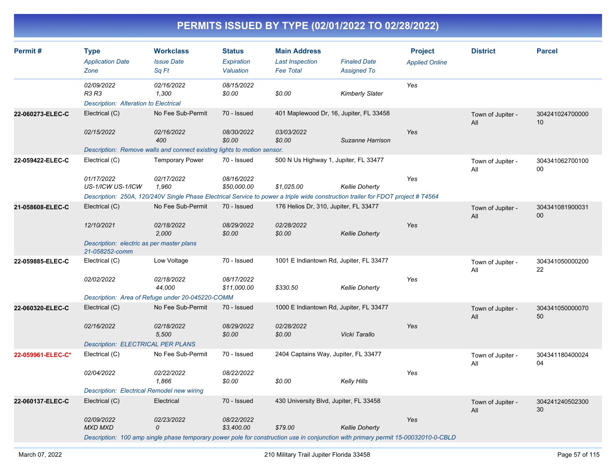| Permit#           | <b>Type</b><br><b>Application Date</b><br>Zone                      | <b>Workclass</b><br><b>Issue Date</b><br>Sq Ft                                                                                    | <b>Status</b><br><b>Expiration</b><br>Valuation | <b>Main Address</b><br><b>Last Inspection</b><br><b>Fee Total</b> | <b>Finaled Date</b><br><b>Assigned To</b> | <b>Project</b><br><b>Applied Online</b> | <b>District</b>          | <b>Parcel</b>             |
|-------------------|---------------------------------------------------------------------|-----------------------------------------------------------------------------------------------------------------------------------|-------------------------------------------------|-------------------------------------------------------------------|-------------------------------------------|-----------------------------------------|--------------------------|---------------------------|
|                   | 02/09/2022<br><b>R3 R3</b><br>Description: Alteration to Electrical | 02/16/2022<br>1,300                                                                                                               | 08/15/2022<br>\$0.00                            | \$0.00                                                            | <b>Kimberly Slater</b>                    | Yes                                     |                          |                           |
| 22-060273-ELEC-C  | Electrical (C)                                                      | No Fee Sub-Permit                                                                                                                 | 70 - Issued                                     | 401 Maplewood Dr, 16, Jupiter, FL 33458                           |                                           |                                         | Town of Jupiter -<br>All | 304241024700000<br>10     |
|                   | 02/15/2022                                                          | 02/16/2022<br>400                                                                                                                 | 08/30/2022<br>\$0.00                            | 03/03/2022<br>\$0.00                                              | Suzanne Harrison                          | Yes                                     |                          |                           |
|                   |                                                                     | Description: Remove walls and connect existing lights to motion sensor.                                                           |                                                 |                                                                   |                                           |                                         |                          |                           |
| 22-059422-ELEC-C  | Electrical (C)                                                      | <b>Temporary Power</b>                                                                                                            | 70 - Issued                                     | 500 N Us Highway 1, Jupiter, FL 33477                             |                                           |                                         | Town of Jupiter -<br>All | 304341062700100<br>00     |
|                   | 01/17/2022<br>US-1/ICW US-1/ICW                                     | 02/17/2022<br>1.960                                                                                                               | 08/16/2022<br>\$50,000.00                       | \$1.025.00                                                        | <b>Kellie Doherty</b>                     | Yes                                     |                          |                           |
|                   |                                                                     | Description: 250A, 120/240V Single Phase Electrical Service to power a triple wide construction trailer for FDOT project # T4564  |                                                 |                                                                   |                                           |                                         |                          |                           |
| 21-058608-ELEC-C  | Electrical (C)                                                      | No Fee Sub-Permit                                                                                                                 | 70 - Issued                                     | 176 Helios Dr, 310, Jupiter, FL 33477                             |                                           |                                         | Town of Jupiter -<br>All | 304341081900031<br>$00\,$ |
|                   | 12/10/2021                                                          | 02/18/2022<br>2,000                                                                                                               | 08/29/2022<br>\$0.00                            | 02/28/2022<br>\$0.00                                              | <b>Kellie Doherty</b>                     | Yes                                     |                          |                           |
|                   | Description: electric as per master plans<br>21-058252-comm         |                                                                                                                                   |                                                 |                                                                   |                                           |                                         |                          |                           |
| 22-059885-ELEC-C  | Electrical (C)                                                      | Low Voltage                                                                                                                       | 70 - Issued                                     | 1001 E Indiantown Rd, Jupiter, FL 33477                           |                                           |                                         | Town of Jupiter -<br>All | 304341050000200<br>22     |
|                   | 02/02/2022                                                          | 02/18/2022<br>44,000                                                                                                              | 08/17/2022<br>\$11,000.00                       | \$330.50                                                          | <b>Kellie Doherty</b>                     | Yes                                     |                          |                           |
|                   |                                                                     | Description: Area of Refuge under 20-045220-COMM                                                                                  |                                                 |                                                                   |                                           |                                         |                          |                           |
| 22-060320-ELEC-C  | Electrical (C)                                                      | No Fee Sub-Permit                                                                                                                 | 70 - Issued                                     | 1000 E Indiantown Rd, Jupiter, FL 33477                           |                                           |                                         | Town of Jupiter -<br>All | 304341050000070<br>50     |
|                   | 02/16/2022                                                          | 02/18/2022<br>5,500                                                                                                               | 08/29/2022<br>\$0.00                            | 02/28/2022<br>\$0.00                                              | Vicki Tarallo                             | Yes                                     |                          |                           |
|                   | <b>Description: ELECTRICAL PER PLANS</b>                            |                                                                                                                                   |                                                 |                                                                   |                                           |                                         |                          |                           |
| 22-059961-ELEC-C* | Electrical (C)                                                      | No Fee Sub-Permit                                                                                                                 | 70 - Issued                                     | 2404 Captains Way, Jupiter, FL 33477                              |                                           |                                         | Town of Jupiter -<br>All | 304341180400024<br>04     |
|                   | 02/04/2022                                                          | 02/22/2022<br>1,866                                                                                                               | 08/22/2022<br>\$0.00                            | \$0.00                                                            | Kelly Hills                               | Yes                                     |                          |                           |
|                   | <b>Description: Electrical Remodel new wiring</b>                   |                                                                                                                                   |                                                 |                                                                   |                                           |                                         |                          |                           |
| 22-060137-ELEC-C  | Electrical (C)                                                      | Electrical                                                                                                                        | 70 - Issued                                     | 430 University Blvd, Jupiter, FL 33458                            |                                           |                                         | Town of Jupiter -<br>All | 304241240502300<br>30     |
|                   | 02/09/2022<br><b>MXD MXD</b>                                        | 02/23/2022<br>0                                                                                                                   | 08/22/2022<br>\$3,400.00                        | \$79.00                                                           | <b>Kellie Doherty</b>                     | Yes                                     |                          |                           |
|                   |                                                                     | Description: 100 amp single phase temporary power pole for construction use in conjunction with primary permit 15-00032010-0-CBLD |                                                 |                                                                   |                                           |                                         |                          |                           |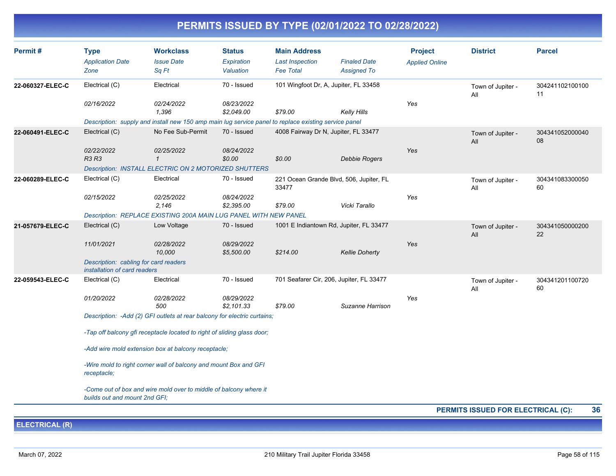| Permit#          | <b>Type</b><br><b>Application Date</b><br>Zone                                                     | <b>Workclass</b><br><b>Issue Date</b><br>Sq Ft                                                       | <b>Status</b><br>Expiration<br>Valuation | <b>Main Address</b><br><b>Last Inspection</b><br><b>Fee Total</b> | <b>Finaled Date</b><br><b>Assigned To</b> | <b>Project</b><br><b>Applied Online</b> | <b>District</b>          | <b>Parcel</b>         |  |
|------------------|----------------------------------------------------------------------------------------------------|------------------------------------------------------------------------------------------------------|------------------------------------------|-------------------------------------------------------------------|-------------------------------------------|-----------------------------------------|--------------------------|-----------------------|--|
| 22-060327-ELEC-C | Electrical (C)                                                                                     | Electrical                                                                                           | 70 - Issued                              |                                                                   | 101 Wingfoot Dr, A, Jupiter, FL 33458     |                                         | Town of Jupiter -<br>All | 304241102100100<br>11 |  |
|                  | 02/16/2022                                                                                         | 02/24/2022<br>1,396                                                                                  | 08/23/2022<br>\$2.049.00                 | \$79.00                                                           | Kelly Hills                               | Yes                                     |                          |                       |  |
|                  |                                                                                                    | Description: supply and install new 150 amp main lug service panel to replace existing service panel |                                          |                                                                   |                                           |                                         |                          |                       |  |
| 22-060491-ELEC-C | Electrical (C)                                                                                     | No Fee Sub-Permit                                                                                    | 70 - Issued                              |                                                                   | 4008 Fairway Dr N, Jupiter, FL 33477      |                                         | Town of Jupiter -<br>All | 304341052000040<br>08 |  |
|                  | 02/22/2022<br><b>R3 R3</b>                                                                         | 02/25/2022<br>$\mathcal I$                                                                           | 08/24/2022<br>\$0.00                     | \$0.00                                                            | <b>Debbie Rogers</b>                      | Yes                                     |                          |                       |  |
|                  |                                                                                                    | Description: INSTALL ELECTRIC ON 2 MOTORIZED SHUTTERS                                                |                                          |                                                                   |                                           |                                         |                          |                       |  |
| 22-060289-ELEC-C | Electrical (C)                                                                                     | Electrical                                                                                           | 70 - Issued                              | 33477                                                             | 221 Ocean Grande Blvd, 506, Jupiter, FL   |                                         | Town of Jupiter -<br>All | 304341083300050<br>60 |  |
|                  | 02/15/2022                                                                                         | 02/25/2022<br>2,146                                                                                  | 08/24/2022<br>\$2,395.00                 | \$79.00                                                           | Vicki Tarallo                             | Yes                                     |                          |                       |  |
|                  |                                                                                                    | Description: REPLACE EXISTING 200A MAIN LUG PANEL WITH NEW PANEL                                     |                                          |                                                                   |                                           |                                         |                          |                       |  |
| 21-057679-ELEC-C | Electrical (C)                                                                                     | Low Voltage                                                                                          | 70 - Issued                              |                                                                   | 1001 E Indiantown Rd, Jupiter, FL 33477   |                                         | Town of Jupiter -<br>All | 304341050000200<br>22 |  |
|                  | 11/01/2021                                                                                         | 02/28/2022<br>10,000                                                                                 | 08/29/2022<br>\$5,500.00                 | \$214.00                                                          | <b>Kellie Doherty</b>                     | Yes                                     |                          |                       |  |
|                  | Description: cabling for card readers<br>installation of card readers                              |                                                                                                      |                                          |                                                                   |                                           |                                         |                          |                       |  |
| 22-059543-ELEC-C | Electrical (C)                                                                                     | Electrical                                                                                           | 70 - Issued                              |                                                                   | 701 Seafarer Cir, 206, Jupiter, FL 33477  |                                         | Town of Jupiter -<br>All | 304341201100720<br>60 |  |
|                  | 01/20/2022                                                                                         | 02/28/2022<br>500                                                                                    | 08/29/2022<br>\$2,101.33                 | \$79.00                                                           | Suzanne Harrison                          | Yes                                     |                          |                       |  |
|                  |                                                                                                    | Description: -Add (2) GFI outlets at rear balcony for electric curtains;                             |                                          |                                                                   |                                           |                                         |                          |                       |  |
|                  |                                                                                                    | -Tap off balcony gfi receptacle located to right of sliding glass door;                              |                                          |                                                                   |                                           |                                         |                          |                       |  |
|                  |                                                                                                    | -Add wire mold extension box at balcony receptacle;                                                  |                                          |                                                                   |                                           |                                         |                          |                       |  |
|                  | -Wire mold to right corner wall of balcony and mount Box and GFI<br>receptacle;                    |                                                                                                      |                                          |                                                                   |                                           |                                         |                          |                       |  |
|                  | -Come out of box and wire mold over to middle of balcony where it<br>builds out and mount 2nd GFI: |                                                                                                      |                                          |                                                                   |                                           |                                         |                          |                       |  |
|                  |                                                                                                    |                                                                                                      |                                          |                                                                   | <b>PERMITS ISSUED FOR ELECTRICAL (C):</b> | 36                                      |                          |                       |  |

**ELECTRICAL (R)**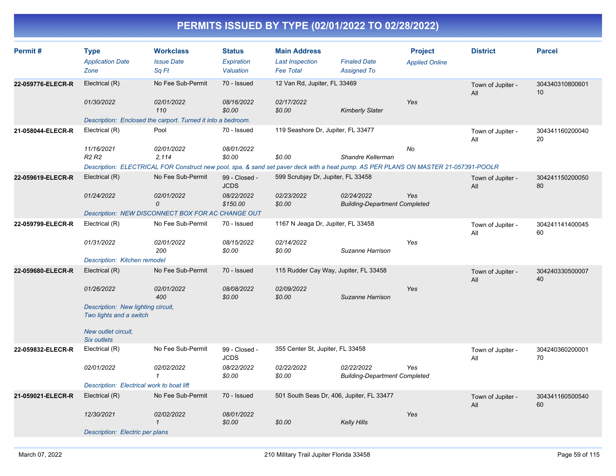| Permit#           | <b>Type</b>                                                   | <b>Workclass</b>                                                                                                                    | <b>Status</b>                | <b>Main Address</b>                   |                                                    | <b>Project</b>        | <b>District</b>          | <b>Parcel</b>         |
|-------------------|---------------------------------------------------------------|-------------------------------------------------------------------------------------------------------------------------------------|------------------------------|---------------------------------------|----------------------------------------------------|-----------------------|--------------------------|-----------------------|
|                   | <b>Application Date</b>                                       | <b>Issue Date</b>                                                                                                                   | Expiration                   | <b>Last Inspection</b>                | <b>Finaled Date</b>                                | <b>Applied Online</b> |                          |                       |
|                   | Zone                                                          | Sq Ft                                                                                                                               | Valuation                    | <b>Fee Total</b>                      | <b>Assigned To</b>                                 |                       |                          |                       |
| 22-059776-ELECR-R | Electrical (R)                                                | No Fee Sub-Permit                                                                                                                   | 70 - Issued                  | 12 Van Rd, Jupiter, FL 33469          |                                                    |                       | Town of Jupiter -<br>All | 304340310800601<br>10 |
|                   | 01/30/2022                                                    | 02/01/2022                                                                                                                          | 08/16/2022                   | 02/17/2022                            |                                                    | Yes                   |                          |                       |
|                   |                                                               | 110                                                                                                                                 | \$0.00                       | \$0.00                                | <b>Kimberly Slater</b>                             |                       |                          |                       |
|                   |                                                               | Description: Enclosed the carport. Turned it into a bedroom.                                                                        |                              |                                       |                                                    |                       |                          |                       |
| 21-058044-ELECR-R | Electrical (R)                                                | Pool                                                                                                                                | 70 - Issued                  | 119 Seashore Dr, Jupiter, FL 33477    |                                                    |                       | Town of Jupiter -<br>All | 304341160200040<br>20 |
|                   | 11/16/2021                                                    | 02/01/2022                                                                                                                          | 08/01/2022                   |                                       |                                                    | No                    |                          |                       |
|                   | R <sub>2</sub> R <sub>2</sub>                                 | 2,114                                                                                                                               | \$0.00                       | \$0.00                                | Shandre Kellerman                                  |                       |                          |                       |
|                   |                                                               | Description: ELECTRICAL FOR Construct new pool, spa, & sand set paver deck with a heat pump. AS PER PLANS ON MASTER 21-057391-POOLR |                              |                                       |                                                    |                       |                          |                       |
| 22-059619-ELECR-R | Electrical (R)                                                | No Fee Sub-Permit                                                                                                                   | 99 - Closed -<br><b>JCDS</b> | 599 Scrubjay Dr, Jupiter, FL 33458    |                                                    |                       | Town of Jupiter -<br>All | 304241150200050<br>80 |
|                   | 01/24/2022                                                    | 02/01/2022                                                                                                                          | 08/22/2022                   | 02/23/2022                            | 02/24/2022                                         | Yes                   |                          |                       |
|                   |                                                               | 0                                                                                                                                   | \$150.00                     | \$0.00                                | <b>Building-Department Completed</b>               |                       |                          |                       |
|                   |                                                               | Description: NEW DISCONNECT BOX FOR AC CHANGE OUT                                                                                   |                              |                                       |                                                    |                       |                          |                       |
| 22-059799-ELECR-R | Electrical (R)                                                | No Fee Sub-Permit                                                                                                                   | 70 - Issued                  | 1167 N Jeaga Dr, Jupiter, FL 33458    |                                                    |                       | Town of Jupiter -<br>All | 304241141400045<br>60 |
|                   | 01/31/2022                                                    | 02/01/2022<br>200                                                                                                                   | 08/15/2022<br>\$0.00         | 02/14/2022<br>\$0.00                  | Suzanne Harrison                                   | Yes                   |                          |                       |
|                   | Description: Kitchen remodel                                  |                                                                                                                                     |                              |                                       |                                                    |                       |                          |                       |
| 22-059680-ELECR-R | Electrical (R)                                                | No Fee Sub-Permit                                                                                                                   | 70 - Issued                  | 115 Rudder Cay Way, Jupiter, FL 33458 |                                                    |                       | Town of Jupiter -<br>All | 304240330500007<br>40 |
|                   | 01/26/2022                                                    | 02/01/2022<br>400                                                                                                                   | 08/08/2022<br>\$0.00         | 02/09/2022<br>\$0.00                  | Suzanne Harrison                                   | Yes                   |                          |                       |
|                   | Description: New lighting circuit,<br>Two lights and a switch |                                                                                                                                     |                              |                                       |                                                    |                       |                          |                       |
|                   | New outlet circuit.<br>Six outlets                            |                                                                                                                                     |                              |                                       |                                                    |                       |                          |                       |
| 22-059832-ELECR-R | Electrical (R)                                                | No Fee Sub-Permit                                                                                                                   | 99 - Closed -<br><b>JCDS</b> | 355 Center St, Jupiter, FL 33458      |                                                    |                       | Town of Jupiter -<br>All | 304240360200001<br>70 |
|                   | 02/01/2022                                                    | 02/02/2022<br>$\mathbf{1}$                                                                                                          | 08/22/2022<br>\$0.00         | 02/22/2022<br>\$0.00                  | 02/22/2022<br><b>Building-Department Completed</b> | Yes                   |                          |                       |
|                   | Description: Electrical work to boat lift                     |                                                                                                                                     |                              |                                       |                                                    |                       |                          |                       |
| 21-059021-ELECR-R | Electrical (R)                                                | No Fee Sub-Permit                                                                                                                   | 70 - Issued                  |                                       | 501 South Seas Dr, 406, Jupiter, FL 33477          |                       | Town of Jupiter -<br>All | 304341160500540<br>60 |
|                   | 12/30/2021                                                    | 02/02/2022<br>$\mathcal I$                                                                                                          | 08/01/2022<br>\$0.00         | \$0.00                                | Kelly Hills                                        | Yes                   |                          |                       |
|                   | Description: Electric per plans                               |                                                                                                                                     |                              |                                       |                                                    |                       |                          |                       |
|                   |                                                               |                                                                                                                                     |                              |                                       |                                                    |                       |                          |                       |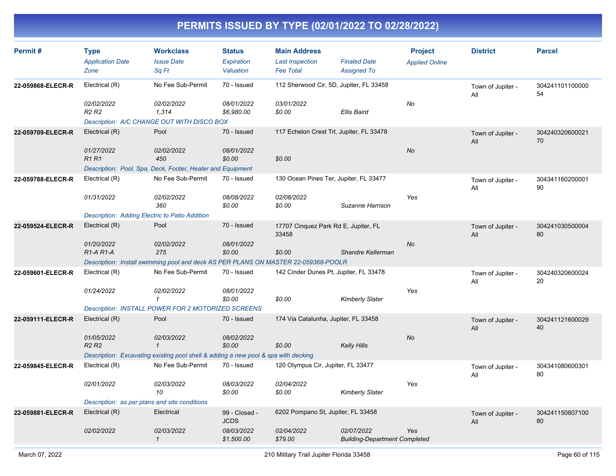| Permit#           | <b>Type</b><br><b>Application Date</b><br>Zone | <b>Workclass</b><br><b>Issue Date</b><br>Sa Ft                                     | <b>Status</b><br>Expiration<br>Valuation | <b>Main Address</b><br><b>Last Inspection</b><br><b>Fee Total</b> | <b>Finaled Date</b><br><b>Assigned To</b> | <b>Project</b><br><b>Applied Online</b> | <b>District</b>          | <b>Parcel</b>         |
|-------------------|------------------------------------------------|------------------------------------------------------------------------------------|------------------------------------------|-------------------------------------------------------------------|-------------------------------------------|-----------------------------------------|--------------------------|-----------------------|
| 22-059868-ELECR-R | Electrical (R)                                 | No Fee Sub-Permit                                                                  | 70 - Issued                              | 112 Sherwood Cir, 5D, Jupiter, FL 33458                           |                                           |                                         | Town of Jupiter -<br>All | 304241101100000<br>54 |
|                   | 02/02/2022<br>R <sub>2</sub> R <sub>2</sub>    | 02/02/2022<br>1,314                                                                | 08/01/2022<br>\$6,980.00                 | 03/01/2022<br>\$0.00                                              | Ellis Baird                               | No                                      |                          |                       |
|                   |                                                | Description: A/C CHANGE OUT WITH DISCO BOX                                         |                                          |                                                                   |                                           |                                         |                          |                       |
| 22-059709-ELECR-R | Electrical (R)                                 | Pool                                                                               | 70 - Issued                              | 117 Echelon Crest Trl, Jupiter, FL 33478                          |                                           |                                         | Town of Jupiter -<br>All | 304240320600021<br>70 |
|                   | 01/27/2022<br><b>R1 R1</b>                     | 02/02/2022<br>450                                                                  | 08/01/2022<br>\$0.00                     | \$0.00                                                            |                                           | No                                      |                          |                       |
|                   |                                                | Description: Pool, Spa, Deck, Footer, Heater and Equipment                         |                                          |                                                                   |                                           |                                         |                          |                       |
| 22-059788-ELECR-R | Electrical (R)                                 | No Fee Sub-Permit                                                                  | 70 - Issued                              | 130 Ocean Pines Ter, Jupiter, FL 33477                            |                                           |                                         | Town of Jupiter -<br>All | 304341160200001<br>90 |
|                   | 01/31/2022                                     | 02/02/2022<br>360                                                                  | 08/08/2022<br>\$0.00                     | 02/08/2022<br>\$0.00                                              | Suzanne Harrison                          | Yes                                     |                          |                       |
|                   | Description: Adding Electric to Patio Addition |                                                                                    |                                          |                                                                   |                                           |                                         |                          |                       |
| 22-059524-ELECR-R | Electrical (R)                                 | Pool                                                                               | 70 - Issued                              | 17707 Cinquez Park Rd E, Jupiter, FL<br>33458                     |                                           |                                         | Town of Jupiter -<br>All | 304241030500004<br>80 |
|                   | 01/20/2022<br>R1-A R1-A                        | 02/02/2022<br>275                                                                  | 08/01/2022<br>\$0.00                     | \$0.00                                                            | Shandre Kellerman                         | No                                      |                          |                       |
|                   |                                                | Description: Install swimming pool and deck AS PER PLANS ON MASTER 22-059368-POOLR |                                          |                                                                   |                                           |                                         |                          |                       |
| 22-059601-ELECR-R | Electrical (R)                                 | No Fee Sub-Permit                                                                  | 70 - Issued                              | 142 Cinder Dunes Pt, Jupiter, FL 33478                            |                                           |                                         | Town of Jupiter -<br>All | 304240320600024<br>20 |
|                   | 01/24/2022                                     | 02/02/2022<br>$\mathcal I$                                                         | 08/01/2022<br>\$0.00                     | \$0.00                                                            | <b>Kimberly Slater</b>                    | Yes                                     |                          |                       |
|                   |                                                | Description: INSTALL POWER FOR 2 MOTORIZED SCREENS                                 |                                          |                                                                   |                                           |                                         |                          |                       |
| 22-059111-ELECR-R | Electrical (R)                                 | Pool                                                                               | 70 - Issued                              | 174 Via Catalunha, Jupiter, FL 33458                              |                                           |                                         | Town of Jupiter -<br>All | 304241121600029<br>40 |
|                   | 01/05/2022<br>R <sub>2</sub> R <sub>2</sub>    | 02/03/2022<br>$\mathbf{1}$                                                         | 08/02/2022<br>\$0.00                     | \$0.00                                                            | <b>Kelly Hills</b>                        | No                                      |                          |                       |
|                   |                                                | Description: Excavating existing pool shell & adding a new pool & spa with decking |                                          |                                                                   |                                           |                                         |                          |                       |
| 22-059845-ELECR-R | Electrical (R)                                 | No Fee Sub-Permit                                                                  | 70 - Issued                              | 120 Olympus Cir, Jupiter, FL 33477                                |                                           |                                         | Town of Jupiter -<br>All | 304341080600301<br>80 |
|                   | 02/01/2022                                     | 02/03/2022<br>10                                                                   | 08/03/2022<br>\$0.00                     | 02/04/2022<br>\$0.00                                              | <b>Kimberly Slater</b>                    | Yes                                     |                          |                       |
|                   | Description: as per plans and site conditions  |                                                                                    |                                          |                                                                   |                                           |                                         |                          |                       |
| 22-059881-ELECR-R | Electrical (R)                                 | Electrical                                                                         | 99 - Closed -                            | 6202 Pompano St, Jupiter, FL 33458                                |                                           |                                         | Town of Jupiter -        | 304241150807100       |
|                   | 02/02/2022                                     | 02/03/2022                                                                         | <b>JCDS</b><br>08/03/2022                | 02/04/2022                                                        | 02/07/2022                                | <b>Yes</b>                              | All                      | 80                    |
|                   |                                                | $\mathbf{1}$                                                                       | \$1,500.00                               | \$79.00                                                           | <b>Building-Department Completed</b>      |                                         |                          |                       |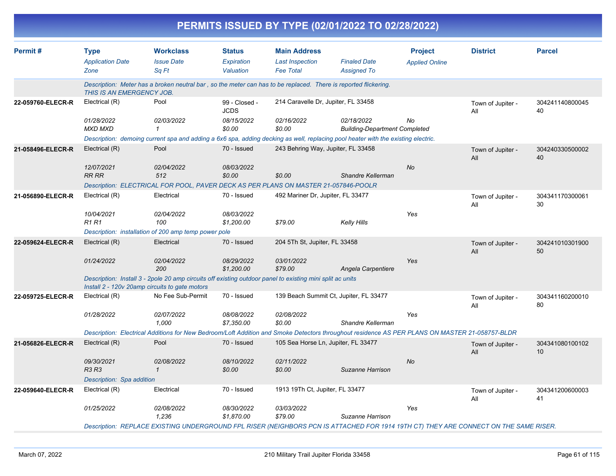|                   | PERMITS ISSUED BY TYPE (02/01/2022 TO 02/28/2022)    |                                                                                                                 |                                          |                                                                   |                                                                                                                                                |                                         |                          |                       |  |  |  |
|-------------------|------------------------------------------------------|-----------------------------------------------------------------------------------------------------------------|------------------------------------------|-------------------------------------------------------------------|------------------------------------------------------------------------------------------------------------------------------------------------|-----------------------------------------|--------------------------|-----------------------|--|--|--|
| Permit#           | <b>Type</b><br><b>Application Date</b><br>Zone       | <b>Workclass</b><br><b>Issue Date</b><br>Sq Ft                                                                  | <b>Status</b><br>Expiration<br>Valuation | <b>Main Address</b><br><b>Last Inspection</b><br><b>Fee Total</b> | <b>Finaled Date</b><br><b>Assigned To</b>                                                                                                      | <b>Project</b><br><b>Applied Online</b> | <b>District</b>          | <b>Parcel</b>         |  |  |  |
|                   | <b>THIS IS AN EMERGENCY JOB.</b>                     | Description: Meter has a broken neutral bar, so the meter can has to be replaced. There is reported flickering. |                                          |                                                                   |                                                                                                                                                |                                         |                          |                       |  |  |  |
| 22-059760-ELECR-R | Electrical (R)                                       | Pool                                                                                                            | 99 - Closed -<br><b>JCDS</b>             | 214 Caravelle Dr, Jupiter, FL 33458                               |                                                                                                                                                |                                         | Town of Jupiter -<br>All | 304241140800045<br>40 |  |  |  |
|                   | 01/28/2022<br>MXD MXD                                | 02/03/2022                                                                                                      | 08/15/2022<br>\$0.00                     | 02/16/2022<br>\$0.00                                              | 02/18/2022<br><b>Building-Department Completed</b>                                                                                             | No                                      |                          |                       |  |  |  |
|                   |                                                      |                                                                                                                 |                                          |                                                                   | Description: demoing current spa and adding a 6x6 spa, adding decking as well, replacing pool heater with the existing electric.               |                                         |                          |                       |  |  |  |
| 21-058496-ELECR-R | Electrical (R)<br>12/07/2021                         | Pool<br>02/04/2022                                                                                              | 70 - Issued<br>08/03/2022                | 243 Behring Way, Jupiter, FL 33458                                |                                                                                                                                                | No                                      | Town of Jupiter -<br>All | 304240330500002<br>40 |  |  |  |
|                   | RR RR                                                | 512                                                                                                             | \$0.00                                   | \$0.00                                                            | Shandre Kellerman                                                                                                                              |                                         |                          |                       |  |  |  |
|                   |                                                      | Description: ELECTRICAL FOR POOL, PAVER DECK AS PER PLANS ON MASTER 21-057846-POOLR                             |                                          |                                                                   |                                                                                                                                                |                                         |                          |                       |  |  |  |
| 21-056890-ELECR-R | Electrical (R)                                       | Electrical                                                                                                      | 70 - Issued                              | 492 Mariner Dr, Jupiter, FL 33477                                 |                                                                                                                                                |                                         | Town of Jupiter -<br>Αll | 304341170300061<br>30 |  |  |  |
|                   | 10/04/2021<br>R1 R1                                  | 02/04/2022<br>100                                                                                               | 08/03/2022<br>\$1,200.00                 | \$79.00                                                           | Kelly Hills                                                                                                                                    | Yes                                     |                          |                       |  |  |  |
|                   | Description: installation of 200 amp temp power pole |                                                                                                                 |                                          |                                                                   |                                                                                                                                                |                                         |                          |                       |  |  |  |
| 22-059624-ELECR-R | Electrical (R)                                       | Electrical                                                                                                      | 70 - Issued                              | 204 5Th St, Jupiter, FL 33458                                     |                                                                                                                                                |                                         | Town of Jupiter -<br>All | 304241010301900<br>50 |  |  |  |
|                   | 01/24/2022                                           | 02/04/2022<br>200                                                                                               | 08/29/2022<br>\$1,200.00                 | 03/01/2022<br>\$79.00                                             | Angela Carpentiere                                                                                                                             | Yes                                     |                          |                       |  |  |  |
|                   | Install 2 - 120v 20amp circuits to gate motors       | Description: Install 3 - 2pole 20 amp circuits off existing outdoor panel to existing mini split ac units       |                                          |                                                                   |                                                                                                                                                |                                         |                          |                       |  |  |  |
| 22-059725-ELECR-R | Electrical (R)                                       | No Fee Sub-Permit                                                                                               | 70 - Issued                              |                                                                   | 139 Beach Summit Ct, Jupiter, FL 33477                                                                                                         |                                         | Town of Jupiter -<br>Αll | 304341160200010<br>80 |  |  |  |
|                   | 01/28/2022                                           | 02/07/2022<br>1,000                                                                                             | 08/08/2022<br>\$7,350.00                 | 02/08/2022<br>\$0.00                                              | Shandre Kellerman                                                                                                                              | Yes                                     |                          |                       |  |  |  |
|                   |                                                      |                                                                                                                 |                                          |                                                                   | Description: Electrical Additions for New Bedroom/Loft Addition and Smoke Detectors throughout residence AS PER PLANS ON MASTER 21-058757-BLDR |                                         |                          |                       |  |  |  |
| 21-056826-ELECR-R | Electrical (R)                                       | Pool                                                                                                            | 70 - Issued                              | 105 Sea Horse Ln, Jupiter, FL 33477                               |                                                                                                                                                |                                         | Town of Jupiter -<br>All | 304341080100102<br>10 |  |  |  |
|                   | 09/30/2021<br>R3 R3                                  | 02/08/2022                                                                                                      | 08/10/2022<br>\$0.00                     | 02/11/2022<br>\$0.00                                              | Suzanne Harrison                                                                                                                               | No                                      |                          |                       |  |  |  |
|                   | Description: Spa addition                            |                                                                                                                 |                                          |                                                                   |                                                                                                                                                |                                         |                          |                       |  |  |  |
| 22-059640-ELECR-R | Electrical (R)                                       | Electrical                                                                                                      | 70 - Issued                              | 1913 19Th Ct, Jupiter, FL 33477                                   |                                                                                                                                                |                                         | Town of Jupiter -<br>All | 304341200600003<br>41 |  |  |  |
|                   | <i>01/25/2022</i>                                    | <i>02/08/2022</i><br>1,236                                                                                      | 08/30/2022<br>\$1,870.00                 | 03/03/2022<br>\$79.00                                             | Suzanne Harrison                                                                                                                               | Yes                                     |                          |                       |  |  |  |
|                   |                                                      |                                                                                                                 |                                          |                                                                   | Description: REPLACE EXISTING UNDERGROUND FPL RISER (NEIGHBORS PCN IS ATTACHED FOR 1914 19TH CT) THEY ARE CONNECT ON THE SAME RISER.           |                                         |                          |                       |  |  |  |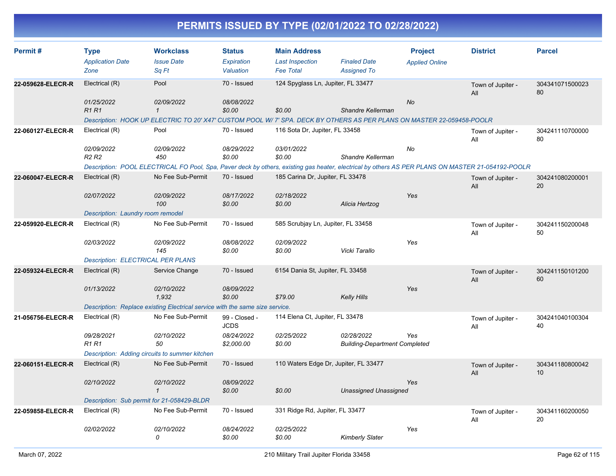| Permit#           | <b>Type</b>                              | <b>Workclass</b>                                                                                                                                  | <b>Status</b>                | <b>Main Address</b>                   |                                      | <b>Project</b>        | <b>District</b>          | <b>Parcel</b>         |
|-------------------|------------------------------------------|---------------------------------------------------------------------------------------------------------------------------------------------------|------------------------------|---------------------------------------|--------------------------------------|-----------------------|--------------------------|-----------------------|
|                   | <b>Application Date</b>                  | <b>Issue Date</b>                                                                                                                                 | Expiration                   | <b>Last Inspection</b>                | <b>Finaled Date</b>                  | <b>Applied Online</b> |                          |                       |
|                   | Zone                                     | Sq Ft                                                                                                                                             | Valuation                    | <b>Fee Total</b>                      | <b>Assigned To</b>                   |                       |                          |                       |
| 22-059628-ELECR-R | Electrical (R)                           | Pool                                                                                                                                              | 70 - Issued                  | 124 Spyglass Ln, Jupiter, FL 33477    |                                      |                       | Town of Jupiter -<br>All | 304341071500023<br>80 |
|                   | 01/25/2022                               | 02/09/2022                                                                                                                                        | 08/08/2022                   |                                       |                                      | <b>No</b>             |                          |                       |
|                   | <b>R1R1</b>                              | $\mathbf{1}$                                                                                                                                      | \$0.00                       | \$0.00                                | Shandre Kellerman                    |                       |                          |                       |
|                   |                                          | Description: HOOK UP ELECTRIC TO 20' X47' CUSTOM POOL W/ 7' SPA. DECK BY OTHERS AS PER PLANS ON MASTER 22-059458-POOLR                            |                              |                                       |                                      |                       |                          |                       |
| 22-060127-ELECR-R | Electrical (R)                           | Pool                                                                                                                                              | 70 - Issued                  | 116 Sota Dr, Jupiter, FL 33458        |                                      |                       | Town of Jupiter -<br>All | 304241110700000<br>80 |
|                   | 02/09/2022                               | 02/09/2022                                                                                                                                        | 08/29/2022                   | 03/01/2022                            |                                      | No                    |                          |                       |
|                   | R <sub>2</sub> R <sub>2</sub>            | 450                                                                                                                                               | \$0.00                       | \$0.00                                | Shandre Kellerman                    |                       |                          |                       |
|                   |                                          | Description: POOL ELECTRICAL FO Pool, Spa, Paver deck by others, existing gas heater, electrical by others AS PER PLANS ON MASTER 21-054192-POOLR |                              |                                       |                                      |                       |                          |                       |
| 22-060047-ELECR-R | Electrical (R)                           | No Fee Sub-Permit                                                                                                                                 | 70 - Issued                  | 185 Carina Dr, Jupiter, FL 33478      |                                      |                       | Town of Jupiter -<br>All | 304241080200001<br>20 |
|                   | 02/07/2022                               | 02/09/2022                                                                                                                                        | 08/17/2022                   | 02/18/2022                            |                                      | Yes                   |                          |                       |
|                   |                                          | 100                                                                                                                                               | \$0.00                       | \$0.00                                | Alicia Hertzog                       |                       |                          |                       |
|                   | Description: Laundry room remodel        |                                                                                                                                                   |                              |                                       |                                      |                       |                          |                       |
| 22-059920-ELECR-R | Electrical (R)                           | No Fee Sub-Permit                                                                                                                                 | 70 - Issued                  | 585 Scrubjay Ln, Jupiter, FL 33458    |                                      |                       | Town of Jupiter -<br>All | 304241150200048<br>50 |
|                   | 02/03/2022                               | 02/09/2022                                                                                                                                        | 08/08/2022                   | 02/09/2022                            |                                      | Yes                   |                          |                       |
|                   |                                          | 145                                                                                                                                               | \$0.00                       | \$0.00                                | Vicki Tarallo                        |                       |                          |                       |
|                   | <b>Description: ELECTRICAL PER PLANS</b> |                                                                                                                                                   |                              |                                       |                                      |                       |                          |                       |
| 22-059324-ELECR-R | Electrical (R)                           | Service Change                                                                                                                                    | 70 - Issued                  | 6154 Dania St, Jupiter, FL 33458      |                                      |                       | Town of Jupiter -<br>All | 304241150101200<br>60 |
|                   | 01/13/2022                               | 02/10/2022                                                                                                                                        | 08/09/2022                   |                                       |                                      | Yes                   |                          |                       |
|                   |                                          | 1,932                                                                                                                                             | \$0.00                       | \$79.00                               | <b>Kelly Hills</b>                   |                       |                          |                       |
|                   |                                          | Description: Replace existing Electrical service with the same size service.                                                                      |                              |                                       |                                      |                       |                          |                       |
| 21-056756-ELECR-R | Electrical (R)                           | No Fee Sub-Permit                                                                                                                                 | 99 - Closed -<br><b>JCDS</b> | 114 Elena Ct, Jupiter, FL 33478       |                                      |                       | Town of Jupiter -<br>All | 304241040100304<br>40 |
|                   | 09/28/2021                               | 02/10/2022                                                                                                                                        | 08/24/2022                   | 02/25/2022                            | 02/28/2022                           | Yes                   |                          |                       |
|                   | <b>R1R1</b>                              | 50                                                                                                                                                | \$2,000.00                   | \$0.00                                | <b>Building-Department Completed</b> |                       |                          |                       |
|                   |                                          | Description: Adding circuits to summer kitchen                                                                                                    |                              |                                       |                                      |                       |                          |                       |
| 22-060151-ELECR-R | Electrical (R)                           | No Fee Sub-Permit                                                                                                                                 | 70 - Issued                  | 110 Waters Edge Dr, Jupiter, FL 33477 |                                      |                       | Town of Jupiter -<br>All | 304341180800042<br>10 |
|                   | 02/10/2022                               | 02/10/2022<br>$\mathcal I$                                                                                                                        | 08/09/2022<br>\$0.00         | \$0.00                                | <b>Unassigned Unassigned</b>         | Yes                   |                          |                       |
|                   |                                          | Description: Sub permit for 21-058429-BLDR                                                                                                        |                              |                                       |                                      |                       |                          |                       |
| 22-059858-ELECR-R | Electrical (R)                           | No Fee Sub-Permit                                                                                                                                 | 70 - Issued                  | 331 Ridge Rd, Jupiter, FL 33477       |                                      |                       | Town of Jupiter -<br>All | 304341160200050<br>20 |
|                   | 02/02/2022                               | 02/10/2022<br>0                                                                                                                                   | 08/24/2022<br>\$0.00         | 02/25/2022<br>\$0.00                  | <b>Kimberly Slater</b>               | Yes                   |                          |                       |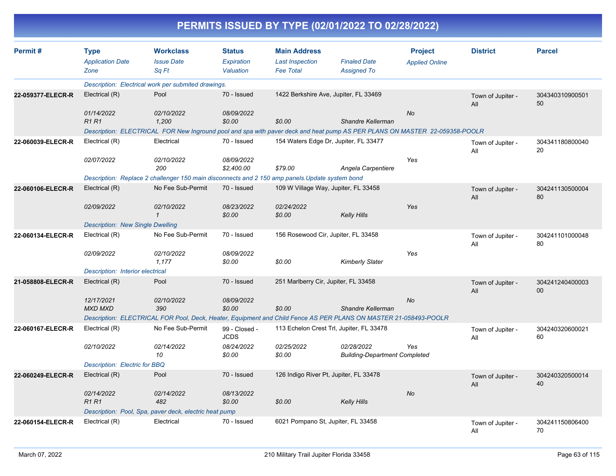|                   |                                                        |                                                                                                                            |                                          |                                                                   | PERMITS ISSUED BY TYPE (02/01/2022 TO 02/28/2022)  |                                         |                          |                       |
|-------------------|--------------------------------------------------------|----------------------------------------------------------------------------------------------------------------------------|------------------------------------------|-------------------------------------------------------------------|----------------------------------------------------|-----------------------------------------|--------------------------|-----------------------|
| Permit#           | <b>Type</b><br><b>Application Date</b><br>Zone         | <b>Workclass</b><br><b>Issue Date</b><br>Sq Ft                                                                             | <b>Status</b><br>Expiration<br>Valuation | <b>Main Address</b><br><b>Last Inspection</b><br><b>Fee Total</b> | <b>Finaled Date</b><br><b>Assigned To</b>          | <b>Project</b><br><b>Applied Online</b> | <b>District</b>          | <b>Parcel</b>         |
|                   |                                                        | Description: Electrical work per submited drawings.                                                                        |                                          |                                                                   |                                                    |                                         |                          |                       |
| 22-059377-ELECR-R | Electrical (R)                                         | Pool                                                                                                                       | 70 - Issued                              |                                                                   | 1422 Berkshire Ave, Jupiter, FL 33469              |                                         | Town of Jupiter -<br>All | 304340310900501<br>50 |
|                   | 01/14/2022<br><b>R1 R1</b>                             | 02/10/2022<br>1,200                                                                                                        | 08/09/2022<br>\$0.00                     | \$0.00                                                            | Shandre Kellerman                                  | No                                      |                          |                       |
|                   |                                                        | Description: ELECTRICAL FOR New Inground pool and spa with paver deck and heat pump AS PER PLANS ON MASTER 22-059358-POOLR |                                          |                                                                   |                                                    |                                         |                          |                       |
| 22-060039-ELECR-R | Electrical (R)                                         | Electrical                                                                                                                 | 70 - Issued                              |                                                                   | 154 Waters Edge Dr, Jupiter, FL 33477              |                                         | Town of Jupiter -<br>All | 304341180800040<br>20 |
|                   | 02/07/2022                                             | 02/10/2022<br>200                                                                                                          | 08/09/2022<br>\$2,400.00                 | \$79.00                                                           | Angela Carpentiere                                 | Yes                                     |                          |                       |
|                   |                                                        | Description: Replace 2 challenger 150 main disconnects and 2 150 amp panels. Update system bond                            |                                          |                                                                   |                                                    |                                         |                          |                       |
| 22-060106-ELECR-R | Electrical (R)                                         | No Fee Sub-Permit                                                                                                          | 70 - Issued                              |                                                                   | 109 W Village Way, Jupiter, FL 33458               |                                         | Town of Jupiter -<br>All | 304241130500004<br>80 |
|                   | 02/09/2022                                             | 02/10/2022<br>$\mathcal I$                                                                                                 | 08/23/2022<br>\$0.00                     | 02/24/2022<br>\$0.00                                              | <b>Kelly Hills</b>                                 | Yes                                     |                          |                       |
|                   | <b>Description: New Single Dwelling</b>                |                                                                                                                            |                                          |                                                                   |                                                    |                                         |                          |                       |
| 22-060134-ELECR-R | Electrical (R)                                         | No Fee Sub-Permit                                                                                                          | 70 - Issued                              | 156 Rosewood Cir, Jupiter, FL 33458                               |                                                    |                                         | Town of Jupiter -<br>All | 304241101000048<br>80 |
|                   | 02/09/2022                                             | 02/10/2022<br>1,177                                                                                                        | 08/09/2022<br>\$0.00                     | \$0.00                                                            | <b>Kimberly Slater</b>                             | Yes                                     |                          |                       |
|                   | Description: Interior electrical                       |                                                                                                                            |                                          |                                                                   |                                                    |                                         |                          |                       |
| 21-058808-ELECR-R | Electrical (R)                                         | Pool                                                                                                                       | 70 - Issued                              | 251 Marlberry Cir, Jupiter, FL 33458                              |                                                    |                                         | Town of Jupiter -<br>All | 304241240400003<br>00 |
|                   | 12/17/2021<br><b>MXD MXD</b>                           | 02/10/2022<br>390                                                                                                          | 08/09/2022<br>\$0.00                     | \$0.00                                                            | Shandre Kellerman                                  | No                                      |                          |                       |
|                   |                                                        | Description: ELECTRICAL FOR Pool, Deck, Heater, Equipment and Child Fence AS PER PLANS ON MASTER 21-058493-POOLR           |                                          |                                                                   |                                                    |                                         |                          |                       |
| 22-060167-ELECR-R | Electrical (R)                                         | No Fee Sub-Permit                                                                                                          | 99 - Closed -<br><b>JCDS</b>             |                                                                   | 113 Echelon Crest Trl, Jupiter, FL 33478           |                                         | Town of Jupiter -<br>All | 304240320600021<br>60 |
|                   | 02/10/2022                                             | 02/14/2022<br>10                                                                                                           | 08/24/2022<br>\$0.00                     | 02/25/2022<br>\$0.00                                              | 02/28/2022<br><b>Building-Department Completed</b> | Yes                                     |                          |                       |
|                   | Description: Electric for BBQ                          |                                                                                                                            |                                          |                                                                   |                                                    |                                         |                          |                       |
| 22-060249-ELECR-R | Electrical (R)                                         | Pool                                                                                                                       | 70 - Issued                              |                                                                   | 126 Indigo River Pt, Jupiter, FL 33478             |                                         | Town of Jupiter -<br>All | 304240320500014<br>40 |
|                   | 02/14/2022<br><b>R1 R1</b>                             | 02/14/2022<br>482                                                                                                          | 08/13/2022<br>\$0.00                     | \$0.00                                                            | <b>Kelly Hills</b>                                 | $N\sigma$                               |                          |                       |
|                   | Description: Pool, Spa, paver deck, electric heat pump |                                                                                                                            |                                          |                                                                   |                                                    |                                         |                          |                       |
| 22-060154-ELECR-R | Electrical (R)                                         | Electrical                                                                                                                 | 70 - Issued                              | 6021 Pompano St, Jupiter, FL 33458                                |                                                    |                                         | Town of Jupiter -<br>All | 304241150806400<br>70 |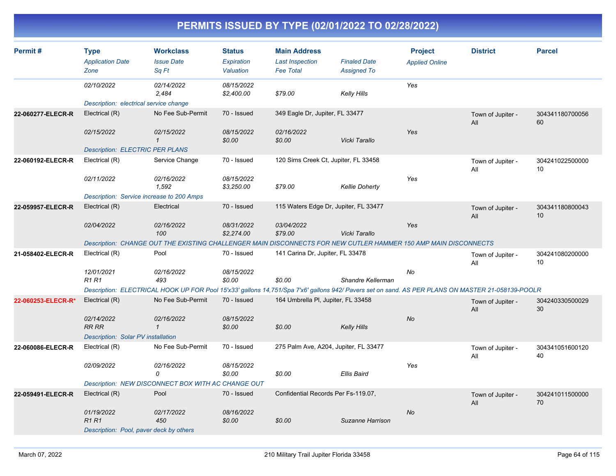| Permit#            | <b>Type</b><br><b>Application Date</b><br>Zone | <b>Workclass</b><br><b>Issue Date</b><br>Sq Ft                                                                                                    | <b>Status</b><br>Expiration<br>Valuation | <b>Main Address</b><br><b>Last Inspection</b><br><b>Fee Total</b> | <b>Finaled Date</b><br><b>Assigned To</b> | <b>Project</b><br><b>Applied Online</b> | <b>District</b>          | <b>Parcel</b>         |
|--------------------|------------------------------------------------|---------------------------------------------------------------------------------------------------------------------------------------------------|------------------------------------------|-------------------------------------------------------------------|-------------------------------------------|-----------------------------------------|--------------------------|-----------------------|
|                    | 02/10/2022                                     | 02/14/2022<br>2,484                                                                                                                               | 08/15/2022<br>\$2,400.00                 | \$79.00                                                           | Kelly Hills                               | Yes                                     |                          |                       |
|                    | Description: electrical service change         |                                                                                                                                                   |                                          |                                                                   |                                           |                                         |                          |                       |
| 22-060277-ELECR-R  | Electrical (R)                                 | No Fee Sub-Permit                                                                                                                                 | 70 - Issued                              | 349 Eagle Dr, Jupiter, FL 33477                                   |                                           |                                         | Town of Jupiter -<br>All | 304341180700056<br>60 |
|                    | 02/15/2022                                     | 02/15/2022<br>$\mathcal I$                                                                                                                        | 08/15/2022<br>\$0.00                     | 02/16/2022<br>\$0.00                                              | Vicki Tarallo                             | Yes                                     |                          |                       |
|                    | <b>Description: ELECTRIC PER PLANS</b>         |                                                                                                                                                   |                                          |                                                                   |                                           |                                         |                          |                       |
| 22-060192-ELECR-R  | Electrical (R)                                 | Service Change                                                                                                                                    | 70 - Issued                              | 120 Sims Creek Ct, Jupiter, FL 33458                              |                                           |                                         | Town of Jupiter -<br>All | 304241022500000<br>10 |
|                    | 02/11/2022                                     | 02/16/2022<br>1,592                                                                                                                               | 08/15/2022<br>\$3,250.00                 | \$79.00                                                           | <b>Kellie Doherty</b>                     | Yes                                     |                          |                       |
|                    | Description: Service increase to 200 Amps      |                                                                                                                                                   |                                          |                                                                   |                                           |                                         |                          |                       |
| 22-059957-ELECR-R  | Electrical (R)                                 | Electrical                                                                                                                                        | 70 - Issued                              | 115 Waters Edge Dr, Jupiter, FL 33477                             |                                           |                                         | Town of Jupiter -<br>All | 304341180800043<br>10 |
|                    | 02/04/2022                                     | 02/16/2022<br>100                                                                                                                                 | 08/31/2022<br>\$2,274.00                 | 03/04/2022<br>\$79.00                                             | Vicki Tarallo                             | Yes                                     |                          |                       |
|                    |                                                | Description: CHANGE OUT THE EXISTING CHALLENGER MAIN DISCONNECTS FOR NEW CUTLER HAMMER 150 AMP MAIN DISCONNECTS                                   |                                          |                                                                   |                                           |                                         |                          |                       |
| 21-058402-ELECR-R  | Electrical (R)                                 | Pool                                                                                                                                              | 70 - Issued                              | 141 Carina Dr, Jupiter, FL 33478                                  |                                           |                                         | Town of Jupiter -<br>All | 304241080200000<br>10 |
|                    | 12/01/2021<br><b>R1 R1</b>                     | 02/16/2022<br>493                                                                                                                                 | 08/15/2022<br>\$0.00                     | \$0.00                                                            | Shandre Kellerman                         | No                                      |                          |                       |
|                    |                                                | Description: ELECTRICAL HOOK UP FOR Pool 15'x33' gallons 14,751/Spa 7'x6' gallons 942/ Pavers set on sand. AS PER PLANS ON MASTER 21-058139-POOLR |                                          |                                                                   |                                           |                                         |                          |                       |
| 22-060253-ELECR-R* | Electrical (R)                                 | No Fee Sub-Permit                                                                                                                                 | 70 - Issued                              | 164 Umbrella PI, Jupiter, FL 33458                                |                                           |                                         | Town of Jupiter -<br>All | 304240330500029<br>30 |
|                    | 02/14/2022<br><b>RR RR</b>                     | 02/16/2022<br>$\mathcal{I}$                                                                                                                       | 08/15/2022<br>\$0.00                     | \$0.00                                                            | <b>Kelly Hills</b>                        | No                                      |                          |                       |
|                    | Description: Solar PV installation             |                                                                                                                                                   |                                          |                                                                   |                                           |                                         |                          |                       |
| 22-060086-ELECR-R  | Electrical (R)                                 | No Fee Sub-Permit                                                                                                                                 | 70 - Issued                              | 275 Palm Ave, A204, Jupiter, FL 33477                             |                                           |                                         | Town of Jupiter -<br>All | 304341051600120<br>40 |
|                    | 02/09/2022                                     | 02/16/2022<br>0                                                                                                                                   | 08/15/2022<br>\$0.00                     | \$0.00                                                            | <b>Ellis Baird</b>                        | Yes                                     |                          |                       |
|                    |                                                | Description: NEW DISCONNECT BOX WITH AC CHANGE OUT                                                                                                |                                          |                                                                   |                                           |                                         |                          |                       |
| 22-059491-ELECR-R  | Electrical (R)                                 | Pool                                                                                                                                              | 70 - Issued                              | Confidential Records Per Fs-119.07,                               |                                           |                                         | Town of Jupiter -<br>All | 304241011500000<br>70 |
|                    | 01/19/2022<br><b>R1R1</b>                      | 02/17/2022<br>450                                                                                                                                 | 08/16/2022<br>\$0.00                     | \$0.00                                                            | Suzanne Harrison                          | <b>No</b>                               |                          |                       |
|                    | Description: Pool, paver deck by others        |                                                                                                                                                   |                                          |                                                                   |                                           |                                         |                          |                       |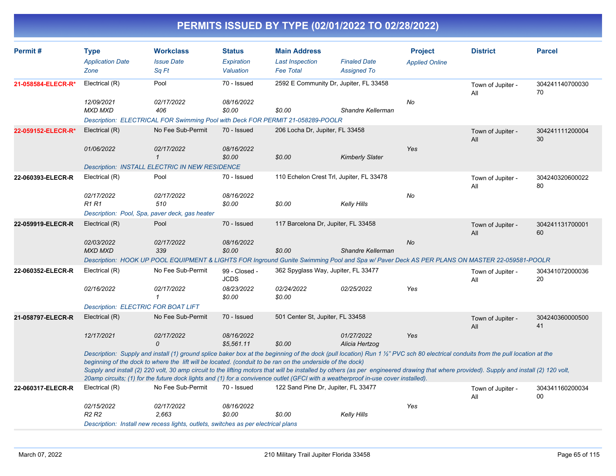| Permit#            | <b>Type</b><br><b>Application Date</b><br>Zone | <b>Workclass</b><br><b>Issue Date</b><br>Sq Ft                                                                                                                                                                                                                                                                                                                                                                                                                                                                                                                                                                                 | <b>Status</b><br>Expiration<br>Valuation | <b>Main Address</b><br><b>Last Inspection</b><br><b>Fee Total</b> | <b>Finaled Date</b><br><b>Assigned To</b> | <b>Project</b><br><b>Applied Online</b> | <b>District</b>          | <b>Parcel</b>         |
|--------------------|------------------------------------------------|--------------------------------------------------------------------------------------------------------------------------------------------------------------------------------------------------------------------------------------------------------------------------------------------------------------------------------------------------------------------------------------------------------------------------------------------------------------------------------------------------------------------------------------------------------------------------------------------------------------------------------|------------------------------------------|-------------------------------------------------------------------|-------------------------------------------|-----------------------------------------|--------------------------|-----------------------|
| 21-058584-ELECR-R* | Electrical (R)                                 | Pool                                                                                                                                                                                                                                                                                                                                                                                                                                                                                                                                                                                                                           | 70 - Issued                              | 2592 E Community Dr. Jupiter, FL 33458                            |                                           |                                         | Town of Jupiter -<br>All | 304241140700030<br>70 |
|                    | 12/09/2021<br><b>MXD MXD</b>                   | 02/17/2022<br>406                                                                                                                                                                                                                                                                                                                                                                                                                                                                                                                                                                                                              | 08/16/2022<br>\$0.00                     | \$0.00                                                            | Shandre Kellerman                         | No                                      |                          |                       |
| 22-059152-ELECR-R* | Electrical (R)                                 | Description: ELECTRICAL FOR Swimming Pool with Deck FOR PERMIT 21-058289-POOLR<br>No Fee Sub-Permit                                                                                                                                                                                                                                                                                                                                                                                                                                                                                                                            | 70 - Issued                              | 206 Locha Dr, Jupiter, FL 33458                                   |                                           |                                         | Town of Jupiter -        | 304241111200004       |
|                    |                                                |                                                                                                                                                                                                                                                                                                                                                                                                                                                                                                                                                                                                                                |                                          |                                                                   |                                           |                                         | All                      | 30                    |
|                    | 01/06/2022                                     | 02/17/2022<br>$\mathbf{1}$                                                                                                                                                                                                                                                                                                                                                                                                                                                                                                                                                                                                     | 08/16/2022<br>\$0.00                     | \$0.00                                                            | <b>Kimberly Slater</b>                    | Yes                                     |                          |                       |
|                    |                                                | <b>Description: INSTALL ELECTRIC IN NEW RESIDENCE</b>                                                                                                                                                                                                                                                                                                                                                                                                                                                                                                                                                                          |                                          |                                                                   |                                           |                                         |                          |                       |
| 22-060393-ELECR-R  | Electrical (R)                                 | Pool                                                                                                                                                                                                                                                                                                                                                                                                                                                                                                                                                                                                                           | 70 - Issued                              | 110 Echelon Crest Trl, Jupiter, FL 33478                          |                                           |                                         | Town of Jupiter -<br>All | 304240320600022<br>80 |
|                    | 02/17/2022<br><b>R1 R1</b>                     | 02/17/2022<br>510                                                                                                                                                                                                                                                                                                                                                                                                                                                                                                                                                                                                              | 08/16/2022<br>\$0.00                     | \$0.00                                                            | Kelly Hills                               | No                                      |                          |                       |
|                    | Description: Pool, Spa, paver deck, gas heater |                                                                                                                                                                                                                                                                                                                                                                                                                                                                                                                                                                                                                                |                                          |                                                                   |                                           |                                         |                          |                       |
| 22-059919-ELECR-R  | Electrical (R)                                 | Pool                                                                                                                                                                                                                                                                                                                                                                                                                                                                                                                                                                                                                           | 70 - Issued                              | 117 Barcelona Dr, Jupiter, FL 33458                               |                                           |                                         | Town of Jupiter -<br>All | 304241131700001<br>60 |
|                    | 02/03/2022<br><b>MXD MXD</b>                   | 02/17/2022<br>339                                                                                                                                                                                                                                                                                                                                                                                                                                                                                                                                                                                                              | 08/16/2022<br>\$0.00                     | \$0.00                                                            | Shandre Kellerman                         | <b>No</b>                               |                          |                       |
|                    |                                                | Description: HOOK UP POOL EQUIPMENT & LIGHTS FOR Inground Gunite Swimming Pool and Spa w/ Paver Deck AS PER PLANS ON MASTER 22-059581-POOLR                                                                                                                                                                                                                                                                                                                                                                                                                                                                                    |                                          |                                                                   |                                           |                                         |                          |                       |
| 22-060352-ELECR-R  | Electrical (R)                                 | No Fee Sub-Permit                                                                                                                                                                                                                                                                                                                                                                                                                                                                                                                                                                                                              | 99 - Closed -<br><b>JCDS</b>             | 362 Spyglass Way, Jupiter, FL 33477                               |                                           |                                         | Town of Jupiter -<br>All | 304341072000036<br>20 |
|                    | 02/16/2022                                     | 02/17/2022<br>$\mathbf{1}$                                                                                                                                                                                                                                                                                                                                                                                                                                                                                                                                                                                                     | 08/23/2022<br>\$0.00                     | 02/24/2022<br>\$0.00                                              | 02/25/2022                                | Yes                                     |                          |                       |
|                    | <b>Description: ELECTRIC FOR BOAT LIFT</b>     |                                                                                                                                                                                                                                                                                                                                                                                                                                                                                                                                                                                                                                |                                          |                                                                   |                                           |                                         |                          |                       |
| 21-058797-ELECR-R  | Electrical (R)                                 | No Fee Sub-Permit                                                                                                                                                                                                                                                                                                                                                                                                                                                                                                                                                                                                              | 70 - Issued                              | 501 Center St, Jupiter, FL 33458                                  |                                           |                                         | Town of Jupiter -<br>All | 304240360000500<br>41 |
|                    | 12/17/2021                                     | 02/17/2022<br>$\Omega$                                                                                                                                                                                                                                                                                                                                                                                                                                                                                                                                                                                                         | 08/16/2022<br>\$5,561.11                 | \$0.00                                                            | 01/27/2022<br>Alicia Hertzog              | Yes                                     |                          |                       |
|                    |                                                | Description: Supply and install (1) ground splice baker box at the beginning of the dock (pull location) Run 1 1/2" PVC sch 80 electrical conduits from the pull location at the<br>beginning of the dock to where the lift will be located. (conduit to be ran on the underside of the dock)<br>Supply and install (2) 220 volt, 30 amp circuit to the lifting motors that will be installed by others (as per engineered drawing that where provided). Supply and install (2) 120 volt,<br>20amp circuits; (1) for the future dock lights and (1) for a convivence outlet (GFCI with a weatherproof in-use cover installed). |                                          |                                                                   |                                           |                                         |                          |                       |
| 22-060317-ELECR-R  | Electrical (R)                                 | No Fee Sub-Permit                                                                                                                                                                                                                                                                                                                                                                                                                                                                                                                                                                                                              | 70 - Issued                              | 122 Sand Pine Dr, Jupiter, FL 33477                               |                                           |                                         | Town of Jupiter -<br>All | 304341160200034<br>00 |
|                    | 02/15/2022<br>R2 R2                            | 02/17/2022<br>2,663                                                                                                                                                                                                                                                                                                                                                                                                                                                                                                                                                                                                            | 08/16/2022<br>\$0.00                     | \$0.00                                                            | Kelly Hills                               | Yes                                     |                          |                       |
|                    |                                                | Description: Install new recess lights, outlets, switches as per electrical plans                                                                                                                                                                                                                                                                                                                                                                                                                                                                                                                                              |                                          |                                                                   |                                           |                                         |                          |                       |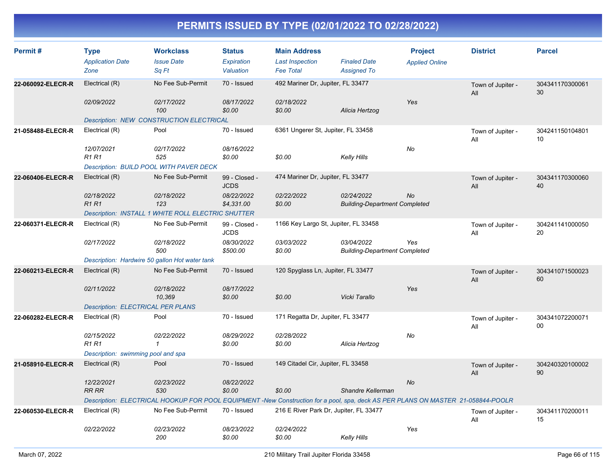| Permit#           | <b>Type</b><br><b>Application Date</b><br>Zone | <b>Workclass</b><br><b>Issue Date</b><br>Sq Ft                                                                                   | <b>Status</b><br>Expiration<br>Valuation | <b>Main Address</b><br><b>Last Inspection</b><br><b>Fee Total</b> | <b>Finaled Date</b><br><b>Assigned To</b>          | <b>Project</b><br><b>Applied Online</b> | <b>District</b>          | <b>Parcel</b>         |
|-------------------|------------------------------------------------|----------------------------------------------------------------------------------------------------------------------------------|------------------------------------------|-------------------------------------------------------------------|----------------------------------------------------|-----------------------------------------|--------------------------|-----------------------|
| 22-060092-ELECR-R | Electrical (R)                                 | No Fee Sub-Permit                                                                                                                | 70 - Issued                              | 492 Mariner Dr, Jupiter, FL 33477                                 |                                                    |                                         | Town of Jupiter -<br>All | 304341170300061<br>30 |
|                   | 02/09/2022                                     | 02/17/2022<br>100<br><b>Description: NEW CONSTRUCTION ELECTRICAL</b>                                                             | 08/17/2022<br>\$0.00                     | 02/18/2022<br>\$0.00                                              | Alicia Hertzog                                     | Yes                                     |                          |                       |
| 21-058488-ELECR-R | Electrical (R)                                 | Pool                                                                                                                             | 70 - Issued                              | 6361 Ungerer St, Jupiter, FL 33458                                |                                                    |                                         |                          | 304241150104801       |
|                   |                                                |                                                                                                                                  |                                          |                                                                   |                                                    |                                         | Town of Jupiter -<br>All | 10                    |
|                   | 12/07/2021<br><b>R1R1</b>                      | 02/17/2022<br>525                                                                                                                | 08/16/2022<br>\$0.00                     | \$0.00                                                            | <b>Kelly Hills</b>                                 | No                                      |                          |                       |
|                   |                                                | Description: BUILD POOL WITH PAVER DECK                                                                                          |                                          |                                                                   |                                                    |                                         |                          |                       |
| 22-060406-ELECR-R | Electrical (R)                                 | No Fee Sub-Permit                                                                                                                | 99 - Closed -<br><b>JCDS</b>             | 474 Mariner Dr, Jupiter, FL 33477                                 |                                                    |                                         | Town of Jupiter -<br>All | 304341170300060<br>40 |
|                   | 02/18/2022<br><b>R1R1</b>                      | 02/18/2022<br>123                                                                                                                | 08/22/2022<br>\$4,331.00                 | 02/22/2022<br>\$0.00                                              | 02/24/2022<br><b>Building-Department Completed</b> | No                                      |                          |                       |
|                   |                                                | Description: INSTALL 1 WHITE ROLL ELECTRIC SHUTTER                                                                               |                                          |                                                                   |                                                    |                                         |                          |                       |
| 22-060371-ELECR-R | Electrical (R)                                 | No Fee Sub-Permit                                                                                                                | 99 - Closed -<br><b>JCDS</b>             | 1166 Key Largo St, Jupiter, FL 33458                              |                                                    |                                         | Town of Jupiter -<br>All | 304241141000050<br>20 |
|                   | 02/17/2022                                     | 02/18/2022<br>500                                                                                                                | 08/30/2022<br>\$500.00                   | 03/03/2022<br>\$0.00                                              | 03/04/2022<br><b>Building-Department Completed</b> | Yes                                     |                          |                       |
|                   | Description: Hardwire 50 gallon Hot water tank |                                                                                                                                  |                                          |                                                                   |                                                    |                                         |                          |                       |
| 22-060213-ELECR-R | Electrical (R)                                 | No Fee Sub-Permit                                                                                                                | 70 - Issued                              | 120 Spyglass Ln, Jupiter, FL 33477                                |                                                    |                                         | Town of Jupiter -<br>All | 304341071500023<br>60 |
|                   | 02/11/2022                                     | 02/18/2022<br>10,369                                                                                                             | 08/17/2022<br>\$0.00                     | \$0.00                                                            | Vicki Tarallo                                      | Yes                                     |                          |                       |
|                   | <b>Description: ELECTRICAL PER PLANS</b>       |                                                                                                                                  |                                          |                                                                   |                                                    |                                         |                          |                       |
| 22-060282-ELECR-R | Electrical (R)                                 | Pool                                                                                                                             | 70 - Issued                              | 171 Regatta Dr, Jupiter, FL 33477                                 |                                                    |                                         | Town of Jupiter -<br>All | 304341072200071<br>00 |
|                   | 02/15/2022<br><b>R1 R1</b>                     | 02/22/2022<br>1                                                                                                                  | 08/29/2022<br>\$0.00                     | 02/28/2022<br>\$0.00                                              | Alicia Hertzog                                     | No                                      |                          |                       |
|                   | Description: swimming pool and spa             |                                                                                                                                  |                                          |                                                                   |                                                    |                                         |                          |                       |
| 21-058910-ELECR-R | Electrical (R)                                 | Pool                                                                                                                             | 70 - Issued                              | 149 Citadel Cir, Jupiter, FL 33458                                |                                                    |                                         | Town of Jupiter -<br>All | 304240320100002<br>90 |
|                   | 12/22/2021<br><b>RR RR</b>                     | 02/23/2022<br>530                                                                                                                | 08/22/2022<br>\$0.00                     | \$0.00                                                            | Shandre Kellerman                                  | No                                      |                          |                       |
|                   |                                                | Description: ELECTRICAL HOOKUP FOR POOL EQUIPMENT -New Construction for a pool, spa, deck AS PER PLANS ON MASTER 21-058844-POOLR |                                          |                                                                   |                                                    |                                         |                          |                       |
| 22-060530-ELECR-R | Electrical (R)                                 | No Fee Sub-Permit                                                                                                                | 70 - Issued                              | 216 E River Park Dr, Jupiter, FL 33477                            |                                                    |                                         | Town of Jupiter -<br>All | 304341170200011<br>15 |
|                   | 02/22/2022                                     | 02/23/2022<br>200                                                                                                                | 08/23/2022<br>\$0.00                     | 02/24/2022<br>\$0.00                                              | <b>Kelly Hills</b>                                 | Yes                                     |                          |                       |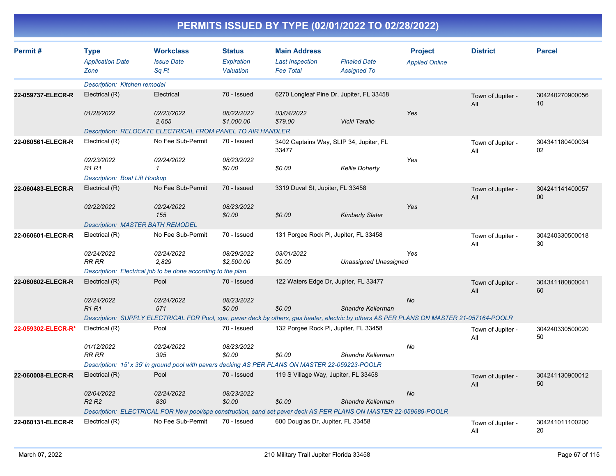| Permit#            | <b>Type</b><br><b>Application Date</b>                                                                                                                                                             | <b>Workclass</b><br><b>Issue Date</b>                                                                                                     | <b>Status</b><br>Expiration | <b>Main Address</b><br><b>Last Inspection</b>    | <b>Finaled Date</b>    | <b>Project</b><br><b>Applied Online</b> | <b>District</b>          | <b>Parcel</b>         |
|--------------------|----------------------------------------------------------------------------------------------------------------------------------------------------------------------------------------------------|-------------------------------------------------------------------------------------------------------------------------------------------|-----------------------------|--------------------------------------------------|------------------------|-----------------------------------------|--------------------------|-----------------------|
|                    | Zone                                                                                                                                                                                               | Sa Ft                                                                                                                                     | Valuation                   | <b>Fee Total</b>                                 | <b>Assigned To</b>     |                                         |                          |                       |
|                    | Description: Kitchen remodel                                                                                                                                                                       |                                                                                                                                           |                             |                                                  |                        |                                         |                          |                       |
| 22-059737-ELECR-R  | Electrical (R)                                                                                                                                                                                     | Electrical                                                                                                                                | 70 - Issued                 | 6270 Longleaf Pine Dr, Jupiter, FL 33458         |                        |                                         | Town of Jupiter -<br>All | 304240270900056<br>10 |
|                    | 01/28/2022                                                                                                                                                                                         | 02/23/2022<br>2,655                                                                                                                       | 08/22/2022<br>\$1,000.00    | 03/04/2022<br>\$79.00                            | Vicki Tarallo          | Yes                                     |                          |                       |
|                    |                                                                                                                                                                                                    | <b>Description: RELOCATE ELECTRICAL FROM PANEL TO AIR HANDLER</b>                                                                         |                             |                                                  |                        |                                         |                          |                       |
| 22-060561-ELECR-R  | Electrical (R)                                                                                                                                                                                     | No Fee Sub-Permit                                                                                                                         | 70 - Issued                 | 3402 Captains Way, SLIP 34, Jupiter, FL<br>33477 |                        |                                         | Town of Jupiter -<br>All | 304341180400034<br>02 |
|                    | 02/23/2022<br><b>R1R1</b>                                                                                                                                                                          | 02/24/2022<br>1                                                                                                                           | 08/23/2022<br>\$0.00        | \$0.00                                           | <b>Kellie Doherty</b>  | Yes                                     |                          |                       |
|                    | <b>Description: Boat Lift Hookup</b>                                                                                                                                                               |                                                                                                                                           |                             |                                                  |                        |                                         |                          |                       |
| 22-060483-ELECR-R  | Electrical (R)                                                                                                                                                                                     | No Fee Sub-Permit                                                                                                                         | 70 - Issued                 | 3319 Duval St, Jupiter, FL 33458                 |                        |                                         | Town of Jupiter -<br>All | 304241141400057<br>00 |
|                    | 02/22/2022                                                                                                                                                                                         | 02/24/2022<br>155                                                                                                                         | 08/23/2022<br>\$0.00        | \$0.00                                           | <b>Kimberly Slater</b> | Yes                                     |                          |                       |
|                    | <b>Description: MASTER BATH REMODEL</b>                                                                                                                                                            |                                                                                                                                           |                             |                                                  |                        |                                         |                          |                       |
| 22-060601-ELECR-R  | Electrical (R)                                                                                                                                                                                     | No Fee Sub-Permit                                                                                                                         | 70 - Issued                 | 131 Porgee Rock Pl, Jupiter, FL 33458            |                        |                                         | Town of Jupiter -<br>All | 304240330500018<br>30 |
|                    | 02/24/2022<br>RR RR                                                                                                                                                                                | 02/24/2022<br>2,829                                                                                                                       | 08/29/2022<br>\$2,500.00    | 03/01/2022<br>\$0.00                             | Unassigned Unassigned  | Yes                                     |                          |                       |
|                    |                                                                                                                                                                                                    | Description: Electrical job to be done according to the plan.                                                                             |                             |                                                  |                        |                                         |                          |                       |
| 22-060602-ELECR-R  | Electrical (R)                                                                                                                                                                                     | Pool                                                                                                                                      | 70 - Issued                 | 122 Waters Edge Dr, Jupiter, FL 33477            |                        |                                         | Town of Jupiter -<br>All | 304341180800041<br>60 |
|                    | 02/24/2022                                                                                                                                                                                         | 02/24/2022                                                                                                                                | 08/23/2022                  |                                                  |                        | <b>No</b>                               |                          |                       |
|                    | <b>R1R1</b>                                                                                                                                                                                        | 571                                                                                                                                       | \$0.00                      | \$0.00                                           | Shandre Kellerman      |                                         |                          |                       |
|                    |                                                                                                                                                                                                    | Description: SUPPLY ELECTRICAL FOR Pool, spa, paver deck by others, gas heater, electric by others AS PER PLANS ON MASTER 21-057164-POOLR |                             |                                                  |                        |                                         |                          |                       |
| 22-059302-ELECR-R* | Electrical (R)                                                                                                                                                                                     | Pool                                                                                                                                      | 70 - Issued                 | 132 Porgee Rock PI, Jupiter, FL 33458            |                        |                                         | Town of Jupiter -<br>All | 304240330500020<br>50 |
|                    | 01/12/2022<br><b>RR RR</b>                                                                                                                                                                         | 02/24/2022<br>395                                                                                                                         | 08/23/2022<br>\$0.00        | \$0.00                                           | Shandre Kellerman      | No                                      |                          |                       |
|                    |                                                                                                                                                                                                    | Description: 15' x 35' in ground pool with pavers decking AS PER PLANS ON MASTER 22-059223-POOLR                                          |                             |                                                  |                        |                                         |                          |                       |
| 22-060008-ELECR-R  | Electrical (R)                                                                                                                                                                                     | Pool                                                                                                                                      | 70 - Issued                 | 119 S Village Way, Jupiter, FL 33458             |                        |                                         |                          | 304241130900012       |
|                    |                                                                                                                                                                                                    |                                                                                                                                           |                             |                                                  |                        |                                         | Town of Jupiter -<br>All | 50                    |
|                    | 02/04/2022                                                                                                                                                                                         | 02/24/2022                                                                                                                                | 08/23/2022                  |                                                  |                        | No                                      |                          |                       |
|                    | R <sub>2</sub> R <sub>2</sub><br>Shandre Kellerman<br>830<br>\$0.00<br>\$0.00<br>Description: ELECTRICAL FOR New pool/spa construction, sand set paver deck AS PER PLANS ON MASTER 22-059689-POOLR |                                                                                                                                           |                             |                                                  |                        |                                         |                          |                       |
|                    |                                                                                                                                                                                                    |                                                                                                                                           |                             |                                                  |                        |                                         |                          |                       |
| 22-060131-ELECR-R  | Electrical (R)                                                                                                                                                                                     | No Fee Sub-Permit                                                                                                                         | 70 - Issued                 | 600 Douglas Dr, Jupiter, FL 33458                |                        |                                         | Town of Jupiter -<br>All | 304241011100200<br>20 |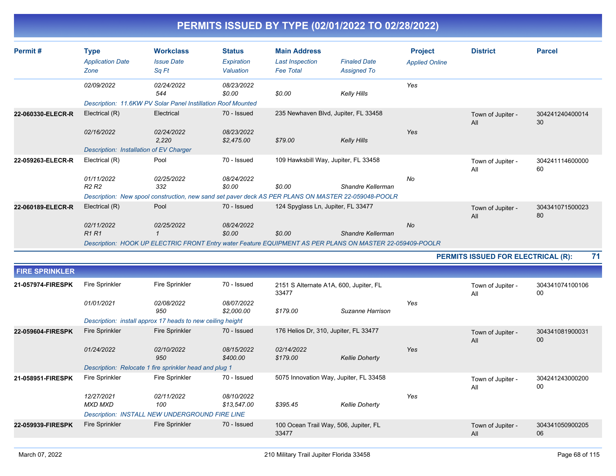| Permit#           | <b>Type</b><br><b>Application Date</b><br>Zone | <b>Workclass</b><br><b>Issue Date</b><br>Sq Ft                                                                           | <b>Status</b><br>Expiration<br>Valuation | <b>Main Address</b><br><b>Last Inspection</b><br><b>Fee Total</b> | <b>Finaled Date</b><br><b>Assigned To</b> | <b>Project</b><br><b>Applied Online</b> | <b>District</b>                           | <b>Parcel</b>         |
|-------------------|------------------------------------------------|--------------------------------------------------------------------------------------------------------------------------|------------------------------------------|-------------------------------------------------------------------|-------------------------------------------|-----------------------------------------|-------------------------------------------|-----------------------|
|                   | 02/09/2022                                     | 02/24/2022<br>544<br>Description: 11.6KW PV Solar Panel Instillation Roof Mounted                                        | 08/23/2022<br>\$0.00                     | \$0.00                                                            | Kelly Hills                               | Yes                                     |                                           |                       |
| 22-060330-ELECR-R | Electrical (R)<br>02/16/2022                   | Electrical<br>02/24/2022                                                                                                 | 70 - Issued<br>08/23/2022                | 235 Newhaven Blvd, Jupiter, FL 33458                              |                                           | Yes                                     | Town of Jupiter -<br>All                  | 304241240400014<br>30 |
|                   | Description: Installation of EV Charger        | 2,220                                                                                                                    | \$2,475.00                               | \$79.00                                                           | Kelly Hills                               |                                         |                                           |                       |
| 22-059263-ELECR-R | Electrical (R)                                 | Pool                                                                                                                     | 70 - Issued                              | 109 Hawksbill Way, Jupiter, FL 33458                              |                                           |                                         | Town of Jupiter -<br>All                  | 304241114600000<br>60 |
|                   | 01/11/2022<br>R <sub>2</sub> R <sub>2</sub>    | 02/25/2022<br>332<br>Description: New spool construction, new sand set paver deck AS PER PLANS ON MASTER 22-059048-POOLR | 08/24/2022<br>\$0.00                     | \$0.00                                                            | Shandre Kellerman                         | No                                      |                                           |                       |
| 22-060189-ELECR-R | Electrical (R)                                 | Pool                                                                                                                     | 70 - Issued                              | 124 Spyglass Ln, Jupiter, FL 33477                                |                                           |                                         | Town of Jupiter -<br>All                  | 304341071500023<br>80 |
|                   | 02/11/2022<br><b>R1 R1</b>                     | 02/25/2022<br>Description: HOOK UP ELECTRIC FRONT Entry water Feature EQUIPMENT AS PER PLANS ON MASTER 22-059409-POOLR   | 08/24/2022<br>\$0.00                     | \$0.00                                                            | Shandre Kellerman                         | <b>No</b>                               |                                           |                       |
|                   |                                                |                                                                                                                          |                                          |                                                                   |                                           |                                         | <b>PERMITS ISSUED FOR ELECTRICAL (R):</b> | 71                    |

| <b>FIRE SPRINKLER</b> |                       |                                                            |                           |                                                 |                       |     |                          |                       |
|-----------------------|-----------------------|------------------------------------------------------------|---------------------------|-------------------------------------------------|-----------------------|-----|--------------------------|-----------------------|
| 21-057974-FIRESPK     | Fire Sprinkler        | Fire Sprinkler                                             | 70 - Issued               | 2151 S Alternate A1A, 600, Jupiter, FL<br>33477 |                       |     | Town of Jupiter -<br>All | 304341074100106<br>00 |
|                       | 01/01/2021            | 02/08/2022<br>950                                          | 08/07/2022<br>\$2,000.00  | \$179.00                                        | Suzanne Harrison      | Yes |                          |                       |
|                       |                       | Description: install approx 17 heads to new ceiling height |                           |                                                 |                       |     |                          |                       |
| 22-059604-FIRESPK     | Fire Sprinkler        | Fire Sprinkler                                             | 70 - Issued               | 176 Helios Dr, 310, Jupiter, FL 33477           |                       |     | Town of Jupiter -<br>All | 304341081900031<br>00 |
|                       | 01/24/2022            | 02/10/2022<br>950                                          | 08/15/2022<br>\$400.00    | 02/14/2022<br>\$179.00                          | <b>Kellie Doherty</b> | Yes |                          |                       |
|                       |                       | Description: Relocate 1 fire sprinkler head and plug 1     |                           |                                                 |                       |     |                          |                       |
| 21-058951-FIRESPK     | Fire Sprinkler        | Fire Sprinkler                                             | 70 - Issued               | 5075 Innovation Way, Jupiter, FL 33458          |                       |     | Town of Jupiter -<br>All | 304241243000200<br>00 |
|                       | 12/27/2021<br>MXD MXD | 02/11/2022<br>100                                          | 08/10/2022<br>\$13,547.00 | \$395.45                                        | <b>Kellie Doherty</b> | Yes |                          |                       |
|                       |                       | Description: INSTALL NEW UNDERGROUND FIRE LINE             |                           |                                                 |                       |     |                          |                       |
| 22-059939-FIRESPK     | Fire Sprinkler        | Fire Sprinkler                                             | 70 - Issued               | 100 Ocean Trail Way, 506, Jupiter, FL<br>33477  |                       |     | Town of Jupiter -<br>All | 304341050900205<br>06 |
|                       |                       |                                                            |                           |                                                 |                       |     |                          |                       |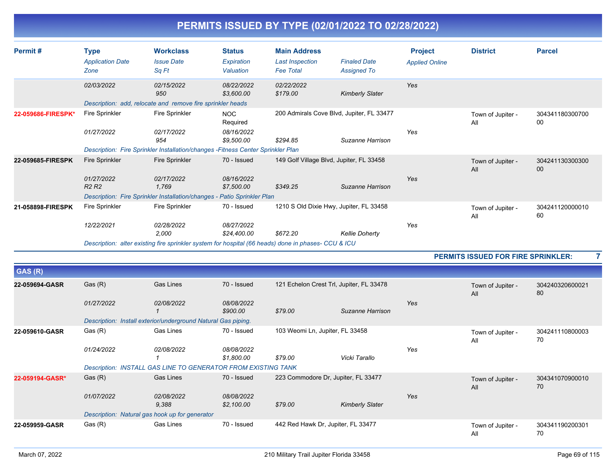| PERMITS ISSUED BY TYPE (02/01/2022 TO 02/28/2022) |
|---------------------------------------------------|
|---------------------------------------------------|

| Permit#            | <b>Type</b><br><b>Application Date</b><br>Zone | <b>Workclass</b><br><b>Issue Date</b><br>Sq Ft                                                                                               | <b>Status</b><br>Expiration<br>Valuation    | <b>Main Address</b><br><b>Last Inspection</b><br><b>Fee Total</b> | <b>Finaled Date</b><br><b>Assigned To</b> | <b>Project</b><br><b>Applied Online</b> | <b>District</b>          | <b>Parcel</b>             |
|--------------------|------------------------------------------------|----------------------------------------------------------------------------------------------------------------------------------------------|---------------------------------------------|-------------------------------------------------------------------|-------------------------------------------|-----------------------------------------|--------------------------|---------------------------|
|                    | 02/03/2022                                     | 02/15/2022<br>950<br>Description: add, relocate and remove fire sprinkler heads                                                              | 08/22/2022<br>\$3,600.00                    | 02/22/2022<br>\$179.00                                            | <b>Kimberly Slater</b>                    | Yes                                     |                          |                           |
| 22-059686-FIRESPK* | <b>Fire Sprinkler</b><br>01/27/2022            | Fire Sprinkler<br>02/17/2022<br>954<br>Description: Fire Sprinkler Installation/changes - Fitness Center Sprinkler Plan                      | NOC<br>Required<br>08/16/2022<br>\$9,500.00 | 200 Admirals Cove Blvd, Jupiter, FL 33477<br>\$294.85             | Suzanne Harrison                          | Yes                                     | Town of Jupiter -<br>All | 304341180300700<br>00     |
| 22-059685-FIRESPK  | Fire Sprinkler<br>01/27/2022<br><b>R2 R2</b>   | <b>Fire Sprinkler</b><br>02/17/2022<br>1,769<br>Description: Fire Sprinkler Installation/changes - Patio Sprinkler Plan                      | 70 - Issued<br>08/16/2022<br>\$7,500.00     | 149 Golf Village Blvd, Jupiter, FL 33458<br>\$349.25              | Suzanne Harrison                          | Yes                                     | Town of Jupiter -<br>All | 304241130300300<br>$00\,$ |
| 21-058898-FIRESPK  | <b>Fire Sprinkler</b><br>12/22/2021            | Fire Sprinkler<br>02/28/2022<br>2,000<br>Description: alter existing fire sprinkler system for hospital (66 heads) done in phases- CCU & ICU | 70 - Issued<br>08/27/2022<br>\$24,400.00    | 1210 S Old Dixie Hwy, Jupiter, FL 33458<br>\$672.20               | <b>Kellie Doherty</b>                     | Yes                                     | Town of Jupiter -<br>All | 304241120000010<br>60     |

|                 |                                                               |                     |                          |         |                                          |     | <b>PERMITS ISSUED FOR FIRE SPRINKLER:</b> |                       |  |
|-----------------|---------------------------------------------------------------|---------------------|--------------------------|---------|------------------------------------------|-----|-------------------------------------------|-----------------------|--|
| GAS (R)         |                                                               |                     |                          |         |                                          |     |                                           |                       |  |
| 22-059694-GASR  | Gas(R)                                                        | Gas Lines           | 70 - Issued              |         | 121 Echelon Crest Trl, Jupiter, FL 33478 |     | Town of Jupiter -<br>All                  | 304240320600021<br>80 |  |
|                 | 01/27/2022                                                    | 02/08/2022          | 08/08/2022<br>\$900.00   | \$79.00 | Suzanne Harrison                         | Yes |                                           |                       |  |
|                 | Description: Install exterior/underground Natural Gas piping. |                     |                          |         |                                          |     |                                           |                       |  |
| 22-059610-GASR  | Gas (R)                                                       | Gas Lines           | 70 - Issued              |         | 103 Weomi Ln, Jupiter, FL 33458          |     | Town of Jupiter -<br>All                  | 304241110800003<br>70 |  |
|                 | 01/24/2022                                                    | 02/08/2022          | 08/08/2022<br>\$1,800.00 | \$79.00 | Vicki Tarallo                            | Yes |                                           |                       |  |
|                 | Description: INSTALL GAS LINE TO GENERATOR FROM EXISTING TANK |                     |                          |         |                                          |     |                                           |                       |  |
| 22-059194-GASR* | Gas(R)                                                        | <b>Gas Lines</b>    | 70 - Issued              |         | 223 Commodore Dr, Jupiter, FL 33477      |     | Town of Jupiter -<br>All                  | 304341070900010<br>70 |  |
|                 | 01/07/2022                                                    | 02/08/2022<br>9,388 | 08/08/2022<br>\$2,100.00 | \$79.00 | <b>Kimberly Slater</b>                   | Yes |                                           |                       |  |
|                 | Description: Natural gas hook up for generator                |                     |                          |         |                                          |     |                                           |                       |  |
| 22-059959-GASR  | Gas (R)                                                       | Gas Lines           | 70 - Issued              |         | 442 Red Hawk Dr, Jupiter, FL 33477       |     | Town of Jupiter -<br>All                  | 304341190200301<br>70 |  |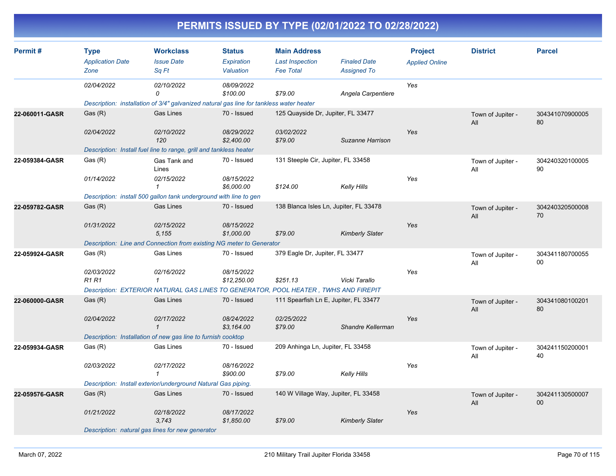| Permit#        | <b>Type</b>                                      | <b>Workclass</b>                                                                        | <b>Status</b>                                  | <b>Main Address</b>                    |                        | <b>Project</b>        | <b>District</b>          | <b>Parcel</b>         |
|----------------|--------------------------------------------------|-----------------------------------------------------------------------------------------|------------------------------------------------|----------------------------------------|------------------------|-----------------------|--------------------------|-----------------------|
|                | <b>Application Date</b>                          | <b>Issue Date</b>                                                                       | Expiration                                     | <b>Last Inspection</b>                 | <b>Finaled Date</b>    | <b>Applied Online</b> |                          |                       |
|                | Zone                                             | Sq Ft                                                                                   | Valuation                                      | <b>Fee Total</b>                       | <b>Assigned To</b>     |                       |                          |                       |
|                | 02/04/2022                                       | 02/10/2022                                                                              | 08/09/2022                                     |                                        |                        | Yes                   |                          |                       |
|                |                                                  | 0                                                                                       | \$100.00                                       | \$79.00                                | Angela Carpentiere     |                       |                          |                       |
|                |                                                  | Description: installation of 3/4" galvanized natural gas line for tankless water heater |                                                |                                        |                        |                       |                          |                       |
| 22-060011-GASR | Gas(R)                                           | <b>Gas Lines</b>                                                                        | 70 - Issued                                    | 125 Quayside Dr, Jupiter, FL 33477     |                        |                       | Town of Jupiter -<br>All | 304341070900005<br>80 |
|                | 02/04/2022                                       | 02/10/2022<br>120                                                                       | 08/29/2022<br>\$2,400.00                       | 03/02/2022<br>\$79.00                  | Suzanne Harrison       | Yes                   |                          |                       |
|                |                                                  | Description: Install fuel line to range, grill and tankless heater                      |                                                |                                        |                        |                       |                          |                       |
| 22-059384-GASR | Gas (R)                                          | Gas Tank and<br>Lines                                                                   | 70 - Issued                                    | 131 Steeple Cir, Jupiter, FL 33458     |                        |                       | Town of Jupiter -<br>All | 304240320100005<br>90 |
|                | 01/14/2022                                       | 02/15/2022<br>1                                                                         | 08/15/2022<br>\$6,000.00                       | \$124.00                               | <b>Kelly Hills</b>     | Yes                   |                          |                       |
|                |                                                  | Description: install 500 gallon tank underground with line to gen                       |                                                |                                        |                        |                       |                          |                       |
| 22-059782-GASR | Gas(R)                                           | <b>Gas Lines</b>                                                                        | 70 - Issued                                    | 138 Blanca Isles Ln, Jupiter, FL 33478 |                        |                       | Town of Jupiter -<br>All | 304240320500008<br>70 |
|                | 01/31/2022                                       | 02/15/2022<br>5,155                                                                     | 08/15/2022<br>\$1,000.00                       | \$79.00                                | <b>Kimberly Slater</b> | Yes                   |                          |                       |
|                |                                                  | Description: Line and Connection from existing NG meter to Generator                    |                                                |                                        |                        |                       |                          |                       |
| 22-059924-GASR | Gas (R)                                          | Gas Lines                                                                               | 379 Eagle Dr, Jupiter, FL 33477<br>70 - Issued |                                        |                        |                       | Town of Jupiter -<br>All | 304341180700055<br>00 |
|                | 02/03/2022<br><b>R1R1</b>                        | 02/16/2022<br>$\mathbf{1}$                                                              | 08/15/2022<br>\$12,250.00                      | \$251.13                               | Vicki Tarallo          | Yes                   |                          |                       |
|                |                                                  | Description: EXTERIOR NATURAL GAS LINES TO GENERATOR, POOL HEATER, TWHS AND FIREPIT     |                                                |                                        |                        |                       |                          |                       |
| 22-060000-GASR | Gas(R)                                           | <b>Gas Lines</b>                                                                        | 70 - Issued                                    | 111 Spearfish Ln E, Jupiter, FL 33477  |                        |                       | Town of Jupiter -<br>All | 304341080100201<br>80 |
|                | 02/04/2022                                       | 02/17/2022<br>$\mathcal{I}$                                                             | 08/24/2022<br>\$3,164.00                       | 02/25/2022<br>\$79.00                  | Shandre Kellerman      | Yes                   |                          |                       |
|                |                                                  | Description: Installation of new gas line to furnish cooktop                            |                                                |                                        |                        |                       |                          |                       |
| 22-059934-GASR | Gas (R)                                          | Gas Lines                                                                               | 70 - Issued                                    | 209 Anhinga Ln, Jupiter, FL 33458      |                        |                       | Town of Jupiter -<br>All | 304241150200001<br>40 |
|                | 02/03/2022                                       | 02/17/2022<br>$\mathcal I$                                                              | 08/16/2022<br>\$900.00                         | \$79.00                                | Kelly Hills            | Yes                   |                          |                       |
|                |                                                  | Description: Install exterior/underground Natural Gas piping.                           |                                                |                                        |                        |                       |                          |                       |
| 22-059576-GASR | Gas (R)                                          | <b>Gas Lines</b>                                                                        | 70 - Issued                                    | 140 W Village Way, Jupiter, FL 33458   |                        |                       | Town of Jupiter -<br>All | 304241130500007<br>00 |
|                | 01/21/2022                                       | 02/18/2022<br>3,743                                                                     | 08/17/2022<br>\$1,850.00                       | \$79.00                                | <b>Kimberly Slater</b> | Yes                   |                          |                       |
|                | Description: natural gas lines for new generator |                                                                                         |                                                |                                        |                        |                       |                          |                       |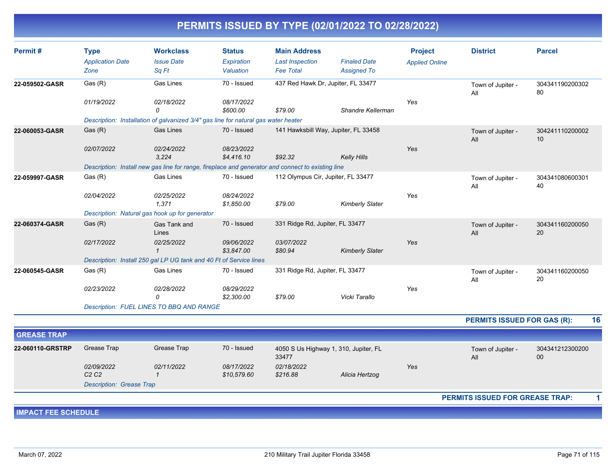| Permit#                    | <b>Type</b><br><b>Application Date</b><br>Zone | <b>Workclass</b><br><b>Issue Date</b><br>Sq Ft                                                    | <b>Status</b><br>Expiration<br>Valuation | <b>Main Address</b><br><b>Last Inspection</b><br><b>Fee Total</b> | <b>Finaled Date</b><br><b>Assigned To</b> | <b>Project</b><br><b>Applied Online</b> | <b>District</b>                    | <b>Parcel</b>         |    |
|----------------------------|------------------------------------------------|---------------------------------------------------------------------------------------------------|------------------------------------------|-------------------------------------------------------------------|-------------------------------------------|-----------------------------------------|------------------------------------|-----------------------|----|
| 22-059502-GASR             | Gas (R)                                        | Gas Lines                                                                                         | 70 - Issued                              | 437 Red Hawk Dr, Jupiter, FL 33477                                |                                           |                                         | Town of Jupiter -                  | 304341190200302       |    |
|                            | 01/19/2022                                     | 02/18/2022<br>$\Omega$                                                                            | 08/17/2022<br>\$600.00                   | \$79.00                                                           | Shandre Kellerman                         | Yes                                     | All                                | 80                    |    |
|                            |                                                | Description: Installation of galvanized 3/4" gas line for natural gas water heater                |                                          |                                                                   |                                           |                                         |                                    |                       |    |
| 22-060053-GASR             | Gas (R)                                        | <b>Gas Lines</b>                                                                                  | 70 - Issued                              |                                                                   | 141 Hawksbill Way, Jupiter, FL 33458      |                                         | Town of Jupiter -<br>All           | 304241110200002<br>10 |    |
|                            | 02/07/2022                                     | 02/24/2022<br>3,224                                                                               | 08/23/2022<br>\$4,416.10                 | \$92.32                                                           | <b>Kelly Hills</b>                        | Yes                                     |                                    |                       |    |
|                            |                                                | Description: Install new gas line for range, fireplace and generator and connect to existing line |                                          |                                                                   |                                           |                                         |                                    |                       |    |
| 22-059997-GASR             | Gas (R)                                        | Gas Lines                                                                                         | 70 - Issued                              | 112 Olympus Cir, Jupiter, FL 33477                                |                                           |                                         | Town of Jupiter -<br>All           | 304341080600301<br>40 |    |
|                            | 02/04/2022                                     | 02/25/2022<br>1,371                                                                               | 08/24/2022<br>\$1,850.00                 | \$79.00                                                           | <b>Kimberly Slater</b>                    | Yes                                     |                                    |                       |    |
|                            |                                                | Description: Natural gas hook up for generator                                                    |                                          |                                                                   |                                           |                                         |                                    |                       |    |
| 22-060374-GASR             | Gas(R)                                         | Gas Tank and<br>Lines                                                                             | 70 - Issued                              | 331 Ridge Rd, Jupiter, FL 33477                                   |                                           |                                         | Town of Jupiter -<br>All           | 304341160200050<br>20 |    |
|                            | 02/17/2022                                     | 02/25/2022<br>$\mathbf{1}$                                                                        | 09/06/2022<br>\$3,847.00                 | 03/07/2022<br>\$80.94                                             | <b>Kimberly Slater</b>                    | Yes                                     |                                    |                       |    |
|                            |                                                | Description: Install 250 gal LP UG tank and 40 Ft of Service lines                                |                                          |                                                                   |                                           |                                         |                                    |                       |    |
| 22-060545-GASR             | Gas(R)                                         | Gas Lines                                                                                         | 70 - Issued                              | 331 Ridge Rd, Jupiter, FL 33477                                   |                                           |                                         | Town of Jupiter -<br>All           | 304341160200050<br>20 |    |
|                            | 02/23/2022                                     | 02/28/2022<br>0                                                                                   | 08/29/2022<br>\$2,300.00                 | \$79.00                                                           | Vicki Tarallo                             | Yes                                     |                                    |                       |    |
|                            |                                                | Description: FUEL LINES TO BBQ AND RANGE                                                          |                                          |                                                                   |                                           |                                         |                                    |                       |    |
|                            |                                                |                                                                                                   |                                          |                                                                   |                                           |                                         | <b>PERMITS ISSUED FOR GAS (R):</b> |                       | 16 |
| <b>GREASE TRAP</b>         |                                                |                                                                                                   |                                          |                                                                   |                                           |                                         |                                    |                       |    |
| 22-060110-GRSTRP           | Grease Trap                                    | Grease Trap                                                                                       | 70 - Issued                              | 33477                                                             | 4050 S Us Highway 1, 310, Jupiter, FL     |                                         | Town of Jupiter -<br>All           | 304341212300200<br>00 |    |
|                            | 02/09/2022<br>C <sub>2</sub> C <sub>2</sub>    | 02/11/2022<br>$\mathbf{1}$                                                                        | 08/17/2022<br>\$10,579.60                | 02/18/2022<br>\$216.88                                            | Alicia Hertzog                            | Yes                                     |                                    |                       |    |
|                            | <b>Description: Grease Trap</b>                |                                                                                                   |                                          |                                                                   |                                           |                                         |                                    |                       |    |
|                            |                                                |                                                                                                   |                                          |                                                                   |                                           |                                         | PERMITS ISSUED FOR GREASE TRAP:    |                       |    |
| <b>IMPACT FEE SCHEDULE</b> |                                                |                                                                                                   |                                          |                                                                   |                                           |                                         |                                    |                       |    |
|                            |                                                |                                                                                                   |                                          |                                                                   |                                           |                                         |                                    |                       |    |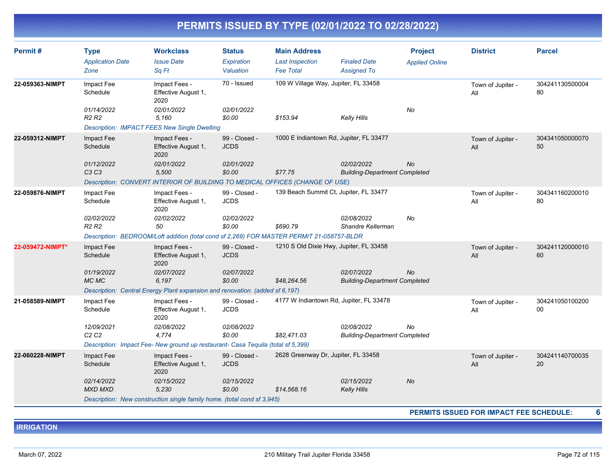| Permit#          | <b>Type</b><br><b>Application Date</b><br>Zone | <b>Workclass</b><br><b>Issue Date</b><br>Sq Ft                                            | <b>Status</b><br>Expiration<br>Valuation | <b>Main Address</b><br><b>Last Inspection</b><br><b>Fee Total</b> | <b>Finaled Date</b><br><b>Assigned To</b>          | <b>Project</b><br><b>Applied Online</b> | <b>District</b>                                | <b>Parcel</b>         |
|------------------|------------------------------------------------|-------------------------------------------------------------------------------------------|------------------------------------------|-------------------------------------------------------------------|----------------------------------------------------|-----------------------------------------|------------------------------------------------|-----------------------|
| 22-059363-NIMPT  | Impact Fee<br>Schedule                         | Impact Fees -<br>Effective August 1,<br>2020                                              | 70 - Issued                              | 109 W Village Way, Jupiter, FL 33458                              |                                                    |                                         | Town of Jupiter -<br>All                       | 304241130500004<br>80 |
|                  | 01/14/2022<br>R2 R2                            | 02/01/2022<br>5,160                                                                       | 02/01/2022<br>\$0.00                     | \$153.94                                                          | <b>Kelly Hills</b>                                 | No                                      |                                                |                       |
|                  |                                                | <b>Description: IMPACT FEES New Single Dwelling</b>                                       |                                          |                                                                   |                                                    |                                         |                                                |                       |
| 22-059312-NIMPT  | Impact Fee<br>Schedule                         | Impact Fees -<br>Effective August 1,<br>2020                                              | 99 - Closed -<br><b>JCDS</b>             | 1000 E Indiantown Rd, Jupiter, FL 33477                           |                                                    |                                         | Town of Jupiter -<br>All                       | 304341050000070<br>50 |
|                  | 01/12/2022<br>C3C3                             | 02/01/2022<br>5,500                                                                       | 02/01/2022<br>\$0.00                     | \$77.75                                                           | 02/02/2022<br><b>Building-Department Completed</b> | <b>No</b>                               |                                                |                       |
|                  |                                                | Description: CONVERT INTERIOR OF BUILDING TO MEDICAL OFFICES (CHANGE OF USE)              |                                          |                                                                   |                                                    |                                         |                                                |                       |
| 22-059876-NIMPT  | Impact Fee<br>Schedule                         | Impact Fees -<br>Effective August 1,<br>2020                                              | 99 - Closed -<br><b>JCDS</b>             | 139 Beach Summit Ct, Jupiter, FL 33477                            |                                                    |                                         | Town of Jupiter -<br>All                       | 304341160200010<br>80 |
|                  | 02/02/2022<br>R <sub>2</sub> R <sub>2</sub>    | 02/02/2022<br>50                                                                          | 02/02/2022<br>\$0.00                     | \$690.79                                                          | 02/08/2022<br>Shandre Kellerman                    | No                                      |                                                |                       |
|                  |                                                | Description: BEDROOM/Loft addition (total cond sf 2,269) FOR MASTER PERMIT 21-058757-BLDR |                                          |                                                                   |                                                    |                                         |                                                |                       |
| 22-059472-NIMPT* | Impact Fee<br>Schedule                         | Impact Fees -<br>Effective August 1,<br>2020                                              | 99 - Closed -<br><b>JCDS</b>             | 1210 S Old Dixie Hwy, Jupiter, FL 33458                           |                                                    |                                         | Town of Jupiter -<br>All                       | 304241120000010<br>60 |
|                  | 01/19/2022<br>MC MC                            | 02/07/2022<br>6,197                                                                       | 02/07/2022<br>\$0.00                     | \$48,264.56                                                       | 02/07/2022<br><b>Building-Department Completed</b> | <b>No</b>                               |                                                |                       |
|                  |                                                | Description: Central Energy Plant expansion and renovation. (added sf 6,197)              |                                          |                                                                   |                                                    |                                         |                                                |                       |
| 21-058589-NIMPT  | Impact Fee<br>Schedule                         | Impact Fees -<br>Effective August 1,<br>2020                                              | 99 - Closed -<br><b>JCDS</b>             | 4177 W Indiantown Rd, Jupiter, FL 33478                           |                                                    |                                         | Town of Jupiter -<br>All                       | 304241050100200<br>00 |
|                  | 12/09/2021<br>C <sub>2</sub> C <sub>2</sub>    | 02/08/2022<br>4,774                                                                       | 02/08/2022<br>\$0.00                     | \$82,471.03                                                       | 02/08/2022<br><b>Building-Department Completed</b> | No                                      |                                                |                       |
|                  |                                                | Description: Impact Fee- New ground up restaurant- Casa Tequila (total sf 5,399)          |                                          |                                                                   |                                                    |                                         |                                                |                       |
| 22-060228-NIMPT  | Impact Fee<br>Schedule                         | Impact Fees -<br>Effective August 1,<br>2020                                              | 99 - Closed -<br><b>JCDS</b>             | 2628 Greenway Dr, Jupiter, FL 33458                               |                                                    |                                         | Town of Jupiter -<br>All                       | 304241140700035<br>20 |
|                  | 02/14/2022                                     | 02/15/2022                                                                                | 02/15/2022                               |                                                                   | 02/15/2022                                         | <b>No</b>                               |                                                |                       |
|                  | <b>MXD MXD</b>                                 | 5,230                                                                                     | \$0.00                                   | \$14,568.16                                                       | <b>Kelly Hills</b>                                 |                                         |                                                |                       |
|                  |                                                | Description: New construction single family home. (total cond sf 3,945)                   |                                          |                                                                   |                                                    |                                         |                                                |                       |
|                  |                                                |                                                                                           |                                          |                                                                   |                                                    |                                         | <b>PERMITS ISSUED FOR IMPACT FEE SCHEDULE:</b> | 6                     |

**IRRIGATION**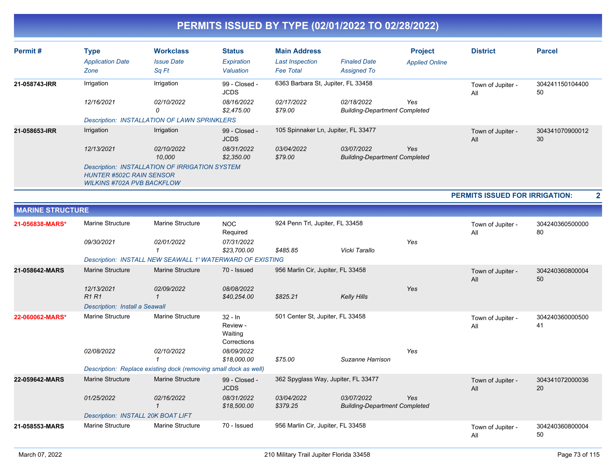| Permit#       | <b>Type</b><br><b>Application Date</b><br>Zone                       | <b>Workclass</b><br><b>Issue Date</b><br>Sq Ft        | <b>Status</b><br>Expiration<br>Valuation | <b>Main Address</b><br><b>Last Inspection</b><br><b>Fee Total</b> | <b>Finaled Date</b><br><b>Assigned To</b>          | <b>Project</b><br><b>Applied Online</b> | <b>District</b>          | <b>Parcel</b>         |
|---------------|----------------------------------------------------------------------|-------------------------------------------------------|------------------------------------------|-------------------------------------------------------------------|----------------------------------------------------|-----------------------------------------|--------------------------|-----------------------|
| 21-058743-IRR | Irrigation                                                           | Irrigation                                            | 99 - Closed -<br><b>JCDS</b>             | 6363 Barbara St, Jupiter, FL 33458                                |                                                    |                                         | Town of Jupiter -<br>All | 304241150104400<br>50 |
|               | 12/16/2021                                                           | <i>02/10/2022</i><br>0                                | 08/16/2022<br>\$2,475.00                 | 02/17/2022<br>\$79.00                                             | 02/18/2022<br><b>Building-Department Completed</b> | Yes                                     |                          |                       |
|               |                                                                      | <b>Description: INSTALLATION OF LAWN SPRINKLERS</b>   |                                          |                                                                   |                                                    |                                         |                          |                       |
| 21-058653-IRR | Irrigation                                                           | Irrigation                                            | 99 - Closed -<br><b>JCDS</b>             | 105 Spinnaker Ln, Jupiter, FL 33477                               |                                                    |                                         | Town of Jupiter -<br>All | 304341070900012<br>30 |
|               | 12/13/2021                                                           | 02/10/2022<br>10,000                                  | 08/31/2022<br>\$2,350.00                 | 03/04/2022<br>\$79.00                                             | 03/07/2022<br><b>Building-Department Completed</b> | Yes                                     |                          |                       |
|               | <b>HUNTER #502C RAIN SENSOR</b><br><b>WILKINS #702A PVB BACKFLOW</b> | <b>Description: INSTALLATION OF IRRIGATION SYSTEM</b> |                                          |                                                                   |                                                    |                                         |                          |                       |

**PERMITS ISSUED FOR IRRIGATION: 2**

| <b>MARINE STRUCTURE</b> |                                       |                                                                  |                                                 |                                     |                                                    |     |                          |                       |
|-------------------------|---------------------------------------|------------------------------------------------------------------|-------------------------------------------------|-------------------------------------|----------------------------------------------------|-----|--------------------------|-----------------------|
| 21-056838-MARS*         | Marine Structure                      | <b>Marine Structure</b>                                          | <b>NOC</b><br>Required                          | 924 Penn Trl, Jupiter, FL 33458     |                                                    |     | Town of Jupiter -<br>All | 304240360500000<br>80 |
|                         | 09/30/2021                            | 02/01/2022                                                       | 07/31/2022<br>\$23,700.00                       | \$485.85                            | Vicki Tarallo                                      | Yes |                          |                       |
|                         |                                       | Description: INSTALL NEW SEAWALL 1' WATERWARD OF EXISTING        |                                                 |                                     |                                                    |     |                          |                       |
| 21-058642-MARS          | <b>Marine Structure</b>               | <b>Marine Structure</b>                                          | 70 - Issued                                     | 956 Marlin Cir, Jupiter, FL 33458   |                                                    |     | Town of Jupiter -<br>All | 304240360800004<br>50 |
|                         | 12/13/2021<br><b>R1R1</b>             | 02/09/2022                                                       | 08/08/2022<br>\$40,254.00                       | \$825.21                            | <b>Kelly Hills</b>                                 | Yes |                          |                       |
|                         | <b>Description: Install a Seawall</b> |                                                                  |                                                 |                                     |                                                    |     |                          |                       |
| 22-060062-MARS*         | <b>Marine Structure</b>               | Marine Structure                                                 | $32 - In$<br>Review -<br>Waiting<br>Corrections | 501 Center St, Jupiter, FL 33458    |                                                    |     | Town of Jupiter -<br>All | 304240360000500<br>41 |
|                         | 02/08/2022                            | 02/10/2022                                                       | 08/09/2022<br>\$18,000.00                       | \$75.00                             | Suzanne Harrison                                   | Yes |                          |                       |
|                         |                                       | Description: Replace existing dock (removing small dock as well) |                                                 |                                     |                                                    |     |                          |                       |
| 22-059642-MARS          | <b>Marine Structure</b>               | <b>Marine Structure</b>                                          | 99 - Closed -<br><b>JCDS</b>                    | 362 Spyglass Way, Jupiter, FL 33477 |                                                    |     | Town of Jupiter -<br>All | 304341072000036<br>20 |
|                         | 01/25/2022                            | 02/16/2022                                                       | 08/31/2022<br>\$18,500.00                       | 03/04/2022<br>\$379.25              | 03/07/2022<br><b>Building-Department Completed</b> | Yes |                          |                       |
|                         | Description: INSTALL 20K BOAT LIFT    |                                                                  |                                                 |                                     |                                                    |     |                          |                       |
| 21-058553-MARS          | <b>Marine Structure</b>               | <b>Marine Structure</b>                                          | 70 - Issued                                     | 956 Marlin Cir, Jupiter, FL 33458   |                                                    |     | Town of Jupiter -<br>All | 304240360800004<br>50 |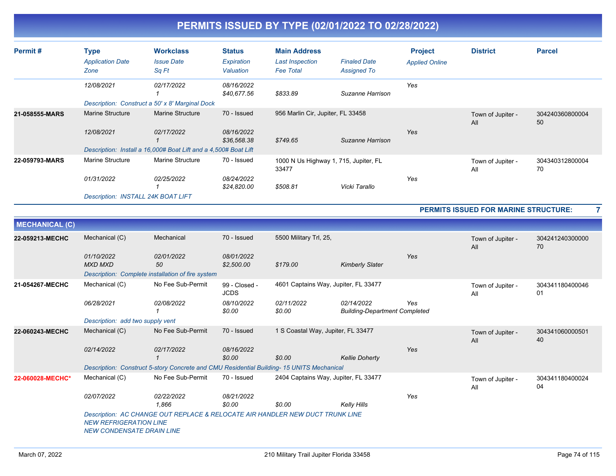| Permit#        | <b>Type</b><br><b>Application Date</b><br>Zone                              | <b>Workclass</b><br><b>Issue Date</b><br>Sq Ft                                                           | <b>Status</b><br>Expiration<br>Valuation | <b>Main Address</b><br><b>Last Inspection</b><br><b>Fee Total</b> | <b>Finaled Date</b><br><b>Assigned To</b> | <b>Project</b><br><b>Applied Online</b> | <b>District</b>          | <b>Parcel</b>         |
|----------------|-----------------------------------------------------------------------------|----------------------------------------------------------------------------------------------------------|------------------------------------------|-------------------------------------------------------------------|-------------------------------------------|-----------------------------------------|--------------------------|-----------------------|
|                | 12/08/2021<br>Description: Construct a 50' x 8' Marginal Dock               | 02/17/2022                                                                                               | 08/16/2022<br>\$40,677.56                | \$833.89                                                          | Suzanne Harrison                          | Yes                                     |                          |                       |
| 21-058555-MARS | <b>Marine Structure</b><br>12/08/2021                                       | <b>Marine Structure</b><br>02/17/2022<br>Description: Install a 16,000# Boat Lift and a 4,500# Boat Lift | 70 - Issued<br>08/16/2022<br>\$36,568.38 | 956 Marlin Cir, Jupiter, FL 33458<br>\$749.65                     | Suzanne Harrison                          | Yes                                     | Town of Jupiter -<br>All | 304240360800004<br>50 |
| 22-059793-MARS | Marine Structure<br>01/31/2022<br><b>Description: INSTALL 24K BOAT LIFT</b> | <b>Marine Structure</b><br>02/25/2022                                                                    | 70 - Issued<br>08/24/2022<br>\$24,820.00 | 1000 N Us Highway 1, 715, Jupiter, FL<br>33477<br>\$508.81        | Vicki Tarallo                             | Yes                                     | Town of Jupiter -<br>All | 304340312800004<br>70 |

**PERMITS ISSUED FOR MARINE STRUCTURE: 7**

| <b>MECHANICAL (C)</b>                                                                                                                              |                              |                                                                                          |                              |                                      |                                                    |     |                          |                       |  |  |  |  |
|----------------------------------------------------------------------------------------------------------------------------------------------------|------------------------------|------------------------------------------------------------------------------------------|------------------------------|--------------------------------------|----------------------------------------------------|-----|--------------------------|-----------------------|--|--|--|--|
| 22-059213-MECHC                                                                                                                                    | Mechanical (C)               | Mechanical                                                                               | 70 - Issued                  | 5500 Military Trl, 25,               |                                                    |     | Town of Jupiter -<br>All | 304241240300000<br>70 |  |  |  |  |
|                                                                                                                                                    | 01/10/2022<br><b>MXD MXD</b> | 02/01/2022<br>50                                                                         | 08/01/2022<br>\$2,500.00     | \$179.00                             | <b>Kimberly Slater</b>                             | Yes |                          |                       |  |  |  |  |
|                                                                                                                                                    |                              | Description: Complete installation of fire system                                        |                              |                                      |                                                    |     |                          |                       |  |  |  |  |
| 21-054267-MECHC                                                                                                                                    | Mechanical (C)               | No Fee Sub-Permit                                                                        | 99 - Closed -<br><b>JCDS</b> | 4601 Captains Way, Jupiter, FL 33477 |                                                    |     | Town of Jupiter -<br>All | 304341180400046<br>01 |  |  |  |  |
|                                                                                                                                                    | 06/28/2021                   | 02/08/2022                                                                               | 08/10/2022<br>\$0.00         | 02/11/2022<br>\$0.00                 | 02/14/2022<br><b>Building-Department Completed</b> | Yes |                          |                       |  |  |  |  |
|                                                                                                                                                    |                              | Description: add two supply vent                                                         |                              |                                      |                                                    |     |                          |                       |  |  |  |  |
| 22-060243-MECHC                                                                                                                                    | Mechanical (C)               | No Fee Sub-Permit                                                                        | 70 - Issued                  | 1 S Coastal Way, Jupiter, FL 33477   |                                                    |     | 304341060000501<br>40    |                       |  |  |  |  |
|                                                                                                                                                    | 02/14/2022                   | 02/17/2022                                                                               | 08/16/2022                   |                                      |                                                    | Yes |                          |                       |  |  |  |  |
|                                                                                                                                                    |                              |                                                                                          | \$0.00                       | \$0.00                               | <b>Kellie Doherty</b>                              |     |                          |                       |  |  |  |  |
|                                                                                                                                                    |                              | Description: Construct 5-story Concrete and CMU Residential Building-15 UNITS Mechanical |                              |                                      |                                                    |     |                          |                       |  |  |  |  |
| 22-060028-MECHC*                                                                                                                                   | Mechanical (C)               | No Fee Sub-Permit                                                                        | 70 - Issued                  | 2404 Captains Way, Jupiter, FL 33477 |                                                    |     | Town of Jupiter -<br>All | 304341180400024<br>04 |  |  |  |  |
|                                                                                                                                                    | 02/07/2022                   | 02/22/2022<br>1.866                                                                      | 08/21/2022<br>\$0.00         | \$0.00                               | Kelly Hills                                        | Yes |                          |                       |  |  |  |  |
| Description: AC CHANGE OUT REPLACE & RELOCATE AIR HANDLER NEW DUCT TRUNK LINE<br><b>NEW REFRIGERATION LINE</b><br><b>NEW CONDENSATE DRAIN LINE</b> |                              |                                                                                          |                              |                                      |                                                    |     |                          |                       |  |  |  |  |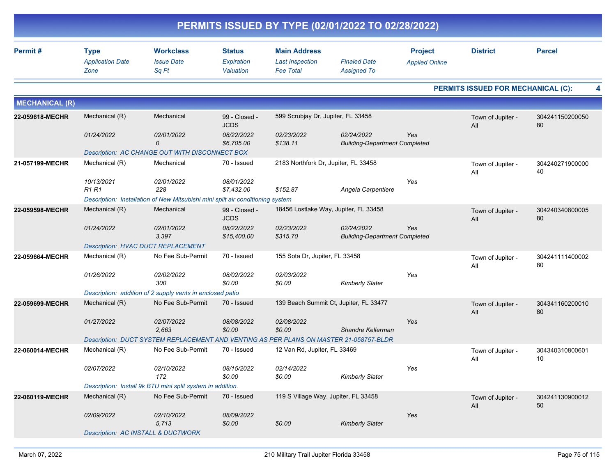|                       |                                                |                                                                                        |                                          |                                                                   | PERMITS ISSUED BY TYPE (02/01/2022 TO 02/28/2022)  |                                         |                                           |                       |
|-----------------------|------------------------------------------------|----------------------------------------------------------------------------------------|------------------------------------------|-------------------------------------------------------------------|----------------------------------------------------|-----------------------------------------|-------------------------------------------|-----------------------|
| Permit#               | <b>Type</b><br><b>Application Date</b><br>Zone | <b>Workclass</b><br><b>Issue Date</b><br>Sq Ft                                         | <b>Status</b><br>Expiration<br>Valuation | <b>Main Address</b><br><b>Last Inspection</b><br><b>Fee Total</b> | <b>Finaled Date</b><br><b>Assigned To</b>          | <b>Project</b><br><b>Applied Online</b> | <b>District</b>                           | <b>Parcel</b>         |
|                       |                                                |                                                                                        |                                          |                                                                   |                                                    |                                         | <b>PERMITS ISSUED FOR MECHANICAL (C):</b> |                       |
| <b>MECHANICAL (R)</b> |                                                |                                                                                        |                                          |                                                                   |                                                    |                                         |                                           |                       |
| 22-059618-MECHR       | Mechanical (R)                                 | Mechanical                                                                             | 99 - Closed -<br><b>JCDS</b>             | 599 Scrubjay Dr, Jupiter, FL 33458                                |                                                    |                                         | Town of Jupiter -<br>All                  | 304241150200050<br>80 |
|                       | 01/24/2022                                     | 02/01/2022<br>0                                                                        | 08/22/2022<br>\$6,705.00                 | 02/23/2022<br>\$138.11                                            | 02/24/2022<br><b>Building-Department Completed</b> | Yes                                     |                                           |                       |
|                       |                                                | Description: AC CHANGE OUT WITH DISCONNECT BOX                                         |                                          |                                                                   |                                                    |                                         |                                           |                       |
| 21-057199-MECHR       | Mechanical (R)                                 | Mechanical                                                                             | 70 - Issued                              | 2183 Northfork Dr, Jupiter, FL 33458                              |                                                    |                                         | Town of Jupiter -<br>All                  | 304240271900000<br>40 |
|                       | 10/13/2021<br>R <sub>1</sub> R <sub>1</sub>    | 02/01/2022<br>228                                                                      | 08/01/2022<br>\$7,432.00                 | \$152.87                                                          | Angela Carpentiere                                 | Yes                                     |                                           |                       |
|                       |                                                | Description: Installation of New Mitsubishi mini split air conditioning system         |                                          |                                                                   |                                                    |                                         |                                           |                       |
| 22-059598-MECHR       | Mechanical (R)                                 | Mechanical                                                                             | 99 - Closed -<br><b>JCDS</b>             |                                                                   | 18456 Lostlake Way, Jupiter, FL 33458              |                                         | Town of Jupiter -<br>All                  | 304240340800005<br>80 |
|                       | 01/24/2022                                     | 02/01/2022<br>3,397                                                                    | 08/22/2022<br>\$15,400.00                | 02/23/2022<br>\$315.70                                            | 02/24/2022<br><b>Building-Department Completed</b> | Yes                                     |                                           |                       |
|                       |                                                | <b>Description: HVAC DUCT REPLACEMENT</b>                                              |                                          |                                                                   |                                                    |                                         |                                           |                       |
| 22-059664-MECHR       | Mechanical (R)                                 | No Fee Sub-Permit                                                                      | 70 - Issued                              | 155 Sota Dr, Jupiter, FL 33458                                    |                                                    |                                         | Town of Jupiter -<br>All                  | 304241111400002<br>80 |
|                       | 01/26/2022                                     | 02/02/2022<br>300                                                                      | 08/02/2022<br>\$0.00                     | 02/03/2022<br>\$0.00                                              | <b>Kimberly Slater</b>                             | Yes                                     |                                           |                       |
|                       |                                                | Description: addition of 2 supply vents in enclosed patio                              |                                          |                                                                   |                                                    |                                         |                                           |                       |
| 22-059699-MECHR       | Mechanical (R)                                 | No Fee Sub-Permit                                                                      | 70 - Issued                              |                                                                   | 139 Beach Summit Ct, Jupiter, FL 33477             |                                         | Town of Jupiter -<br>All                  | 304341160200010<br>80 |
|                       | 01/27/2022                                     | 02/07/2022<br>2,663                                                                    | 08/08/2022<br>\$0.00                     | 02/08/2022<br>\$0.00                                              | Shandre Kellerman                                  | Yes                                     |                                           |                       |
|                       |                                                | Description: DUCT SYSTEM REPLACEMENT AND VENTING AS PER PLANS ON MASTER 21-058757-BLDR |                                          |                                                                   |                                                    |                                         |                                           |                       |
| 22-060014-MECHR       | Mechanical (R)                                 | No Fee Sub-Permit                                                                      | 70 - Issued                              | 12 Van Rd, Jupiter, FL 33469                                      |                                                    |                                         | Town of Jupiter -<br>All                  | 304340310800601<br>10 |
|                       | 02/07/2022                                     | 02/10/2022<br>172                                                                      | 08/15/2022<br>\$0.00                     | 02/14/2022<br>\$0.00                                              | <b>Kimberly Slater</b>                             | Yes                                     |                                           |                       |
|                       |                                                | Description: Install 9k BTU mini split system in addition.                             |                                          |                                                                   |                                                    |                                         |                                           |                       |
| 22-060119-MECHR       | Mechanical (R)                                 | No Fee Sub-Permit                                                                      | 70 - Issued                              | 119 S Village Way, Jupiter, FL 33458                              |                                                    |                                         | Town of Jupiter -<br>All                  | 304241130900012<br>50 |
|                       | 02/09/2022                                     | 02/10/2022<br>5,713                                                                    | 08/09/2022<br>\$0.00                     | \$0.00                                                            | <b>Kimberly Slater</b>                             | Yes                                     |                                           |                       |
|                       |                                                | <b>Description: AC INSTALL &amp; DUCTWORK</b>                                          |                                          |                                                                   |                                                    |                                         |                                           |                       |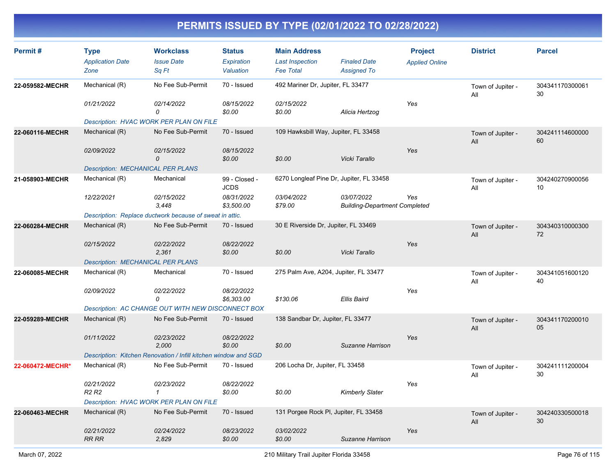| Permit#          |                                             | <b>Workclass</b>                                                | <b>Status</b>                | <b>Main Address</b>                      |                                                    | <b>Project</b>        | <b>District</b>          | <b>Parcel</b>         |
|------------------|---------------------------------------------|-----------------------------------------------------------------|------------------------------|------------------------------------------|----------------------------------------------------|-----------------------|--------------------------|-----------------------|
|                  | <b>Type</b><br><b>Application Date</b>      | <b>Issue Date</b>                                               | Expiration                   | <b>Last Inspection</b>                   | <b>Finaled Date</b>                                |                       |                          |                       |
|                  | Zone                                        | Sq Ft                                                           | Valuation                    | <b>Fee Total</b>                         | <b>Assigned To</b>                                 | <b>Applied Online</b> |                          |                       |
| 22-059582-MECHR  | Mechanical (R)                              | No Fee Sub-Permit                                               | 70 - Issued                  | 492 Mariner Dr, Jupiter, FL 33477        |                                                    |                       | Town of Jupiter -<br>All | 304341170300061<br>30 |
|                  | 01/21/2022                                  | 02/14/2022<br>0                                                 | 08/15/2022<br>\$0.00         | 02/15/2022<br>\$0.00                     | Alicia Hertzog                                     | Yes                   |                          |                       |
|                  |                                             | Description: HVAC WORK PER PLAN ON FILE                         |                              |                                          |                                                    |                       |                          |                       |
| 22-060116-MECHR  | Mechanical (R)                              | No Fee Sub-Permit                                               | 70 - Issued                  | 109 Hawksbill Way, Jupiter, FL 33458     |                                                    |                       | Town of Jupiter -<br>All | 304241114600000<br>60 |
|                  | 02/09/2022                                  | 02/15/2022<br>0                                                 | 08/15/2022<br>\$0.00         | \$0.00                                   | Vicki Tarallo                                      | Yes                   |                          |                       |
|                  | <b>Description: MECHANICAL PER PLANS</b>    |                                                                 |                              |                                          |                                                    |                       |                          |                       |
| 21-058903-MECHR  | Mechanical (R)                              | Mechanical                                                      | 99 - Closed -<br><b>JCDS</b> | 6270 Longleaf Pine Dr, Jupiter, FL 33458 |                                                    |                       | Town of Jupiter -<br>All | 304240270900056<br>10 |
|                  | 12/22/2021                                  | 02/15/2022<br>3,448                                             | 08/31/2022<br>\$3,500.00     | 03/04/2022<br>\$79.00                    | 03/07/2022<br><b>Building-Department Completed</b> | Yes                   |                          |                       |
|                  |                                             | Description: Replace ductwork because of sweat in attic.        |                              |                                          |                                                    |                       |                          |                       |
| 22-060284-MECHR  | Mechanical (R)                              | No Fee Sub-Permit                                               | 70 - Issued                  | 30 E Riverside Dr, Jupiter, FL 33469     |                                                    |                       | Town of Jupiter -<br>All | 304340310000300<br>72 |
|                  | 02/15/2022                                  | 02/22/2022<br>2,361                                             | 08/22/2022<br>\$0.00         | \$0.00                                   | Vicki Tarallo                                      | Yes                   |                          |                       |
|                  | <b>Description: MECHANICAL PER PLANS</b>    |                                                                 |                              |                                          |                                                    |                       |                          |                       |
| 22-060085-MECHR  | Mechanical (R)                              | Mechanical                                                      | 70 - Issued                  | 275 Palm Ave, A204, Jupiter, FL 33477    |                                                    |                       | Town of Jupiter -<br>All | 304341051600120<br>40 |
|                  | 02/09/2022                                  | 02/22/2022<br>0                                                 | 08/22/2022<br>\$6,303.00     | \$130.06                                 | <b>Ellis Baird</b>                                 | Yes                   |                          |                       |
|                  |                                             | Description: AC CHANGE OUT WITH NEW DISCONNECT BOX              |                              |                                          |                                                    |                       |                          |                       |
| 22-059289-MECHR  | Mechanical (R)                              | No Fee Sub-Permit                                               | 70 - Issued                  | 138 Sandbar Dr, Jupiter, FL 33477        |                                                    |                       | Town of Jupiter -<br>All | 304341170200010<br>05 |
|                  | 01/11/2022                                  | 02/23/2022<br>2,000                                             | 08/22/2022<br>\$0.00         | \$0.00                                   | Suzanne Harrison                                   | Yes                   |                          |                       |
|                  |                                             | Description: Kitchen Renovation / Infill kitchen window and SGD |                              |                                          |                                                    |                       |                          |                       |
| 22-060472-MECHR* | Mechanical (R)                              | No Fee Sub-Permit                                               | 70 - Issued                  | 206 Locha Dr, Jupiter, FL 33458          |                                                    |                       | Town of Jupiter -<br>All | 304241111200004<br>30 |
|                  | 02/21/2022<br>R <sub>2</sub> R <sub>2</sub> | 02/23/2022<br>$\mathcal I$                                      | 08/22/2022<br>\$0.00         | \$0.00                                   | <b>Kimberly Slater</b>                             | Yes                   |                          |                       |
|                  |                                             | Description: HVAC WORK PER PLAN ON FILE                         |                              |                                          |                                                    |                       |                          |                       |
| 22-060463-MECHR  | Mechanical (R)                              | No Fee Sub-Permit                                               | 70 - Issued                  | 131 Porgee Rock PI, Jupiter, FL 33458    |                                                    |                       | Town of Jupiter -<br>All | 304240330500018<br>30 |
|                  | 02/21/2022<br><b>RR RR</b>                  | 02/24/2022<br>2,829                                             | 08/23/2022<br>\$0.00         | 03/02/2022<br>\$0.00                     | Suzanne Harrison                                   | Yes                   |                          |                       |
|                  |                                             |                                                                 |                              |                                          |                                                    |                       |                          |                       |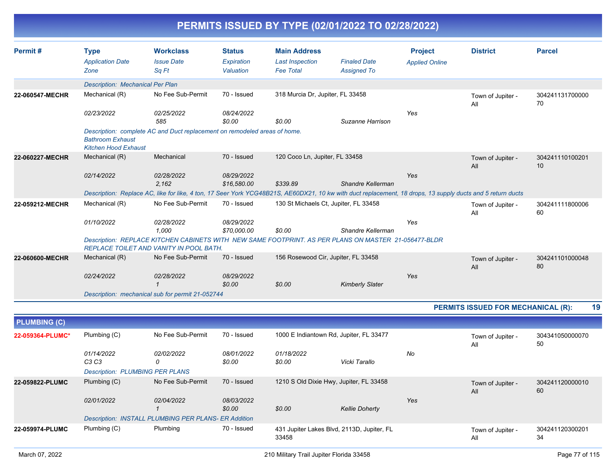|                     |                                                        |                                                                                                                                                            |                                          |                                                                   | PERMITS ISSUED BY TYPE (02/01/2022 TO 02/28/2022) |                                         |                                           |                       |  |  |  |
|---------------------|--------------------------------------------------------|------------------------------------------------------------------------------------------------------------------------------------------------------------|------------------------------------------|-------------------------------------------------------------------|---------------------------------------------------|-----------------------------------------|-------------------------------------------|-----------------------|--|--|--|
| Permit#             | <b>Type</b><br><b>Application Date</b><br>Zone         | <b>Workclass</b><br><b>Issue Date</b><br>Sq Ft                                                                                                             | <b>Status</b><br>Expiration<br>Valuation | <b>Main Address</b><br><b>Last Inspection</b><br><b>Fee Total</b> | <b>Finaled Date</b><br><b>Assigned To</b>         | <b>Project</b><br><b>Applied Online</b> | <b>District</b>                           | <b>Parcel</b>         |  |  |  |
|                     | Description: Mechanical Per Plan                       |                                                                                                                                                            |                                          |                                                                   |                                                   |                                         |                                           |                       |  |  |  |
| 22-060547-MECHR     | Mechanical (R)                                         | No Fee Sub-Permit                                                                                                                                          | 70 - Issued                              | 318 Murcia Dr, Jupiter, FL 33458                                  |                                                   |                                         | Town of Jupiter -<br>All                  | 304241131700000<br>70 |  |  |  |
|                     | 02/23/2022                                             | 02/25/2022<br>585                                                                                                                                          | 08/24/2022<br>\$0.00                     | \$0.00                                                            | Suzanne Harrison                                  | Yes                                     |                                           |                       |  |  |  |
|                     | <b>Bathroom Exhaust</b><br><b>Kitchen Hood Exhaust</b> | Description: complete AC and Duct replacement on remodeled areas of home.                                                                                  |                                          |                                                                   |                                                   |                                         |                                           |                       |  |  |  |
| 22-060227-MECHR     | Mechanical (R)                                         | Mechanical                                                                                                                                                 | 70 - Issued                              | 120 Coco Ln, Jupiter, FL 33458                                    |                                                   |                                         | Town of Jupiter -<br>All                  | 304241110100201<br>10 |  |  |  |
|                     | 02/14/2022                                             | 02/28/2022<br>2,162                                                                                                                                        | 08/29/2022<br>\$16,580.00                | \$339.89                                                          | Shandre Kellerman                                 | Yes                                     |                                           |                       |  |  |  |
|                     |                                                        | Description: Replace AC, like for like, 4 ton, 17 Seer York YCG48B21S, AE60DX21, 10 kw with duct replacement, 18 drops, 13 supply ducts and 5 return ducts |                                          |                                                                   |                                                   |                                         |                                           |                       |  |  |  |
| 22-059212-MECHR     | Mechanical (R)                                         | No Fee Sub-Permit                                                                                                                                          | 70 - Issued                              | 130 St Michaels Ct, Jupiter, FL 33458                             |                                                   |                                         | Town of Jupiter -<br>All                  | 304241111800006<br>60 |  |  |  |
|                     | 01/10/2022                                             | 02/28/2022<br>1,000                                                                                                                                        | 08/29/2022<br>\$70,000.00                | \$0.00                                                            | Shandre Kellerman                                 | Yes                                     |                                           |                       |  |  |  |
|                     |                                                        | Description: REPLACE KITCHEN CABINETS WITH NEW SAME FOOTPRINT. AS PER PLANS ON MASTER 21-056477-BLDR<br>REPLACE TOILET AND VANITY IN POOL BATH.            |                                          |                                                                   |                                                   |                                         |                                           |                       |  |  |  |
| 22-060600-MECHR     | Mechanical (R)                                         | No Fee Sub-Permit                                                                                                                                          | 70 - Issued                              | 156 Rosewood Cir, Jupiter, FL 33458                               |                                                   |                                         | Town of Jupiter -<br>All                  | 304241101000048<br>80 |  |  |  |
|                     | 02/24/2022                                             | 02/28/2022<br>$\mathbf{1}$                                                                                                                                 | 08/29/2022<br>\$0.00                     | \$0.00                                                            | <b>Kimberly Slater</b>                            | Yes                                     |                                           |                       |  |  |  |
|                     |                                                        | Description: mechanical sub for permit 21-052744                                                                                                           |                                          |                                                                   |                                                   |                                         |                                           |                       |  |  |  |
|                     |                                                        |                                                                                                                                                            |                                          |                                                                   |                                                   |                                         | <b>PERMITS ISSUED FOR MECHANICAL (R):</b> | 19                    |  |  |  |
| <b>PLUMBING (C)</b> |                                                        |                                                                                                                                                            |                                          |                                                                   |                                                   |                                         |                                           |                       |  |  |  |
| 22-059364-PLUMC*    | Plumbing (C)                                           | No Fee Sub-Permit                                                                                                                                          | 70 - Issued                              |                                                                   | 1000 E Indiantown Rd, Jupiter, FL 33477           |                                         | Town of Jupiter -<br>All                  | 304341050000070<br>50 |  |  |  |
|                     | 01/14/2022<br>C3C3                                     | 02/02/2022<br>0                                                                                                                                            | 08/01/2022<br>\$0.00                     | 01/18/2022<br>\$0.00                                              | Vicki Tarallo                                     | No                                      |                                           |                       |  |  |  |
|                     | <b>Description: PLUMBING PER PLANS</b>                 |                                                                                                                                                            |                                          |                                                                   |                                                   |                                         |                                           |                       |  |  |  |
| 22-059822-PLUMC     | Plumbing (C)                                           | No Fee Sub-Permit                                                                                                                                          | 70 - Issued                              |                                                                   | 1210 S Old Dixie Hwy, Jupiter, FL 33458           |                                         | Town of Jupiter -<br>All                  | 304241120000010<br>60 |  |  |  |
|                     | 02/01/2022                                             | 02/04/2022<br>$\mathcal I$                                                                                                                                 | 08/03/2022<br>\$0.00                     | \$0.00                                                            | <b>Kellie Doherty</b>                             | Yes                                     |                                           |                       |  |  |  |
|                     |                                                        | Description: INSTALL PLUMBING PER PLANS- ER Addition                                                                                                       |                                          |                                                                   |                                                   |                                         |                                           |                       |  |  |  |
| 22-059974-PLUMC     | Plumbing (C)                                           | Plumbing                                                                                                                                                   | 70 - Issued                              | 33458                                                             | 431 Jupiter Lakes Blvd, 2113D, Jupiter, FL        |                                         | Town of Jupiter -<br>All                  | 304241120300201<br>34 |  |  |  |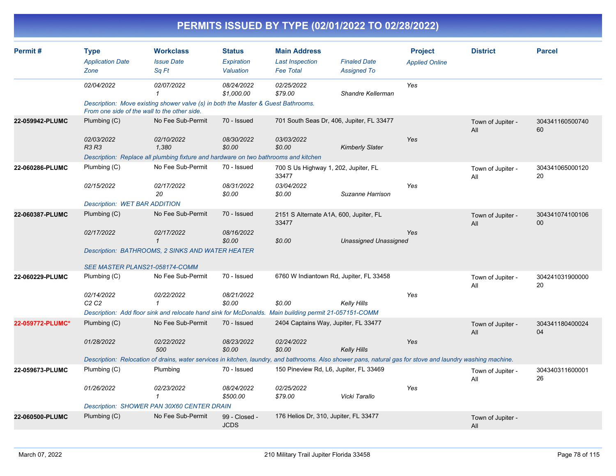|                  |                                                |                                                                                                                                                            |                                          |                                                                   | PERMITS ISSUED BY TYPE (02/01/2022 TO 02/28/2022) |                                         |                          |                       |  |  |  |
|------------------|------------------------------------------------|------------------------------------------------------------------------------------------------------------------------------------------------------------|------------------------------------------|-------------------------------------------------------------------|---------------------------------------------------|-----------------------------------------|--------------------------|-----------------------|--|--|--|
| Permit#          | <b>Type</b><br><b>Application Date</b><br>Zone | <b>Workclass</b><br><b>Issue Date</b><br>Sq Ft                                                                                                             | <b>Status</b><br>Expiration<br>Valuation | <b>Main Address</b><br><b>Last Inspection</b><br><b>Fee Total</b> | <b>Finaled Date</b><br><b>Assigned To</b>         | <b>Project</b><br><b>Applied Online</b> | <b>District</b>          | <b>Parcel</b>         |  |  |  |
|                  | 02/04/2022                                     | 02/07/2022<br>-1                                                                                                                                           | 08/24/2022<br>\$1,000.00                 | 02/25/2022<br>\$79.00                                             | Shandre Kellerman                                 | Yes                                     |                          |                       |  |  |  |
|                  |                                                | Description: Move existing shower valve (s) in both the Master & Guest Bathrooms.<br>From one side of the wall to the other side.                          |                                          |                                                                   |                                                   |                                         |                          |                       |  |  |  |
| 22-059942-PLUMC  | Plumbing (C)                                   | No Fee Sub-Permit                                                                                                                                          | 70 - Issued                              |                                                                   | 701 South Seas Dr, 406, Jupiter, FL 33477         |                                         | Town of Jupiter -<br>All | 304341160500740<br>60 |  |  |  |
|                  | 02/03/2022<br>R3 R3                            | 02/10/2022<br>1,380                                                                                                                                        | 08/30/2022<br>\$0.00                     | 03/03/2022<br>\$0.00                                              | <b>Kimberly Slater</b>                            | Yes                                     |                          |                       |  |  |  |
|                  |                                                | Description: Replace all plumbing fixture and hardware on two bathrooms and kitchen                                                                        |                                          |                                                                   |                                                   |                                         |                          |                       |  |  |  |
| 22-060286-PLUMC  | Plumbing (C)                                   | No Fee Sub-Permit                                                                                                                                          | 70 - Issued                              | 700 S Us Highway 1, 202, Jupiter, FL<br>33477                     |                                                   |                                         | Town of Jupiter -<br>All | 304341065000120<br>20 |  |  |  |
|                  | 02/15/2022                                     | 02/17/2022<br>20                                                                                                                                           | 08/31/2022<br>\$0.00                     | 03/04/2022<br>\$0.00                                              | Suzanne Harrison                                  | Yes                                     |                          |                       |  |  |  |
|                  | <b>Description: WET BAR ADDITION</b>           |                                                                                                                                                            |                                          |                                                                   |                                                   |                                         |                          |                       |  |  |  |
| 22-060387-PLUMC  | Plumbing (C)                                   | No Fee Sub-Permit                                                                                                                                          | 70 - Issued                              | 33477                                                             | 2151 S Alternate A1A, 600, Jupiter, FL            |                                         | Town of Jupiter -<br>All | 304341074100106<br>00 |  |  |  |
|                  | 02/17/2022                                     | 02/17/2022<br>$\overline{\mathbf{1}}$                                                                                                                      | 08/16/2022<br>\$0.00                     | \$0.00                                                            | <b>Unassigned Unassigned</b>                      | Yes                                     |                          |                       |  |  |  |
|                  |                                                | Description: BATHROOMS, 2 SINKS AND WATER HEATER                                                                                                           |                                          |                                                                   |                                                   |                                         |                          |                       |  |  |  |
|                  |                                                | <b>SEE MASTER PLANS21-058174-COMM</b>                                                                                                                      |                                          |                                                                   |                                                   |                                         |                          |                       |  |  |  |
| 22-060229-PLUMC  | Plumbing (C)                                   | No Fee Sub-Permit                                                                                                                                          | 70 - Issued                              |                                                                   | 6760 W Indiantown Rd, Jupiter, FL 33458           |                                         | Town of Jupiter -<br>All | 304241031900000<br>20 |  |  |  |
|                  | 02/14/2022<br>C2 C2                            | 02/22/2022<br>$\mathbf{1}$                                                                                                                                 | 08/21/2022<br>\$0.00                     | \$0.00                                                            | Kelly Hills                                       | Yes                                     |                          |                       |  |  |  |
|                  |                                                | Description: Add floor sink and relocate hand sink for McDonalds. Main building permit 21-057151-COMM                                                      |                                          |                                                                   |                                                   |                                         |                          |                       |  |  |  |
| 22-059772-PLUMC* | Plumbing (C)                                   | No Fee Sub-Permit                                                                                                                                          | 70 - Issued                              |                                                                   | 2404 Captains Way, Jupiter, FL 33477              |                                         | Town of Jupiter -<br>All | 304341180400024<br>04 |  |  |  |
|                  | 01/28/2022                                     | 02/22/2022<br>500                                                                                                                                          | 08/23/2022<br>\$0.00                     | 02/24/2022<br>\$0.00                                              | <b>Kelly Hills</b>                                | Yes                                     |                          |                       |  |  |  |
|                  |                                                | Description: Relocation of drains, water services in kitchen, laundry, and bathrooms. Also shower pans, natural gas for stove and laundry washing machine. |                                          |                                                                   |                                                   |                                         |                          |                       |  |  |  |
| 22-059673-PLUMC  | Plumbing (C)                                   | Plumbing                                                                                                                                                   | 70 - Issued                              |                                                                   | 150 Pineview Rd, L6, Jupiter, FL 33469            |                                         | Town of Jupiter -<br>All | 304340311600001<br>26 |  |  |  |
|                  | 01/26/2022                                     | 02/23/2022<br>$\mathbf{1}$                                                                                                                                 | 08/24/2022<br>\$500.00                   | 02/25/2022<br>\$79.00                                             | Vicki Tarallo                                     | Yes                                     |                          |                       |  |  |  |
|                  | Description: SHOWER PAN 30X60 CENTER DRAIN     |                                                                                                                                                            |                                          |                                                                   |                                                   |                                         |                          |                       |  |  |  |
| 22-060500-PLUMC  | Plumbing (C)                                   | No Fee Sub-Permit                                                                                                                                          | 99 - Closed -<br><b>JCDS</b>             | 176 Helios Dr, 310, Jupiter, FL 33477                             |                                                   |                                         | Town of Jupiter -<br>All |                       |  |  |  |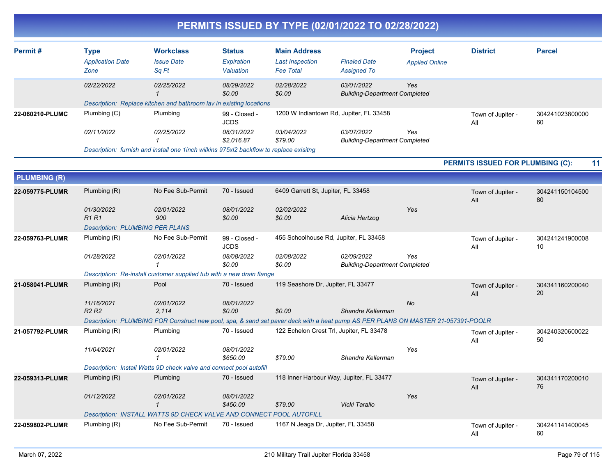|                     |                                                |                                                                                                                                  |                                          |                                                                   | PERMITS ISSUED BY TYPE (02/01/2022 TO 02/28/2022)  |                                         |                                         |                       |
|---------------------|------------------------------------------------|----------------------------------------------------------------------------------------------------------------------------------|------------------------------------------|-------------------------------------------------------------------|----------------------------------------------------|-----------------------------------------|-----------------------------------------|-----------------------|
| Permit#             | <b>Type</b><br><b>Application Date</b><br>Zone | <b>Workclass</b><br><b>Issue Date</b><br>Sq Ft                                                                                   | <b>Status</b><br>Expiration<br>Valuation | <b>Main Address</b><br><b>Last Inspection</b><br><b>Fee Total</b> | <b>Finaled Date</b><br><b>Assigned To</b>          | <b>Project</b><br><b>Applied Online</b> | <b>District</b>                         | <b>Parcel</b>         |
|                     | 02/22/2022                                     | 02/25/2022<br>$\mathbf{1}$                                                                                                       | 08/29/2022<br>\$0.00                     | 02/28/2022<br>\$0.00                                              | 03/01/2022<br><b>Building-Department Completed</b> | Yes                                     |                                         |                       |
|                     |                                                | Description: Replace kitchen and bathroom lav in existing locations                                                              |                                          |                                                                   |                                                    |                                         |                                         |                       |
| 22-060210-PLUMC     | Plumbing (C)                                   | Plumbing                                                                                                                         | 99 - Closed -<br><b>JCDS</b>             |                                                                   | 1200 W Indiantown Rd, Jupiter, FL 33458            |                                         | Town of Jupiter -<br>All                | 304241023800000<br>60 |
|                     | 02/11/2022                                     | 02/25/2022                                                                                                                       | 08/31/2022<br>\$2,016.87                 | 03/04/2022<br>\$79.00                                             | 03/07/2022<br><b>Building-Department Completed</b> | Yes                                     |                                         |                       |
|                     |                                                | Description: furnish and install one 1 inch wilkins 975xl2 backflow to replace exisitng                                          |                                          |                                                                   |                                                    |                                         |                                         |                       |
|                     |                                                |                                                                                                                                  |                                          |                                                                   |                                                    |                                         | <b>PERMITS ISSUED FOR PLUMBING (C):</b> | 11                    |
| <b>PLUMBING (R)</b> |                                                |                                                                                                                                  |                                          |                                                                   |                                                    |                                         |                                         |                       |
| 22-059775-PLUMR     | Plumbing (R)                                   | No Fee Sub-Permit                                                                                                                | 70 - Issued                              | 6409 Garrett St, Jupiter, FL 33458                                |                                                    |                                         | Town of Jupiter -<br>All                | 304241150104500<br>80 |
|                     | 01/30/2022<br>R1 R1                            | 02/01/2022<br>900                                                                                                                | 08/01/2022<br>\$0.00                     | 02/02/2022<br>\$0.00                                              | Alicia Hertzog                                     | Yes                                     |                                         |                       |
|                     | <b>Description: PLUMBING PER PLANS</b>         |                                                                                                                                  |                                          |                                                                   |                                                    |                                         |                                         |                       |
| 22-059763-PLUMR     | Plumbing (R)                                   | No Fee Sub-Permit                                                                                                                | 99 - Closed -<br><b>JCDS</b>             |                                                                   | 455 Schoolhouse Rd, Jupiter, FL 33458              |                                         | Town of Jupiter -<br>All                | 304241241900008<br>10 |
|                     | 01/28/2022                                     | 02/01/2022<br>$\mathbf 1$                                                                                                        | 08/08/2022<br>\$0.00                     | 02/08/2022<br>\$0.00                                              | 02/09/2022<br><b>Building-Department Completed</b> | Yes                                     |                                         |                       |
|                     |                                                | Description: Re-install customer supplied tub with a new drain flange                                                            |                                          |                                                                   |                                                    |                                         |                                         |                       |
| 21-058041-PLUMR     | Plumbing (R)                                   | Pool                                                                                                                             | 70 - Issued                              | 119 Seashore Dr, Jupiter, FL 33477                                |                                                    |                                         | Town of Jupiter -<br>All                | 304341160200040<br>20 |
|                     | 11/16/2021<br>R <sub>2</sub> R <sub>2</sub>    | 02/01/2022<br>2,114                                                                                                              | 08/01/2022<br>\$0.00                     | \$0.00                                                            | <b>Shandre Kellerman</b>                           | No                                      |                                         |                       |
|                     |                                                | Description: PLUMBING FOR Construct new pool, spa, & sand set paver deck with a heat pump AS PER PLANS ON MASTER 21-057391-POOLR |                                          |                                                                   |                                                    |                                         |                                         |                       |
| 21-057792-PLUMR     | Plumbing (R)                                   | Plumbing                                                                                                                         | 70 - Issued                              |                                                                   | 122 Echelon Crest Trl, Jupiter, FL 33478           |                                         | Town of Jupiter -<br>All                | 304240320600022<br>50 |
|                     | 11/04/2021                                     | 02/01/2022<br>$\mathbf 1$                                                                                                        | 08/01/2022<br>\$650.00                   | \$79.00                                                           | Shandre Kellerman                                  | Yes                                     |                                         |                       |
|                     |                                                | Description: Install Watts 9D check valve and connect pool autofill                                                              |                                          |                                                                   |                                                    |                                         |                                         |                       |
| 22-059313-PLUMR     | Plumbing (R)                                   | Plumbing                                                                                                                         | 70 - Issued                              |                                                                   | 118 Inner Harbour Way, Jupiter, FL 33477           |                                         | Town of Jupiter -<br>All                | 304341170200010<br>76 |
|                     | 01/12/2022                                     | 02/01/2022<br>-1                                                                                                                 | 08/01/2022<br>\$450.00                   | \$79.00                                                           | Vicki Tarallo                                      | Yes                                     |                                         |                       |
|                     |                                                | Description: INSTALL WATTS 9D CHECK VALVE AND CONNECT POOL AUTOFILL                                                              |                                          |                                                                   |                                                    |                                         |                                         |                       |
| 22-059802-PLUMR     | Plumbing (R)                                   | No Fee Sub-Permit                                                                                                                | 70 - Issued                              | 1167 N Jeaga Dr, Jupiter, FL 33458                                |                                                    |                                         | Town of Jupiter -<br>All                | 304241141400045<br>60 |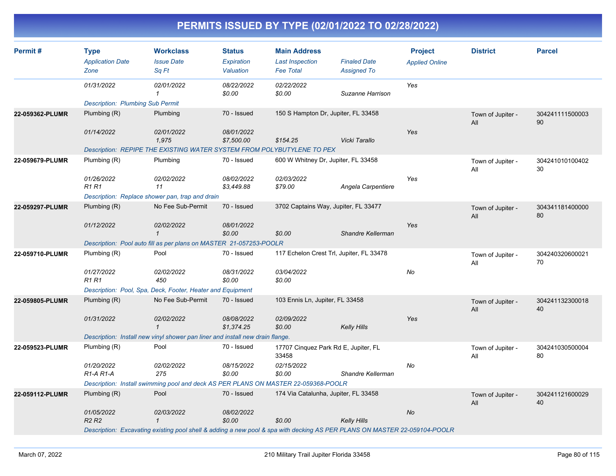| Permit#         | <b>Type</b><br><b>Application Date</b><br>Zone                                                                            | <b>Workclass</b><br><b>Issue Date</b><br>Sq Ft                                | <b>Status</b><br>Expiration<br>Valuation | <b>Main Address</b><br><b>Last Inspection</b><br><b>Fee Total</b> | <b>Finaled Date</b><br><b>Assigned To</b> | <b>Project</b><br><b>Applied Online</b> | <b>District</b>          | <b>Parcel</b>         |
|-----------------|---------------------------------------------------------------------------------------------------------------------------|-------------------------------------------------------------------------------|------------------------------------------|-------------------------------------------------------------------|-------------------------------------------|-----------------------------------------|--------------------------|-----------------------|
|                 | 01/31/2022                                                                                                                | 02/01/2022<br>$\mathbf{1}$                                                    | 08/22/2022<br>\$0.00                     | 02/22/2022<br>\$0.00                                              | Suzanne Harrison                          | Yes                                     |                          |                       |
|                 | <b>Description: Plumbing Sub Permit</b>                                                                                   |                                                                               |                                          |                                                                   |                                           |                                         |                          |                       |
| 22-059362-PLUMR | Plumbing $(R)$                                                                                                            | Plumbing                                                                      | 70 - Issued                              | 150 S Hampton Dr, Jupiter, FL 33458                               |                                           |                                         | Town of Jupiter -<br>All | 304241111500003<br>90 |
|                 | 01/14/2022                                                                                                                | 02/01/2022<br>1,975                                                           | 08/01/2022<br>\$7,500.00                 | \$154.25                                                          | Vicki Tarallo                             | Yes                                     |                          |                       |
|                 |                                                                                                                           | Description: REPIPE THE EXISTING WATER SYSTEM FROM POLYBUTYLENE TO PEX        |                                          |                                                                   |                                           |                                         |                          |                       |
| 22-059679-PLUMR | Plumbing (R)                                                                                                              | Plumbing                                                                      | 70 - Issued                              | 600 W Whitney Dr, Jupiter, FL 33458                               |                                           |                                         | Town of Jupiter -<br>All | 304241010100402<br>30 |
|                 | 01/26/2022<br><b>R1 R1</b>                                                                                                | 02/02/2022<br>11                                                              | 08/02/2022<br>\$3,449.88                 | 02/03/2022<br>\$79.00                                             | Angela Carpentiere                        | Yes                                     |                          |                       |
|                 |                                                                                                                           | Description: Replace shower pan, trap and drain                               |                                          |                                                                   |                                           |                                         |                          |                       |
| 22-059297-PLUMR | Plumbing (R)                                                                                                              | No Fee Sub-Permit                                                             | 70 - Issued                              | 3702 Captains Way, Jupiter, FL 33477                              |                                           |                                         | Town of Jupiter -<br>All | 304341181400000<br>80 |
|                 | 01/12/2022                                                                                                                | 02/02/2022<br>$\mathbf{1}$                                                    | 08/01/2022<br>\$0.00                     | \$0.00                                                            | Shandre Kellerman                         | Yes                                     |                          |                       |
|                 | Description: Pool auto fill as per plans on MASTER 21-057253-POOLR                                                        |                                                                               |                                          |                                                                   |                                           |                                         |                          |                       |
| 22-059710-PLUMR | Plumbing (R)                                                                                                              | Pool                                                                          | 70 - Issued                              | 117 Echelon Crest Trl, Jupiter, FL 33478                          |                                           |                                         | Town of Jupiter -<br>All | 304240320600021<br>70 |
|                 | 01/27/2022<br><b>R1 R1</b>                                                                                                | 02/02/2022<br>450                                                             | 08/31/2022<br>\$0.00                     | 03/04/2022<br>\$0.00                                              |                                           | No                                      |                          |                       |
|                 |                                                                                                                           | Description: Pool, Spa, Deck, Footer, Heater and Equipment                    |                                          |                                                                   |                                           |                                         |                          |                       |
| 22-059805-PLUMR | Plumbing $(R)$                                                                                                            | No Fee Sub-Permit                                                             | 70 - Issued                              | 103 Ennis Ln, Jupiter, FL 33458                                   |                                           |                                         | Town of Jupiter -<br>All | 304241132300018<br>40 |
|                 | 01/31/2022                                                                                                                | 02/02/2022<br>$\mathbf{1}$                                                    | 08/08/2022<br>\$1,374.25                 | 02/09/2022<br>\$0.00                                              | <b>Kelly Hills</b>                        | Yes                                     |                          |                       |
|                 |                                                                                                                           | Description: Install new vinyl shower pan liner and install new drain flange. |                                          |                                                                   |                                           |                                         |                          |                       |
| 22-059523-PLUMR | Plumbing (R)                                                                                                              | Pool                                                                          | 70 - Issued                              | 17707 Cinquez Park Rd E, Jupiter, FL<br>33458                     |                                           |                                         | Town of Jupiter -<br>All | 304241030500004<br>80 |
|                 | 01/20/2022<br>R <sub>1</sub> -A <sub>R1</sub> -A                                                                          | 02/02/2022<br>275                                                             | 08/15/2022<br>\$0.00                     | 02/15/2022<br>\$0.00                                              | Shandre Kellerman                         | No                                      |                          |                       |
|                 | Description: Install swimming pool and deck AS PER PLANS ON MASTER 22-059368-POOLR                                        |                                                                               |                                          |                                                                   |                                           |                                         |                          |                       |
| 22-059112-PLUMR | Plumbing (R)                                                                                                              | Pool                                                                          | 70 - Issued                              | 174 Via Catalunha, Jupiter, FL 33458                              |                                           |                                         | Town of Jupiter -<br>All | 304241121600029<br>40 |
|                 | 01/05/2022<br>R <sub>2</sub> R <sub>2</sub>                                                                               | 02/03/2022<br>$\mathbf{1}$                                                    | 08/02/2022<br>\$0.00                     | \$0.00                                                            | <b>Kelly Hills</b>                        | <b>No</b>                               |                          |                       |
|                 | Description: Excavating existing pool shell & adding a new pool & spa with decking AS PER PLANS ON MASTER 22-059104-POOLR |                                                                               |                                          |                                                                   |                                           |                                         |                          |                       |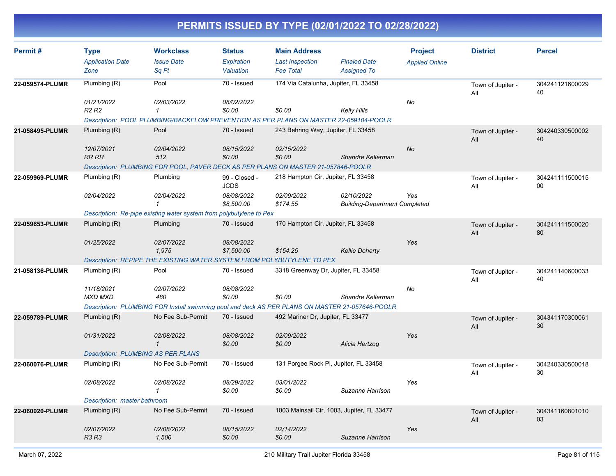| Permit#         | <b>Type</b><br><b>Application Date</b><br>Zone                            | <b>Workclass</b><br><b>Issue Date</b><br>Sq Ft                                                                               | <b>Status</b><br>Expiration<br>Valuation                 | <b>Main Address</b><br><b>Last Inspection</b><br><b>Fee Total</b>  | <b>Finaled Date</b><br><b>Assigned To</b>          | <b>Project</b><br><b>Applied Online</b> | <b>District</b>          | <b>Parcel</b>         |
|-----------------|---------------------------------------------------------------------------|------------------------------------------------------------------------------------------------------------------------------|----------------------------------------------------------|--------------------------------------------------------------------|----------------------------------------------------|-----------------------------------------|--------------------------|-----------------------|
| 22-059574-PLUMR | Plumbing (R)<br>01/21/2022<br><b>R2 R2</b>                                | Pool<br>02/03/2022<br>$\mathbf{1}$<br>Description: POOL PLUMBING/BACKFLOW PREVENTION AS PER PLANS ON MASTER 22-059104-POOLR  | 70 - Issued<br>08/02/2022<br>\$0.00                      | 174 Via Catalunha, Jupiter, FL 33458<br>\$0.00                     | Kelly Hills                                        | No                                      | Town of Jupiter -<br>All | 304241121600029<br>40 |
| 21-058495-PLUMR | Plumbing (R)<br>12/07/2021<br><b>RR RR</b>                                | Pool<br>02/04/2022<br>512<br>Description: PLUMBING FOR POOL, PAVER DECK AS PER PLANS ON MASTER 21-057846-POOLR               | 70 - Issued<br>08/15/2022<br>\$0.00                      | 243 Behring Way, Jupiter, FL 33458<br>02/15/2022<br>\$0.00         | Shandre Kellerman                                  | No                                      | Town of Jupiter -<br>All | 304240330500002<br>40 |
| 22-059969-PLUMR | Plumbing (R)<br>02/04/2022                                                | Plumbing<br>02/04/2022<br>$\mathcal I$<br>Description: Re-pipe existing water system from polybutylene to Pex                | 99 - Closed -<br><b>JCDS</b><br>08/08/2022<br>\$8,500.00 | 218 Hampton Cir, Jupiter, FL 33458<br>02/09/2022<br>\$174.55       | 02/10/2022<br><b>Building-Department Completed</b> | Yes                                     | Town of Jupiter -<br>All | 304241111500015<br>00 |
| 22-059653-PLUMR | Plumbing (R)<br>01/25/2022                                                | Plumbing<br>02/07/2022<br>1,975<br>Description: REPIPE THE EXISTING WATER SYSTEM FROM POLYBUTYLENE TO PEX                    | 70 - Issued<br>08/08/2022<br>\$7,500.00                  | 170 Hampton Cir, Jupiter, FL 33458<br>\$154.25                     | <b>Kellie Doherty</b>                              | Yes                                     | Town of Jupiter -<br>All | 304241111500020<br>80 |
| 21-058136-PLUMR | Plumbing (R)<br>11/18/2021<br><b>MXD MXD</b>                              | Pool<br>02/07/2022<br>480<br>Description: PLUMBING FOR Install swimming pool and deck AS PER PLANS ON MASTER 21-057646-POOLR | 70 - Issued<br>08/08/2022<br>\$0.00                      | 3318 Greenway Dr, Jupiter, FL 33458<br>\$0.00                      | Shandre Kellerman                                  | No                                      | Town of Jupiter -<br>All | 304241140600033<br>40 |
| 22-059789-PLUMR | Plumbing $(R)$<br>01/31/2022<br><b>Description: PLUMBING AS PER PLANS</b> | No Fee Sub-Permit<br>02/08/2022<br>$\mathbf{1}$                                                                              | 70 - Issued<br>08/08/2022<br>\$0.00                      | 492 Mariner Dr, Jupiter, FL 33477<br>02/09/2022<br>\$0.00          | Alicia Hertzog                                     | Yes                                     | Town of Jupiter -<br>All | 304341170300061<br>30 |
| 22-060076-PLUMR | Plumbing (R)<br>02/08/2022<br>Description: master bathroom                | No Fee Sub-Permit<br>02/08/2022<br>$\mathbf{1}$                                                                              | 70 - Issued<br>08/29/2022<br>\$0.00                      | 131 Porgee Rock Pl, Jupiter, FL 33458<br>03/01/2022<br>\$0.00      | Suzanne Harrison                                   | Yes                                     | Town of Jupiter -<br>All | 304240330500018<br>30 |
| 22-060020-PLUMR | Plumbing (R)<br>02/07/2022<br><b>R3 R3</b>                                | No Fee Sub-Permit<br>02/08/2022<br>1,500                                                                                     | 70 - Issued<br>08/15/2022<br>\$0.00                      | 1003 Mainsail Cir, 1003, Jupiter, FL 33477<br>02/14/2022<br>\$0.00 | Suzanne Harrison                                   | Yes                                     | Town of Jupiter -<br>All | 304341160801010<br>03 |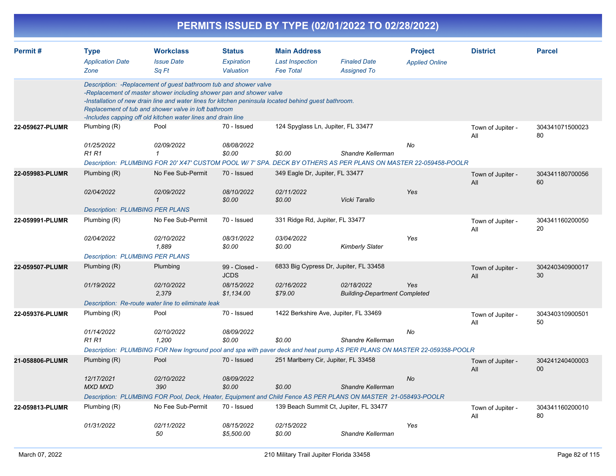|                 |                                                                      |                                                                                                                                                                                                                                                                                                                                                                          |                                                          |                                                                   | PERMITS ISSUED BY TYPE (02/01/2022 TO 02/28/2022)                                            |                                         |                          |                                    |
|-----------------|----------------------------------------------------------------------|--------------------------------------------------------------------------------------------------------------------------------------------------------------------------------------------------------------------------------------------------------------------------------------------------------------------------------------------------------------------------|----------------------------------------------------------|-------------------------------------------------------------------|----------------------------------------------------------------------------------------------|-----------------------------------------|--------------------------|------------------------------------|
| Permit#         | <b>Type</b><br><b>Application Date</b><br>Zone                       | <b>Workclass</b><br><b>Issue Date</b><br>Sq Ft                                                                                                                                                                                                                                                                                                                           | <b>Status</b><br>Expiration<br>Valuation                 | <b>Main Address</b><br><b>Last Inspection</b><br><b>Fee Total</b> | <b>Finaled Date</b><br><b>Assigned To</b>                                                    | <b>Project</b><br><b>Applied Online</b> | <b>District</b>          | <b>Parcel</b>                      |
|                 |                                                                      | Description: - Replacement of guest bathroom tub and shower valve<br>-Replacement of master shower including shower pan and shower valve<br>-Installation of new drain line and water lines for kitchen peninsula located behind guest bathroom.<br>Replacement of tub and shower valve in loft bathroom<br>-Includes capping off old kitchen water lines and drain line |                                                          |                                                                   |                                                                                              |                                         |                          |                                    |
| 22-059627-PLUMR | Plumbing (R)<br>01/25/2022<br>R <sub>1</sub> R <sub>1</sub>          | Pool<br>02/09/2022<br>1<br>Description: PLUMBING FOR 20' X47' CUSTOM POOL W/ 7' SPA. DECK BY OTHERS AS PER PLANS ON MASTER 22-059458-POOLR                                                                                                                                                                                                                               | 70 - Issued<br>08/08/2022<br>\$0.00                      | 124 Spyglass Ln, Jupiter, FL 33477<br>\$0.00                      | Shandre Kellerman                                                                            | No                                      | Town of Jupiter -<br>All | 304341071500023<br>80              |
| 22-059983-PLUMR | Plumbing (R)<br>02/04/2022<br><b>Description: PLUMBING PER PLANS</b> | No Fee Sub-Permit<br>02/09/2022<br>$\mathcal I$                                                                                                                                                                                                                                                                                                                          | 70 - Issued<br>08/10/2022<br>\$0.00                      | 349 Eagle Dr, Jupiter, FL 33477<br>02/11/2022<br>\$0.00           | Vicki Tarallo                                                                                | Yes                                     | Town of Jupiter -<br>All | 304341180700056<br>60              |
| 22-059991-PLUMR | Plumbing (R)<br>02/04/2022<br><b>Description: PLUMBING PER PLANS</b> | No Fee Sub-Permit<br>02/10/2022<br>1,889                                                                                                                                                                                                                                                                                                                                 | 70 - Issued<br>08/31/2022<br>\$0.00                      | 331 Ridge Rd, Jupiter, FL 33477<br>03/04/2022<br>\$0.00           | <b>Kimberly Slater</b>                                                                       | Yes                                     | Town of Jupiter -<br>All | 304341160200050<br>20              |
| 22-059507-PLUMR | Plumbing (R)<br>01/19/2022                                           | Plumbing<br>02/10/2022<br>2,379<br>Description: Re-route water line to eliminate leak                                                                                                                                                                                                                                                                                    | 99 - Closed -<br><b>JCDS</b><br>08/15/2022<br>\$1,134.00 | 02/16/2022<br>\$79.00                                             | 6833 Big Cypress Dr, Jupiter, FL 33458<br>02/18/2022<br><b>Building-Department Completed</b> | Yes                                     | Town of Jupiter -<br>All | 304240340900017<br>30              |
| 22-059376-PLUMR | Plumbing (R)<br>01/14/2022<br>R <sub>1</sub> R <sub>1</sub>          | Pool<br>02/10/2022<br>1,200<br>Description: PLUMBING FOR New Inground pool and spa with paver deck and heat pump AS PER PLANS ON MASTER 22-059358-POOLR                                                                                                                                                                                                                  | 70 - Issued<br>08/09/2022<br>\$0.00                      | \$0.00                                                            | 1422 Berkshire Ave, Jupiter, FL 33469<br>Shandre Kellerman                                   | No                                      | Town of Jupiter -<br>All | 304340310900501<br>50              |
| 21-058806-PLUMR | Plumbing (R)<br>12/17/2021<br><b>MXD MXD</b>                         | Pool<br>02/10/2022<br>390<br>Description: PLUMBING FOR Pool, Deck, Heater, Equipment and Child Fence AS PER PLANS ON MASTER 21-058493-POOLR                                                                                                                                                                                                                              | 70 - Issued<br>08/09/2022<br>\$0.00                      | 251 Marlberry Cir, Jupiter, FL 33458<br>\$0.00                    | Shandre Kellerman                                                                            | No                                      | Town of Jupiter -<br>All | 304241240400003<br>00 <sub>o</sub> |
| 22-059813-PLUMR | Plumbing (R)<br>01/31/2022                                           | No Fee Sub-Permit<br>02/11/2022<br>50                                                                                                                                                                                                                                                                                                                                    | 70 - Issued<br>08/15/2022<br>\$5,500.00                  | 02/15/2022<br>\$0.00                                              | 139 Beach Summit Ct, Jupiter, FL 33477<br>Shandre Kellerman                                  | Yes                                     | Town of Jupiter -<br>All | 304341160200010<br>80              |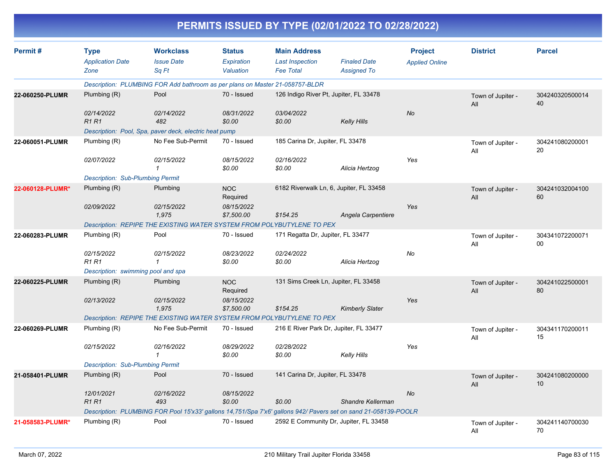| PERMITS ISSUED BY TYPE (02/01/2022 TO 02/28/2022) |  |
|---------------------------------------------------|--|
|---------------------------------------------------|--|

| Permit#          | <b>Type</b><br><b>Application Date</b><br>Zone | <b>Workclass</b><br><b>Issue Date</b><br>Sq Ft                               | <b>Status</b><br>Expiration<br>Valuation | <b>Main Address</b><br><b>Last Inspection</b><br><b>Fee Total</b> | <b>Finaled Date</b><br><b>Assigned To</b>                                                                       | <b>Project</b><br><b>Applied Online</b> | <b>District</b>          | <b>Parcel</b>         |
|------------------|------------------------------------------------|------------------------------------------------------------------------------|------------------------------------------|-------------------------------------------------------------------|-----------------------------------------------------------------------------------------------------------------|-----------------------------------------|--------------------------|-----------------------|
|                  |                                                | Description: PLUMBING FOR Add bathroom as per plans on Master 21-058757-BLDR |                                          |                                                                   |                                                                                                                 |                                         |                          |                       |
| 22-060250-PLUMR  | Plumbing $(R)$                                 | Pool                                                                         | 70 - Issued                              |                                                                   | 126 Indigo River Pt, Jupiter, FL 33478                                                                          |                                         | Town of Jupiter -<br>All | 304240320500014<br>40 |
|                  | 02/14/2022<br>R1R1                             | 02/14/2022<br>482                                                            | 08/31/2022<br>\$0.00                     | 03/04/2022<br>\$0.00                                              | <b>Kelly Hills</b>                                                                                              | No                                      |                          |                       |
|                  |                                                | Description: Pool, Spa, paver deck, electric heat pump                       |                                          |                                                                   |                                                                                                                 |                                         |                          |                       |
| 22-060051-PLUMR  | Plumbing (R)                                   | No Fee Sub-Permit                                                            | 70 - Issued                              | 185 Carina Dr, Jupiter, FL 33478                                  |                                                                                                                 |                                         | Town of Jupiter -<br>All | 304241080200001<br>20 |
|                  | 02/07/2022                                     | 02/15/2022<br>$\mathbf{1}$                                                   | 08/15/2022<br>\$0.00                     | 02/16/2022<br>\$0.00                                              | Alicia Hertzog                                                                                                  | Yes                                     |                          |                       |
|                  | <b>Description: Sub-Plumbing Permit</b>        |                                                                              |                                          |                                                                   |                                                                                                                 |                                         |                          |                       |
| 22-060128-PLUMR* | Plumbing (R)                                   | Plumbing                                                                     | <b>NOC</b><br>Required                   |                                                                   | 6182 Riverwalk Ln, 6, Jupiter, FL 33458                                                                         |                                         | Town of Jupiter -<br>All | 304241032004100<br>60 |
|                  | 02/09/2022                                     | 02/15/2022<br>1,975                                                          | 08/15/2022<br>\$7,500.00                 | \$154.25                                                          | Angela Carpentiere                                                                                              | Yes                                     |                          |                       |
|                  |                                                | Description: REPIPE THE EXISTING WATER SYSTEM FROM POLYBUTYLENE TO PEX       |                                          |                                                                   |                                                                                                                 |                                         |                          |                       |
| 22-060283-PLUMR  | Plumbing (R)                                   | Pool                                                                         | 70 - Issued                              | 171 Regatta Dr, Jupiter, FL 33477                                 |                                                                                                                 |                                         | Town of Jupiter -<br>All | 304341072200071<br>00 |
|                  | 02/15/2022<br><b>R1 R1</b>                     | 02/15/2022<br>$\mathbf{1}$                                                   | 08/23/2022<br>\$0.00                     | 02/24/2022<br>\$0.00                                              | Alicia Hertzog                                                                                                  | No                                      |                          |                       |
|                  | Description: swimming pool and spa             |                                                                              |                                          |                                                                   |                                                                                                                 |                                         |                          |                       |
| 22-060225-PLUMR  | Plumbing $(R)$                                 | Plumbing                                                                     | <b>NOC</b><br>Required                   |                                                                   | 131 Sims Creek Ln, Jupiter, FL 33458                                                                            |                                         | Town of Jupiter -<br>All | 304241022500001<br>80 |
|                  | 02/13/2022                                     | 02/15/2022<br>1,975                                                          | 08/15/2022<br>\$7,500.00                 | \$154.25                                                          | <b>Kimberly Slater</b>                                                                                          | Yes                                     |                          |                       |
|                  |                                                | Description: REPIPE THE EXISTING WATER SYSTEM FROM POLYBUTYLENE TO PEX       |                                          |                                                                   |                                                                                                                 |                                         |                          |                       |
| 22-060269-PLUMR  | Plumbing (R)                                   | No Fee Sub-Permit                                                            | 70 - Issued                              |                                                                   | 216 E River Park Dr, Jupiter, FL 33477                                                                          |                                         | Town of Jupiter -<br>All | 304341170200011<br>15 |
|                  | 02/15/2022                                     | 02/16/2022<br>$\mathbf{1}$                                                   | 08/29/2022<br>\$0.00                     | 02/28/2022<br>\$0.00                                              | Kelly Hills                                                                                                     | Yes                                     |                          |                       |
|                  | <b>Description: Sub-Plumbing Permit</b>        |                                                                              |                                          |                                                                   |                                                                                                                 |                                         |                          |                       |
| 21-058401-PLUMR  | Plumbing (R)                                   | Pool                                                                         | 70 - Issued                              | 141 Carina Dr, Jupiter, FL 33478                                  |                                                                                                                 |                                         | Town of Jupiter -<br>All | 304241080200000<br>10 |
|                  | 12/01/2021<br>R <sub>1</sub> R <sub>1</sub>    | 02/16/2022<br>493                                                            | 08/15/2022<br>\$0.00                     | \$0.00                                                            | Shandre Kellerman                                                                                               | <b>No</b>                               |                          |                       |
|                  |                                                |                                                                              |                                          |                                                                   | Description: PLUMBING FOR Pool 15'x33' gallons 14,751/Spa 7'x6' gallons 942/ Pavers set on sand 21-058139-POOLR |                                         |                          |                       |
| 21-058583-PLUMR* | Plumbing (R)                                   | Pool                                                                         | 70 - Issued                              |                                                                   | 2592 E Community Dr, Jupiter, FL 33458                                                                          |                                         | Town of Jupiter -<br>All | 304241140700030<br>70 |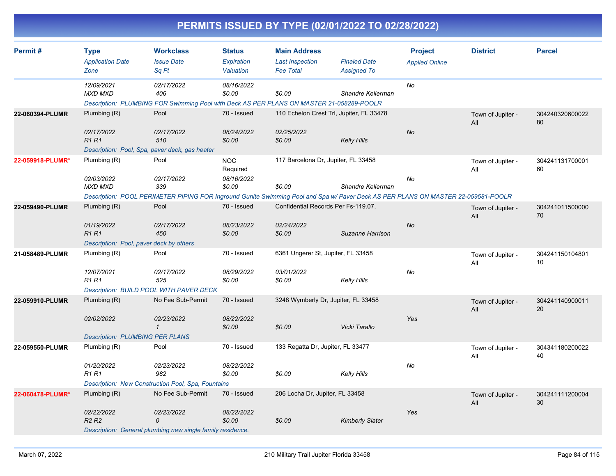| Permit#          | <b>Type</b>                                                                                                                       | <b>Workclass</b>                                                                                | <b>Status</b>          | <b>Main Address</b>                      |                        | <b>Project</b>        | <b>District</b>          | <b>Parcel</b>         |
|------------------|-----------------------------------------------------------------------------------------------------------------------------------|-------------------------------------------------------------------------------------------------|------------------------|------------------------------------------|------------------------|-----------------------|--------------------------|-----------------------|
|                  | <b>Application Date</b>                                                                                                           | <b>Issue Date</b>                                                                               | Expiration             | <b>Last Inspection</b>                   | <b>Finaled Date</b>    | <b>Applied Online</b> |                          |                       |
|                  | Zone                                                                                                                              | Sq Ft                                                                                           | Valuation              | <b>Fee Total</b>                         | <b>Assigned To</b>     |                       |                          |                       |
|                  | 12/09/2021                                                                                                                        | 02/17/2022                                                                                      | 08/16/2022             |                                          |                        | No                    |                          |                       |
|                  | <b>MXD MXD</b>                                                                                                                    | 406<br>Description: PLUMBING FOR Swimming Pool with Deck AS PER PLANS ON MASTER 21-058289-POOLR | \$0.00                 | \$0.00                                   | Shandre Kellerman      |                       |                          |                       |
| 22-060394-PLUMR  | Plumbing (R)                                                                                                                      | Pool                                                                                            | 70 - Issued            | 110 Echelon Crest Trl, Jupiter, FL 33478 |                        |                       |                          |                       |
|                  |                                                                                                                                   |                                                                                                 |                        |                                          |                        |                       | Town of Jupiter -<br>All | 304240320600022<br>80 |
|                  | 02/17/2022                                                                                                                        | 02/17/2022                                                                                      | 08/24/2022             | 02/25/2022                               |                        | <b>No</b>             |                          |                       |
|                  | <b>R1R1</b>                                                                                                                       | 510                                                                                             | \$0.00                 | \$0.00                                   | Kelly Hills            |                       |                          |                       |
|                  |                                                                                                                                   | Description: Pool, Spa, paver deck, gas heater                                                  |                        |                                          |                        |                       |                          |                       |
| 22-059918-PLUMR* | Plumbing (R)                                                                                                                      | Pool                                                                                            | <b>NOC</b><br>Required | 117 Barcelona Dr, Jupiter, FL 33458      |                        |                       | Town of Jupiter -<br>All | 304241131700001<br>60 |
|                  | 02/03/2022                                                                                                                        | 02/17/2022                                                                                      | 08/16/2022             |                                          |                        | No                    |                          |                       |
|                  | <b>MXD MXD</b>                                                                                                                    | 339                                                                                             | \$0.00                 | \$0.00                                   | Shandre Kellerman      |                       |                          |                       |
|                  | Description: POOL PERIMETER PIPING FOR Inground Gunite Swimming Pool and Spa w/ Paver Deck AS PER PLANS ON MASTER 22-059581-POOLR |                                                                                                 |                        |                                          |                        |                       |                          |                       |
| 22-059490-PLUMR  | Plumbing (R)                                                                                                                      | Pool                                                                                            | 70 - Issued            | Confidential Records Per Fs-119.07,      |                        |                       | Town of Jupiter -<br>All | 304241011500000<br>70 |
|                  | 01/19/2022                                                                                                                        | 02/17/2022                                                                                      | 08/23/2022             | 02/24/2022                               |                        | No                    |                          |                       |
|                  | <b>R1 R1</b>                                                                                                                      | 450                                                                                             | \$0.00                 | \$0.00                                   | Suzanne Harrison       |                       |                          |                       |
|                  | Description: Pool, paver deck by others                                                                                           |                                                                                                 |                        |                                          |                        |                       |                          |                       |
| 21-058489-PLUMR  | Plumbing (R)                                                                                                                      | Pool                                                                                            | 70 - Issued            | 6361 Ungerer St, Jupiter, FL 33458       |                        |                       | Town of Jupiter -<br>All | 304241150104801<br>10 |
|                  | 12/07/2021                                                                                                                        | 02/17/2022                                                                                      | 08/29/2022             | 03/01/2022                               |                        | No                    |                          |                       |
|                  | <b>R1R1</b>                                                                                                                       | 525                                                                                             | \$0.00                 | \$0.00                                   | Kelly Hills            |                       |                          |                       |
|                  |                                                                                                                                   | <b>Description: BUILD POOL WITH PAVER DECK</b>                                                  |                        |                                          |                        |                       |                          |                       |
| 22-059910-PLUMR  | Plumbing (R)                                                                                                                      | No Fee Sub-Permit                                                                               | 70 - Issued            | 3248 Wymberly Dr, Jupiter, FL 33458      |                        |                       | Town of Jupiter -<br>All | 304241140900011<br>20 |
|                  | 02/02/2022                                                                                                                        | 02/23/2022                                                                                      | 08/22/2022             |                                          |                        | Yes                   |                          |                       |
|                  |                                                                                                                                   | $\mathcal{I}$                                                                                   | \$0.00                 | \$0.00                                   | Vicki Tarallo          |                       |                          |                       |
|                  | <b>Description: PLUMBING PER PLANS</b>                                                                                            |                                                                                                 |                        |                                          |                        |                       |                          |                       |
| 22-059550-PLUMR  | Plumbing (R)                                                                                                                      | Pool                                                                                            | 70 - Issued            | 133 Regatta Dr, Jupiter, FL 33477        |                        |                       | Town of Jupiter -<br>All | 304341180200022<br>40 |
|                  | 01/20/2022                                                                                                                        | 02/23/2022                                                                                      | 08/22/2022             |                                          |                        | No                    |                          |                       |
|                  | <b>R1 R1</b>                                                                                                                      | 982                                                                                             | \$0.00                 | \$0.00                                   | <b>Kelly Hills</b>     |                       |                          |                       |
|                  |                                                                                                                                   | Description: New Construction Pool, Spa, Fountains                                              |                        |                                          |                        |                       |                          |                       |
| 22-060478-PLUMR* | Plumbing (R)                                                                                                                      | No Fee Sub-Permit                                                                               | 70 - Issued            | 206 Locha Dr, Jupiter, FL 33458          |                        |                       | Town of Jupiter -        | 304241111200004       |
|                  |                                                                                                                                   |                                                                                                 |                        |                                          |                        |                       | All                      | 30                    |
|                  | 02/22/2022                                                                                                                        | 02/23/2022                                                                                      | 08/22/2022             |                                          |                        | Yes                   |                          |                       |
|                  | R <sub>2</sub> R <sub>2</sub>                                                                                                     | 0                                                                                               | \$0.00                 | \$0.00                                   | <b>Kimberly Slater</b> |                       |                          |                       |
|                  |                                                                                                                                   | Description: General plumbing new single family residence.                                      |                        |                                          |                        |                       |                          |                       |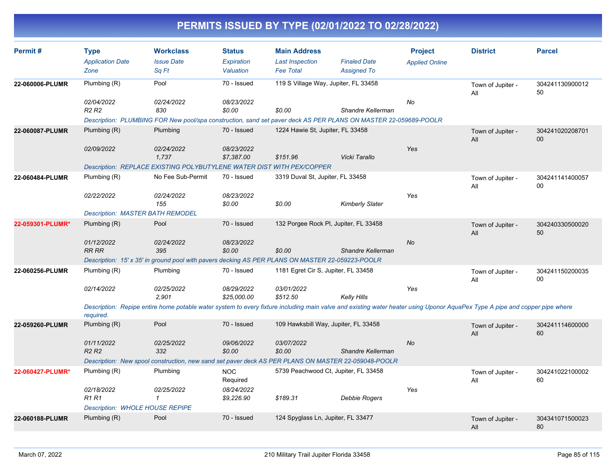| Permit#          | <b>Type</b><br><b>Application Date</b><br>Zone | <b>Workclass</b><br><b>Issue Date</b><br>Sq Ft                                                                                                                              | <b>Status</b><br>Expiration<br>Valuation | <b>Main Address</b><br><b>Last Inspection</b><br><b>Fee Total</b> | <b>Finaled Date</b><br><b>Assigned To</b> | <b>Project</b><br><b>Applied Online</b> | <b>District</b>          | <b>Parcel</b>         |
|------------------|------------------------------------------------|-----------------------------------------------------------------------------------------------------------------------------------------------------------------------------|------------------------------------------|-------------------------------------------------------------------|-------------------------------------------|-----------------------------------------|--------------------------|-----------------------|
| 22-060006-PLUMR  | Plumbing (R)                                   | Pool                                                                                                                                                                        | 70 - Issued                              | 119 S Village Way, Jupiter, FL 33458                              |                                           |                                         | Town of Jupiter -<br>All | 304241130900012<br>50 |
|                  | 02/04/2022<br>R <sub>2</sub> R <sub>2</sub>    | 02/24/2022<br>830                                                                                                                                                           | 08/23/2022<br>\$0.00                     | \$0.00                                                            | Shandre Kellerman                         | No                                      |                          |                       |
| 22-060087-PLUMR  | Plumbing (R)                                   | Description: PLUMBING FOR New pool/spa construction, sand set paver deck AS PER PLANS ON MASTER 22-059689-POOLR<br>Plumbing                                                 | 70 - Issued                              | 1224 Hawie St, Jupiter, FL 33458                                  |                                           |                                         | Town of Jupiter -<br>All | 304241020208701<br>00 |
|                  | 02/09/2022                                     | 02/24/2022<br>1,737                                                                                                                                                         | 08/23/2022<br>\$7,387.00                 | \$151.96                                                          | Vicki Tarallo                             | Yes                                     |                          |                       |
| 22-060484-PLUMR  | Plumbing (R)                                   | Description: REPLACE EXISTING POLYBUTYLENE WATER DIST WITH PEX/COPPER<br>No Fee Sub-Permit                                                                                  | 70 - Issued                              | 3319 Duval St, Jupiter, FL 33458                                  |                                           |                                         | Town of Jupiter -<br>All | 304241141400057<br>00 |
|                  | 02/22/2022                                     | 02/24/2022<br>155                                                                                                                                                           | 08/23/2022<br>\$0.00                     | \$0.00                                                            | Kimberly Slater                           | Yes                                     |                          |                       |
|                  | <b>Description: MASTER BATH REMODEL</b>        |                                                                                                                                                                             |                                          |                                                                   |                                           |                                         |                          |                       |
| 22-059301-PLUMR* | Plumbing (R)                                   | Pool                                                                                                                                                                        | 70 - Issued                              | 132 Porgee Rock PI, Jupiter, FL 33458                             |                                           |                                         | Town of Jupiter -<br>All | 304240330500020<br>50 |
|                  | 01/12/2022<br><b>RR RR</b>                     | 02/24/2022<br>395                                                                                                                                                           | 08/23/2022<br>\$0.00                     | \$0.00                                                            | Shandre Kellerman                         | <b>No</b>                               |                          |                       |
|                  |                                                | Description: 15' x 35' in ground pool with pavers decking AS PER PLANS ON MASTER 22-059223-POOLR                                                                            |                                          |                                                                   |                                           |                                         |                          |                       |
| 22-060256-PLUMR  | Plumbing (R)                                   | Plumbing                                                                                                                                                                    | 70 - Issued                              | 1181 Egret Cir S, Jupiter, FL 33458                               |                                           |                                         | Town of Jupiter -<br>All | 304241150200035<br>00 |
|                  | 02/14/2022                                     | 02/25/2022<br>2.901                                                                                                                                                         | 08/29/2022<br>\$25,000.00                | 03/01/2022<br>\$512.50                                            | <b>Kelly Hills</b>                        | Yes                                     |                          |                       |
|                  | required.                                      | Description: Repipe entire home potable water system to every fixture including main valve and existing water heater using Uponor AquaPex Type A pipe and copper pipe where |                                          |                                                                   |                                           |                                         |                          |                       |
| 22-059260-PLUMR  | Plumbing (R)                                   | Pool                                                                                                                                                                        | 70 - Issued                              | 109 Hawksbill Way, Jupiter, FL 33458                              |                                           |                                         | Town of Jupiter -<br>All | 304241114600000<br>60 |
|                  | 01/11/2022<br>R <sub>2</sub> R <sub>2</sub>    | 02/25/2022<br>332                                                                                                                                                           | 09/06/2022<br>\$0.00                     | 03/07/2022<br>\$0.00                                              | Shandre Kellerman                         | <b>No</b>                               |                          |                       |
|                  |                                                | Description: New spool construction, new sand set paver deck AS PER PLANS ON MASTER 22-059048-POOLR                                                                         |                                          |                                                                   |                                           |                                         |                          |                       |
| 22-060427-PLUMR* | Plumbing (R)                                   | Plumbing                                                                                                                                                                    | <b>NOC</b><br>Required                   | 5739 Peachwood Ct, Jupiter, FL 33458                              |                                           |                                         | Town of Jupiter -<br>All | 304241022100002<br>60 |
|                  | 02/18/2022<br><b>R1R1</b>                      | 02/25/2022<br>$\mathbf{1}$                                                                                                                                                  | 08/24/2022<br>\$9,226.90                 | \$189.31                                                          | Debbie Rogers                             | Yes                                     |                          |                       |
|                  | <b>Description: WHOLE HOUSE REPIPE</b>         |                                                                                                                                                                             |                                          |                                                                   |                                           |                                         |                          |                       |
| 22-060188-PLUMR  | Plumbing (R)                                   | Pool                                                                                                                                                                        | 70 - Issued                              | 124 Spyglass Ln, Jupiter, FL 33477                                |                                           |                                         | Town of Jupiter -<br>All | 304341071500023<br>80 |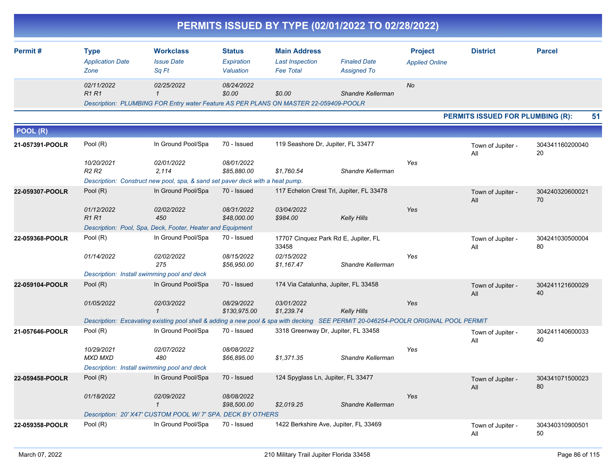|                 |                                                |                                                                                                                                    |                                          |                                                                   | PERMITS ISSUED BY TYPE (02/01/2022 TO 02/28/2022) |                                         |                                         |                       |
|-----------------|------------------------------------------------|------------------------------------------------------------------------------------------------------------------------------------|------------------------------------------|-------------------------------------------------------------------|---------------------------------------------------|-----------------------------------------|-----------------------------------------|-----------------------|
| Permit#         | <b>Type</b><br><b>Application Date</b><br>Zone | <b>Workclass</b><br><b>Issue Date</b><br>Sq Ft                                                                                     | <b>Status</b><br>Expiration<br>Valuation | <b>Main Address</b><br><b>Last Inspection</b><br><b>Fee Total</b> | <b>Finaled Date</b><br><b>Assigned To</b>         | <b>Project</b><br><b>Applied Online</b> | <b>District</b>                         | <b>Parcel</b>         |
|                 | 02/11/2022<br><b>R1R1</b>                      | 02/25/2022<br>$\overline{1}$<br>Description: PLUMBING FOR Entry water Feature AS PER PLANS ON MASTER 22-059409-POOLR               | 08/24/2022<br>\$0.00                     | \$0.00                                                            | Shandre Kellerman                                 | No                                      |                                         |                       |
|                 |                                                |                                                                                                                                    |                                          |                                                                   |                                                   |                                         | <b>PERMITS ISSUED FOR PLUMBING (R):</b> | 51                    |
| POOL (R)        |                                                |                                                                                                                                    |                                          |                                                                   |                                                   |                                         |                                         |                       |
| 21-057391-POOLR | Pool (R)                                       | In Ground Pool/Spa                                                                                                                 | 70 - Issued                              | 119 Seashore Dr, Jupiter, FL 33477                                |                                                   |                                         | Town of Jupiter -<br>All                | 304341160200040<br>20 |
|                 | 10/20/2021<br><b>R2 R2</b>                     | 02/01/2022<br>2,114<br>Description: Construct new pool, spa, & sand set paver deck with a heat pump.                               | 08/01/2022<br>\$85,880.00                | \$1,760.54                                                        | Shandre Kellerman                                 | Yes                                     |                                         |                       |
| 22-059307-POOLR | Pool (R)                                       | In Ground Pool/Spa                                                                                                                 | 70 - Issued                              |                                                                   | 117 Echelon Crest Trl, Jupiter, FL 33478          |                                         | Town of Jupiter -                       | 304240320600021       |
|                 | 01/12/2022<br>R <sub>1</sub> R <sub>1</sub>    | 02/02/2022<br>450                                                                                                                  | 08/31/2022<br>\$48,000.00                | 03/04/2022<br>\$984.00                                            | <b>Kelly Hills</b>                                | Yes                                     | All                                     | 70                    |
| 22-059368-POOLR | Pool (R)                                       | Description: Pool, Spa, Deck, Footer, Heater and Equipment<br>In Ground Pool/Spa                                                   | 70 - Issued                              |                                                                   | 17707 Cinquez Park Rd E, Jupiter, FL              |                                         |                                         | 304241030500004       |
|                 | 01/14/2022                                     | 02/02/2022<br>275                                                                                                                  | 08/15/2022<br>\$56,950.00                | 33458<br>02/15/2022<br>\$1,167.47                                 | Shandre Kellerman                                 | Yes                                     | Town of Jupiter -<br>All                | 80                    |
|                 |                                                | Description: Install swimming pool and deck                                                                                        |                                          |                                                                   |                                                   |                                         |                                         |                       |
| 22-059104-POOLR | Pool (R)<br>01/05/2022                         | In Ground Pool/Spa<br>02/03/2022                                                                                                   | 70 - Issued<br>08/29/2022                | 03/01/2022                                                        | 174 Via Catalunha, Jupiter, FL 33458              | Yes                                     | Town of Jupiter -<br>All                | 304241121600029<br>40 |
|                 |                                                | $\mathbf 1$                                                                                                                        | \$130,975.00                             | \$1,239.74                                                        | <b>Kelly Hills</b>                                |                                         |                                         |                       |
|                 |                                                | Description: Excavating existing pool shell & adding a new pool & spa with decking SEE PERMIT 20-046254-POOLR ORIGINAL POOL PERMIT |                                          |                                                                   |                                                   |                                         |                                         |                       |
| 21-057646-POOLR | Pool (R)                                       | In Ground Pool/Spa                                                                                                                 | 70 - Issued                              |                                                                   | 3318 Greenway Dr, Jupiter, FL 33458               |                                         | Town of Jupiter -<br>All                | 304241140600033<br>40 |
|                 | 10/29/2021<br>MXD MXD                          | 02/07/2022<br>480<br>Description: Install swimming pool and deck                                                                   | 08/08/2022<br>\$66,895.00                | \$1,371.35                                                        | Shandre Kellerman                                 | Yes                                     |                                         |                       |
| 22-059458-POOLR | Pool (R)                                       | In Ground Pool/Spa                                                                                                                 | 70 - Issued                              | 124 Spyglass Ln, Jupiter, FL 33477                                |                                                   |                                         | Town of Jupiter -                       | 304341071500023       |
|                 | 01/18/2022                                     | 02/09/2022<br>$\mathbf{1}$                                                                                                         | 08/08/2022<br>\$98,500.00                | \$2,019.25                                                        | Shandre Kellerman                                 | Yes                                     | ail                                     | 80                    |
|                 |                                                | Description: 20' X47' CUSTOM POOL W/ 7' SPA. DECK BY OTHERS                                                                        |                                          |                                                                   |                                                   |                                         |                                         |                       |
| 22-059358-POOLR | Pool (R)                                       | In Ground Pool/Spa                                                                                                                 | 70 - Issued                              |                                                                   | 1422 Berkshire Ave, Jupiter, FL 33469             |                                         | Town of Jupiter -<br>All                | 304340310900501<br>50 |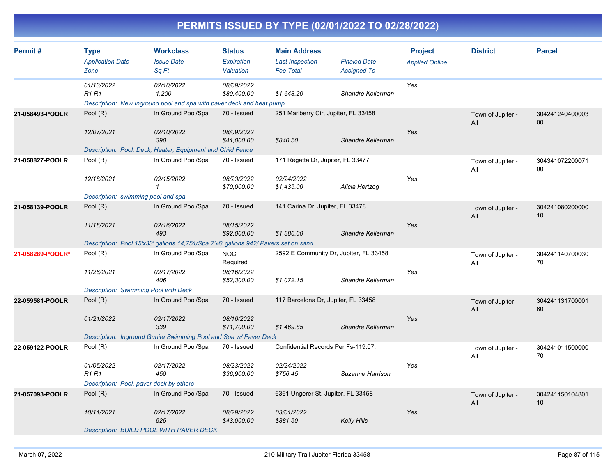| Permit#          | <b>Type</b><br><b>Application Date</b><br>Zone | <b>Workclass</b><br><b>Issue Date</b><br>Sq Ft                                              | <b>Status</b><br>Expiration<br>Valuation | <b>Main Address</b><br><b>Last Inspection</b><br><b>Fee Total</b> | <b>Finaled Date</b><br><b>Assigned To</b> | <b>Project</b><br><b>Applied Online</b> | <b>District</b>          | <b>Parcel</b>             |
|------------------|------------------------------------------------|---------------------------------------------------------------------------------------------|------------------------------------------|-------------------------------------------------------------------|-------------------------------------------|-----------------------------------------|--------------------------|---------------------------|
|                  | 01/13/2022<br><b>R1 R1</b>                     | 02/10/2022<br>1,200<br>Description: New Inground pool and spa with paver deck and heat pump | 08/09/2022<br>\$80,400.00                | \$1,648.20                                                        | Shandre Kellerman                         | Yes                                     |                          |                           |
| 21-058493-POOLR  | Pool (R)                                       | In Ground Pool/Spa                                                                          | 70 - Issued                              | 251 Marlberry Cir, Jupiter, FL 33458                              |                                           |                                         | Town of Jupiter -<br>All | 304241240400003<br>$00\,$ |
|                  | 12/07/2021                                     | 02/10/2022<br>390<br>Description: Pool, Deck, Heater, Equipment and Child Fence             | 08/09/2022<br>\$41,000.00                | \$840.50                                                          | Shandre Kellerman                         | Yes                                     |                          |                           |
| 21-058827-POOLR  | Pool (R)                                       | In Ground Pool/Spa                                                                          | 70 - Issued                              | 171 Regatta Dr, Jupiter, FL 33477                                 |                                           |                                         | Town of Jupiter -<br>All | 304341072200071<br>00     |
|                  | 12/18/2021                                     | 02/15/2022<br>$\mathbf{1}$                                                                  | 08/23/2022<br>\$70,000.00                | 02/24/2022<br>\$1,435.00                                          | Alicia Hertzog                            | Yes                                     |                          |                           |
| 21-058139-POOLR  | Description: swimming pool and spa<br>Pool (R) | In Ground Pool/Spa                                                                          | 70 - Issued                              | 141 Carina Dr, Jupiter, FL 33478                                  |                                           |                                         |                          | 304241080200000           |
|                  |                                                |                                                                                             |                                          |                                                                   |                                           |                                         | Town of Jupiter -<br>All | 10                        |
|                  | 11/18/2021                                     | 02/16/2022<br>493                                                                           | 08/15/2022<br>\$92,000.00                | \$1,886.00                                                        | Shandre Kellerman                         | Yes                                     |                          |                           |
|                  |                                                | Description: Pool 15'x33' gallons 14,751/Spa 7'x6' gallons 942/ Pavers set on sand.         |                                          |                                                                   |                                           |                                         |                          |                           |
| 21-058289-POOLR* | Pool (R)                                       | In Ground Pool/Spa                                                                          | <b>NOC</b><br>Required                   | 2592 E Community Dr, Jupiter, FL 33458                            |                                           |                                         | Town of Jupiter -<br>All | 304241140700030<br>70     |
|                  | 11/26/2021                                     | 02/17/2022<br>406                                                                           | 08/16/2022<br>\$52,300.00                | \$1,072.15                                                        | Shandre Kellerman                         | Yes                                     |                          |                           |
|                  | <b>Description: Swimming Pool with Deck</b>    |                                                                                             |                                          |                                                                   |                                           |                                         |                          |                           |
| 22-059581-POOLR  | Pool (R)                                       | In Ground Pool/Spa                                                                          | 70 - Issued                              | 117 Barcelona Dr, Jupiter, FL 33458                               |                                           |                                         | Town of Jupiter -<br>All | 304241131700001<br>60     |
|                  | 01/21/2022                                     | 02/17/2022<br>339                                                                           | 08/16/2022<br>\$71,700.00                | \$1,469.85                                                        | Shandre Kellerman                         | Yes                                     |                          |                           |
|                  |                                                | Description: Inground Gunite Swimming Pool and Spa w/ Paver Deck                            |                                          |                                                                   |                                           |                                         |                          |                           |
| 22-059122-POOLR  | Pool (R)                                       | In Ground Pool/Spa                                                                          | 70 - Issued                              | Confidential Records Per Fs-119.07,                               |                                           |                                         | Town of Jupiter -<br>All | 304241011500000<br>70     |
|                  | 01/05/2022<br><b>R1 R1</b>                     | 02/17/2022<br>450                                                                           | 08/23/2022<br>\$36,900.00                | 02/24/2022<br>\$756.45                                            | Suzanne Harrison                          | Yes                                     |                          |                           |
|                  | Description: Pool, paver deck by others        |                                                                                             |                                          |                                                                   |                                           |                                         |                          |                           |
| 21-057093-POOLR  | Pool (R)                                       | In Ground Pool/Spa                                                                          | 70 - Issued                              | 6361 Ungerer St, Jupiter, FL 33458                                |                                           |                                         | Town of Jupiter -<br>All | 304241150104801<br>10     |
|                  | 10/11/2021                                     | 02/17/2022<br>525                                                                           | 08/29/2022<br>\$43,000.00                | 03/01/2022<br>\$881.50                                            | <b>Kelly Hills</b>                        | Yes                                     |                          |                           |
|                  |                                                | Description: BUILD POOL WITH PAVER DECK                                                     |                                          |                                                                   |                                           |                                         |                          |                           |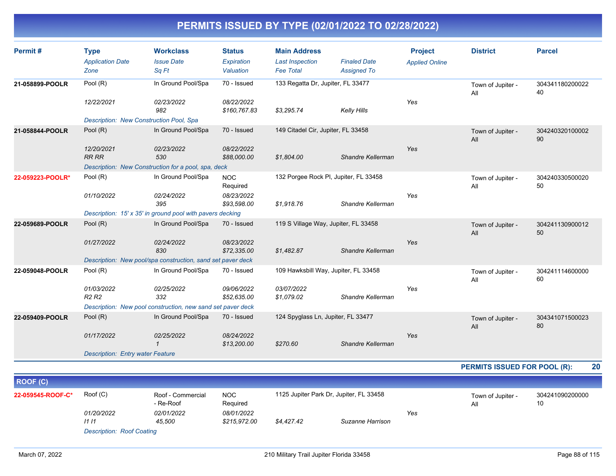| Permit#          | <b>Type</b>                                         | <b>Workclass</b>                                            | <b>Status</b>              | <b>Main Address</b>                   |                     | <b>Project</b>        | <b>District</b>          | <b>Parcel</b>         |
|------------------|-----------------------------------------------------|-------------------------------------------------------------|----------------------------|---------------------------------------|---------------------|-----------------------|--------------------------|-----------------------|
|                  | <b>Application Date</b>                             | <b>Issue Date</b>                                           | Expiration                 | <b>Last Inspection</b>                | <b>Finaled Date</b> | <b>Applied Online</b> |                          |                       |
|                  | Zone                                                | Sq Ft                                                       | Valuation                  | <b>Fee Total</b>                      | <b>Assigned To</b>  |                       |                          |                       |
| 21-058899-POOLR  | Pool (R)                                            | In Ground Pool/Spa                                          | 70 - Issued                | 133 Regatta Dr, Jupiter, FL 33477     |                     |                       | Town of Jupiter -<br>All | 304341180200022<br>40 |
|                  | 12/22/2021                                          | 02/23/2022<br>982                                           | 08/22/2022<br>\$160,767.83 | \$3,295.74                            | Kelly Hills         | Yes                   |                          |                       |
|                  | Description: New Construction Pool, Spa             |                                                             |                            |                                       |                     |                       |                          |                       |
| 21-058844-POOLR  | Pool $(R)$                                          | In Ground Pool/Spa                                          | 70 - Issued                | 149 Citadel Cir, Jupiter, FL 33458    |                     |                       | Town of Jupiter -<br>All | 304240320100002<br>90 |
|                  | 12/20/2021<br><b>RR RR</b>                          | 02/23/2022<br>530                                           | 08/22/2022<br>\$88,000.00  | \$1,804.00                            | Shandre Kellerman   | Yes                   |                          |                       |
|                  | Description: New Construction for a pool, spa, deck |                                                             |                            |                                       |                     |                       |                          |                       |
| 22-059223-POOLR* | Pool (R)                                            | In Ground Pool/Spa                                          | <b>NOC</b><br>Required     | 132 Porgee Rock PI, Jupiter, FL 33458 |                     |                       | Town of Jupiter -<br>All | 304240330500020<br>50 |
|                  | 01/10/2022                                          | 02/24/2022<br>395                                           | 08/23/2022<br>\$93,598.00  | \$1,918.76                            | Shandre Kellerman   | Yes                   |                          |                       |
|                  |                                                     | Description: 15' x 35' in ground pool with pavers decking   |                            |                                       |                     |                       |                          |                       |
| 22-059689-POOLR  | Pool $(R)$                                          | In Ground Pool/Spa                                          | 70 - Issued                | 119 S Village Way, Jupiter, FL 33458  |                     |                       | Town of Jupiter -<br>All | 304241130900012<br>50 |
|                  | 01/27/2022                                          | 02/24/2022<br>830                                           | 08/23/2022<br>\$72,335.00  | \$1,482.87                            | Shandre Kellerman   | Yes                   |                          |                       |
|                  |                                                     | Description: New pool/spa construction, sand set paver deck |                            |                                       |                     |                       |                          |                       |
| 22-059048-POOLR  | Pool (R)                                            | In Ground Pool/Spa                                          | 70 - Issued                | 109 Hawksbill Way, Jupiter, FL 33458  |                     |                       | Town of Jupiter -<br>All | 304241114600000<br>60 |
|                  | 01/03/2022<br>R <sub>2</sub> R <sub>2</sub>         | 02/25/2022<br>332                                           | 09/06/2022<br>\$52,635.00  | 03/07/2022<br>\$1,079.02              | Shandre Kellerman   | Yes                   |                          |                       |
|                  |                                                     | Description: New pool construction, new sand set paver deck |                            |                                       |                     |                       |                          |                       |
| 22-059409-POOLR  | Pool $(R)$                                          | In Ground Pool/Spa                                          | 70 - Issued                | 124 Spyglass Ln, Jupiter, FL 33477    |                     |                       | Town of Jupiter -<br>All | 304341071500023<br>80 |
|                  | 01/17/2022                                          | 02/25/2022                                                  | 08/24/2022<br>\$13,200.00  | \$270.60                              | Shandre Kellerman   | Yes                   |                          |                       |
|                  | <b>Description: Entry water Feature</b>             |                                                             |                            |                                       |                     |                       |                          |                       |

**PERMITS ISSUED FOR POOL (R): 20**

| <b>ROOF (C)</b>   |                            |                                  |                                   |            |                                         |     |  |                       |  |  |
|-------------------|----------------------------|----------------------------------|-----------------------------------|------------|-----------------------------------------|-----|--|-----------------------|--|--|
| 22-059545-ROOF-C* | Root(C)                    | Roof - Commercial<br>- Re-Roof   | NOC<br>Required                   |            | 1125 Jupiter Park Dr, Jupiter, FL 33458 |     |  | 304241090200000<br>10 |  |  |
|                   | <i>01/20/2022</i><br>11 11 | <i>02/01/2022</i><br>45.500      | <i>08/01/2022</i><br>\$215,972.00 | \$4.427.42 | Suzanne Harrison                        | Yes |  |                       |  |  |
|                   |                            | <b>Description: Roof Coating</b> |                                   |            |                                         |     |  |                       |  |  |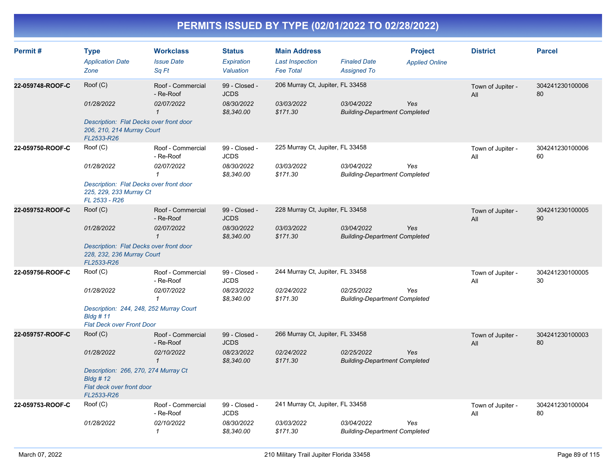| Permit#          | <b>Type</b><br><b>Application Date</b><br>Zone                                                                           | <b>Workclass</b><br><b>Issue Date</b><br>Sq Ft               | <b>Status</b><br>Expiration<br>Valuation                 | <b>Main Address</b><br><b>Last Inspection</b><br><b>Fee Total</b> | <b>Finaled Date</b><br><b>Assigned To</b>          | <b>Project</b><br><b>Applied Online</b> | <b>District</b>          | <b>Parcel</b>         |
|------------------|--------------------------------------------------------------------------------------------------------------------------|--------------------------------------------------------------|----------------------------------------------------------|-------------------------------------------------------------------|----------------------------------------------------|-----------------------------------------|--------------------------|-----------------------|
| 22-059748-ROOF-C | Roof (C)<br>01/28/2022<br>Description: Flat Decks over front door<br>206, 210, 214 Murray Court<br>FL2533-R26            | Roof - Commercial<br>- Re-Roof<br>02/07/2022<br>$\mathbf{1}$ | 99 - Closed -<br><b>JCDS</b><br>08/30/2022<br>\$8,340.00 | 206 Murray Ct, Jupiter, FL 33458<br>03/03/2022<br>\$171.30        | 03/04/2022<br><b>Building-Department Completed</b> | Yes                                     | Town of Jupiter -<br>All | 304241230100006<br>80 |
| 22-059750-ROOF-C | Roof (C)<br>01/28/2022<br>Description: Flat Decks over front door<br>225, 229, 233 Murray Ct<br>FL 2533 - R26            | Roof - Commercial<br>- Re-Roof<br>02/07/2022<br>$\mathcal I$ | 99 - Closed -<br><b>JCDS</b><br>08/30/2022<br>\$8,340.00 | 225 Murray Ct, Jupiter, FL 33458<br>03/03/2022<br>\$171.30        | 03/04/2022<br><b>Building-Department Completed</b> | Yes                                     | Town of Jupiter -<br>All | 304241230100006<br>60 |
| 22-059752-ROOF-C | Roof (C)<br>01/28/2022<br>Description: Flat Decks over front door<br>228, 232, 236 Murray Court<br>FL2533-R26            | Roof - Commercial<br>- Re-Roof<br>02/07/2022<br>$\mathbf{1}$ | 99 - Closed -<br><b>JCDS</b><br>08/30/2022<br>\$8,340.00 | 228 Murray Ct, Jupiter, FL 33458<br>03/03/2022<br>\$171.30        | 03/04/2022<br><b>Building-Department Completed</b> | Yes                                     | Town of Jupiter -<br>All | 304241230100005<br>90 |
| 22-059756-ROOF-C | Roof (C)<br>01/28/2022<br>Description: 244, 248, 252 Murray Court<br>$B$ ldg # 11<br><b>Flat Deck over Front Door</b>    | Roof - Commercial<br>- Re-Roof<br>02/07/2022<br>$\mathbf{1}$ | 99 - Closed -<br><b>JCDS</b><br>08/23/2022<br>\$8,340.00 | 244 Murray Ct, Jupiter, FL 33458<br>02/24/2022<br>\$171.30        | 02/25/2022<br><b>Building-Department Completed</b> | Yes                                     | Town of Jupiter -<br>All | 304241230100005<br>30 |
| 22-059757-ROOF-C | Root(C)<br>01/28/2022<br>Description: 266, 270, 274 Murray Ct<br>$B$ ldg # 12<br>Flat deck over front door<br>FL2533-R26 | Roof - Commercial<br>- Re-Roof<br>02/10/2022<br>$\mathcal I$ | 99 - Closed -<br><b>JCDS</b><br>08/23/2022<br>\$8,340.00 | 266 Murray Ct, Jupiter, FL 33458<br>02/24/2022<br>\$171.30        | 02/25/2022<br><b>Building-Department Completed</b> | Yes                                     | Town of Jupiter -<br>All | 304241230100003<br>80 |
| 22-059753-ROOF-C | Roof (C)<br>01/28/2022                                                                                                   | Roof - Commercial<br>- Re-Roof<br>02/10/2022<br>$\mathbf{1}$ | 99 - Closed -<br><b>JCDS</b><br>08/30/2022<br>\$8,340.00 | 241 Murray Ct, Jupiter, FL 33458<br>03/03/2022<br>\$171.30        | 03/04/2022<br><b>Building-Department Completed</b> | Yes                                     | Town of Jupiter -<br>All | 304241230100004<br>80 |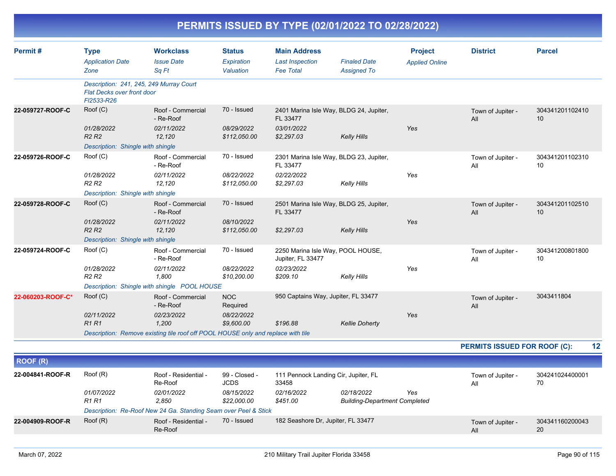| Permit #          | <b>Type</b><br><b>Application Date</b><br>Zone                                             | <b>Workclass</b><br><b>Issue Date</b><br>Sq Ft                                   | <b>Status</b><br>Expiration<br>Valuation | <b>Main Address</b><br><b>Last Inspection</b><br><b>Fee Total</b> | <b>Finaled Date</b><br><b>Assigned To</b> | <b>Project</b><br><b>Applied Online</b> | <b>District</b>              | <b>Parcel</b>         |    |
|-------------------|--------------------------------------------------------------------------------------------|----------------------------------------------------------------------------------|------------------------------------------|-------------------------------------------------------------------|-------------------------------------------|-----------------------------------------|------------------------------|-----------------------|----|
|                   | Description: 241, 245, 249 Murray Court<br><b>Flat Decks over front door</b><br>FI2533-R26 |                                                                                  |                                          |                                                                   |                                           |                                         |                              |                       |    |
| 22-059727-ROOF-C  | Roof (C)                                                                                   | Roof - Commercial<br>- Re-Roof                                                   | 70 - Issued                              | 2401 Marina Isle Way, BLDG 24, Jupiter,<br>FL 33477               |                                           |                                         | Town of Jupiter -<br>All     | 304341201102410<br>10 |    |
|                   | 01/28/2022<br>R <sub>2</sub> R <sub>2</sub><br>Description: Shingle with shingle           | 02/11/2022<br>12,120                                                             | 08/29/2022<br>\$112,050.00               | 03/01/2022<br>\$2,297.03                                          | <b>Kelly Hills</b>                        | Yes                                     |                              |                       |    |
| 22-059726-ROOF-C  | Root(C)                                                                                    | Roof - Commercial<br>- Re-Roof                                                   | 70 - Issued                              | 2301 Marina Isle Way, BLDG 23, Jupiter,<br>FL 33477               |                                           |                                         | Town of Jupiter -<br>All     | 304341201102310<br>10 |    |
|                   | 01/28/2022<br>R <sub>2</sub> R <sub>2</sub>                                                | 02/11/2022<br>12,120                                                             | 08/22/2022<br>\$112,050.00               | 02/22/2022<br>\$2,297.03                                          | <b>Kelly Hills</b>                        | Yes                                     |                              |                       |    |
|                   | Description: Shingle with shingle                                                          |                                                                                  |                                          |                                                                   |                                           |                                         |                              |                       |    |
| 22-059728-ROOF-C  | Root(C)                                                                                    | Roof - Commercial<br>- Re-Roof                                                   | 70 - Issued                              | 2501 Marina Isle Way, BLDG 25, Jupiter,<br>FL 33477               |                                           |                                         | Town of Jupiter -<br>All     | 304341201102510<br>10 |    |
|                   | 01/28/2022<br>R <sub>2</sub> R <sub>2</sub>                                                | 02/11/2022<br>12,120                                                             | 08/10/2022<br>\$112,050.00               | \$2,297.03                                                        | <b>Kelly Hills</b>                        | Yes                                     |                              |                       |    |
|                   | Description: Shingle with shingle                                                          |                                                                                  |                                          |                                                                   |                                           |                                         |                              |                       |    |
| 22-059724-ROOF-C  | Roof (C)                                                                                   | Roof - Commercial<br>- Re-Roof                                                   | 70 - Issued                              | 2250 Marina Isle Way, POOL HOUSE,<br>Jupiter, FL 33477            |                                           |                                         | Town of Jupiter -<br>All     | 304341200801800<br>10 |    |
|                   | 01/28/2022<br><b>R2 R2</b>                                                                 | 02/11/2022<br>1,800                                                              | 08/22/2022<br>\$10,200.00                | 02/23/2022<br>\$209.10                                            | <b>Kelly Hills</b>                        | Yes                                     |                              |                       |    |
|                   |                                                                                            | Description: Shingle with shingle POOL HOUSE                                     |                                          |                                                                   |                                           |                                         |                              |                       |    |
| 22-060203-ROOF-C* | Roof (C)                                                                                   | Roof - Commercial<br>- Re-Roof                                                   | <b>NOC</b><br>Required                   | 950 Captains Way, Jupiter, FL 33477                               |                                           |                                         | Town of Jupiter -<br>All     | 3043411804            |    |
|                   | 02/11/2022                                                                                 | 02/23/2022                                                                       | 08/22/2022                               |                                                                   |                                           | Yes                                     |                              |                       |    |
|                   | R1R1                                                                                       | 1,200                                                                            | \$9,600.00                               | \$196.88                                                          | <b>Kellie Doherty</b>                     |                                         |                              |                       |    |
|                   |                                                                                            | Description: Remove existing tile roof off POOL HOUSE only and replace with tile |                                          |                                                                   |                                           |                                         |                              |                       |    |
|                   |                                                                                            |                                                                                  |                                          |                                                                   |                                           |                                         | PERMITS ISSUED FOR ROOF (C): |                       | 12 |
| <b>ROOF (R)</b>   |                                                                                            |                                                                                  |                                          |                                                                   |                                           |                                         |                              |                       |    |
| 22-004841-ROOF-R  | Roof (R)                                                                                   | Roof - Residential -<br>Re-Roof                                                  | 99 - Closed -<br><b>JCDS</b>             | 111 Pennock Landing Cir, Jupiter, FL<br>33458                     |                                           |                                         | Town of Jupiter -<br>All     | 304241024400001<br>70 |    |
|                   | 01/07/2022                                                                                 | 02/01/2022                                                                       | 08/15/2022                               | 02/16/2022                                                        | 02/18/2022                                | Yes                                     |                              |                       |    |

**22-004909-ROOF-R**

182 Seashore Dr, Jupiter, FL 33477 Town of Jupiter - 70 - Issued 304341160200043

All

*R1 R1 2,850 \$22,000.00 \$451.00 Building-Department Completed*

*Description: Re-Roof New 24 Ga. Standing Seam over Peel & Stick*

Re-Roof

Roof (R) Roof - Residential -

20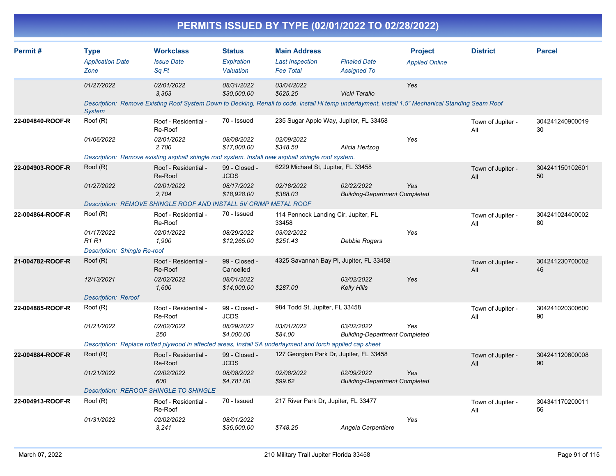|                  |                                                                        |                                                                                                                                                                           |                                                           | PERMITS ISSUED BY TYPE (02/01/2022 TO 02/28/2022)                       |                                                    |                                         |                          |                       |
|------------------|------------------------------------------------------------------------|---------------------------------------------------------------------------------------------------------------------------------------------------------------------------|-----------------------------------------------------------|-------------------------------------------------------------------------|----------------------------------------------------|-----------------------------------------|--------------------------|-----------------------|
| Permit#          | <b>Type</b><br><b>Application Date</b><br>Zone                         | <b>Workclass</b><br><b>Issue Date</b><br>Sq Ft                                                                                                                            | <b>Status</b><br>Expiration<br>Valuation                  | <b>Main Address</b><br><b>Last Inspection</b><br><b>Fee Total</b>       | <b>Finaled Date</b><br><b>Assigned To</b>          | <b>Project</b><br><b>Applied Online</b> | <b>District</b>          | <b>Parcel</b>         |
|                  | 01/27/2022<br><b>System</b>                                            | 02/01/2022<br>3.363<br>Description: Remove Existing Roof System Down to Decking, Renail to code, install Hi temp underlayment, install 1.5" Mechanical Standing Seam Roof | 08/31/2022<br>\$30,500.00                                 | 03/04/2022<br>\$625.25                                                  | Vicki Tarallo                                      | Yes                                     |                          |                       |
| 22-004840-ROOF-R | Roof (R)<br>01/06/2022                                                 | Roof - Residential -<br>Re-Roof<br>02/01/2022<br>2,700<br>Description: Remove existing asphalt shingle roof system. Install new asphalt shingle roof system.              | 70 - Issued<br>08/08/2022<br>\$17,000.00                  | 235 Sugar Apple Way, Jupiter, FL 33458<br>02/09/2022<br>\$348.50        | Alicia Hertzog                                     | Yes                                     | Town of Jupiter -<br>All | 304241240900019<br>30 |
| 22-004903-ROOF-R | Root(R)<br>01/27/2022                                                  | Roof - Residential -<br>Re-Roof<br>02/01/2022<br>2,704<br>Description: REMOVE SHINGLE ROOF AND INSTALL 5V CRIMP METAL ROOF                                                | 99 - Closed -<br><b>JCDS</b><br>08/17/2022<br>\$18,928.00 | 6229 Michael St, Jupiter, FL 33458<br>02/18/2022<br>\$388.03            | 02/22/2022<br><b>Building-Department Completed</b> | Yes                                     | Town of Jupiter -<br>All | 304241150102601<br>50 |
| 22-004864-ROOF-R | Roof (R)<br>01/17/2022<br><b>R1 R1</b><br>Description: Shingle Re-roof | Roof - Residential -<br>Re-Roof<br>02/01/2022<br>1,900                                                                                                                    | 70 - Issued<br>08/29/2022<br>\$12,265.00                  | 114 Pennock Landing Cir, Jupiter, FL<br>33458<br>03/02/2022<br>\$251.43 | Debbie Rogers                                      | Yes                                     | Town of Jupiter -<br>All | 304241024400002<br>80 |
| 21-004782-ROOF-R | Root(R)<br>12/13/2021<br><b>Description: Reroof</b>                    | Roof - Residential -<br>Re-Roof<br>02/02/2022<br>1,600                                                                                                                    | 99 - Closed -<br>Cancelled<br>08/01/2022<br>\$14,000.00   | 4325 Savannah Bay Pl, Jupiter, FL 33458<br>\$287.00                     | 03/02/2022<br><b>Kelly Hills</b>                   | Yes                                     | Town of Jupiter -<br>All | 304241230700002<br>46 |
| 22-004885-ROOF-R | Roof (R)<br>01/21/2022                                                 | Roof - Residential -<br>Re-Roof<br>02/02/2022<br>250<br>Description: Replace rotted plywood in affected areas, Install SA underlayment and torch applied cap sheet        | 99 - Closed -<br><b>JCDS</b><br>08/29/2022<br>\$4,000.00  | 984 Todd St, Jupiter, FL 33458<br>03/01/2022<br>\$84.00                 | 03/02/2022<br><b>Building-Department Completed</b> | Yes                                     | Town of Jupiter -<br>All | 304241020300600<br>90 |
| 22-004884-ROOF-R | Root(R)<br>01/21/2022                                                  | Roof - Residential -<br>Re-Roof<br>02/02/2022<br>600<br>Description: REROOF SHINGLE TO SHINGLE                                                                            | 99 - Closed -<br><b>JCDS</b><br>08/08/2022<br>\$4,781.00  | 127 Georgian Park Dr, Jupiter, FL 33458<br>02/08/2022<br>\$99.62        | 02/09/2022<br><b>Building-Department Completed</b> | Yes                                     | Town of Jupiter -<br>All | 304241120600008<br>90 |
| 22-004913-ROOF-R | Root(R)<br>01/31/2022                                                  | Roof - Residential -<br>Re-Roof<br>02/02/2022<br>3,241                                                                                                                    | 70 - Issued<br>08/01/2022<br>\$36,500.00                  | 217 River Park Dr, Jupiter, FL 33477<br>\$748.25                        | Angela Carpentiere                                 | Yes                                     | Town of Jupiter -<br>All | 304341170200011<br>56 |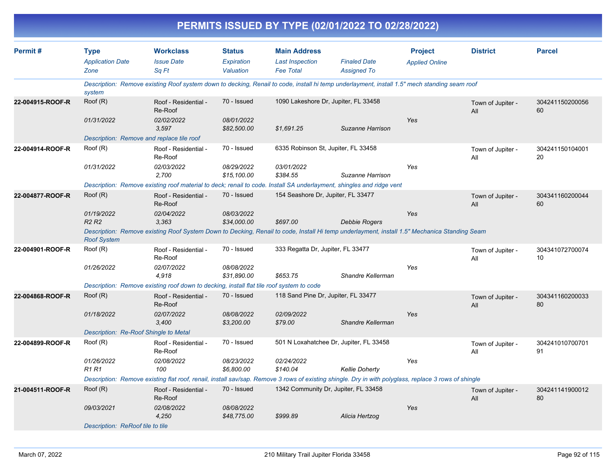| Permit#          | Type<br><b>Application Date</b>       | <b>Workclass</b><br><b>Issue Date</b>                                                                                                                | <b>Status</b><br><b>Expiration</b> | <b>Main Address</b><br><b>Last Inspection</b> | <b>Finaled Date</b>                     | <b>Project</b>        | <b>District</b>          | <b>Parcel</b>         |  |  |  |  |
|------------------|---------------------------------------|------------------------------------------------------------------------------------------------------------------------------------------------------|------------------------------------|-----------------------------------------------|-----------------------------------------|-----------------------|--------------------------|-----------------------|--|--|--|--|
|                  | Zone                                  | Sq Ft                                                                                                                                                | Valuation                          | <b>Fee Total</b>                              | <b>Assigned To</b>                      | <b>Applied Online</b> |                          |                       |  |  |  |  |
|                  | system                                | Description: Remove existing Roof system down to decking, Renail to code, install hi temp underlayment, install 1.5" mech standing seam roof         |                                    |                                               |                                         |                       |                          |                       |  |  |  |  |
| 22-004915-ROOF-R | Roof (R)                              | Roof - Residential -<br>Re-Roof                                                                                                                      | 70 - Issued                        |                                               | 1090 Lakeshore Dr, Jupiter, FL 33458    |                       | Town of Jupiter -<br>All | 304241150200056<br>60 |  |  |  |  |
|                  | 01/31/2022                            | 02/02/2022<br>3,597                                                                                                                                  | 08/01/2022<br>\$82,500.00          | \$1,691.25                                    | Suzanne Harrison                        | Yes                   |                          |                       |  |  |  |  |
|                  |                                       | Description: Remove and replace tile roof                                                                                                            |                                    |                                               |                                         |                       |                          |                       |  |  |  |  |
| 22-004914-ROOF-R | Root(R)                               | Roof - Residential -<br>Re-Roof                                                                                                                      | 70 - Issued                        |                                               | 6335 Robinson St, Jupiter, FL 33458     |                       | Town of Jupiter -<br>All | 304241150104001<br>20 |  |  |  |  |
|                  | 01/31/2022                            | 02/03/2022<br>2,700                                                                                                                                  | 08/29/2022<br>\$15,100.00          | 03/01/2022<br>\$384.55                        | Suzanne Harrison                        | Yes                   |                          |                       |  |  |  |  |
|                  |                                       | Description: Remove existing roof material to deck; renail to code. Install SA underlayment, shingles and ridge vent                                 |                                    |                                               |                                         |                       |                          |                       |  |  |  |  |
| 22-004877-ROOF-R | Roof (R)                              | Roof - Residential -<br>Re-Roof                                                                                                                      | 70 - Issued                        |                                               | 154 Seashore Dr, Jupiter, FL 33477      |                       | Town of Jupiter -<br>All | 304341160200044<br>60 |  |  |  |  |
|                  | 01/19/2022<br>R2 R2                   | 02/04/2022<br>3,363                                                                                                                                  | 08/03/2022<br>\$34,000.00          | \$697.00                                      | Debbie Rogers                           | Yes                   |                          |                       |  |  |  |  |
|                  | <b>Roof System</b>                    | Description: Remove existing Roof System Down to Decking, Renail to code, Install Hi temp underlayment, install 1.5" Mechanica Standing Seam         |                                    |                                               |                                         |                       |                          |                       |  |  |  |  |
| 22-004901-ROOF-R | Roof (R)                              | Roof - Residential -<br>Re-Roof                                                                                                                      | 70 - Issued                        | 333 Regatta Dr, Jupiter, FL 33477             |                                         |                       | Town of Jupiter -<br>All | 304341072700074<br>10 |  |  |  |  |
|                  | 01/26/2022                            | 02/07/2022<br>4,918                                                                                                                                  | 08/08/2022<br>\$31,890.00          | \$653.75                                      | Shandre Kellerman                       | Yes                   |                          |                       |  |  |  |  |
|                  |                                       | Description: Remove existing roof down to decking, install flat tile roof system to code                                                             |                                    |                                               |                                         |                       |                          |                       |  |  |  |  |
| 22-004868-ROOF-R | Roof (R)                              | Roof - Residential -<br>Re-Roof                                                                                                                      | 70 - Issued                        |                                               | 118 Sand Pine Dr, Jupiter, FL 33477     |                       | Town of Jupiter -<br>All | 304341160200033<br>80 |  |  |  |  |
|                  | 01/18/2022                            | 02/07/2022<br>3,400                                                                                                                                  | 08/08/2022<br>\$3,200.00           | 02/09/2022<br>\$79.00                         | Shandre Kellerman                       | Yes                   |                          |                       |  |  |  |  |
|                  | Description: Re-Roof Shingle to Metal |                                                                                                                                                      |                                    |                                               |                                         |                       |                          |                       |  |  |  |  |
| 22-004899-ROOF-R | Roof (R)                              | Roof - Residential -<br>Re-Roof                                                                                                                      | 70 - Issued                        |                                               | 501 N Loxahatchee Dr, Jupiter, FL 33458 |                       | Town of Jupiter -<br>All | 304241010700701<br>91 |  |  |  |  |
|                  | 01/26/2022<br>R1 R1                   | 02/08/2022<br>100                                                                                                                                    | 08/23/2022<br>\$6,800.00           | 02/24/2022<br>\$140.04                        | <b>Kellie Doherty</b>                   | Yes                   |                          |                       |  |  |  |  |
|                  |                                       | Description: Remove existing flat roof, renail, install sav/sap. Remove 3 rows of existing shingle. Dry in with polyglass, replace 3 rows of shingle |                                    |                                               |                                         |                       |                          |                       |  |  |  |  |
| 21-004511-ROOF-R | Roof (R)                              | Roof - Residential -<br>Re-Roof                                                                                                                      | 70 - Issued                        |                                               | 1342 Community Dr, Jupiter, FL 33458    |                       | Town of Jupiter -<br>All | 304241141900012<br>80 |  |  |  |  |
|                  | 09/03/2021                            | 02/08/2022<br>4,250                                                                                                                                  | 08/08/2022<br>\$48,775.00          | \$999.89                                      | Alicia Hertzog                          | Yes                   |                          |                       |  |  |  |  |
|                  | Description: ReRoof tile to tile      |                                                                                                                                                      |                                    |                                               |                                         |                       |                          |                       |  |  |  |  |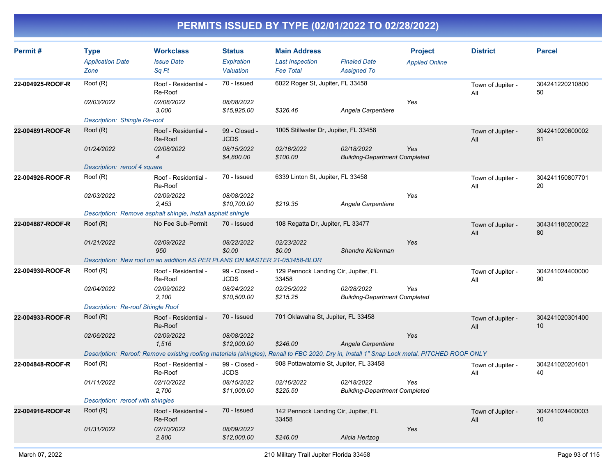| Roof (R)<br>70 - Issued<br>6022 Roger St, Jupiter, FL 33458<br>22-004925-ROOF-R<br>Roof - Residential -<br>304241220210800<br>Town of Jupiter -<br>Re-Roof<br>50<br>All<br>02/03/2022<br>02/08/2022<br>08/08/2022<br>Yes<br>3,000<br>\$15,925.00<br>\$326.46<br>Angela Carpentiere<br>Description: Shingle Re-roof<br>Root(R)<br>1005 Stillwater Dr, Jupiter, FL 33458<br>22-004891-ROOF-R<br>Roof - Residential -<br>99 - Closed -<br>304241020600002<br>Town of Jupiter -<br>Re-Roof<br><b>JCDS</b><br>81<br>All<br>08/15/2022<br>01/24/2022<br>02/08/2022<br>02/16/2022<br>02/18/2022<br>Yes<br>\$4,800.00<br>\$100.00<br><b>Building-Department Completed</b><br>$\boldsymbol{4}$<br>Description: reroof 4 square<br>70 - Issued<br>6339 Linton St, Jupiter, FL 33458<br>Root(R)<br>22-004926-ROOF-R<br>Roof - Residential -<br>304241150807701<br>Town of Jupiter -<br>Re-Roof<br>20<br>All<br>02/03/2022<br>02/09/2022<br>08/08/2022<br>Yes<br>2,453<br>\$10,700.00<br>\$219.35<br>Angela Carpentiere<br>Description: Remove asphalt shingle, install asphalt shingle<br>No Fee Sub-Permit<br>Root(R)<br>108 Regatta Dr, Jupiter, FL 33477<br>22-004887-ROOF-R<br>70 - Issued<br>304341180200022<br>Town of Jupiter -<br>80<br>All<br>01/21/2022<br>02/09/2022<br>08/22/2022<br>02/23/2022<br>Yes<br>950<br>\$0.00<br>\$0.00<br>Shandre Kellerman<br>Description: New roof on an addition AS PER PLANS ON MASTER 21-053458-BLDR<br>22-004930-ROOF-R<br>Root(R)<br>Roof - Residential -<br>99 - Closed -<br>129 Pennock Landing Cir, Jupiter, FL<br>304241024400000<br>Town of Jupiter -<br>Re-Roof<br><b>JCDS</b><br>33458<br>90<br>All<br>02/09/2022<br>08/24/2022<br>02/25/2022<br>02/28/2022<br>02/04/2022<br>Yes<br>2,100<br>\$10,500.00<br>\$215.25<br><b>Building-Department Completed</b><br>Description: Re-roof Shingle Roof<br>701 Oklawaha St, Jupiter, FL 33458<br>Root(R)<br>70 - Issued<br>22-004933-ROOF-R<br>Roof - Residential -<br>304241020301400<br>Town of Jupiter -<br>Re-Roof<br>10<br>All<br>02/09/2022<br>08/08/2022<br>Yes<br>02/06/2022<br>1,516<br>\$12,000.00<br>\$246.00<br>Angela Carpentiere<br>Description: Reroof: Remove existing roofing materials (shingles), Renail to FBC 2020, Dry in, Install 1" Snap Lock metal. PITCHED ROOF ONLY<br>Root(R)<br>908 Pottawatomie St, Jupiter, FL 33458<br>22-004848-ROOF-R<br>Roof - Residential -<br>99 - Closed -<br>304241020201601<br>Town of Jupiter -<br>Re-Roof<br><b>JCDS</b><br>40<br>All<br>02/10/2022<br>08/15/2022<br>01/11/2022<br>02/16/2022<br>02/18/2022<br>Yes<br>2,700<br>\$11,000.00<br>\$225.50<br><b>Building-Department Completed</b><br>Description: reroof with shingles<br>Root(R)<br>70 - Issued<br>22-004916-ROOF-R<br>Roof - Residential -<br>142 Pennock Landing Cir, Jupiter, FL<br>304241024400003<br>Town of Jupiter -<br>Re-Roof<br>33458<br>10<br>All<br>02/10/2022<br>01/31/2022<br>08/09/2022<br>Yes<br>2.800<br>\$246.00<br>Alicia Hertzog<br>\$12,000.00 | Permit# | <b>Type</b><br><b>Application Date</b><br>Zone | <b>Workclass</b><br><b>Issue Date</b><br>Sq Ft | <b>Status</b><br>Expiration<br>Valuation | <b>Main Address</b><br><b>Last Inspection</b><br><b>Fee Total</b> | <b>Finaled Date</b><br><b>Assigned To</b> | <b>Project</b><br><b>Applied Online</b> | <b>District</b> | <b>Parcel</b> |  |  |  |
|---------------------------------------------------------------------------------------------------------------------------------------------------------------------------------------------------------------------------------------------------------------------------------------------------------------------------------------------------------------------------------------------------------------------------------------------------------------------------------------------------------------------------------------------------------------------------------------------------------------------------------------------------------------------------------------------------------------------------------------------------------------------------------------------------------------------------------------------------------------------------------------------------------------------------------------------------------------------------------------------------------------------------------------------------------------------------------------------------------------------------------------------------------------------------------------------------------------------------------------------------------------------------------------------------------------------------------------------------------------------------------------------------------------------------------------------------------------------------------------------------------------------------------------------------------------------------------------------------------------------------------------------------------------------------------------------------------------------------------------------------------------------------------------------------------------------------------------------------------------------------------------------------------------------------------------------------------------------------------------------------------------------------------------------------------------------------------------------------------------------------------------------------------------------------------------------------------------------------------------------------------------------------------------------------------------------------------------------------------------------------------------------------------------------------------------------------------------------------------------------------------------------------------------------------------------------------------------------------------------------------------------------------------------------------------------------------------------------------------------------------------------------------------------------------------------------------------------------------------------------------------------------------------------------------------------------------------------------------------|---------|------------------------------------------------|------------------------------------------------|------------------------------------------|-------------------------------------------------------------------|-------------------------------------------|-----------------------------------------|-----------------|---------------|--|--|--|
|                                                                                                                                                                                                                                                                                                                                                                                                                                                                                                                                                                                                                                                                                                                                                                                                                                                                                                                                                                                                                                                                                                                                                                                                                                                                                                                                                                                                                                                                                                                                                                                                                                                                                                                                                                                                                                                                                                                                                                                                                                                                                                                                                                                                                                                                                                                                                                                                                                                                                                                                                                                                                                                                                                                                                                                                                                                                                                                                                                                 |         |                                                |                                                |                                          |                                                                   |                                           |                                         |                 |               |  |  |  |
|                                                                                                                                                                                                                                                                                                                                                                                                                                                                                                                                                                                                                                                                                                                                                                                                                                                                                                                                                                                                                                                                                                                                                                                                                                                                                                                                                                                                                                                                                                                                                                                                                                                                                                                                                                                                                                                                                                                                                                                                                                                                                                                                                                                                                                                                                                                                                                                                                                                                                                                                                                                                                                                                                                                                                                                                                                                                                                                                                                                 |         |                                                |                                                |                                          |                                                                   |                                           |                                         |                 |               |  |  |  |
|                                                                                                                                                                                                                                                                                                                                                                                                                                                                                                                                                                                                                                                                                                                                                                                                                                                                                                                                                                                                                                                                                                                                                                                                                                                                                                                                                                                                                                                                                                                                                                                                                                                                                                                                                                                                                                                                                                                                                                                                                                                                                                                                                                                                                                                                                                                                                                                                                                                                                                                                                                                                                                                                                                                                                                                                                                                                                                                                                                                 |         |                                                |                                                |                                          |                                                                   |                                           |                                         |                 |               |  |  |  |
|                                                                                                                                                                                                                                                                                                                                                                                                                                                                                                                                                                                                                                                                                                                                                                                                                                                                                                                                                                                                                                                                                                                                                                                                                                                                                                                                                                                                                                                                                                                                                                                                                                                                                                                                                                                                                                                                                                                                                                                                                                                                                                                                                                                                                                                                                                                                                                                                                                                                                                                                                                                                                                                                                                                                                                                                                                                                                                                                                                                 |         |                                                |                                                |                                          |                                                                   |                                           |                                         |                 |               |  |  |  |
|                                                                                                                                                                                                                                                                                                                                                                                                                                                                                                                                                                                                                                                                                                                                                                                                                                                                                                                                                                                                                                                                                                                                                                                                                                                                                                                                                                                                                                                                                                                                                                                                                                                                                                                                                                                                                                                                                                                                                                                                                                                                                                                                                                                                                                                                                                                                                                                                                                                                                                                                                                                                                                                                                                                                                                                                                                                                                                                                                                                 |         |                                                |                                                |                                          |                                                                   |                                           |                                         |                 |               |  |  |  |
|                                                                                                                                                                                                                                                                                                                                                                                                                                                                                                                                                                                                                                                                                                                                                                                                                                                                                                                                                                                                                                                                                                                                                                                                                                                                                                                                                                                                                                                                                                                                                                                                                                                                                                                                                                                                                                                                                                                                                                                                                                                                                                                                                                                                                                                                                                                                                                                                                                                                                                                                                                                                                                                                                                                                                                                                                                                                                                                                                                                 |         |                                                |                                                |                                          |                                                                   |                                           |                                         |                 |               |  |  |  |
|                                                                                                                                                                                                                                                                                                                                                                                                                                                                                                                                                                                                                                                                                                                                                                                                                                                                                                                                                                                                                                                                                                                                                                                                                                                                                                                                                                                                                                                                                                                                                                                                                                                                                                                                                                                                                                                                                                                                                                                                                                                                                                                                                                                                                                                                                                                                                                                                                                                                                                                                                                                                                                                                                                                                                                                                                                                                                                                                                                                 |         |                                                |                                                |                                          |                                                                   |                                           |                                         |                 |               |  |  |  |
|                                                                                                                                                                                                                                                                                                                                                                                                                                                                                                                                                                                                                                                                                                                                                                                                                                                                                                                                                                                                                                                                                                                                                                                                                                                                                                                                                                                                                                                                                                                                                                                                                                                                                                                                                                                                                                                                                                                                                                                                                                                                                                                                                                                                                                                                                                                                                                                                                                                                                                                                                                                                                                                                                                                                                                                                                                                                                                                                                                                 |         |                                                |                                                |                                          |                                                                   |                                           |                                         |                 |               |  |  |  |
|                                                                                                                                                                                                                                                                                                                                                                                                                                                                                                                                                                                                                                                                                                                                                                                                                                                                                                                                                                                                                                                                                                                                                                                                                                                                                                                                                                                                                                                                                                                                                                                                                                                                                                                                                                                                                                                                                                                                                                                                                                                                                                                                                                                                                                                                                                                                                                                                                                                                                                                                                                                                                                                                                                                                                                                                                                                                                                                                                                                 |         |                                                |                                                |                                          |                                                                   |                                           |                                         |                 |               |  |  |  |
|                                                                                                                                                                                                                                                                                                                                                                                                                                                                                                                                                                                                                                                                                                                                                                                                                                                                                                                                                                                                                                                                                                                                                                                                                                                                                                                                                                                                                                                                                                                                                                                                                                                                                                                                                                                                                                                                                                                                                                                                                                                                                                                                                                                                                                                                                                                                                                                                                                                                                                                                                                                                                                                                                                                                                                                                                                                                                                                                                                                 |         |                                                |                                                |                                          |                                                                   |                                           |                                         |                 |               |  |  |  |
|                                                                                                                                                                                                                                                                                                                                                                                                                                                                                                                                                                                                                                                                                                                                                                                                                                                                                                                                                                                                                                                                                                                                                                                                                                                                                                                                                                                                                                                                                                                                                                                                                                                                                                                                                                                                                                                                                                                                                                                                                                                                                                                                                                                                                                                                                                                                                                                                                                                                                                                                                                                                                                                                                                                                                                                                                                                                                                                                                                                 |         |                                                |                                                |                                          |                                                                   |                                           |                                         |                 |               |  |  |  |
|                                                                                                                                                                                                                                                                                                                                                                                                                                                                                                                                                                                                                                                                                                                                                                                                                                                                                                                                                                                                                                                                                                                                                                                                                                                                                                                                                                                                                                                                                                                                                                                                                                                                                                                                                                                                                                                                                                                                                                                                                                                                                                                                                                                                                                                                                                                                                                                                                                                                                                                                                                                                                                                                                                                                                                                                                                                                                                                                                                                 |         |                                                |                                                |                                          |                                                                   |                                           |                                         |                 |               |  |  |  |
|                                                                                                                                                                                                                                                                                                                                                                                                                                                                                                                                                                                                                                                                                                                                                                                                                                                                                                                                                                                                                                                                                                                                                                                                                                                                                                                                                                                                                                                                                                                                                                                                                                                                                                                                                                                                                                                                                                                                                                                                                                                                                                                                                                                                                                                                                                                                                                                                                                                                                                                                                                                                                                                                                                                                                                                                                                                                                                                                                                                 |         |                                                |                                                |                                          |                                                                   |                                           |                                         |                 |               |  |  |  |
|                                                                                                                                                                                                                                                                                                                                                                                                                                                                                                                                                                                                                                                                                                                                                                                                                                                                                                                                                                                                                                                                                                                                                                                                                                                                                                                                                                                                                                                                                                                                                                                                                                                                                                                                                                                                                                                                                                                                                                                                                                                                                                                                                                                                                                                                                                                                                                                                                                                                                                                                                                                                                                                                                                                                                                                                                                                                                                                                                                                 |         |                                                |                                                |                                          |                                                                   |                                           |                                         |                 |               |  |  |  |
|                                                                                                                                                                                                                                                                                                                                                                                                                                                                                                                                                                                                                                                                                                                                                                                                                                                                                                                                                                                                                                                                                                                                                                                                                                                                                                                                                                                                                                                                                                                                                                                                                                                                                                                                                                                                                                                                                                                                                                                                                                                                                                                                                                                                                                                                                                                                                                                                                                                                                                                                                                                                                                                                                                                                                                                                                                                                                                                                                                                 |         |                                                |                                                |                                          |                                                                   |                                           |                                         |                 |               |  |  |  |
|                                                                                                                                                                                                                                                                                                                                                                                                                                                                                                                                                                                                                                                                                                                                                                                                                                                                                                                                                                                                                                                                                                                                                                                                                                                                                                                                                                                                                                                                                                                                                                                                                                                                                                                                                                                                                                                                                                                                                                                                                                                                                                                                                                                                                                                                                                                                                                                                                                                                                                                                                                                                                                                                                                                                                                                                                                                                                                                                                                                 |         |                                                |                                                |                                          |                                                                   |                                           |                                         |                 |               |  |  |  |
|                                                                                                                                                                                                                                                                                                                                                                                                                                                                                                                                                                                                                                                                                                                                                                                                                                                                                                                                                                                                                                                                                                                                                                                                                                                                                                                                                                                                                                                                                                                                                                                                                                                                                                                                                                                                                                                                                                                                                                                                                                                                                                                                                                                                                                                                                                                                                                                                                                                                                                                                                                                                                                                                                                                                                                                                                                                                                                                                                                                 |         |                                                |                                                |                                          |                                                                   |                                           |                                         |                 |               |  |  |  |
|                                                                                                                                                                                                                                                                                                                                                                                                                                                                                                                                                                                                                                                                                                                                                                                                                                                                                                                                                                                                                                                                                                                                                                                                                                                                                                                                                                                                                                                                                                                                                                                                                                                                                                                                                                                                                                                                                                                                                                                                                                                                                                                                                                                                                                                                                                                                                                                                                                                                                                                                                                                                                                                                                                                                                                                                                                                                                                                                                                                 |         |                                                |                                                |                                          |                                                                   |                                           |                                         |                 |               |  |  |  |
|                                                                                                                                                                                                                                                                                                                                                                                                                                                                                                                                                                                                                                                                                                                                                                                                                                                                                                                                                                                                                                                                                                                                                                                                                                                                                                                                                                                                                                                                                                                                                                                                                                                                                                                                                                                                                                                                                                                                                                                                                                                                                                                                                                                                                                                                                                                                                                                                                                                                                                                                                                                                                                                                                                                                                                                                                                                                                                                                                                                 |         |                                                |                                                |                                          |                                                                   |                                           |                                         |                 |               |  |  |  |
|                                                                                                                                                                                                                                                                                                                                                                                                                                                                                                                                                                                                                                                                                                                                                                                                                                                                                                                                                                                                                                                                                                                                                                                                                                                                                                                                                                                                                                                                                                                                                                                                                                                                                                                                                                                                                                                                                                                                                                                                                                                                                                                                                                                                                                                                                                                                                                                                                                                                                                                                                                                                                                                                                                                                                                                                                                                                                                                                                                                 |         |                                                |                                                |                                          |                                                                   |                                           |                                         |                 |               |  |  |  |
|                                                                                                                                                                                                                                                                                                                                                                                                                                                                                                                                                                                                                                                                                                                                                                                                                                                                                                                                                                                                                                                                                                                                                                                                                                                                                                                                                                                                                                                                                                                                                                                                                                                                                                                                                                                                                                                                                                                                                                                                                                                                                                                                                                                                                                                                                                                                                                                                                                                                                                                                                                                                                                                                                                                                                                                                                                                                                                                                                                                 |         |                                                |                                                |                                          |                                                                   |                                           |                                         |                 |               |  |  |  |
|                                                                                                                                                                                                                                                                                                                                                                                                                                                                                                                                                                                                                                                                                                                                                                                                                                                                                                                                                                                                                                                                                                                                                                                                                                                                                                                                                                                                                                                                                                                                                                                                                                                                                                                                                                                                                                                                                                                                                                                                                                                                                                                                                                                                                                                                                                                                                                                                                                                                                                                                                                                                                                                                                                                                                                                                                                                                                                                                                                                 |         |                                                |                                                |                                          |                                                                   |                                           |                                         |                 |               |  |  |  |
|                                                                                                                                                                                                                                                                                                                                                                                                                                                                                                                                                                                                                                                                                                                                                                                                                                                                                                                                                                                                                                                                                                                                                                                                                                                                                                                                                                                                                                                                                                                                                                                                                                                                                                                                                                                                                                                                                                                                                                                                                                                                                                                                                                                                                                                                                                                                                                                                                                                                                                                                                                                                                                                                                                                                                                                                                                                                                                                                                                                 |         |                                                |                                                |                                          |                                                                   |                                           |                                         |                 |               |  |  |  |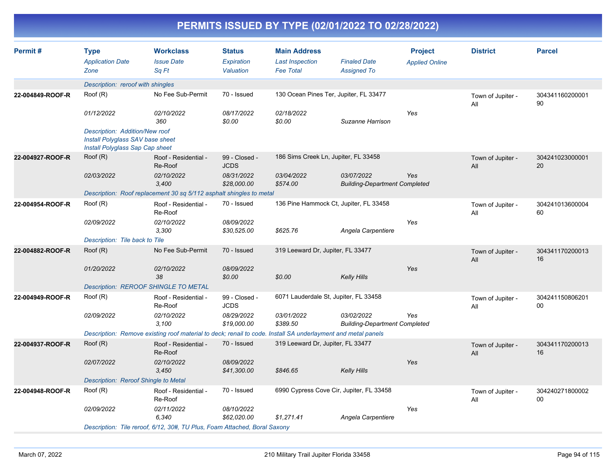| Permit#          | <b>Type</b><br><b>Application Date</b><br>Zone                                                        | <b>Workclass</b><br><b>Issue Date</b><br>Sq Ft                                                               | <b>Status</b><br>Expiration<br>Valuation | <b>Main Address</b><br><b>Last Inspection</b><br><b>Fee Total</b> | <b>Finaled Date</b><br><b>Assigned To</b>          | <b>Project</b><br><b>Applied Online</b> | <b>District</b>          | <b>Parcel</b>         |  |  |  |  |  |
|------------------|-------------------------------------------------------------------------------------------------------|--------------------------------------------------------------------------------------------------------------|------------------------------------------|-------------------------------------------------------------------|----------------------------------------------------|-----------------------------------------|--------------------------|-----------------------|--|--|--|--|--|
|                  | Description: reroof with shingles                                                                     |                                                                                                              |                                          |                                                                   |                                                    |                                         |                          |                       |  |  |  |  |  |
| 22-004849-ROOF-R | Root(R)                                                                                               | No Fee Sub-Permit                                                                                            | 70 - Issued                              | 130 Ocean Pines Ter, Jupiter, FL 33477                            |                                                    |                                         | Town of Jupiter -<br>All | 304341160200001<br>90 |  |  |  |  |  |
|                  | 01/12/2022                                                                                            | 02/10/2022<br>360                                                                                            | 08/17/2022<br>\$0.00                     | 02/18/2022<br>\$0.00                                              | Suzanne Harrison                                   | Yes                                     |                          |                       |  |  |  |  |  |
|                  | Description: Addition/New roof<br>Install Polyglass SAV base sheet<br>Install Polyglass Sap Cap sheet |                                                                                                              |                                          |                                                                   |                                                    |                                         |                          |                       |  |  |  |  |  |
| 22-004927-ROOF-R | Root(R)                                                                                               | Roof - Residential -<br>Re-Roof                                                                              | 99 - Closed -<br><b>JCDS</b>             | 186 Sims Creek Ln, Jupiter, FL 33458                              |                                                    |                                         | Town of Jupiter -<br>All | 304241023000001<br>20 |  |  |  |  |  |
|                  | 02/03/2022                                                                                            | 02/10/2022<br>3,400                                                                                          | 08/31/2022<br>\$28,000.00                | 03/04/2022<br>\$574.00                                            | 03/07/2022<br><b>Building-Department Completed</b> | Yes                                     |                          |                       |  |  |  |  |  |
|                  |                                                                                                       | Description: Roof replacement 30 sq 5/112 asphalt shingles to metal                                          |                                          |                                                                   |                                                    |                                         |                          |                       |  |  |  |  |  |
| 22-004954-ROOF-R | Root(R)                                                                                               | Roof - Residential -<br>Re-Roof                                                                              | 70 - Issued                              | 136 Pine Hammock Ct, Jupiter, FL 33458                            |                                                    |                                         | Town of Jupiter -<br>All | 304241013600004<br>60 |  |  |  |  |  |
|                  | 02/09/2022                                                                                            | 02/10/2022<br>3,300                                                                                          | 08/09/2022<br>\$30,525.00                | \$625.76                                                          | Angela Carpentiere                                 | Yes                                     |                          |                       |  |  |  |  |  |
|                  | Description: Tile back to Tile                                                                        |                                                                                                              |                                          |                                                                   |                                                    |                                         |                          |                       |  |  |  |  |  |
| 22-004882-ROOF-R | Root(R)                                                                                               | No Fee Sub-Permit                                                                                            | 70 - Issued                              | 319 Leeward Dr, Jupiter, FL 33477                                 |                                                    |                                         | Town of Jupiter -<br>All | 304341170200013<br>16 |  |  |  |  |  |
|                  | 01/20/2022                                                                                            | 02/10/2022<br>38                                                                                             | 08/09/2022<br>\$0.00                     | \$0.00                                                            | <b>Kelly Hills</b>                                 | Yes                                     |                          |                       |  |  |  |  |  |
|                  |                                                                                                       | Description: REROOF SHINGLE TO METAL                                                                         |                                          |                                                                   |                                                    |                                         |                          |                       |  |  |  |  |  |
| 22-004949-ROOF-R | Roof (R)                                                                                              | Roof - Residential -<br>Re-Roof                                                                              | 99 - Closed -<br><b>JCDS</b>             | 6071 Lauderdale St, Jupiter, FL 33458                             |                                                    |                                         | Town of Jupiter -<br>All | 304241150806201<br>00 |  |  |  |  |  |
|                  | 02/09/2022                                                                                            | 02/10/2022<br>3,100                                                                                          | 08/29/2022<br>\$19,000.00                | 03/01/2022<br>\$389.50                                            | 03/02/2022<br><b>Building-Department Completed</b> | Yes                                     |                          |                       |  |  |  |  |  |
|                  |                                                                                                       | Description: Remove existing roof material to deck; renail to code. Install SA underlayment and metal panels |                                          |                                                                   |                                                    |                                         |                          |                       |  |  |  |  |  |
| 22-004937-ROOF-R | Root(R)                                                                                               | Roof - Residential -<br>Re-Roof                                                                              | 70 - Issued                              | 319 Leeward Dr, Jupiter, FL 33477                                 |                                                    |                                         | Town of Jupiter -<br>All | 304341170200013<br>16 |  |  |  |  |  |
|                  | 02/07/2022                                                                                            | 02/10/2022<br>3,450                                                                                          | 08/09/2022<br>\$41,300.00                | \$846.65                                                          | <b>Kelly Hills</b>                                 | Yes                                     |                          |                       |  |  |  |  |  |
|                  | Description: Reroof Shingle to Metal                                                                  |                                                                                                              |                                          |                                                                   |                                                    |                                         |                          |                       |  |  |  |  |  |
| 22-004948-ROOF-R | Root(R)                                                                                               | Roof - Residential -<br>Re-Roof                                                                              | 70 - Issued                              | 6990 Cypress Cove Cir, Jupiter, FL 33458                          |                                                    |                                         | Town of Jupiter -<br>All | 304240271800002<br>00 |  |  |  |  |  |
|                  | 02/09/2022                                                                                            | 02/11/2022<br>6,340                                                                                          | 08/10/2022<br>\$62.020.00                | \$1,271.41                                                        | Angela Carpentiere                                 | Yes                                     |                          |                       |  |  |  |  |  |
|                  |                                                                                                       | Description: Tile reroof, 6/12, 30#, TU Plus, Foam Attached, Boral Saxony                                    |                                          |                                                                   |                                                    |                                         |                          |                       |  |  |  |  |  |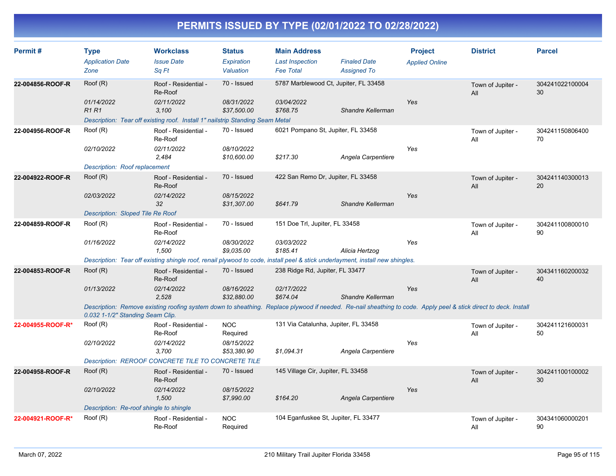| Permit#           | <b>Type</b><br><b>Application Date</b><br>Zone | <b>Workclass</b><br><b>Issue Date</b><br>Sq Ft                                                                                                                                                      | <b>Status</b><br>Expiration<br>Valuation | <b>Main Address</b><br><b>Last Inspection</b><br><b>Fee Total</b> | <b>Finaled Date</b><br><b>Assigned To</b> | <b>Project</b><br><b>Applied Online</b> | <b>District</b>          | <b>Parcel</b>         |  |  |  |  |
|-------------------|------------------------------------------------|-----------------------------------------------------------------------------------------------------------------------------------------------------------------------------------------------------|------------------------------------------|-------------------------------------------------------------------|-------------------------------------------|-----------------------------------------|--------------------------|-----------------------|--|--|--|--|
| 22-004856-ROOF-R  | Root(R)                                        | Roof - Residential -<br>Re-Roof                                                                                                                                                                     | 70 - Issued                              | 5787 Marblewood Ct, Jupiter, FL 33458                             |                                           |                                         | Town of Jupiter -<br>All | 304241022100004<br>30 |  |  |  |  |
|                   | 01/14/2022<br><b>R1R1</b>                      | 02/11/2022<br>3.100<br>Description: Tear off existing roof. Install 1" nailstrip Standing Seam Metal                                                                                                | 08/31/2022<br>\$37,500.00                | 03/04/2022<br>\$768.75                                            | Shandre Kellerman                         | Yes                                     |                          |                       |  |  |  |  |
| 22-004956-ROOF-R  | Root(R)                                        | Roof - Residential -<br>Re-Roof                                                                                                                                                                     | 70 - Issued                              | 6021 Pompano St, Jupiter, FL 33458                                |                                           |                                         | Town of Jupiter -<br>All | 304241150806400<br>70 |  |  |  |  |
|                   | 02/10/2022                                     | 02/11/2022<br>2,484                                                                                                                                                                                 | 08/10/2022<br>\$10,600.00                | \$217.30                                                          | Angela Carpentiere                        | Yes                                     |                          |                       |  |  |  |  |
|                   | Description: Roof replacement                  |                                                                                                                                                                                                     |                                          |                                                                   |                                           |                                         |                          |                       |  |  |  |  |
| 22-004922-ROOF-R  | Root(R)                                        | Roof - Residential -<br>Re-Roof                                                                                                                                                                     | 70 - Issued                              | 422 San Remo Dr, Jupiter, FL 33458                                |                                           |                                         | Town of Jupiter -<br>All | 304241140300013<br>20 |  |  |  |  |
|                   | 02/03/2022                                     | 02/14/2022<br>32                                                                                                                                                                                    | 08/15/2022<br>\$31,307.00                | \$641.79                                                          | Shandre Kellerman                         | Yes                                     |                          |                       |  |  |  |  |
|                   | <b>Description: Sloped Tile Re Roof</b>        |                                                                                                                                                                                                     |                                          |                                                                   |                                           |                                         |                          |                       |  |  |  |  |
| 22-004859-ROOF-R  | Root(R)                                        | Roof - Residential -<br>Re-Roof                                                                                                                                                                     | 70 - Issued                              | 151 Doe Trl, Jupiter, FL 33458                                    |                                           |                                         | Town of Jupiter -<br>All | 304241100800010<br>90 |  |  |  |  |
|                   | 01/16/2022                                     | 02/14/2022<br>1,500                                                                                                                                                                                 | 08/30/2022<br>\$9,035.00                 | 03/03/2022<br>\$185.41                                            | Alicia Hertzog                            | Yes                                     |                          |                       |  |  |  |  |
|                   |                                                | Description: Tear off existing shingle roof, renail plywood to code, install peel & stick underlayment, install new shingles.                                                                       |                                          |                                                                   |                                           |                                         |                          |                       |  |  |  |  |
| 22-004853-ROOF-R  | Root(R)                                        | Roof - Residential -<br>Re-Roof                                                                                                                                                                     | 70 - Issued                              | 238 Ridge Rd, Jupiter, FL 33477                                   |                                           |                                         | Town of Jupiter -<br>All | 304341160200032<br>40 |  |  |  |  |
|                   | 01/13/2022                                     | 02/14/2022<br>2.528                                                                                                                                                                                 | 08/16/2022<br>\$32,880.00                | 02/17/2022<br>\$674.04                                            | Shandre Kellerman                         | Yes                                     |                          |                       |  |  |  |  |
|                   |                                                | Description: Remove existing roofing system down to sheathing. Replace plywood if needed. Re-nail sheathing to code. Apply peel & stick direct to deck. Install<br>0.032 1-1/2" Standing Seam Clip. |                                          |                                                                   |                                           |                                         |                          |                       |  |  |  |  |
| 22-004955-ROOF-R* | Root(R)                                        | Roof - Residential -<br>Re-Roof                                                                                                                                                                     | <b>NOC</b><br>Required                   | 131 Via Catalunha, Jupiter, FL 33458                              |                                           |                                         | Town of Jupiter -<br>All | 304241121600031<br>50 |  |  |  |  |
|                   | 02/10/2022                                     | 02/14/2022<br>3,700                                                                                                                                                                                 | 08/15/2022<br>\$53,380.90                | \$1,094.31                                                        | Angela Carpentiere                        | Yes                                     |                          |                       |  |  |  |  |
|                   |                                                | Description: REROOF CONCRETE TILE TO CONCRETE TILE                                                                                                                                                  |                                          |                                                                   |                                           |                                         |                          |                       |  |  |  |  |
| 22-004958-ROOF-R  | Root(R)                                        | Roof - Residential -<br>Re-Roof                                                                                                                                                                     | 70 - Issued                              | 145 Village Cir, Jupiter, FL 33458                                |                                           |                                         | Town of Jupiter -<br>All | 304241100100002<br>30 |  |  |  |  |
|                   | 02/10/2022                                     | 02/14/2022<br>1,500                                                                                                                                                                                 | 08/15/2022<br>\$7,990.00                 | \$164.20                                                          | Angela Carpentiere                        | Yes                                     |                          |                       |  |  |  |  |
|                   |                                                | Description: Re-roof shingle to shingle                                                                                                                                                             |                                          |                                                                   |                                           |                                         |                          |                       |  |  |  |  |
| 22-004921-ROOF-R* | Root(R)                                        | Roof - Residential -<br>Re-Roof                                                                                                                                                                     | <b>NOC</b><br>Required                   | 104 Eganfuskee St, Jupiter, FL 33477                              |                                           |                                         | Town of Jupiter -<br>All | 304341060000201<br>90 |  |  |  |  |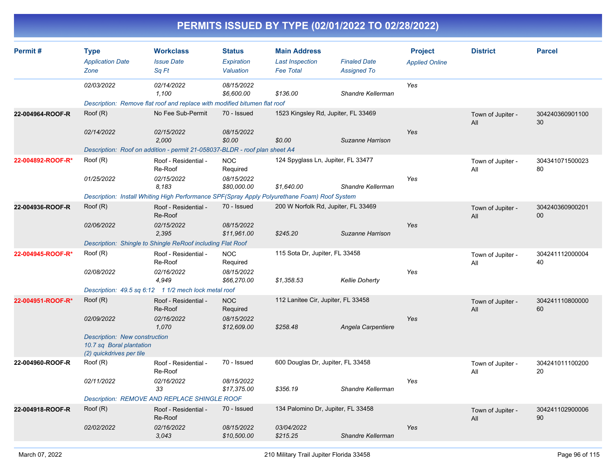| Permit#           | <b>Type</b>                                                                                  | <b>Workclass</b>                                                                             | <b>Status</b>             | <b>Main Address</b>                 |                       | <b>Project</b>        | <b>District</b>          | <b>Parcel</b>         |
|-------------------|----------------------------------------------------------------------------------------------|----------------------------------------------------------------------------------------------|---------------------------|-------------------------------------|-----------------------|-----------------------|--------------------------|-----------------------|
|                   | <b>Application Date</b>                                                                      | <b>Issue Date</b>                                                                            | Expiration                | <b>Last Inspection</b>              | <b>Finaled Date</b>   | <b>Applied Online</b> |                          |                       |
|                   | Zone                                                                                         | Sq Ft                                                                                        | Valuation                 | <b>Fee Total</b>                    | <b>Assigned To</b>    |                       |                          |                       |
|                   | 02/03/2022                                                                                   | 02/14/2022<br>1,100                                                                          | 08/15/2022<br>\$6,600.00  | \$136.00                            | Shandre Kellerman     | Yes                   |                          |                       |
|                   |                                                                                              | Description: Remove flat roof and replace with modified bitumen flat roof                    |                           |                                     |                       |                       |                          |                       |
| 22-004964-ROOF-R  | Root(R)                                                                                      | No Fee Sub-Permit                                                                            | 70 - Issued               | 1523 Kingsley Rd, Jupiter, FL 33469 |                       |                       | Town of Jupiter -<br>All | 304240360901100<br>30 |
|                   | 02/14/2022                                                                                   | 02/15/2022<br>2,000                                                                          | 08/15/2022<br>\$0.00      | \$0.00                              | Suzanne Harrison      | Yes                   |                          |                       |
|                   |                                                                                              | Description: Roof on addition - permit 21-058037-BLDR - roof plan sheet A4                   |                           |                                     |                       |                       |                          |                       |
| 22-004892-ROOF-R* | Root(R)                                                                                      | Roof - Residential -<br>Re-Roof                                                              | <b>NOC</b><br>Required    | 124 Spyglass Ln, Jupiter, FL 33477  |                       |                       | Town of Jupiter -<br>All | 304341071500023<br>80 |
|                   | 01/25/2022                                                                                   | 02/15/2022<br>8.183                                                                          | 08/15/2022<br>\$80,000.00 | \$1,640.00                          | Shandre Kellerman     | Yes                   |                          |                       |
|                   |                                                                                              | Description: Install Whiting High Performance SPF(Spray Apply Polyurethane Foam) Roof System |                           |                                     |                       |                       |                          |                       |
| 22-004936-ROOF-R  | Root(R)                                                                                      | Roof - Residential -<br>Re-Roof                                                              | 70 - Issued               | 200 W Norfolk Rd, Jupiter, FL 33469 |                       |                       | Town of Jupiter -<br>All | 304240360900201<br>00 |
|                   | 02/06/2022                                                                                   | 02/15/2022<br>2,395                                                                          | 08/15/2022<br>\$11,961.00 | \$245.20                            | Suzanne Harrison      | Yes                   |                          |                       |
|                   |                                                                                              | Description: Shingle to Shingle ReRoof including Flat Roof                                   |                           |                                     |                       |                       |                          |                       |
| 22-004945-ROOF-R* | Root(R)                                                                                      | Roof - Residential -<br>Re-Roof                                                              | <b>NOC</b><br>Required    | 115 Sota Dr, Jupiter, FL 33458      |                       |                       | Town of Jupiter -<br>All | 304241112000004<br>40 |
|                   | 02/08/2022                                                                                   | 02/16/2022<br>4.949                                                                          | 08/15/2022<br>\$66,270.00 | \$1,358.53                          | <b>Kellie Doherty</b> | Yes                   |                          |                       |
|                   |                                                                                              | Description: 49.5 sq 6:12 1 1/2 mech lock metal roof                                         |                           |                                     |                       |                       |                          |                       |
| 22-004951-ROOF-R* | Root(R)                                                                                      | Roof - Residential -<br>Re-Roof                                                              | <b>NOC</b><br>Required    | 112 Lanitee Cir, Jupiter, FL 33458  |                       |                       | Town of Jupiter -<br>All | 304241110800000<br>60 |
|                   | 02/09/2022                                                                                   | 02/16/2022<br>1.070                                                                          | 08/15/2022<br>\$12,609.00 | \$258.48                            | Angela Carpentiere    | Yes                   |                          |                       |
|                   | <b>Description: New construction</b><br>10.7 sq Boral plantation<br>(2) quickdrives per tile |                                                                                              |                           |                                     |                       |                       |                          |                       |
| 22-004960-ROOF-R  | Root(R)                                                                                      | Roof - Residential -<br>Re-Roof                                                              | 70 - Issued               | 600 Douglas Dr, Jupiter, FL 33458   |                       |                       | Town of Jupiter -<br>All | 304241011100200<br>20 |
|                   | 02/11/2022                                                                                   | 02/16/2022<br>33                                                                             | 08/15/2022<br>\$17,375.00 | \$356.19                            | Shandre Kellerman     | Yes                   |                          |                       |
|                   |                                                                                              | Description: REMOVE AND REPLACE SHINGLE ROOF                                                 |                           |                                     |                       |                       |                          |                       |
| 22-004918-ROOF-R  | Root(R)                                                                                      | Roof - Residential -<br>Re-Roof                                                              | 70 - Issued               | 134 Palomino Dr, Jupiter, FL 33458  |                       |                       | Town of Jupiter -<br>All | 304241102900006<br>90 |
|                   | 02/02/2022                                                                                   | 02/16/2022<br>3,043                                                                          | 08/15/2022<br>\$10,500.00 | 03/04/2022<br>\$215.25              | Shandre Kellerman     | Yes                   |                          |                       |
|                   |                                                                                              |                                                                                              |                           |                                     |                       |                       |                          |                       |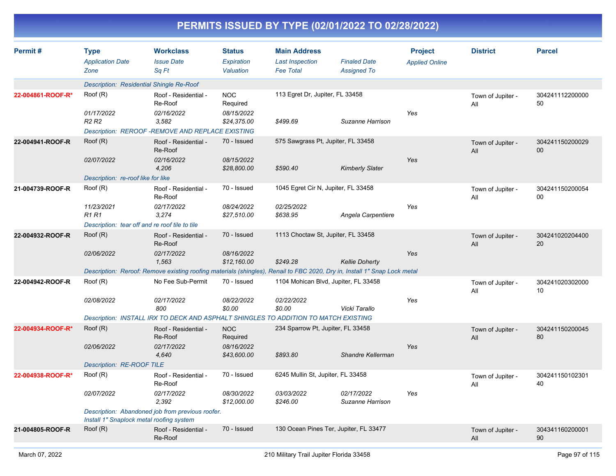| PERMITS ISSUED BY TYPE (02/01/2022 TO 02/28/2022) |                                                        |                                                                                                                                                |                                                     |                                                                   |                                           |                                         |                          |                       |  |  |  |
|---------------------------------------------------|--------------------------------------------------------|------------------------------------------------------------------------------------------------------------------------------------------------|-----------------------------------------------------|-------------------------------------------------------------------|-------------------------------------------|-----------------------------------------|--------------------------|-----------------------|--|--|--|
| Permit#                                           | <b>Type</b><br><b>Application Date</b><br>Zone         | <b>Workclass</b><br><b>Issue Date</b><br>Sq Ft                                                                                                 | <b>Status</b><br>Expiration<br>Valuation            | <b>Main Address</b><br><b>Last Inspection</b><br><b>Fee Total</b> | <b>Finaled Date</b><br><b>Assigned To</b> | <b>Project</b><br><b>Applied Online</b> | <b>District</b>          | <b>Parcel</b>         |  |  |  |
|                                                   | Description: Residential Shingle Re-Roof               |                                                                                                                                                |                                                     |                                                                   |                                           |                                         |                          |                       |  |  |  |
| 22-004861-ROOF-R*                                 | Root(R)<br>01/17/2022<br>R <sub>2</sub> R <sub>2</sub> | Roof - Residential -<br>Re-Roof<br>02/16/2022<br>3,582                                                                                         | <b>NOC</b><br>Required<br>08/15/2022<br>\$24,375.00 | 113 Egret Dr, Jupiter, FL 33458<br>\$499.69                       | Suzanne Harrison                          | Yes                                     | Town of Jupiter -<br>All | 304241112200000<br>50 |  |  |  |
|                                                   |                                                        | Description: REROOF -REMOVE AND REPLACE EXISTING                                                                                               |                                                     |                                                                   |                                           |                                         |                          |                       |  |  |  |
| 22-004941-ROOF-R                                  | Root(R)                                                | Roof - Residential -<br>Re-Roof                                                                                                                | 70 - Issued<br>08/15/2022                           | 575 Sawgrass Pt, Jupiter, FL 33458                                |                                           | Yes                                     | Town of Jupiter -<br>All | 304241150200029<br>00 |  |  |  |
|                                                   | 02/07/2022<br>Description: re-roof like for like       | 02/16/2022<br>4,206                                                                                                                            | \$28,800.00                                         | \$590.40                                                          | <b>Kimberly Slater</b>                    |                                         |                          |                       |  |  |  |
| 21-004739-ROOF-R                                  | Roof (R)                                               | Roof - Residential -<br>Re-Roof                                                                                                                | 70 - Issued                                         | 1045 Egret Cir N, Jupiter, FL 33458                               |                                           |                                         | Town of Jupiter -<br>All | 304241150200054<br>00 |  |  |  |
|                                                   | 11/23/2021<br><b>R1R1</b>                              | 02/17/2022<br>3,274                                                                                                                            | 08/24/2022<br>\$27,510.00                           | 02/25/2022<br>\$638.95                                            | Angela Carpentiere                        | Yes                                     |                          |                       |  |  |  |
|                                                   | Description: tear off and re roof tile to tile         |                                                                                                                                                |                                                     |                                                                   |                                           |                                         |                          |                       |  |  |  |
| 22-004932-ROOF-R                                  | Root(R)                                                | Roof - Residential -<br>Re-Roof                                                                                                                | 70 - Issued                                         | 1113 Choctaw St, Jupiter, FL 33458                                |                                           |                                         | Town of Jupiter -<br>All | 304241020204400<br>20 |  |  |  |
|                                                   | 02/06/2022                                             | 02/17/2022<br>1,563                                                                                                                            | 08/16/2022<br>\$12,160.00                           | \$249.28                                                          | <b>Kellie Doherty</b>                     | Yes                                     |                          |                       |  |  |  |
|                                                   | Roof (R)                                               | Description: Reroof: Remove existing roofing materials (shingles), Renail to FBC 2020, Dry in, Install 1" Snap Lock metal<br>No Fee Sub-Permit | 70 - Issued                                         | 1104 Mohican Blvd, Jupiter, FL 33458                              |                                           |                                         |                          |                       |  |  |  |
| 22-004942-ROOF-R                                  |                                                        |                                                                                                                                                |                                                     |                                                                   |                                           |                                         | Town of Jupiter -<br>All | 304241020302000<br>10 |  |  |  |
|                                                   | 02/08/2022                                             | 02/17/2022<br>800<br>Description: INSTALL IRX TO DECK AND ASPHALT SHINGLES TO ADDITION TO MATCH EXISTING                                       | 08/22/2022<br>\$0.00                                | 02/22/2022<br>\$0.00                                              | Vicki Tarallo                             | Yes                                     |                          |                       |  |  |  |
| 22-004934-ROOF-R*                                 | Root(R)                                                | Roof - Residential -                                                                                                                           | <b>NOC</b>                                          | 234 Sparrow Pt, Jupiter, FL 33458                                 |                                           |                                         |                          | 304241150200045       |  |  |  |
|                                                   | 02/06/2022                                             | Re-Roof<br>02/17/2022                                                                                                                          | Required<br>08/16/2022                              |                                                                   |                                           | Yes                                     | Town of Jupiter -<br>All | 80                    |  |  |  |
|                                                   | <b>Description: RE-ROOF TILE</b>                       | 4,640                                                                                                                                          | \$43,600.00                                         | \$893.80                                                          | Shandre Kellerman                         |                                         |                          |                       |  |  |  |
| 22-004938-ROOF-R*                                 | Root(R)                                                | Roof - Residential -                                                                                                                           | 70 - Issued                                         | 6245 Mullin St, Jupiter, FL 33458                                 |                                           |                                         | Town of Jupiter -        | 304241150102301       |  |  |  |
|                                                   |                                                        | Re-Roof                                                                                                                                        |                                                     |                                                                   |                                           |                                         | All                      | 40                    |  |  |  |
|                                                   | 02/07/2022                                             | 02/17/2022<br>2,392                                                                                                                            | 08/30/2022<br>\$12,000.00                           | 03/03/2022<br>\$246.00                                            | 02/17/2022<br>Suzanne Harrison            | Yes                                     |                          |                       |  |  |  |
|                                                   | Install 1" Snaplock metal roofing system               | Description: Abandoned job from previous roofer.                                                                                               |                                                     |                                                                   |                                           |                                         |                          |                       |  |  |  |
| 21-004805-ROOF-R                                  | Root(R)                                                | Roof - Residential -<br>Re-Roof                                                                                                                | 70 - Issued                                         | 130 Ocean Pines Ter, Jupiter, FL 33477                            |                                           |                                         | Town of Jupiter -<br>All | 304341160200001<br>90 |  |  |  |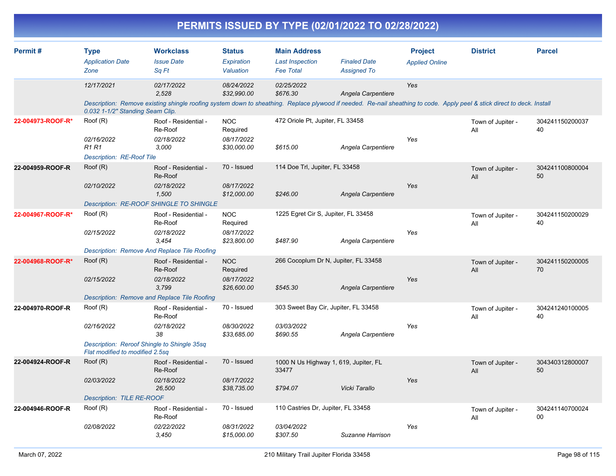|                   |                                                                                                         |                                                                                                                                                                                                |                                                     |                                                                   | PERMITS ISSUED BY TYPE (02/01/2022 TO 02/28/2022) |                                         |                          |                       |
|-------------------|---------------------------------------------------------------------------------------------------------|------------------------------------------------------------------------------------------------------------------------------------------------------------------------------------------------|-----------------------------------------------------|-------------------------------------------------------------------|---------------------------------------------------|-----------------------------------------|--------------------------|-----------------------|
| Permit#           | <b>Type</b><br><b>Application Date</b><br>Zone                                                          | <b>Workclass</b><br><b>Issue Date</b><br>Sq Ft                                                                                                                                                 | <b>Status</b><br>Expiration<br>Valuation            | <b>Main Address</b><br><b>Last Inspection</b><br><b>Fee Total</b> | <b>Finaled Date</b><br><b>Assigned To</b>         | <b>Project</b><br><b>Applied Online</b> | <b>District</b>          | <b>Parcel</b>         |
|                   | 12/17/2021                                                                                              | 02/17/2022<br>2,528<br>Description: Remove existing shingle roofing system down to sheathing. Replace plywood if needed. Re-nail sheathing to code. Apply peel & stick direct to deck. Install | 08/24/2022<br>\$32,990.00                           | 02/25/2022<br>\$676.30                                            | Angela Carpentiere                                | Yes                                     |                          |                       |
| 22-004973-ROOF-R* | 0.032 1-1/2" Standing Seam Clip.<br>Roof (R)<br>02/16/2022<br><b>R1 R1</b><br>Description: RE-Roof Tile | Roof - Residential -<br>Re-Roof<br>02/18/2022<br>3,000                                                                                                                                         | <b>NOC</b><br>Required<br>08/17/2022<br>\$30,000.00 | 472 Oriole Pt, Jupiter, FL 33458<br>\$615.00                      | Angela Carpentiere                                | Yes                                     | Town of Jupiter -<br>All | 304241150200037<br>40 |
| 22-004959-ROOF-R  | Roof (R)<br>02/10/2022                                                                                  | Roof - Residential -<br>Re-Roof<br>02/18/2022<br>1,500<br>Description: RE-ROOF SHINGLE TO SHINGLE                                                                                              | 70 - Issued<br>08/17/2022<br>\$12,000.00            | 114 Doe Trl, Jupiter, FL 33458<br>\$246.00                        | Angela Carpentiere                                | Yes                                     | Town of Jupiter -<br>All | 304241100800004<br>50 |
| 22-004967-ROOF-R* | Root(R)<br>02/15/2022                                                                                   | Roof - Residential -<br>Re-Roof<br>02/18/2022<br>3,454<br>Description: Remove And Replace Tile Roofing                                                                                         | <b>NOC</b><br>Required<br>08/17/2022<br>\$23,800.00 | 1225 Egret Cir S, Jupiter, FL 33458<br>\$487.90                   | Angela Carpentiere                                | Yes                                     | Town of Jupiter -<br>All | 304241150200029<br>40 |
| 22-004968-ROOF-R* | Root(R)<br>02/15/2022                                                                                   | Roof - Residential -<br>Re-Roof<br>02/18/2022<br>3,799<br>Description: Remove and Replace Tile Roofing                                                                                         | <b>NOC</b><br>Required<br>08/17/2022<br>\$26,600.00 | 266 Cocoplum Dr N, Jupiter, FL 33458<br>\$545.30                  | Angela Carpentiere                                | Yes                                     | Town of Jupiter -<br>All | 304241150200005<br>70 |
| 22-004970-ROOF-R  | Roof (R)<br>02/16/2022<br>Flat modified to modified 2.5sq                                               | Roof - Residential -<br>Re-Roof<br>02/18/2022<br>38<br>Description: Reroof Shingle to Shingle 35sq                                                                                             | 70 - Issued<br>08/30/2022<br>\$33,685.00            | 303 Sweet Bay Cir, Jupiter, FL 33458<br>03/03/2022<br>\$690.55    | Angela Carpentiere                                | Yes                                     | Town of Jupiter -<br>All | 304241240100005<br>40 |
| 22-004924-ROOF-R  | Root(R)<br><i>02/03/2022</i><br><b>Description: TILE RE-ROOF</b>                                        | Roof - Residential -<br>Re-Roof<br>02/18/2022<br>26,500                                                                                                                                        | 70 - Issued<br>08/17/2022<br>\$38,735.00            | 1000 N Us Highway 1, 619, Jupiter, FL<br>33477<br>\$794.07        | Vicki Tarallo                                     | Yes                                     | Town of Jupiter -<br>All | 304340312800007<br>50 |
| 22-004946-ROOF-R  | Root(R)<br>02/08/2022                                                                                   | Roof - Residential -<br>Re-Roof<br>02/22/2022<br>3,450                                                                                                                                         | 70 - Issued<br>08/31/2022<br>\$15,000.00            | 110 Castries Dr, Jupiter, FL 33458<br>03/04/2022<br>\$307.50      | Suzanne Harrison                                  | Yes                                     | Town of Jupiter -<br>All | 304241140700024<br>00 |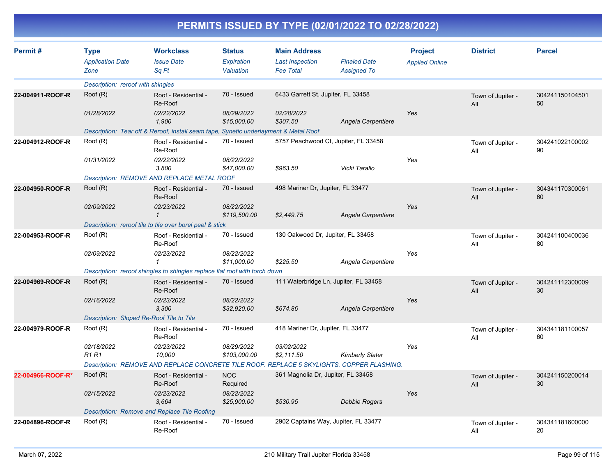| Permit#           | <b>Type</b>                              | <b>Workclass</b><br><b>Issue Date</b>                                                     | <b>Status</b>              | <b>Main Address</b>                        | <b>Finaled Date</b>                   | <b>Project</b>        | <b>District</b>          | <b>Parcel</b>         |
|-------------------|------------------------------------------|-------------------------------------------------------------------------------------------|----------------------------|--------------------------------------------|---------------------------------------|-----------------------|--------------------------|-----------------------|
|                   | <b>Application Date</b><br>Zone          | Sq Ft                                                                                     | Expiration<br>Valuation    | <b>Last Inspection</b><br><b>Fee Total</b> | <b>Assigned To</b>                    | <b>Applied Online</b> |                          |                       |
|                   | Description: reroof with shingles        |                                                                                           |                            |                                            |                                       |                       |                          |                       |
| 22-004911-ROOF-R  | Root(R)                                  | Roof - Residential -<br>Re-Roof                                                           | 70 - Issued                | 6433 Garrett St, Jupiter, FL 33458         |                                       |                       | Town of Jupiter -<br>All | 304241150104501<br>50 |
|                   | 01/28/2022                               | 02/22/2022<br>1,900                                                                       | 08/29/2022<br>\$15,000.00  | 02/28/2022<br>\$307.50                     | Angela Carpentiere                    | Yes                   |                          |                       |
|                   |                                          | Description: Tear off & Reroof, install seam tape, Synetic underlayment & Metal Roof      |                            |                                            |                                       |                       |                          |                       |
| 22-004912-ROOF-R  | Root(R)                                  | Roof - Residential -<br>Re-Roof                                                           | 70 - Issued                |                                            | 5757 Peachwood Ct, Jupiter, FL 33458  |                       | Town of Jupiter -<br>All | 304241022100002<br>90 |
|                   | 01/31/2022                               | 02/22/2022<br>3,800                                                                       | 08/22/2022<br>\$47,000.00  | \$963.50                                   | Vicki Tarallo                         | Yes                   |                          |                       |
|                   |                                          | Description: REMOVE AND REPLACE METAL ROOF                                                |                            |                                            |                                       |                       |                          |                       |
| 22-004950-ROOF-R  | Root(R)                                  | Roof - Residential -<br>Re-Roof                                                           | 70 - Issued                | 498 Mariner Dr, Jupiter, FL 33477          |                                       |                       | Town of Jupiter -<br>All | 304341170300061<br>60 |
|                   | 02/09/2022                               | 02/23/2022<br>$\mathcal I$                                                                | 08/22/2022<br>\$119,500.00 | \$2,449.75                                 | Angela Carpentiere                    | Yes                   |                          |                       |
|                   |                                          | Description: reroof tile to tile over borel peel & stick                                  |                            |                                            |                                       |                       |                          |                       |
| 22-004953-ROOF-R  | Roof (R)                                 | Roof - Residential -<br>Re-Roof                                                           | 70 - Issued                | 130 Oakwood Dr, Jupiter, FL 33458          |                                       |                       | Town of Jupiter -<br>All | 304241100400036<br>80 |
|                   | 02/09/2022                               | 02/23/2022<br>$\mathbf{1}$                                                                | 08/22/2022<br>\$11,000.00  | \$225.50                                   | Angela Carpentiere                    | Yes                   |                          |                       |
|                   |                                          | Description: reroof shingles to shingles replace flat roof with torch down                |                            |                                            |                                       |                       |                          |                       |
| 22-004969-ROOF-R  | Root(R)                                  | Roof - Residential -<br>Re-Roof                                                           | 70 - Issued                |                                            | 111 Waterbridge Ln, Jupiter, FL 33458 |                       | Town of Jupiter -<br>All | 304241112300009<br>30 |
|                   | 02/16/2022                               | 02/23/2022<br>3,300                                                                       | 08/22/2022<br>\$32,920.00  | \$674.86                                   | Angela Carpentiere                    | Yes                   |                          |                       |
|                   | Description: Sloped Re-Roof Tile to Tile |                                                                                           |                            |                                            |                                       |                       |                          |                       |
| 22-004979-ROOF-R  | Roof (R)                                 | Roof - Residential -<br>Re-Roof                                                           | 70 - Issued                | 418 Mariner Dr, Jupiter, FL 33477          |                                       |                       | Town of Jupiter -<br>All | 304341181100057<br>60 |
|                   | 02/18/2022<br><b>R1 R1</b>               | 02/23/2022<br>10.000                                                                      | 08/29/2022<br>\$103,000.00 | 03/02/2022<br>\$2,111.50                   | <b>Kimberly Slater</b>                | Yes                   |                          |                       |
|                   |                                          | Description: REMOVE AND REPLACE CONCRETE TILE ROOF. REPLACE 5 SKYLIGHTS. COPPER FLASHING. |                            |                                            |                                       |                       |                          |                       |
| 22-004966-ROOF-R* | Root(R)                                  | Roof - Residential -<br>Re-Roof                                                           | <b>NOC</b><br>Required     | 361 Magnolia Dr, Jupiter, FL 33458         |                                       |                       | Town of Jupiter -<br>All | 304241150200014<br>30 |
|                   | 02/15/2022                               | 02/23/2022<br>3.664                                                                       | 08/22/2022<br>\$25,900.00  | \$530.95                                   | Debbie Rogers                         | Yes                   |                          |                       |
|                   |                                          | Description: Remove and Replace Tile Roofing                                              |                            |                                            |                                       |                       |                          |                       |
| 22-004896-ROOF-R  | Roof (R)                                 | Roof - Residential -<br>Re-Roof                                                           | 70 - Issued                | 2902 Captains Way, Jupiter, FL 33477       |                                       |                       | Town of Jupiter -<br>All | 304341181600000<br>20 |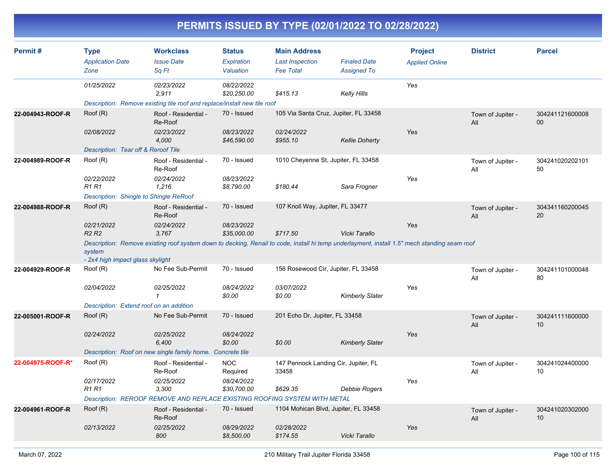| Permit#           | <b>Type</b><br><b>Application Date</b><br>Zone | <b>Workclass</b><br><b>Issue Date</b><br>Sq Ft                                                                                               | <b>Status</b><br>Expiration<br>Valuation           | <b>Main Address</b><br><b>Last Inspection</b><br><b>Fee Total</b> | <b>Finaled Date</b><br><b>Assigned To</b> | <b>Project</b><br><b>Applied Online</b> | <b>District</b>          | <b>Parcel</b>         |
|-------------------|------------------------------------------------|----------------------------------------------------------------------------------------------------------------------------------------------|----------------------------------------------------|-------------------------------------------------------------------|-------------------------------------------|-----------------------------------------|--------------------------|-----------------------|
|                   | 01/25/2022                                     | 02/23/2022<br>2,911                                                                                                                          | 08/22/2022<br>\$20,250.00                          | \$415.13                                                          | <b>Kelly Hills</b>                        | Yes                                     |                          |                       |
|                   |                                                | Description: Remove existing tile roof and replace/install new tile roof                                                                     |                                                    |                                                                   |                                           |                                         |                          |                       |
| 22-004943-ROOF-R  | Root(R)                                        | Roof - Residential -<br>Re-Roof                                                                                                              | 70 - Issued                                        | 105 Via Santa Cruz, Jupiter, FL 33458                             |                                           |                                         | Town of Jupiter -<br>All | 304241121600008<br>00 |
|                   | 02/08/2022                                     | 02/23/2022<br>4,000                                                                                                                          | 08/23/2022<br>\$46,590.00                          | 02/24/2022<br>\$955.10                                            | <b>Kellie Doherty</b>                     | Yes                                     |                          |                       |
|                   | Description: Tear off & Reroof Tile            |                                                                                                                                              |                                                    |                                                                   |                                           |                                         |                          |                       |
| 22-004989-ROOF-R  | Root(R)                                        | Roof - Residential -<br>Re-Roof                                                                                                              | 70 - Issued                                        | 1010 Cheyenne St, Jupiter, FL 33458                               |                                           |                                         | Town of Jupiter -<br>All | 304241020202101<br>50 |
|                   | 02/22/2022<br><b>R1 R1</b>                     | 02/24/2022<br>1,216                                                                                                                          | 08/23/2022<br>\$8,790.00                           | \$180.44                                                          | Sara Frogner                              | Yes                                     |                          |                       |
|                   | Description: Shingle to Shingle ReRoof         |                                                                                                                                              |                                                    |                                                                   |                                           |                                         |                          |                       |
| 22-004988-ROOF-R  | Root(R)                                        | Roof - Residential -<br>Re-Roof                                                                                                              | 70 - Issued                                        | 107 Knoll Way, Jupiter, FL 33477                                  |                                           |                                         | Town of Jupiter -<br>All | 304341160200045<br>20 |
|                   | 02/21/2022<br>R <sub>2</sub> R <sub>2</sub>    | 02/24/2022<br>3,767                                                                                                                          | 08/23/2022<br>\$35,000.00                          | \$717.50                                                          | Vicki Tarallo                             | Yes                                     |                          |                       |
|                   | system<br>- 2x4 high impact glass skylight     | Description: Remove existing roof system down to decking, Renail to code, install hi temp underlayment, install 1.5" mech standing seam roof |                                                    |                                                                   |                                           |                                         |                          |                       |
| 22-004929-ROOF-R  | Root(R)                                        | No Fee Sub-Permit                                                                                                                            | 70 - Issued<br>156 Rosewood Cir, Jupiter, FL 33458 |                                                                   |                                           |                                         | Town of Jupiter -<br>All | 304241101000048<br>80 |
|                   | 02/04/2022                                     | 02/25/2022<br>$\mathbf{1}$                                                                                                                   | 08/24/2022<br>\$0.00                               | 03/07/2022<br>\$0.00                                              | <b>Kimberly Slater</b>                    | Yes                                     |                          |                       |
|                   | Description: Extend roof on an addition        |                                                                                                                                              |                                                    |                                                                   |                                           |                                         |                          |                       |
| 22-005001-ROOF-R  | Root(R)                                        | No Fee Sub-Permit                                                                                                                            | 70 - Issued                                        | 201 Echo Dr, Jupiter, FL 33458                                    |                                           |                                         | Town of Jupiter -<br>All | 304241111600000<br>10 |
|                   | 02/24/2022                                     | 02/25/2022<br>6,400                                                                                                                          | 08/24/2022<br>\$0.00                               | \$0.00                                                            | <b>Kimberly Slater</b>                    | Yes                                     |                          |                       |
|                   |                                                | Description: Roof on new single family home. Concrete tile                                                                                   |                                                    |                                                                   |                                           |                                         |                          |                       |
| 22-004975-ROOF-R* | Root(R)                                        | Roof - Residential -<br>Re-Roof                                                                                                              | <b>NOC</b><br>Required                             | 147 Pennock Landing Cir, Jupiter, FL<br>33458                     |                                           |                                         | Town of Jupiter -<br>All | 304241024400000<br>10 |
|                   | 02/17/2022<br>R1 R1                            | 02/25/2022<br>3,300                                                                                                                          | 08/24/2022<br>\$30,700.00                          | \$629.35                                                          | Debbie Rogers                             | Yes                                     |                          |                       |
|                   |                                                | Description: REROOF REMOVE AND REPLACE EXISTING ROOFING SYSTEM WITH METAL                                                                    |                                                    |                                                                   |                                           |                                         |                          |                       |
| 22-004961-ROOF-R  | Root(R)                                        | Roof - Residential -<br>Re-Roof                                                                                                              | 70 - Issued                                        | 1104 Mohican Blvd, Jupiter, FL 33458                              |                                           |                                         | Town of Jupiter -<br>All | 304241020302000<br>10 |
|                   | 02/13/2022                                     | 02/25/2022<br>800                                                                                                                            | 08/29/2022<br>\$8,500.00                           | 02/28/2022<br>\$174.55                                            | Vicki Tarallo                             | Yes                                     |                          |                       |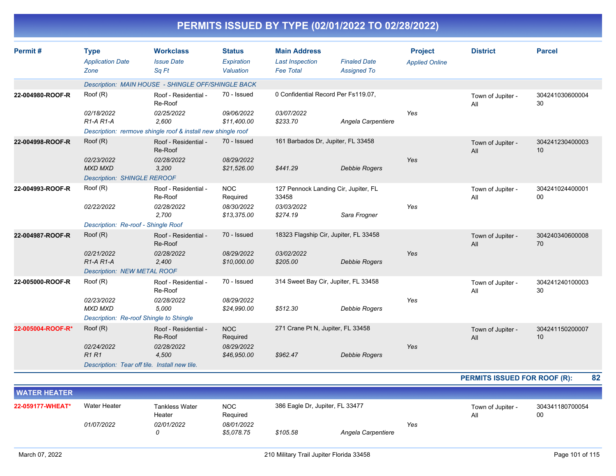| Permit#           | <b>Type</b>                                   | <b>Workclass</b>                                             | <b>Status</b>             | <b>Main Address</b>                           |                      | <b>Project</b>        | <b>District</b>          | <b>Parcel</b>         |
|-------------------|-----------------------------------------------|--------------------------------------------------------------|---------------------------|-----------------------------------------------|----------------------|-----------------------|--------------------------|-----------------------|
|                   | <b>Application Date</b>                       | <b>Issue Date</b>                                            | Expiration                | <b>Last Inspection</b>                        | <b>Finaled Date</b>  | <b>Applied Online</b> |                          |                       |
|                   | Zone                                          | Sq Ft                                                        | Valuation                 | <b>Fee Total</b>                              | <b>Assigned To</b>   |                       |                          |                       |
|                   |                                               | Description: MAIN HOUSE - SHINGLE OFF/SHINGLE BACK           |                           |                                               |                      |                       |                          |                       |
| 22-004980-ROOF-R  | Roof (R)                                      | Roof - Residential -<br>Re-Roof                              | 70 - Issued               | 0 Confidential Record Per Fs119.07,           |                      |                       | Town of Jupiter -<br>All | 304241030600004<br>30 |
|                   | 02/18/2022<br>$R1-A R1-A$                     | 02/25/2022<br>2,600                                          | 09/06/2022<br>\$11,400.00 | 03/07/2022<br>\$233.70                        | Angela Carpentiere   | Yes                   |                          |                       |
|                   |                                               | Description: rermove shingle roof & install new shingle roof |                           |                                               |                      |                       |                          |                       |
| 22-004998-ROOF-R  | Root(R)                                       | Roof - Residential -<br>Re-Roof                              | 70 - Issued               | 161 Barbados Dr, Jupiter, FL 33458            |                      |                       | Town of Jupiter -<br>All | 304241230400003<br>10 |
|                   | 02/23/2022<br><b>MXD MXD</b>                  | 02/28/2022<br>3,200                                          | 08/29/2022<br>\$21,526.00 | \$441.29                                      | <b>Debbie Rogers</b> | Yes                   |                          |                       |
|                   | <b>Description: SHINGLE REROOF</b>            |                                                              |                           |                                               |                      |                       |                          |                       |
| 22-004993-ROOF-R  | Root(R)                                       | Roof - Residential -<br>Re-Roof                              | <b>NOC</b><br>Required    | 127 Pennock Landing Cir, Jupiter, FL<br>33458 |                      |                       | Town of Jupiter -<br>All | 304241024400001<br>00 |
|                   | 02/22/2022                                    | 02/28/2022<br>2,700                                          | 08/30/2022<br>\$13,375.00 | 03/03/2022<br>\$274.19                        | Sara Frogner         | Yes                   |                          |                       |
|                   | Description: Re-roof - Shingle Roof           |                                                              |                           |                                               |                      |                       |                          |                       |
| 22-004987-ROOF-R  | Root(R)                                       | Roof - Residential -<br>Re-Roof                              | 70 - Issued               | 18323 Flagship Cir, Jupiter, FL 33458         |                      |                       | Town of Jupiter -<br>All | 304240340600008<br>70 |
|                   | 02/21/2022<br>$R1-A R1-A$                     | 02/28/2022<br>2,400                                          | 08/29/2022<br>\$10,000.00 | 03/02/2022<br>\$205.00                        | <b>Debbie Rogers</b> | Yes                   |                          |                       |
|                   | Description: NEW METAL ROOF                   |                                                              |                           |                                               |                      |                       |                          |                       |
| 22-005000-ROOF-R  | Roof (R)                                      | Roof - Residential -<br>Re-Roof                              | 70 - Issued               | 314 Sweet Bay Cir, Jupiter, FL 33458          |                      |                       | Town of Jupiter -<br>All | 304241240100003<br>30 |
|                   | 02/23/2022<br><b>MXD MXD</b>                  | 02/28/2022<br>5,000                                          | 08/29/2022<br>\$24,990.00 | \$512.30                                      | <b>Debbie Rogers</b> | Yes                   |                          |                       |
|                   | Description: Re-roof Shingle to Shingle       |                                                              |                           |                                               |                      |                       |                          |                       |
| 22-005004-ROOF-R* | Root(R)                                       | Roof - Residential -<br>Re-Roof                              | <b>NOC</b><br>Required    | 271 Crane Pt N, Jupiter, FL 33458             |                      |                       | Town of Jupiter -<br>All | 304241150200007<br>10 |
|                   | 02/24/2022<br>R1R1                            | 02/28/2022<br>4,500                                          | 08/29/2022<br>\$46,950.00 | \$962.47                                      | <b>Debbie Rogers</b> | Yes                   |                          |                       |
|                   | Description: Tear off tile. Install new tile. |                                                              |                           |                                               |                      |                       |                          |                       |

**PERMITS ISSUED FOR ROOF (R): 82**

| <b>NATER HEATER</b> |                   |                                 |                          |                                 |                    |     |                          |                       |
|---------------------|-------------------|---------------------------------|--------------------------|---------------------------------|--------------------|-----|--------------------------|-----------------------|
| 22-059177-WHEAT*    | Water Heater      | <b>Tankless Water</b><br>Heater | <b>NOC</b><br>Required   | 386 Eagle Dr, Jupiter, FL 33477 |                    |     | Town of Jupiter -<br>All | 304341180700054<br>00 |
|                     | <i>01/07/2022</i> | 02/01/2022<br>0                 | 08/01/2022<br>\$5,078.75 | \$105.58                        | Angela Carpentiere | Yes |                          |                       |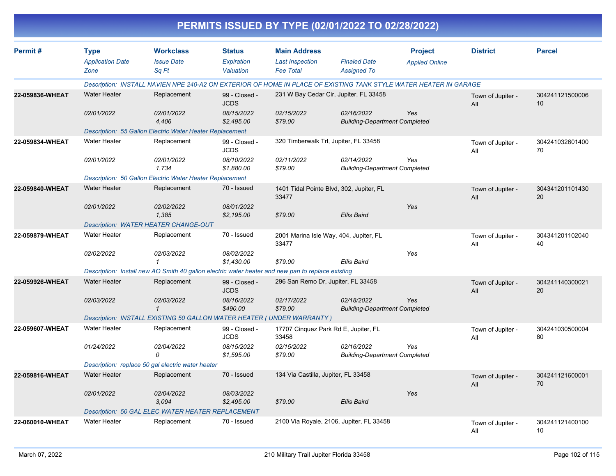|                 |                                                |                                                                                                                   |                                          |                                                                   | PERMITS ISSUED BY TYPE (02/01/2022 TO 02/28/2022)  |                                         |                          |                       |
|-----------------|------------------------------------------------|-------------------------------------------------------------------------------------------------------------------|------------------------------------------|-------------------------------------------------------------------|----------------------------------------------------|-----------------------------------------|--------------------------|-----------------------|
| Permit#         | <b>Type</b><br><b>Application Date</b><br>Zone | <b>Workclass</b><br><b>Issue Date</b><br>Sq Ft                                                                    | <b>Status</b><br>Expiration<br>Valuation | <b>Main Address</b><br><b>Last Inspection</b><br><b>Fee Total</b> | <b>Finaled Date</b><br><b>Assigned To</b>          | <b>Project</b><br><b>Applied Online</b> | <b>District</b>          | <b>Parcel</b>         |
|                 |                                                | Description: INSTALL NAVIEN NPE 240-A2 ON EXTERIOR OF HOME IN PLACE OF EXISTING TANK STYLE WATER HEATER IN GARAGE |                                          |                                                                   |                                                    |                                         |                          |                       |
| 22-059836-WHEAT | <b>Water Heater</b>                            | Replacement                                                                                                       | 99 - Closed -<br><b>JCDS</b>             |                                                                   | 231 W Bay Cedar Cir, Jupiter, FL 33458             |                                         | Town of Jupiter -<br>All | 304241121500006<br>10 |
|                 | 02/01/2022                                     | 02/01/2022<br>4,406                                                                                               | 08/15/2022<br>\$2,495.00                 | 02/15/2022<br>\$79.00                                             | 02/16/2022<br><b>Building-Department Completed</b> | Yes                                     |                          |                       |
|                 |                                                | Description: 55 Gallon Electric Water Heater Replacement                                                          |                                          |                                                                   |                                                    |                                         |                          |                       |
| 22-059834-WHEAT | <b>Water Heater</b>                            | Replacement                                                                                                       | 99 - Closed -<br><b>JCDS</b>             | 320 Timberwalk Trl, Jupiter, FL 33458                             |                                                    |                                         | Town of Jupiter -<br>All | 304241032601400<br>70 |
|                 | 02/01/2022                                     | 02/01/2022<br>1,734                                                                                               | 08/10/2022<br>\$1,880.00                 | 02/11/2022<br>\$79.00                                             | 02/14/2022<br><b>Building-Department Completed</b> | Yes                                     |                          |                       |
|                 |                                                | Description: 50 Gallon Electric Water Heater Replacement                                                          |                                          |                                                                   |                                                    |                                         |                          |                       |
| 22-059840-WHEAT | <b>Water Heater</b>                            | Replacement                                                                                                       | 70 - Issued                              | 33477                                                             | 1401 Tidal Pointe Blvd, 302, Jupiter, FL           |                                         | Town of Jupiter -<br>All | 304341201101430<br>20 |
|                 | 02/01/2022                                     | 02/02/2022<br>1,385                                                                                               | 08/01/2022<br>\$2,195.00                 | \$79.00                                                           | <b>Ellis Baird</b>                                 | Yes                                     |                          |                       |
|                 |                                                | Description: WATER HEATER CHANGE-OUT                                                                              |                                          |                                                                   |                                                    |                                         |                          |                       |
| 22-059879-WHEAT | <b>Water Heater</b>                            | Replacement                                                                                                       | 70 - Issued                              | 33477                                                             | 2001 Marina Isle Way, 404, Jupiter, FL             |                                         | Town of Jupiter -<br>All | 304341201102040<br>40 |
|                 | 02/02/2022                                     | 02/03/2022<br>1                                                                                                   | 08/02/2022<br>\$1,430.00                 | \$79.00                                                           | Ellis Baird                                        | Yes                                     |                          |                       |
|                 |                                                | Description: Install new AO Smith 40 gallon electric water heater and new pan to replace existing                 |                                          |                                                                   |                                                    |                                         |                          |                       |
| 22-059926-WHEAT | <b>Water Heater</b>                            | Replacement                                                                                                       | 99 - Closed -<br><b>JCDS</b>             | 296 San Remo Dr, Jupiter, FL 33458                                |                                                    |                                         | Town of Jupiter -<br>All | 304241140300021<br>20 |
|                 | 02/03/2022                                     | 02/03/2022<br>$\mathbf{1}$                                                                                        | 08/16/2022<br>\$490.00                   | 02/17/2022<br>\$79.00                                             | 02/18/2022<br><b>Building-Department Completed</b> | Yes                                     |                          |                       |
|                 |                                                | Description: INSTALL EXISTING 50 GALLON WATER HEATER ( UNDER WARRANTY )                                           |                                          |                                                                   |                                                    |                                         |                          |                       |
| 22-059607-WHEAT | <b>Water Heater</b>                            | Replacement                                                                                                       | 99 - Closed -<br><b>JCDS</b>             | 17707 Cinquez Park Rd E, Jupiter, FL<br>33458                     |                                                    |                                         | Town of Jupiter -<br>All | 304241030500004<br>80 |
|                 | 01/24/2022                                     | 02/04/2022<br>$\Omega$                                                                                            | 08/15/2022<br>\$1,595.00                 | 02/15/2022<br>\$79.00                                             | 02/16/2022<br><b>Building-Department Completed</b> | Yes                                     |                          |                       |
|                 |                                                | Description: replace 50 gal electric water heater                                                                 |                                          |                                                                   |                                                    |                                         |                          |                       |
| 22-059816-WHEAT | <b>Water Heater</b>                            | Replacement                                                                                                       | 70 - Issued                              | 134 Via Castilla, Jupiter, FL 33458                               |                                                    |                                         | Town of Jupiter -<br>All | 304241121600001<br>70 |
|                 | 02/01/2022                                     | 02/04/2022<br>3,094                                                                                               | 08/03/2022<br>\$2,495.00                 | \$79.00                                                           | Ellis Baird                                        | Yes                                     |                          |                       |
|                 |                                                | Description: 50 GAL ELEC WATER HEATER REPLACEMENT                                                                 |                                          |                                                                   |                                                    |                                         |                          |                       |
| 22-060010-WHEAT | Water Heater                                   | Replacement                                                                                                       | 70 - Issued                              |                                                                   | 2100 Via Royale, 2106, Jupiter, FL 33458           |                                         | Town of Jupiter -<br>All | 304241121400100<br>10 |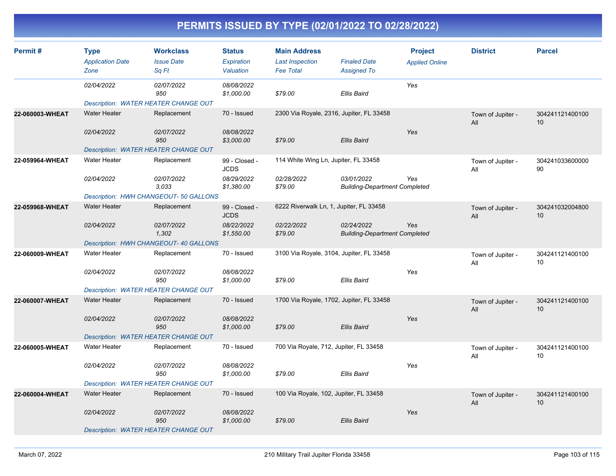| Permit#         | <b>Type</b><br><b>Application Date</b><br>Zone | <b>Workclass</b><br><b>Issue Date</b><br>Sq Ft | <b>Status</b><br>Expiration<br>Valuation | <b>Main Address</b><br><b>Last Inspection</b><br><b>Fee Total</b> | <b>Finaled Date</b><br><b>Assigned To</b>          | <b>Project</b><br><b>Applied Online</b> | <b>District</b>          | <b>Parcel</b>         |
|-----------------|------------------------------------------------|------------------------------------------------|------------------------------------------|-------------------------------------------------------------------|----------------------------------------------------|-----------------------------------------|--------------------------|-----------------------|
|                 | 02/04/2022                                     | 02/07/2022<br>950                              | 08/08/2022<br>\$1,000.00                 | \$79.00                                                           | <b>Ellis Baird</b>                                 | Yes                                     |                          |                       |
|                 | Description: WATER HEATER CHANGE OUT           |                                                |                                          |                                                                   |                                                    |                                         |                          |                       |
| 22-060003-WHEAT | <b>Water Heater</b>                            | Replacement                                    | 70 - Issued                              | 2300 Via Royale, 2316, Jupiter, FL 33458                          |                                                    |                                         | Town of Jupiter -<br>All | 304241121400100<br>10 |
|                 | 02/04/2022                                     | 02/07/2022<br>950                              | 08/08/2022<br>\$3,000.00                 | \$79.00                                                           | <b>Ellis Baird</b>                                 | Yes                                     |                          |                       |
|                 | <b>Description: WATER HEATER CHANGE OUT</b>    |                                                |                                          |                                                                   |                                                    |                                         |                          |                       |
| 22-059964-WHEAT | <b>Water Heater</b>                            | Replacement                                    | 99 - Closed -<br><b>JCDS</b>             | 114 White Wing Ln, Jupiter, FL 33458                              |                                                    |                                         | Town of Jupiter -<br>All | 304241033600000<br>90 |
|                 | 02/04/2022                                     | 02/07/2022<br>3.033                            | 08/29/2022<br>\$1,380.00                 | 02/28/2022<br>\$79.00                                             | 03/01/2022<br><b>Building-Department Completed</b> | Yes                                     |                          |                       |
|                 |                                                | Description: HWH CHANGEOUT- 50 GALLONS         |                                          |                                                                   |                                                    |                                         |                          |                       |
| 22-059968-WHEAT | <b>Water Heater</b>                            | Replacement                                    | 99 - Closed -<br><b>JCDS</b>             | 6222 Riverwalk Ln, 1, Jupiter, FL 33458                           |                                                    |                                         | Town of Jupiter -<br>All | 304241032004800<br>10 |
|                 | 02/04/2022                                     | 02/07/2022<br>1,302                            | 08/22/2022<br>\$1,550.00                 | 02/22/2022<br>\$79.00                                             | 02/24/2022<br><b>Building-Department Completed</b> | Yes                                     |                          |                       |
|                 |                                                | Description: HWH CHANGEOUT- 40 GALLONS         |                                          |                                                                   |                                                    |                                         |                          |                       |
| 22-060009-WHEAT | <b>Water Heater</b>                            | Replacement                                    | 70 - Issued                              | 3100 Via Royale, 3104, Jupiter, FL 33458                          |                                                    |                                         | Town of Jupiter -<br>All | 304241121400100<br>10 |
|                 | 02/04/2022                                     | 02/07/2022<br>950                              | 08/08/2022<br>\$1,000.00                 | \$79.00                                                           | <b>Ellis Baird</b>                                 | Yes                                     |                          |                       |
|                 | Description: WATER HEATER CHANGE OUT           |                                                |                                          |                                                                   |                                                    |                                         |                          |                       |
| 22-060007-WHEAT | <b>Water Heater</b>                            | Replacement                                    | 70 - Issued                              | 1700 Via Royale, 1702, Jupiter, FL 33458                          |                                                    |                                         | Town of Jupiter -<br>All | 304241121400100<br>10 |
|                 | 02/04/2022                                     | 02/07/2022<br>950                              | 08/08/2022<br>\$1,000.00                 | \$79.00                                                           | <b>Ellis Baird</b>                                 | Yes                                     |                          |                       |
|                 | <b>Description: WATER HEATER CHANGE OUT</b>    |                                                |                                          |                                                                   |                                                    |                                         |                          |                       |
| 22-060005-WHEAT | <b>Water Heater</b>                            | Replacement                                    | 70 - Issued                              | 700 Via Royale, 712, Jupiter, FL 33458                            |                                                    |                                         | Town of Jupiter -<br>All | 304241121400100<br>10 |
|                 | 02/04/2022                                     | 02/07/2022<br>950                              | 08/08/2022<br>\$1,000.00                 | \$79.00                                                           | <b>Ellis Baird</b>                                 | Yes                                     |                          |                       |
|                 | Description: WATER HEATER CHANGE OUT           |                                                |                                          |                                                                   |                                                    |                                         |                          |                       |
| 22-060004-WHEAT | <b>Water Heater</b>                            | Replacement                                    | 70 - Issued                              | 100 Via Royale, 102, Jupiter, FL 33458                            |                                                    |                                         | Town of Jupiter -<br>All | 304241121400100<br>10 |
|                 | 02/04/2022                                     | 02/07/2022<br>950                              | 08/08/2022<br>\$1,000.00                 | \$79.00                                                           | <b>Ellis Baird</b>                                 | Yes                                     |                          |                       |
|                 | <b>Description: WATER HEATER CHANGE OUT</b>    |                                                |                                          |                                                                   |                                                    |                                         |                          |                       |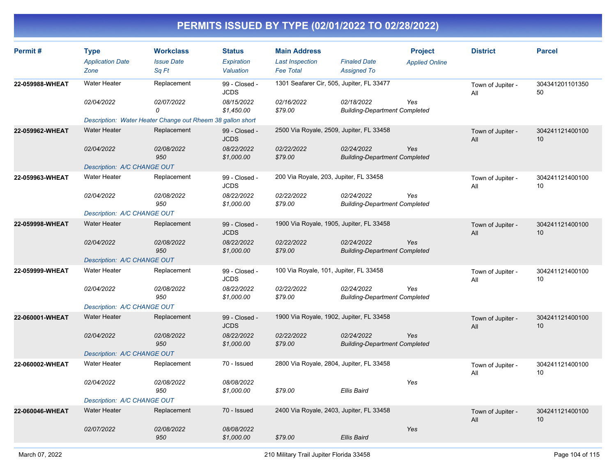| <b>Type</b><br><b>Application Date</b> | <b>Workclass</b><br><b>Issue Date</b> | <b>Status</b><br>Expiration                                                                                                                                                                     | <b>Main Address</b><br><b>Last Inspection</b>                           | <b>Finaled Date</b> | <b>Project</b><br><b>Applied Online</b>                                                                                                                                                                                                                                                                                                                                         | <b>District</b>                                                                                                                                                                                                                              | <b>Parcel</b>                      |
|----------------------------------------|---------------------------------------|-------------------------------------------------------------------------------------------------------------------------------------------------------------------------------------------------|-------------------------------------------------------------------------|---------------------|---------------------------------------------------------------------------------------------------------------------------------------------------------------------------------------------------------------------------------------------------------------------------------------------------------------------------------------------------------------------------------|----------------------------------------------------------------------------------------------------------------------------------------------------------------------------------------------------------------------------------------------|------------------------------------|
|                                        |                                       |                                                                                                                                                                                                 |                                                                         |                     |                                                                                                                                                                                                                                                                                                                                                                                 |                                                                                                                                                                                                                                              |                                    |
| <b>Water Heater</b>                    | Replacement                           | 99 - Closed -<br><b>JCDS</b>                                                                                                                                                                    |                                                                         |                     |                                                                                                                                                                                                                                                                                                                                                                                 | Town of Jupiter -<br>All                                                                                                                                                                                                                     | 304341201101350<br>50              |
| 02/04/2022                             | 02/07/2022<br>0                       | 08/15/2022<br>\$1,450.00                                                                                                                                                                        | 02/16/2022<br>\$79.00                                                   | 02/18/2022          | Yes                                                                                                                                                                                                                                                                                                                                                                             |                                                                                                                                                                                                                                              |                                    |
|                                        |                                       |                                                                                                                                                                                                 |                                                                         |                     |                                                                                                                                                                                                                                                                                                                                                                                 |                                                                                                                                                                                                                                              |                                    |
| <b>Water Heater</b>                    | Replacement                           | 99 - Closed -<br><b>JCDS</b>                                                                                                                                                                    |                                                                         |                     |                                                                                                                                                                                                                                                                                                                                                                                 | Town of Jupiter -<br>All                                                                                                                                                                                                                     | 304241121400100<br>10              |
| 02/04/2022                             | 02/08/2022<br>950                     | 08/22/2022<br>\$1,000.00                                                                                                                                                                        | 02/22/2022<br>\$79.00                                                   | 02/24/2022          | Yes                                                                                                                                                                                                                                                                                                                                                                             |                                                                                                                                                                                                                                              |                                    |
|                                        |                                       |                                                                                                                                                                                                 |                                                                         |                     |                                                                                                                                                                                                                                                                                                                                                                                 |                                                                                                                                                                                                                                              |                                    |
| <b>Water Heater</b>                    | Replacement                           | 99 - Closed -<br><b>JCDS</b>                                                                                                                                                                    |                                                                         |                     |                                                                                                                                                                                                                                                                                                                                                                                 | Town of Jupiter -<br>All                                                                                                                                                                                                                     | 304241121400100<br>10              |
| 02/04/2022                             | 02/08/2022<br>950                     | 08/22/2022<br>\$1,000.00                                                                                                                                                                        | 02/22/2022<br>\$79.00                                                   | 02/24/2022          | Yes                                                                                                                                                                                                                                                                                                                                                                             |                                                                                                                                                                                                                                              |                                    |
|                                        |                                       |                                                                                                                                                                                                 |                                                                         |                     |                                                                                                                                                                                                                                                                                                                                                                                 |                                                                                                                                                                                                                                              |                                    |
| <b>Water Heater</b>                    | Replacement                           | 99 - Closed -<br><b>JCDS</b>                                                                                                                                                                    |                                                                         |                     |                                                                                                                                                                                                                                                                                                                                                                                 | Town of Jupiter -<br>All                                                                                                                                                                                                                     | 304241121400100<br>10              |
| 02/04/2022                             | 02/08/2022<br>950                     | 08/22/2022<br>\$1,000.00                                                                                                                                                                        | 02/22/2022<br>\$79.00                                                   | 02/24/2022          | Yes                                                                                                                                                                                                                                                                                                                                                                             |                                                                                                                                                                                                                                              |                                    |
|                                        |                                       |                                                                                                                                                                                                 |                                                                         |                     |                                                                                                                                                                                                                                                                                                                                                                                 |                                                                                                                                                                                                                                              |                                    |
| <b>Water Heater</b>                    | Replacement                           | 99 - Closed -<br><b>JCDS</b>                                                                                                                                                                    |                                                                         |                     |                                                                                                                                                                                                                                                                                                                                                                                 | Town of Jupiter -<br>All                                                                                                                                                                                                                     | 304241121400100<br>10              |
| 02/04/2022                             | 02/08/2022<br>950                     | 08/22/2022<br>\$1,000.00                                                                                                                                                                        | 02/22/2022<br>\$79.00                                                   | 02/24/2022          | Yes                                                                                                                                                                                                                                                                                                                                                                             |                                                                                                                                                                                                                                              |                                    |
|                                        |                                       |                                                                                                                                                                                                 |                                                                         |                     |                                                                                                                                                                                                                                                                                                                                                                                 |                                                                                                                                                                                                                                              |                                    |
| <b>Water Heater</b>                    | Replacement                           | 99 - Closed -<br><b>JCDS</b>                                                                                                                                                                    |                                                                         |                     |                                                                                                                                                                                                                                                                                                                                                                                 | Town of Jupiter -<br>All                                                                                                                                                                                                                     | 304241121400100<br>10 <sup>°</sup> |
| 02/04/2022                             | 02/08/2022<br>950                     | 08/22/2022<br>\$1,000.00                                                                                                                                                                        | 02/22/2022<br>\$79.00                                                   | 02/24/2022          | Yes                                                                                                                                                                                                                                                                                                                                                                             |                                                                                                                                                                                                                                              |                                    |
|                                        |                                       |                                                                                                                                                                                                 |                                                                         |                     |                                                                                                                                                                                                                                                                                                                                                                                 |                                                                                                                                                                                                                                              |                                    |
| <b>Water Heater</b>                    | Replacement                           | 70 - Issued                                                                                                                                                                                     |                                                                         |                     |                                                                                                                                                                                                                                                                                                                                                                                 | Town of Jupiter -<br>All                                                                                                                                                                                                                     | 304241121400100<br>10              |
| 02/04/2022                             | 02/08/2022<br>950                     | 08/08/2022<br>\$1,000.00                                                                                                                                                                        | \$79.00                                                                 | <b>Ellis Baird</b>  | Yes                                                                                                                                                                                                                                                                                                                                                                             |                                                                                                                                                                                                                                              |                                    |
|                                        |                                       |                                                                                                                                                                                                 |                                                                         |                     |                                                                                                                                                                                                                                                                                                                                                                                 |                                                                                                                                                                                                                                              |                                    |
| <b>Water Heater</b>                    | Replacement                           | 70 - Issued                                                                                                                                                                                     |                                                                         |                     |                                                                                                                                                                                                                                                                                                                                                                                 | Town of Jupiter -<br>All                                                                                                                                                                                                                     | 304241121400100<br>10 <sup>°</sup> |
| 02/07/2022                             | 02/08/2022<br>950                     | 08/08/2022<br>\$1,000.00                                                                                                                                                                        | \$79.00                                                                 | Ellis Baird         | Yes                                                                                                                                                                                                                                                                                                                                                                             |                                                                                                                                                                                                                                              |                                    |
|                                        | Zone                                  | Sq Ft<br>Description: A/C CHANGE OUT<br>Description: A/C CHANGE OUT<br>Description: A/C CHANGE OUT<br>Description: A/C CHANGE OUT<br>Description: A/C CHANGE OUT<br>Description: A/C CHANGE OUT | Valuation<br>Description: Water Heater Change out Rheem 38 gallon short | <b>Fee Total</b>    | <b>Assigned To</b><br>1301 Seafarer Cir, 505, Jupiter, FL 33477<br>2500 Via Royale, 2509, Jupiter, FL 33458<br>200 Via Royale, 203, Jupiter, FL 33458<br>1900 Via Royale, 1905, Jupiter, FL 33458<br>100 Via Royale, 101, Jupiter, FL 33458<br>1900 Via Royale, 1902, Jupiter, FL 33458<br>2800 Via Royale, 2804, Jupiter, FL 33458<br>2400 Via Royale, 2403, Jupiter, FL 33458 | <b>Building-Department Completed</b><br><b>Building-Department Completed</b><br><b>Building-Department Completed</b><br><b>Building-Department Completed</b><br><b>Building-Department Completed</b><br><b>Building-Department Completed</b> |                                    |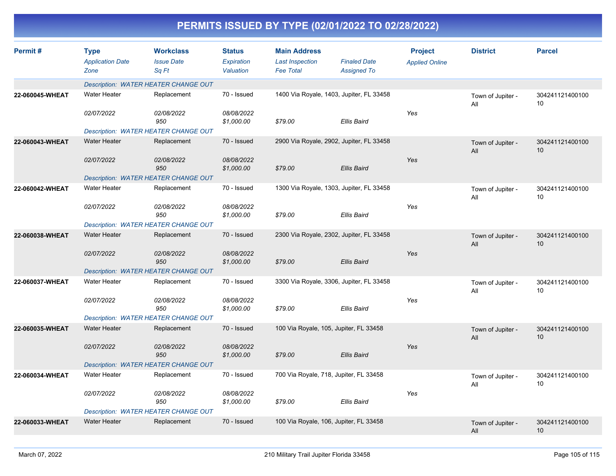| Permit#         | <b>Type</b><br><b>Application Date</b><br>Zone | <b>Workclass</b><br><b>Issue Date</b><br>Sq Ft | <b>Status</b><br>Expiration<br>Valuation | <b>Main Address</b><br><b>Last Inspection</b><br><b>Fee Total</b> | <b>Finaled Date</b><br><b>Assigned To</b> | <b>Project</b><br><b>Applied Online</b> | <b>District</b>          | <b>Parcel</b>         |
|-----------------|------------------------------------------------|------------------------------------------------|------------------------------------------|-------------------------------------------------------------------|-------------------------------------------|-----------------------------------------|--------------------------|-----------------------|
|                 |                                                | Description: WATER HEATER CHANGE OUT           |                                          |                                                                   |                                           |                                         |                          |                       |
| 22-060045-WHEAT | <b>Water Heater</b>                            | Replacement                                    | 70 - Issued                              | 1400 Via Royale, 1403, Jupiter, FL 33458                          |                                           |                                         | Town of Jupiter -<br>All | 304241121400100<br>10 |
|                 | 02/07/2022                                     | 02/08/2022<br>950                              | 08/08/2022<br>\$1,000.00                 | \$79.00                                                           | <b>Ellis Baird</b>                        | Yes                                     |                          |                       |
|                 |                                                | Description: WATER HEATER CHANGE OUT           |                                          |                                                                   |                                           |                                         |                          |                       |
| 22-060043-WHEAT | <b>Water Heater</b>                            | Replacement                                    | 70 - Issued                              | 2900 Via Royale, 2902, Jupiter, FL 33458                          |                                           |                                         | Town of Jupiter -<br>All | 304241121400100<br>10 |
|                 | 02/07/2022                                     | 02/08/2022<br>950                              | 08/08/2022<br>\$1,000.00                 | \$79.00                                                           | <b>Ellis Baird</b>                        | Yes                                     |                          |                       |
|                 |                                                | Description: WATER HEATER CHANGE OUT           |                                          |                                                                   |                                           |                                         |                          |                       |
| 22-060042-WHEAT | <b>Water Heater</b>                            | Replacement                                    | 70 - Issued                              | 1300 Via Royale, 1303, Jupiter, FL 33458                          |                                           |                                         | Town of Jupiter -<br>All | 304241121400100<br>10 |
|                 | 02/07/2022                                     | 02/08/2022<br>950                              | 08/08/2022<br>\$1,000.00                 | \$79.00                                                           | <b>Ellis Baird</b>                        | Yes                                     |                          |                       |
|                 |                                                | Description: WATER HEATER CHANGE OUT           |                                          |                                                                   |                                           |                                         |                          |                       |
| 22-060038-WHEAT | <b>Water Heater</b>                            | Replacement                                    | 70 - Issued                              | 2300 Via Royale, 2302, Jupiter, FL 33458                          |                                           |                                         | Town of Jupiter -<br>All | 304241121400100<br>10 |
|                 | 02/07/2022                                     | 02/08/2022<br>950                              | 08/08/2022<br>\$1,000.00                 | \$79.00                                                           | <b>Ellis Baird</b>                        | Yes                                     |                          |                       |
|                 |                                                | Description: WATER HEATER CHANGE OUT           |                                          |                                                                   |                                           |                                         |                          |                       |
| 22-060037-WHEAT | <b>Water Heater</b>                            | Replacement                                    | 70 - Issued                              | 3300 Via Royale, 3306, Jupiter, FL 33458                          |                                           |                                         | Town of Jupiter -<br>All | 304241121400100<br>10 |
|                 | 02/07/2022                                     | 02/08/2022<br>950                              | 08/08/2022<br>\$1,000.00                 | \$79.00                                                           | <b>Ellis Baird</b>                        | Yes                                     |                          |                       |
|                 |                                                | <b>Description: WATER HEATER CHANGE OUT</b>    |                                          |                                                                   |                                           |                                         |                          |                       |
| 22-060035-WHEAT | <b>Water Heater</b>                            | Replacement                                    | 70 - Issued                              | 100 Via Royale, 105, Jupiter, FL 33458                            |                                           |                                         | Town of Jupiter -<br>All | 304241121400100<br>10 |
|                 | 02/07/2022                                     | 02/08/2022<br>950                              | 08/08/2022<br>\$1,000.00                 | \$79.00                                                           | Ellis Baird                               | Yes                                     |                          |                       |
|                 |                                                | <b>Description: WATER HEATER CHANGE OUT</b>    |                                          |                                                                   |                                           |                                         |                          |                       |
| 22-060034-WHEAT | <b>Water Heater</b>                            | Replacement                                    | 70 - Issued                              | 700 Via Royale, 718, Jupiter, FL 33458                            |                                           |                                         | Town of Jupiter -<br>All | 304241121400100<br>10 |
|                 | 02/07/2022                                     | 02/08/2022<br>950                              | 08/08/2022<br>\$1,000.00                 | \$79.00                                                           | <b>Ellis Baird</b>                        | Yes                                     |                          |                       |
|                 |                                                | Description: WATER HEATER CHANGE OUT           |                                          |                                                                   |                                           |                                         |                          |                       |
| 22-060033-WHEAT | <b>Water Heater</b>                            | Replacement                                    | 70 - Issued                              | 100 Via Royale, 106, Jupiter, FL 33458                            |                                           |                                         | Town of Jupiter -<br>All | 304241121400100<br>10 |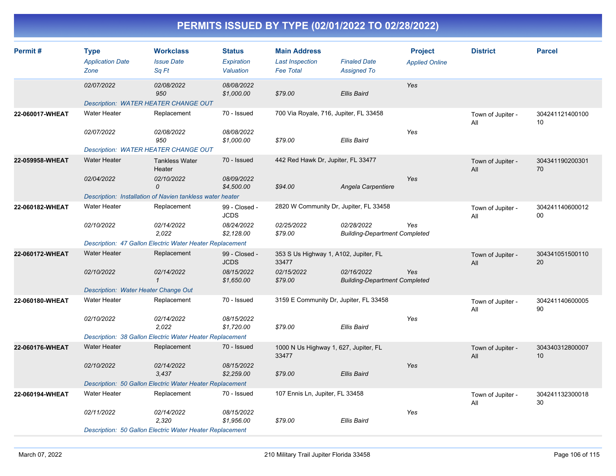| Permit#         | <b>Type</b><br><b>Application Date</b><br>Zone | <b>Workclass</b><br><b>Issue Date</b><br>Sq Ft                  | <b>Status</b><br>Expiration<br>Valuation | <b>Main Address</b><br><b>Last Inspection</b><br><b>Fee Total</b> | <b>Finaled Date</b><br><b>Assigned To</b>          | <b>Project</b><br><b>Applied Online</b> | <b>District</b>          | <b>Parcel</b>         |
|-----------------|------------------------------------------------|-----------------------------------------------------------------|------------------------------------------|-------------------------------------------------------------------|----------------------------------------------------|-----------------------------------------|--------------------------|-----------------------|
|                 | 02/07/2022                                     | <i>02/08/2022</i><br>950                                        | 08/08/2022<br>\$1,000.00                 | \$79.00                                                           | <b>Ellis Baird</b>                                 | Yes                                     |                          |                       |
|                 | Description: WATER HEATER CHANGE OUT           |                                                                 |                                          |                                                                   |                                                    |                                         |                          |                       |
| 22-060017-WHEAT | Water Heater                                   | Replacement                                                     | 70 - Issued                              | 700 Via Royale, 716, Jupiter, FL 33458                            |                                                    |                                         | Town of Jupiter -<br>All | 304241121400100<br>10 |
|                 | 02/07/2022                                     | 02/08/2022<br>950                                               | 08/08/2022<br>\$1,000.00                 | \$79.00                                                           | <b>Ellis Baird</b>                                 | Yes                                     |                          |                       |
|                 | Description: WATER HEATER CHANGE OUT           |                                                                 |                                          |                                                                   |                                                    |                                         |                          |                       |
| 22-059958-WHEAT | <b>Water Heater</b>                            | <b>Tankless Water</b><br>Heater                                 | 70 - Issued                              | 442 Red Hawk Dr, Jupiter, FL 33477                                |                                                    |                                         | Town of Jupiter -<br>All | 304341190200301<br>70 |
|                 | 02/04/2022                                     | 02/10/2022<br>0                                                 | 08/09/2022<br>\$4,500.00                 | \$94.00                                                           | Angela Carpentiere                                 | Yes                                     |                          |                       |
|                 |                                                | Description: Installation of Navien tankless water heater       |                                          |                                                                   |                                                    |                                         |                          |                       |
| 22-060182-WHEAT | Water Heater                                   | Replacement                                                     | 99 - Closed -<br><b>JCDS</b>             | 2820 W Community Dr, Jupiter, FL 33458                            |                                                    |                                         | Town of Jupiter -<br>All | 304241140600012<br>00 |
|                 | 02/10/2022                                     | 02/14/2022<br>2,022                                             | 08/24/2022<br>\$2,128.00                 | 02/25/2022<br>\$79.00                                             | 02/28/2022<br><b>Building-Department Completed</b> | Yes                                     |                          |                       |
|                 |                                                | Description: 47 Gallon Electric Water Heater Replacement        |                                          |                                                                   |                                                    |                                         |                          |                       |
| 22-060172-WHEAT | <b>Water Heater</b>                            | Replacement                                                     | 99 - Closed -<br><b>JCDS</b>             | 353 S Us Highway 1, A102, Jupiter, FL<br>33477                    |                                                    |                                         | Town of Jupiter -<br>All | 304341051500110<br>20 |
|                 | 02/10/2022                                     | 02/14/2022<br>$\mathcal I$                                      | 08/15/2022<br>\$1,650.00                 | 02/15/2022<br>\$79.00                                             | 02/16/2022<br><b>Building-Department Completed</b> | Yes                                     |                          |                       |
|                 | Description: Water Heater Change Out           |                                                                 |                                          |                                                                   |                                                    |                                         |                          |                       |
| 22-060180-WHEAT | Water Heater                                   | Replacement                                                     | 70 - Issued                              | 3159 E Community Dr, Jupiter, FL 33458                            |                                                    |                                         | Town of Jupiter -<br>All | 304241140600005<br>90 |
|                 | 02/10/2022                                     | 02/14/2022<br>2,022                                             | 08/15/2022<br>\$1,720.00                 | \$79.00                                                           | <b>Ellis Baird</b>                                 | Yes                                     |                          |                       |
|                 |                                                | Description: 38 Gallon Electric Water Heater Replacement        |                                          |                                                                   |                                                    |                                         |                          |                       |
| 22-060176-WHEAT | <b>Water Heater</b>                            | Replacement                                                     | 70 - Issued                              | 1000 N Us Highway 1, 627, Jupiter, FL<br>33477                    |                                                    |                                         | Town of Jupiter -<br>All | 304340312800007<br>10 |
|                 | 02/10/2022                                     | 02/14/2022<br>3,437                                             | 08/15/2022<br>\$2,259.00                 | \$79.00                                                           | Ellis Baird                                        | Yes                                     |                          |                       |
|                 |                                                | Description: 50 Gallon Electric Water Heater Replacement        |                                          |                                                                   |                                                    |                                         |                          |                       |
| 22-060194-WHEAT | <b>Water Heater</b>                            | Replacement                                                     | 70 - Issued                              | 107 Ennis Ln, Jupiter, FL 33458                                   |                                                    |                                         | Town of Jupiter -<br>All | 304241132300018<br>30 |
|                 | 02/11/2022                                     | 02/14/2022<br>2,320                                             | 08/15/2022<br>\$1,956.00                 | \$79.00                                                           | Ellis Baird                                        | Yes                                     |                          |                       |
|                 |                                                | <b>Description: 50 Gallon Electric Water Heater Replacement</b> |                                          |                                                                   |                                                    |                                         |                          |                       |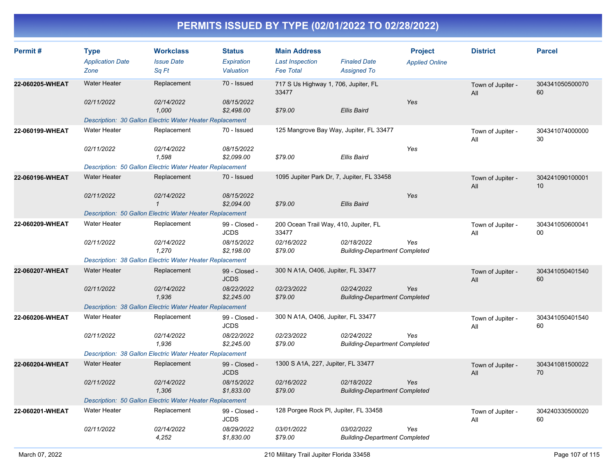| Permit#         | <b>Type</b><br><b>Application Date</b><br>Zone | <b>Workclass</b><br><b>Issue Date</b><br>Sq Ft           | <b>Status</b><br>Expiration<br>Valuation | <b>Main Address</b><br><b>Last Inspection</b><br><b>Fee Total</b> | <b>Finaled Date</b><br><b>Assigned To</b>          | <b>Project</b><br><b>Applied Online</b> | <b>District</b>          | <b>Parcel</b>         |
|-----------------|------------------------------------------------|----------------------------------------------------------|------------------------------------------|-------------------------------------------------------------------|----------------------------------------------------|-----------------------------------------|--------------------------|-----------------------|
| 22-060205-WHEAT | <b>Water Heater</b>                            | Replacement                                              | 70 - Issued                              | 33477                                                             | 717 S Us Highway 1, 706, Jupiter, FL               |                                         | Town of Jupiter -<br>All | 304341050500070<br>60 |
|                 | 02/11/2022                                     | 02/14/2022<br>1,000                                      | 08/15/2022<br>\$2,498.00                 | \$79.00                                                           | <b>Ellis Baird</b>                                 | Yes                                     |                          |                       |
|                 |                                                | Description: 30 Gallon Electric Water Heater Replacement |                                          |                                                                   |                                                    |                                         |                          |                       |
| 22-060199-WHEAT | <b>Water Heater</b>                            | Replacement                                              | 70 - Issued                              | 125 Mangrove Bay Way, Jupiter, FL 33477                           |                                                    |                                         | Town of Jupiter -<br>All | 304341074000000<br>30 |
|                 | 02/11/2022                                     | 02/14/2022<br>1,598                                      | 08/15/2022<br>\$2,099.00                 | \$79.00                                                           | Ellis Baird                                        | Yes                                     |                          |                       |
|                 |                                                | Description: 50 Gallon Electric Water Heater Replacement |                                          |                                                                   |                                                    |                                         |                          |                       |
| 22-060196-WHEAT | <b>Water Heater</b>                            | Replacement                                              | 70 - Issued                              | 1095 Jupiter Park Dr, 7, Jupiter, FL 33458                        |                                                    |                                         | Town of Jupiter -<br>All | 304241090100001<br>10 |
|                 | 02/11/2022                                     | 02/14/2022<br>$\mathcal I$                               | 08/15/2022<br>\$2,094.00                 | \$79.00                                                           | Ellis Baird                                        | Yes                                     |                          |                       |
|                 |                                                | Description: 50 Gallon Electric Water Heater Replacement |                                          |                                                                   |                                                    |                                         |                          |                       |
| 22-060209-WHEAT | <b>Water Heater</b>                            | Replacement                                              | 99 - Closed -<br><b>JCDS</b>             | 200 Ocean Trail Way, 410, Jupiter, FL<br>33477                    |                                                    |                                         | Town of Jupiter -<br>All | 304341050600041<br>00 |
|                 | 02/11/2022                                     | 02/14/2022<br>1,270                                      | 08/15/2022<br>\$2,198.00                 | 02/16/2022<br>\$79.00                                             | 02/18/2022<br><b>Building-Department Completed</b> | Yes                                     |                          |                       |
|                 |                                                | Description: 38 Gallon Electric Water Heater Replacement |                                          |                                                                   |                                                    |                                         |                          |                       |
| 22-060207-WHEAT | <b>Water Heater</b>                            | Replacement                                              | 99 - Closed -<br><b>JCDS</b>             | 300 N A1A, O406, Jupiter, FL 33477                                |                                                    |                                         | Town of Jupiter -<br>All | 304341050401540<br>60 |
|                 | 02/11/2022                                     | 02/14/2022<br>1,936                                      | 08/22/2022<br>\$2,245.00                 | 02/23/2022<br>\$79.00                                             | 02/24/2022<br><b>Building-Department Completed</b> | Yes                                     |                          |                       |
|                 |                                                | Description: 38 Gallon Electric Water Heater Replacement |                                          |                                                                   |                                                    |                                         |                          |                       |
| 22-060206-WHEAT | <b>Water Heater</b>                            | Replacement                                              | 99 - Closed -<br>JCDS                    | 300 N A1A, O406, Jupiter, FL 33477                                |                                                    |                                         | Town of Jupiter -<br>All | 304341050401540<br>60 |
|                 | 02/11/2022                                     | 02/14/2022<br>1,936                                      | 08/22/2022<br>\$2,245.00                 | 02/23/2022<br>\$79.00                                             | 02/24/2022<br><b>Building-Department Completed</b> | Yes                                     |                          |                       |
|                 |                                                | Description: 38 Gallon Electric Water Heater Replacement |                                          |                                                                   |                                                    |                                         |                          |                       |
| 22-060204-WHEAT | <b>Water Heater</b>                            | Replacement                                              | 99 - Closed -<br><b>JCDS</b>             | 1300 S A1A, 227, Jupiter, FL 33477                                |                                                    |                                         | Town of Jupiter -<br>All | 304341081500022<br>70 |
|                 | 02/11/2022                                     | 02/14/2022<br>1,306                                      | 08/15/2022<br>\$1,833.00                 | 02/16/2022<br>\$79.00                                             | 02/18/2022<br><b>Building-Department Completed</b> | Yes                                     |                          |                       |
|                 |                                                | Description: 50 Gallon Electric Water Heater Replacement |                                          |                                                                   |                                                    |                                         |                          |                       |
| 22-060201-WHEAT | <b>Water Heater</b>                            | Replacement                                              | 99 - Closed -<br><b>JCDS</b>             | 128 Porgee Rock PI, Jupiter, FL 33458                             |                                                    |                                         | Town of Jupiter -<br>All | 304240330500020<br>60 |
|                 | 02/11/2022                                     | <i>02/14/2022</i><br>4,252                               | 08/29/2022<br>\$1,830.00                 | 03/01/2022<br>\$79.00                                             | 03/02/2022<br><b>Building-Department Completed</b> | Yes                                     |                          |                       |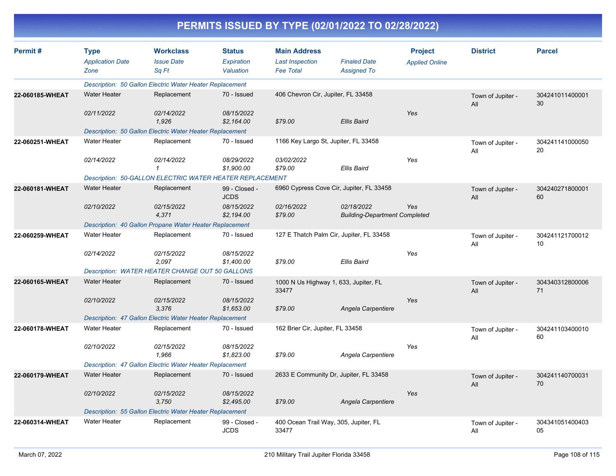| Permit#         | <b>Type</b><br><b>Application Date</b> | <b>Workclass</b><br><b>Issue Date</b>                           | <b>Status</b><br>Expiration  | <b>Main Address</b><br><b>Last Inspection</b>  | <b>Finaled Date</b>                                | <b>Project</b>        | <b>District</b>          | <b>Parcel</b>         |
|-----------------|----------------------------------------|-----------------------------------------------------------------|------------------------------|------------------------------------------------|----------------------------------------------------|-----------------------|--------------------------|-----------------------|
|                 | Zone                                   | Sq Ft                                                           | Valuation                    | <b>Fee Total</b>                               | <b>Assigned To</b>                                 | <b>Applied Online</b> |                          |                       |
|                 |                                        | Description: 50 Gallon Electric Water Heater Replacement        |                              |                                                |                                                    |                       |                          |                       |
| 22-060185-WHEAT | <b>Water Heater</b>                    | Replacement                                                     | 70 - Issued                  | 406 Chevron Cir, Jupiter, FL 33458             |                                                    |                       | Town of Jupiter -<br>All | 304241011400001<br>30 |
|                 | 02/11/2022                             | 02/14/2022<br>1.926                                             | 08/15/2022<br>\$2,164.00     | \$79.00                                        | <b>Ellis Baird</b>                                 | Yes                   |                          |                       |
|                 |                                        | Description: 50 Gallon Electric Water Heater Replacement        |                              |                                                |                                                    |                       |                          |                       |
| 22-060251-WHEAT | <b>Water Heater</b>                    | Replacement                                                     | 70 - Issued                  | 1166 Key Largo St, Jupiter, FL 33458           |                                                    |                       | Town of Jupiter -<br>All | 304241141000050<br>20 |
|                 | 02/14/2022                             | 02/14/2022<br>1                                                 | 08/29/2022<br>\$1,900.00     | 03/02/2022<br>\$79.00                          | <b>Ellis Baird</b>                                 | Yes                   |                          |                       |
|                 |                                        | <b>Description: 50-GALLON ELECTRIC WATER HEATER REPLACEMENT</b> |                              |                                                |                                                    |                       |                          |                       |
| 22-060181-WHEAT | <b>Water Heater</b>                    | Replacement                                                     | 99 - Closed -<br><b>JCDS</b> |                                                | 6960 Cypress Cove Cir, Jupiter, FL 33458           |                       | Town of Jupiter -<br>All | 304240271800001<br>60 |
|                 | 02/10/2022                             | 02/15/2022<br>4,371                                             | 08/15/2022<br>\$2,194.00     | 02/16/2022<br>\$79.00                          | 02/18/2022<br><b>Building-Department Completed</b> | Yes                   |                          |                       |
|                 |                                        | Description: 40 Gallon Propane Water Heater Replacement         |                              |                                                |                                                    |                       |                          |                       |
| 22-060259-WHEAT | <b>Water Heater</b>                    | Replacement                                                     | 70 - Issued                  | 127 E Thatch Palm Cir, Jupiter, FL 33458       |                                                    |                       | Town of Jupiter -<br>All | 304241121700012<br>10 |
|                 | 02/14/2022                             | 02/15/2022<br>2.097                                             | 08/15/2022<br>\$1,400.00     | \$79.00                                        | <b>Ellis Baird</b>                                 | Yes                   |                          |                       |
|                 |                                        | Description: WATER HEATER CHANGE OUT 50 GALLONS                 |                              |                                                |                                                    |                       |                          |                       |
| 22-060165-WHEAT | <b>Water Heater</b>                    | Replacement                                                     | 70 - Issued                  | 1000 N Us Highway 1, 633, Jupiter, FL<br>33477 |                                                    |                       | Town of Jupiter -<br>All | 304340312800006<br>71 |
|                 | 02/10/2022                             | 02/15/2022<br>3,376                                             | 08/15/2022<br>\$1,653.00     | \$79.00                                        | Angela Carpentiere                                 | Yes                   |                          |                       |
|                 |                                        | Description: 47 Gallon Electric Water Heater Replacement        |                              |                                                |                                                    |                       |                          |                       |
| 22-060178-WHEAT | <b>Water Heater</b>                    | Replacement                                                     | 70 - Issued                  | 162 Brier Cir, Jupiter, FL 33458               |                                                    |                       | Town of Jupiter -<br>All | 304241103400010<br>60 |
|                 | 02/10/2022                             | 02/15/2022<br>1,966                                             | 08/15/2022<br>\$1,823.00     | \$79.00                                        | Angela Carpentiere                                 | Yes                   |                          |                       |
|                 |                                        | <b>Description: 47 Gallon Electric Water Heater Replacement</b> |                              |                                                |                                                    |                       |                          |                       |
| 22-060179-WHEAT | <b>Water Heater</b>                    | Replacement                                                     | 70 - Issued                  | 2633 E Community Dr, Jupiter, FL 33458         |                                                    |                       | Town of Jupiter -<br>All | 304241140700031<br>70 |
|                 | 02/10/2022                             | 02/15/2022<br>3,750                                             | 08/15/2022<br>\$2,495.00     | \$79.00                                        | Angela Carpentiere                                 | Yes                   |                          |                       |
|                 |                                        | Description: 55 Gallon Electric Water Heater Replacement        |                              |                                                |                                                    |                       |                          |                       |
| 22-060314-WHEAT | <b>Water Heater</b>                    | Replacement                                                     | 99 - Closed -<br><b>JCDS</b> | 400 Ocean Trail Way, 305, Jupiter, FL<br>33477 |                                                    |                       | Town of Jupiter -<br>All | 304341051400403<br>05 |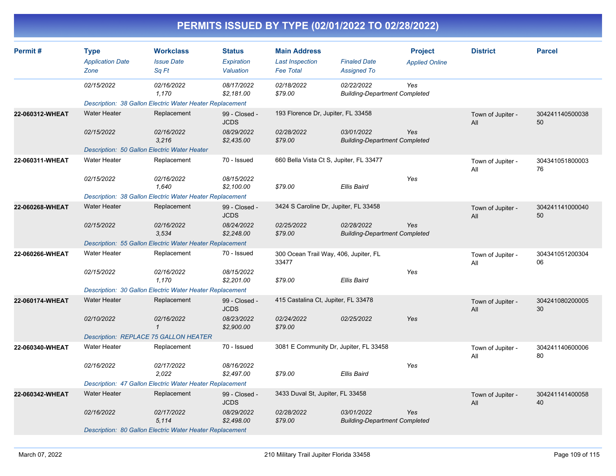| Permit#         | <b>Type</b><br><b>Application Date</b><br>Zone           | <b>Workclass</b><br><b>Issue Date</b><br>Sq Ft           | <b>Status</b><br>Expiration<br>Valuation | <b>Main Address</b><br><b>Last Inspection</b><br><b>Fee Total</b> | <b>Finaled Date</b><br><b>Assigned To</b>          | <b>Project</b><br><b>Applied Online</b> | <b>District</b>          | <b>Parcel</b>         |  |  |  |
|-----------------|----------------------------------------------------------|----------------------------------------------------------|------------------------------------------|-------------------------------------------------------------------|----------------------------------------------------|-----------------------------------------|--------------------------|-----------------------|--|--|--|
|                 | 02/15/2022                                               | 02/16/2022<br>1,170                                      | 08/17/2022<br>\$2,181.00                 | 02/18/2022<br>\$79.00                                             | 02/22/2022<br><b>Building-Department Completed</b> | Yes                                     |                          |                       |  |  |  |
|                 |                                                          | Description: 38 Gallon Electric Water Heater Replacement |                                          |                                                                   |                                                    |                                         |                          |                       |  |  |  |
| 22-060312-WHEAT | <b>Water Heater</b>                                      | Replacement                                              | 99 - Closed -<br><b>JCDS</b>             | 193 Florence Dr, Jupiter, FL 33458                                |                                                    |                                         | Town of Jupiter -<br>All | 304241140500038<br>50 |  |  |  |
|                 | 02/15/2022                                               | 02/16/2022<br>3.216                                      | 08/29/2022<br>\$2,435.00                 | 02/28/2022<br>\$79.00                                             | 03/01/2022<br><b>Building-Department Completed</b> | Yes                                     |                          |                       |  |  |  |
|                 | Description: 50 Gallon Electric Water Heater             |                                                          |                                          |                                                                   |                                                    |                                         |                          |                       |  |  |  |
| 22-060311-WHEAT | <b>Water Heater</b>                                      | Replacement                                              | 70 - Issued                              | 660 Bella Vista Ct S, Jupiter, FL 33477                           |                                                    |                                         | Town of Jupiter -<br>All | 304341051800003<br>76 |  |  |  |
|                 | 02/15/2022                                               | 02/16/2022<br>1.640                                      | 08/15/2022<br>\$2,100.00                 | \$79.00                                                           | <b>Ellis Baird</b>                                 | Yes                                     |                          |                       |  |  |  |
|                 |                                                          | Description: 38 Gallon Electric Water Heater Replacement |                                          |                                                                   |                                                    |                                         |                          |                       |  |  |  |
| 22-060268-WHEAT | <b>Water Heater</b>                                      | Replacement                                              | 99 - Closed -<br><b>JCDS</b>             | 3424 S Caroline Dr, Jupiter, FL 33458                             |                                                    |                                         | Town of Jupiter -<br>All | 304241141000040<br>50 |  |  |  |
|                 | 02/15/2022                                               | 02/16/2022<br>3,534                                      | 08/24/2022<br>\$2,248.00                 | 02/25/2022<br>\$79.00                                             | 02/28/2022<br><b>Building-Department Completed</b> | Yes                                     |                          |                       |  |  |  |
|                 | Description: 55 Gallon Electric Water Heater Replacement |                                                          |                                          |                                                                   |                                                    |                                         |                          |                       |  |  |  |
| 22-060266-WHEAT | <b>Water Heater</b>                                      | Replacement                                              | 70 - Issued                              | 300 Ocean Trail Way, 406, Jupiter, FL<br>33477                    |                                                    |                                         | Town of Jupiter -<br>All | 304341051200304<br>06 |  |  |  |
|                 | 02/15/2022                                               | 02/16/2022<br>1,170                                      | 08/15/2022<br>\$2,201.00                 | \$79.00                                                           | <b>Ellis Baird</b>                                 | Yes                                     |                          |                       |  |  |  |
|                 |                                                          | Description: 30 Gallon Electric Water Heater Replacement |                                          |                                                                   |                                                    |                                         |                          |                       |  |  |  |
| 22-060174-WHEAT | <b>Water Heater</b>                                      | Replacement                                              | 99 - Closed -<br><b>JCDS</b>             | 415 Castalina Ct, Jupiter, FL 33478                               |                                                    |                                         | Town of Jupiter -<br>All | 304241080200005<br>30 |  |  |  |
|                 | 02/10/2022                                               | 02/16/2022<br>$\mathbf{1}$                               | 08/23/2022<br>\$2,900.00                 | 02/24/2022<br>\$79.00                                             | 02/25/2022                                         | Yes                                     |                          |                       |  |  |  |
|                 | <b>Description: REPLACE 75 GALLON HEATER</b>             |                                                          |                                          |                                                                   |                                                    |                                         |                          |                       |  |  |  |
| 22-060340-WHEAT | <b>Water Heater</b>                                      | Replacement                                              | 70 - Issued                              | 3081 E Community Dr, Jupiter, FL 33458                            |                                                    |                                         | Town of Jupiter -<br>All | 304241140600006<br>80 |  |  |  |
|                 | 02/16/2022                                               | 02/17/2022<br>2,022                                      | 08/16/2022<br>\$2,497.00                 | \$79.00                                                           | Ellis Baird                                        | Yes                                     |                          |                       |  |  |  |
|                 |                                                          | Description: 47 Gallon Electric Water Heater Replacement |                                          |                                                                   |                                                    |                                         |                          |                       |  |  |  |
| 22-060342-WHEAT | <b>Water Heater</b>                                      | Replacement                                              | 99 - Closed -<br><b>JCDS</b>             | 3433 Duval St, Jupiter, FL 33458                                  |                                                    |                                         | Town of Jupiter -<br>All | 304241141400058<br>40 |  |  |  |
|                 | 02/16/2022                                               | 02/17/2022<br>5,114                                      | 08/29/2022<br>\$2,498.00                 | 02/28/2022<br>\$79.00                                             | 03/01/2022<br><b>Building-Department Completed</b> | Yes                                     |                          |                       |  |  |  |
|                 |                                                          | Description: 80 Gallon Electric Water Heater Replacement |                                          |                                                                   |                                                    |                                         |                          |                       |  |  |  |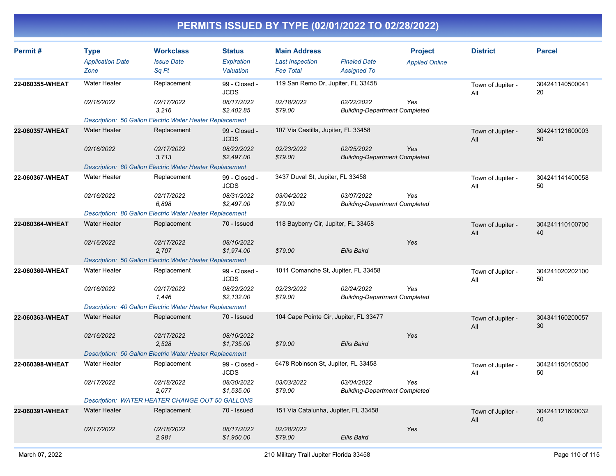| Permit#         | <b>Type</b><br><b>Application Date</b><br>Zone           | <b>Workclass</b><br><b>Issue Date</b><br>Sq Ft           | <b>Status</b><br>Expiration<br>Valuation | <b>Main Address</b><br><b>Last Inspection</b><br><b>Fee Total</b> | <b>Finaled Date</b><br><b>Assigned To</b>          | <b>Project</b><br><b>Applied Online</b> | <b>District</b>          | <b>Parcel</b>         |
|-----------------|----------------------------------------------------------|----------------------------------------------------------|------------------------------------------|-------------------------------------------------------------------|----------------------------------------------------|-----------------------------------------|--------------------------|-----------------------|
| 22-060355-WHEAT | <b>Water Heater</b>                                      | Replacement                                              | 99 - Closed -<br><b>JCDS</b>             | 119 San Remo Dr, Jupiter, FL 33458                                |                                                    |                                         | Town of Jupiter -<br>Αll | 304241140500041<br>20 |
|                 | 02/16/2022                                               | 02/17/2022<br>3.216                                      | 08/17/2022<br>\$2,402.85                 | 02/18/2022<br>\$79.00                                             | 02/22/2022<br><b>Building-Department Completed</b> | Yes                                     |                          |                       |
|                 |                                                          | Description: 50 Gallon Electric Water Heater Replacement |                                          |                                                                   |                                                    |                                         |                          |                       |
| 22-060357-WHEAT | <b>Water Heater</b>                                      | Replacement                                              | 99 - Closed -<br><b>JCDS</b>             | 107 Via Castilla, Jupiter, FL 33458                               |                                                    |                                         | Town of Jupiter -<br>All | 304241121600003<br>50 |
|                 | 02/16/2022                                               | 02/17/2022<br>3,713                                      | 08/22/2022<br>\$2,497.00                 | 02/23/2022<br>\$79.00                                             | 02/25/2022<br><b>Building-Department Completed</b> | Yes                                     |                          |                       |
|                 |                                                          | Description: 80 Gallon Electric Water Heater Replacement |                                          |                                                                   |                                                    |                                         |                          |                       |
| 22-060367-WHEAT | <b>Water Heater</b>                                      | Replacement                                              | 99 - Closed -<br><b>JCDS</b>             | 3437 Duval St, Jupiter, FL 33458                                  |                                                    |                                         | Town of Jupiter -<br>All | 304241141400058<br>50 |
|                 | 02/16/2022                                               | 02/17/2022<br>6,898                                      | 08/31/2022<br>\$2,497.00                 | 03/04/2022<br>\$79.00                                             | 03/07/2022<br><b>Building-Department Completed</b> | Yes                                     |                          |                       |
|                 | Description: 80 Gallon Electric Water Heater Replacement |                                                          |                                          |                                                                   |                                                    |                                         |                          |                       |
| 22-060364-WHEAT | <b>Water Heater</b>                                      | Replacement                                              | 70 - Issued                              | 118 Bayberry Cir, Jupiter, FL 33458                               |                                                    |                                         | Town of Jupiter -<br>All | 304241110100700<br>40 |
|                 | 02/16/2022                                               | 02/17/2022<br>2,707                                      | 08/16/2022<br>\$1,974.00                 | \$79.00                                                           | Ellis Baird                                        | Yes                                     |                          |                       |
|                 |                                                          | Description: 50 Gallon Electric Water Heater Replacement |                                          |                                                                   |                                                    |                                         |                          |                       |
| 22-060360-WHEAT | <b>Water Heater</b>                                      | Replacement                                              | 99 - Closed -<br><b>JCDS</b>             | 1011 Comanche St, Jupiter, FL 33458                               |                                                    |                                         | Town of Jupiter -<br>All | 304241020202100<br>50 |
|                 | 02/16/2022                                               | 02/17/2022<br>1,446                                      | 08/22/2022<br>\$2,132.00                 | 02/23/2022<br>\$79.00                                             | 02/24/2022<br><b>Building-Department Completed</b> | Yes                                     |                          |                       |
|                 |                                                          | Description: 40 Gallon Electric Water Heater Replacement |                                          |                                                                   |                                                    |                                         |                          |                       |
| 22-060363-WHEAT | <b>Water Heater</b>                                      | Replacement                                              | 70 - Issued                              |                                                                   | 104 Cape Pointe Cir, Jupiter, FL 33477             |                                         | Town of Jupiter -<br>All | 304341160200057<br>30 |
|                 | 02/16/2022                                               | 02/17/2022<br>2,528                                      | 08/16/2022<br>\$1,735.00                 | \$79.00                                                           | Ellis Baird                                        | Yes                                     |                          |                       |
|                 | Description: 50 Gallon Electric Water Heater Replacement |                                                          |                                          |                                                                   |                                                    |                                         |                          |                       |
| 22-060398-WHEAT | <b>Water Heater</b>                                      | Replacement                                              | 99 - Closed -<br><b>JCDS</b>             | 6478 Robinson St, Jupiter, FL 33458                               |                                                    |                                         | Town of Jupiter -<br>All | 304241150105500<br>50 |
|                 | 02/17/2022                                               | 02/18/2022<br>2,077                                      | 08/30/2022<br>\$1,535.00                 | 03/03/2022<br>\$79.00                                             | 03/04/2022<br><b>Building-Department Completed</b> | Yes                                     |                          |                       |
|                 |                                                          | Description: WATER HEATER CHANGE OUT 50 GALLONS          |                                          |                                                                   |                                                    |                                         |                          |                       |
| 22-060391-WHEAT | <b>Water Heater</b>                                      | Replacement                                              | 70 - Issued                              | 151 Via Catalunha, Jupiter, FL 33458                              |                                                    |                                         | Town of Jupiter -<br>All | 304241121600032<br>40 |
|                 | 02/17/2022                                               | 02/18/2022<br>2,981                                      | 08/17/2022<br>\$1,950.00                 | 02/28/2022<br>\$79.00                                             | <b>Ellis Baird</b>                                 | Yes                                     |                          |                       |
|                 |                                                          |                                                          |                                          |                                                                   |                                                    |                                         |                          |                       |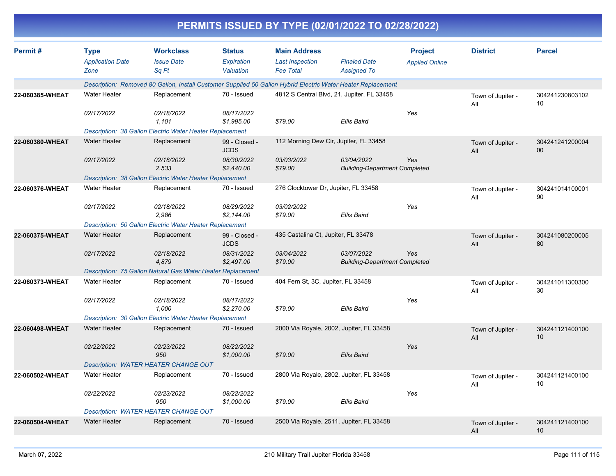| Permit#         | <b>Type</b>             | <b>Workclass</b>                                                                                             | <b>Status</b>                | <b>Main Address</b>                 |                                                    | <b>Project</b>        | <b>District</b>          | <b>Parcel</b>         |
|-----------------|-------------------------|--------------------------------------------------------------------------------------------------------------|------------------------------|-------------------------------------|----------------------------------------------------|-----------------------|--------------------------|-----------------------|
|                 | <b>Application Date</b> | <b>Issue Date</b>                                                                                            | Expiration                   | <b>Last Inspection</b>              | <b>Finaled Date</b>                                | <b>Applied Online</b> |                          |                       |
|                 | Zone                    | Sq Ft                                                                                                        | Valuation                    | <b>Fee Total</b>                    | <b>Assigned To</b>                                 |                       |                          |                       |
|                 |                         | Description: Removed 80 Gallon, Install Customer Supplied 50 Gallon Hybrid Electric Water Heater Replacement |                              |                                     |                                                    |                       |                          |                       |
| 22-060385-WHEAT | Water Heater            | Replacement                                                                                                  | 70 - Issued                  |                                     | 4812 S Central Blvd, 21, Jupiter, FL 33458         |                       |                          | 304241230803102<br>10 |
|                 | 02/17/2022              | 02/18/2022<br>1,101                                                                                          | 08/17/2022<br>\$1,995.00     | \$79.00                             | Ellis Baird                                        | Yes                   |                          |                       |
|                 |                         | Description: 38 Gallon Electric Water Heater Replacement                                                     |                              |                                     |                                                    |                       |                          |                       |
| 22-060380-WHEAT | <b>Water Heater</b>     | Replacement                                                                                                  | 99 - Closed -<br><b>JCDS</b> |                                     | 112 Morning Dew Cir, Jupiter, FL 33458             |                       | Town of Jupiter -<br>All | 304241241200004<br>00 |
|                 | 02/17/2022              | 02/18/2022<br>2,533                                                                                          | 08/30/2022<br>\$2,440.00     | 03/03/2022<br>\$79.00               | 03/04/2022<br><b>Building-Department Completed</b> | Yes                   |                          |                       |
|                 |                         | Description: 38 Gallon Electric Water Heater Replacement                                                     |                              |                                     |                                                    |                       |                          |                       |
| 22-060376-WHEAT | <b>Water Heater</b>     | Replacement                                                                                                  | 70 - Issued                  |                                     | 276 Clocktower Dr, Jupiter, FL 33458               |                       | Town of Jupiter -<br>All | 304241014100001<br>90 |
|                 | 02/17/2022              | 02/18/2022<br>2,986                                                                                          | 08/29/2022<br>\$2,144.00     | <i>03/02/2022</i><br>\$79.00        | <b>Ellis Baird</b>                                 | Yes                   |                          |                       |
|                 |                         | Description: 50 Gallon Electric Water Heater Replacement                                                     |                              |                                     |                                                    |                       |                          |                       |
| 22-060375-WHEAT | <b>Water Heater</b>     | Replacement                                                                                                  | 99 - Closed -<br><b>JCDS</b> | 435 Castalina Ct, Jupiter, FL 33478 |                                                    |                       | Town of Jupiter -<br>All | 304241080200005<br>80 |
|                 | 02/17/2022              | 02/18/2022<br>4,879                                                                                          | 08/31/2022<br>\$2,497.00     | 03/04/2022<br>\$79.00               | 03/07/2022<br><b>Building-Department Completed</b> | Yes                   |                          |                       |
|                 |                         | Description: 75 Gallon Natural Gas Water Heater Replacement                                                  |                              |                                     |                                                    |                       |                          |                       |
| 22-060373-WHEAT | <b>Water Heater</b>     | Replacement                                                                                                  | 70 - Issued                  | 404 Fern St, 3C, Jupiter, FL 33458  |                                                    |                       | Town of Jupiter -<br>All | 304241011300300<br>30 |
|                 | 02/17/2022              | 02/18/2022<br>1,000                                                                                          | 08/17/2022<br>\$2,270.00     | \$79.00                             | Ellis Baird                                        | Yes                   |                          |                       |
|                 |                         | Description: 30 Gallon Electric Water Heater Replacement                                                     |                              |                                     |                                                    |                       |                          |                       |
| 22-060498-WHEAT | <b>Water Heater</b>     | Replacement                                                                                                  | 70 - Issued                  |                                     | 2000 Via Royale, 2002, Jupiter, FL 33458           |                       | Town of Jupiter -<br>All | 304241121400100<br>10 |
|                 | 02/22/2022              | 02/23/2022<br>950                                                                                            | 08/22/2022<br>\$1,000.00     | \$79.00                             | <b>Ellis Baird</b>                                 | Yes                   |                          |                       |
|                 |                         | Description: WATER HEATER CHANGE OUT                                                                         |                              |                                     |                                                    |                       |                          |                       |
| 22-060502-WHEAT | Water Heater            | Replacement                                                                                                  | 70 - Issued                  |                                     | 2800 Via Royale, 2802, Jupiter, FL 33458           |                       | Town of Jupiter -<br>All | 304241121400100<br>10 |
|                 | 02/22/2022              | 02/23/2022<br>950                                                                                            | 08/22/2022<br>\$1,000.00     | \$79.00                             | Ellis Baird                                        | Yes                   |                          |                       |
|                 |                         | <b>Description: WATER HEATER CHANGE OUT</b>                                                                  |                              |                                     |                                                    |                       |                          |                       |
| 22-060504-WHEAT | <b>Water Heater</b>     | Replacement                                                                                                  | 70 - Issued                  |                                     | 2500 Via Royale, 2511, Jupiter, FL 33458           |                       | Town of Jupiter -<br>All | 304241121400100<br>10 |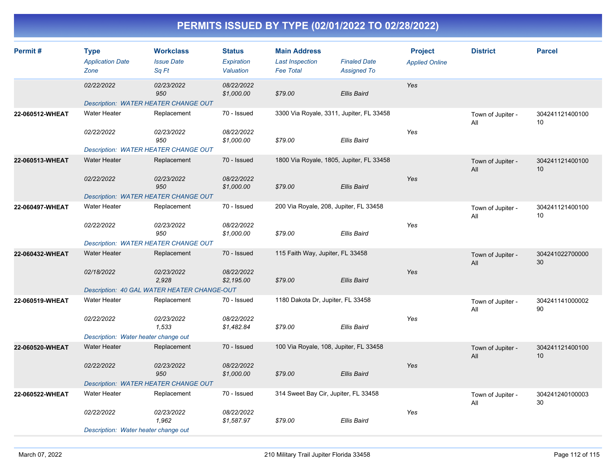| Permit#         | Type<br><b>Application Date</b><br>Zone     | <b>Workclass</b><br><b>Issue Date</b><br>Sq Ft | <b>Status</b><br>Expiration<br>Valuation | <b>Main Address</b><br><b>Last Inspection</b><br><b>Fee Total</b> | <b>Finaled Date</b><br><b>Assigned To</b> | <b>Project</b><br><b>Applied Online</b> | <b>District</b>          | <b>Parcel</b>         |
|-----------------|---------------------------------------------|------------------------------------------------|------------------------------------------|-------------------------------------------------------------------|-------------------------------------------|-----------------------------------------|--------------------------|-----------------------|
|                 | 02/22/2022                                  | 02/23/2022<br>950                              | 08/22/2022<br>\$1,000.00                 | \$79.00                                                           | <b>Ellis Baird</b>                        | Yes                                     |                          |                       |
|                 | Description: WATER HEATER CHANGE OUT        |                                                |                                          |                                                                   |                                           |                                         |                          |                       |
| 22-060512-WHEAT | <b>Water Heater</b>                         | Replacement                                    | 70 - Issued                              | 3300 Via Royale, 3311, Jupiter, FL 33458                          |                                           |                                         | Town of Jupiter -<br>All | 304241121400100<br>10 |
|                 | 02/22/2022                                  | 02/23/2022<br>950                              | 08/22/2022<br>\$1,000.00                 | \$79.00                                                           | Ellis Baird                               | Yes                                     |                          |                       |
|                 | Description: WATER HEATER CHANGE OUT        |                                                |                                          |                                                                   |                                           |                                         |                          |                       |
| 22-060513-WHEAT | <b>Water Heater</b>                         | Replacement                                    | 70 - Issued                              | 1800 Via Royale, 1805, Jupiter, FL 33458                          |                                           |                                         | Town of Jupiter -<br>All | 304241121400100<br>10 |
|                 | 02/22/2022                                  | 02/23/2022<br>950                              | 08/22/2022<br>\$1,000.00                 | \$79.00                                                           | <b>Ellis Baird</b>                        | Yes                                     |                          |                       |
|                 | Description: WATER HEATER CHANGE OUT        |                                                |                                          |                                                                   |                                           |                                         |                          |                       |
| 22-060497-WHEAT | Water Heater                                | Replacement                                    | 70 - Issued                              | 200 Via Royale, 208, Jupiter, FL 33458                            |                                           |                                         | Town of Jupiter -<br>All | 304241121400100<br>10 |
|                 | 02/22/2022                                  | 02/23/2022<br>950                              | 08/22/2022<br>\$1,000.00                 | \$79.00                                                           | <b>Ellis Baird</b>                        | Yes                                     |                          |                       |
|                 | Description: WATER HEATER CHANGE OUT        |                                                |                                          |                                                                   |                                           |                                         |                          |                       |
| 22-060432-WHEAT | <b>Water Heater</b>                         | Replacement                                    | 70 - Issued                              | 115 Faith Way, Jupiter, FL 33458                                  |                                           |                                         | Town of Jupiter -<br>All | 304241022700000<br>30 |
|                 | 02/18/2022                                  | 02/23/2022<br>2,928                            | 08/22/2022<br>\$2,195.00                 | \$79.00                                                           | <b>Ellis Baird</b>                        | Yes                                     |                          |                       |
|                 |                                             | Description: 40 GAL WATER HEATER CHANGE-OUT    |                                          |                                                                   |                                           |                                         |                          |                       |
| 22-060519-WHEAT | <b>Water Heater</b>                         | Replacement                                    | 70 - Issued                              | 1180 Dakota Dr, Jupiter, FL 33458                                 |                                           |                                         | Town of Jupiter -<br>All | 304241141000002<br>90 |
|                 | 02/22/2022                                  | 02/23/2022<br>1,533                            | 08/22/2022<br>\$1,482.84                 | \$79.00                                                           | <b>Ellis Baird</b>                        | Yes                                     |                          |                       |
|                 | Description: Water heater change out        |                                                |                                          |                                                                   |                                           |                                         |                          |                       |
| 22-060520-WHEAT | <b>Water Heater</b>                         | Replacement                                    | 70 - Issued                              | 100 Via Royale, 108, Jupiter, FL 33458                            |                                           |                                         | Town of Jupiter -<br>All | 304241121400100<br>10 |
|                 | 02/22/2022                                  | 02/23/2022<br>950                              | 08/22/2022<br>\$1,000.00                 | \$79.00                                                           | <b>Ellis Baird</b>                        | Yes                                     |                          |                       |
|                 | <b>Description: WATER HEATER CHANGE OUT</b> |                                                |                                          |                                                                   |                                           |                                         |                          |                       |
| 22-060522-WHEAT | <b>Water Heater</b>                         | Replacement                                    | 70 - Issued                              | 314 Sweet Bay Cir, Jupiter, FL 33458                              |                                           |                                         | Town of Jupiter -<br>All | 304241240100003<br>30 |
|                 | 02/22/2022                                  | 02/23/2022<br>1,962                            | 08/22/2022<br>\$1,587.97                 | \$79.00                                                           | Ellis Baird                               | Yes                                     |                          |                       |
|                 | Description: Water heater change out        |                                                |                                          |                                                                   |                                           |                                         |                          |                       |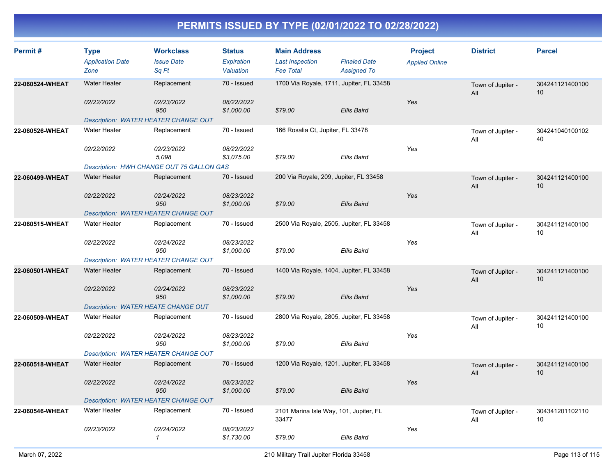| Permit#         | <b>Type</b><br><b>Application Date</b><br>Zone | <b>Workclass</b><br><b>Issue Date</b><br>Sq Ft | <b>Status</b><br>Expiration<br>Valuation | <b>Main Address</b><br><b>Last Inspection</b><br><b>Fee Total</b> | <b>Finaled Date</b><br><b>Assigned To</b> | <b>Project</b><br><b>Applied Online</b> | <b>District</b>          | <b>Parcel</b>                      |
|-----------------|------------------------------------------------|------------------------------------------------|------------------------------------------|-------------------------------------------------------------------|-------------------------------------------|-----------------------------------------|--------------------------|------------------------------------|
| 22-060524-WHEAT | <b>Water Heater</b><br>02/22/2022              | Replacement<br>02/23/2022                      | 70 - Issued<br>08/22/2022                | 1700 Via Royale, 1711, Jupiter, FL 33458                          |                                           | Yes                                     | Town of Jupiter -<br>All | 304241121400100<br>10 <sup>1</sup> |
|                 | Description: WATER HEATER CHANGE OUT           | 950                                            | \$1,000.00                               | \$79.00                                                           | Ellis Baird                               |                                         |                          |                                    |
| 22-060526-WHEAT | <b>Water Heater</b>                            | Replacement                                    | 70 - Issued                              | 166 Rosalia Ct, Jupiter, FL 33478                                 |                                           |                                         | Town of Jupiter -<br>All | 304241040100102<br>40              |
|                 | 02/22/2022                                     | 02/23/2022<br>5,098                            | 08/22/2022<br>\$3,075.00                 | \$79.00                                                           | <b>Ellis Baird</b>                        | Yes                                     |                          |                                    |
|                 |                                                | Description: HWH CHANGE OUT 75 GALLON GAS      |                                          |                                                                   |                                           |                                         |                          |                                    |
| 22-060499-WHEAT | <b>Water Heater</b>                            | Replacement                                    | 70 - Issued                              | 200 Via Royale, 209, Jupiter, FL 33458                            |                                           |                                         | Town of Jupiter -<br>All | 304241121400100<br>10 <sup>°</sup> |
|                 | 02/22/2022                                     | 02/24/2022<br>950                              | 08/23/2022<br>\$1,000.00                 | \$79.00                                                           | Ellis Baird                               | Yes                                     |                          |                                    |
|                 | Description: WATER HEATER CHANGE OUT           |                                                |                                          |                                                                   |                                           |                                         |                          |                                    |
| 22-060515-WHEAT | <b>Water Heater</b>                            | Replacement                                    | 70 - Issued                              | 2500 Via Royale, 2505, Jupiter, FL 33458                          |                                           |                                         | Town of Jupiter -<br>All | 304241121400100<br>10              |
|                 | 02/22/2022                                     | 02/24/2022<br>950                              | 08/23/2022<br>\$1,000.00                 | \$79.00                                                           | <b>Ellis Baird</b>                        | Yes                                     |                          |                                    |
|                 | Description: WATER HEATER CHANGE OUT           |                                                |                                          |                                                                   |                                           |                                         |                          |                                    |
| 22-060501-WHEAT | <b>Water Heater</b>                            | Replacement                                    | 70 - Issued                              | 1400 Via Royale, 1404, Jupiter, FL 33458                          |                                           |                                         | Town of Jupiter -<br>All | 304241121400100<br>10              |
|                 | 02/22/2022                                     | 02/24/2022<br>950                              | 08/23/2022<br>\$1,000.00                 | \$79.00                                                           | Ellis Baird                               | Yes                                     |                          |                                    |
|                 | <b>Description: WATER HEATE CHANGE OUT</b>     |                                                |                                          |                                                                   |                                           |                                         |                          |                                    |
| 22-060509-WHEAT | <b>Water Heater</b>                            | Replacement                                    | 70 - Issued                              | 2800 Via Royale, 2805, Jupiter, FL 33458                          |                                           |                                         | Town of Jupiter -<br>All | 304241121400100<br>10              |
|                 | 02/22/2022                                     | 02/24/2022<br>950                              | 08/23/2022<br>\$1,000.00                 | \$79.00                                                           | <b>Ellis Baird</b>                        | Yes                                     |                          |                                    |
|                 | Description: WATER HEATER CHANGE OUT           |                                                |                                          |                                                                   |                                           |                                         |                          |                                    |
| 22-060518-WHEAT | <b>Water Heater</b>                            | Replacement                                    | 70 - Issued                              | 1200 Via Royale, 1201, Jupiter, FL 33458                          |                                           |                                         | Town of Jupiter -<br>All | 304241121400100<br>10              |
|                 | 02/22/2022                                     | 02/24/2022<br>950                              | 08/23/2022<br>\$1,000.00                 | \$79.00                                                           | <b>Ellis Baird</b>                        | Yes                                     |                          |                                    |
|                 | <b>Description: WATER HEATER CHANGE OUT</b>    |                                                |                                          |                                                                   |                                           |                                         |                          |                                    |
| 22-060546-WHEAT | <b>Water Heater</b>                            | Replacement                                    | 70 - Issued                              | 2101 Marina Isle Way, 101, Jupiter, FL<br>33477                   |                                           |                                         | Town of Jupiter -<br>All | 304341201102110<br>10              |
|                 | 02/23/2022                                     | 02/24/2022<br>1                                | 08/23/2022<br>\$1,730.00                 | \$79.00                                                           | <b>Ellis Baird</b>                        | Yes                                     |                          |                                    |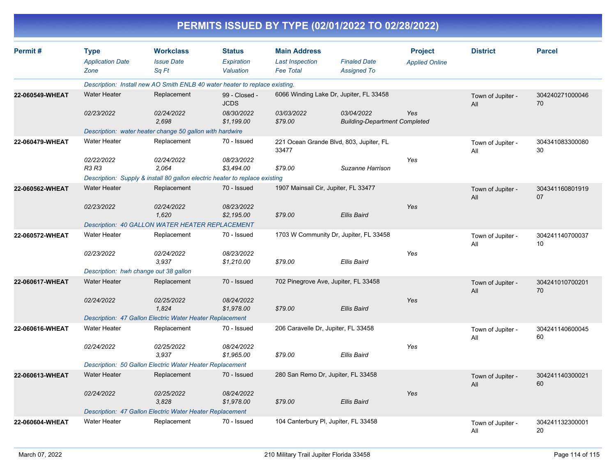|                 |                                                |                                                                             |                                          | PERMITS ISSUED BY TYPE (02/01/2022 TO 02/28/2022)                 |                                                    |                                         |                          |                       |
|-----------------|------------------------------------------------|-----------------------------------------------------------------------------|------------------------------------------|-------------------------------------------------------------------|----------------------------------------------------|-----------------------------------------|--------------------------|-----------------------|
| Permit#         | <b>Type</b><br><b>Application Date</b><br>Zone | <b>Workclass</b><br><b>Issue Date</b><br>Sq Ft                              | <b>Status</b><br>Expiration<br>Valuation | <b>Main Address</b><br><b>Last Inspection</b><br><b>Fee Total</b> | <b>Finaled Date</b><br><b>Assigned To</b>          | <b>Project</b><br><b>Applied Online</b> | <b>District</b>          | <b>Parcel</b>         |
|                 |                                                | Description: Install new AO Smith ENLB 40 water heater to replace existing. |                                          |                                                                   |                                                    |                                         |                          |                       |
| 22-060549-WHEAT | <b>Water Heater</b>                            | Replacement                                                                 | 99 - Closed -<br><b>JCDS</b>             | 6066 Winding Lake Dr, Jupiter, FL 33458                           |                                                    |                                         | Town of Jupiter -<br>All | 304240271000046<br>70 |
|                 | 02/23/2022                                     | 02/24/2022<br>2,698                                                         | 08/30/2022<br>\$1,199.00                 | 03/03/2022<br>\$79.00                                             | 03/04/2022<br><b>Building-Department Completed</b> | Yes                                     |                          |                       |
|                 |                                                | Description: water heater change 50 gallon with hardwire                    |                                          |                                                                   |                                                    |                                         |                          |                       |
| 22-060479-WHEAT | Water Heater                                   | Replacement                                                                 | 70 - Issued                              | 221 Ocean Grande Blvd, 803, Jupiter, FL<br>33477                  |                                                    |                                         | Town of Jupiter -<br>All | 304341083300080<br>30 |
|                 | 02/22/2022<br>R3 R3                            | 02/24/2022<br>2,064                                                         | 08/23/2022<br>\$3,494.00                 | \$79.00                                                           | Suzanne Harrison                                   | Yes                                     |                          |                       |
|                 |                                                | Description: Supply & install 80 gallon electric heater to replace existing |                                          |                                                                   |                                                    |                                         |                          |                       |
| 22-060562-WHEAT | <b>Water Heater</b>                            | Replacement                                                                 | 70 - Issued                              | 1907 Mainsail Cir, Jupiter, FL 33477                              |                                                    |                                         | Town of Jupiter -<br>All | 304341160801919<br>07 |
|                 | 02/23/2022                                     | 02/24/2022<br>1.620                                                         | 08/23/2022<br>\$2,195.00                 | \$79.00                                                           | <b>Ellis Baird</b>                                 | Yes                                     |                          |                       |
|                 |                                                | Description: 40 GALLON WATER HEATER REPLACEMENT                             |                                          |                                                                   |                                                    |                                         |                          |                       |
| 22-060572-WHEAT | <b>Water Heater</b>                            | Replacement                                                                 | 70 - Issued                              | 1703 W Community Dr, Jupiter, FL 33458                            |                                                    |                                         | Town of Jupiter -<br>All | 304241140700037<br>10 |
|                 | 02/23/2022                                     | 02/24/2022<br>3.937                                                         | 08/23/2022<br>\$1,210.00                 | \$79.00                                                           | <b>Ellis Baird</b>                                 | Yes                                     |                          |                       |
|                 | Description: hwh change out 38 gallon          |                                                                             |                                          |                                                                   |                                                    |                                         |                          |                       |
| 22-060617-WHEAT | <b>Water Heater</b>                            | Replacement                                                                 | 70 - Issued                              | 702 Pinegrove Ave, Jupiter, FL 33458                              |                                                    |                                         | Town of Jupiter -<br>All | 304241010700201<br>70 |
|                 | 02/24/2022                                     | 02/25/2022<br>1,824                                                         | 08/24/2022<br>\$1,978.00                 | \$79.00                                                           | <b>Ellis Baird</b>                                 | Yes                                     |                          |                       |
|                 |                                                | Description: 47 Gallon Electric Water Heater Replacement                    |                                          |                                                                   |                                                    |                                         |                          |                       |
| 22-060616-WHEAT | <b>Water Heater</b>                            | Replacement                                                                 | 70 - Issued                              | 206 Caravelle Dr, Jupiter, FL 33458                               |                                                    |                                         | Town of Jupiter -<br>All | 304241140600045<br>60 |
|                 | 02/24/2022                                     | 02/25/2022<br>3,937                                                         | 08/24/2022<br>\$1,965.00                 | \$79.00                                                           | Ellis Baird                                        | Yes                                     |                          |                       |
|                 |                                                | Description: 50 Gallon Electric Water Heater Replacement                    |                                          |                                                                   |                                                    |                                         |                          |                       |
| 22-060613-WHEAT | <b>Water Heater</b>                            | Replacement                                                                 | 70 - Issued                              | 280 San Remo Dr, Jupiter, FL 33458                                |                                                    |                                         | Town of Jupiter -<br>All | 304241140300021<br>60 |
|                 | 02/24/2022                                     | 02/25/2022<br>3,828                                                         | 08/24/2022<br>\$1,978.00                 | \$79.00                                                           | <b>Ellis Baird</b>                                 | Yes                                     |                          |                       |
|                 |                                                | Description: 47 Gallon Electric Water Heater Replacement                    |                                          |                                                                   |                                                    |                                         |                          |                       |
| 22-060604-WHEAT | Water Heater                                   | Replacement                                                                 | 70 - Issued                              | 104 Canterbury PI, Jupiter, FL 33458                              |                                                    |                                         | Town of Jupiter -<br>All | 304241132300001<br>20 |